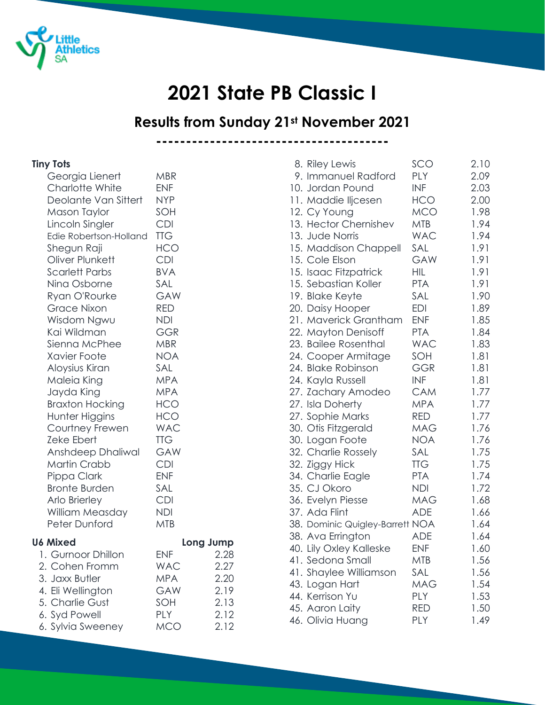

## **2021 State PB Classic I**

**Results from Sunday 21st November 2021**

**---------------------------------------**

## **Tiny Tots**

| Georgia Lienert        | <b>MBR</b> |           |
|------------------------|------------|-----------|
| Charlotte White        | <b>ENF</b> |           |
| Deolante Van Sittert   | <b>NYP</b> |           |
| Mason Taylor           | SOH        |           |
| Lincoln Singler        | <b>CDI</b> |           |
| Edie Robertson-Holland | <b>TTG</b> |           |
| Shegun Raji            | <b>HCO</b> |           |
| Oliver Plunkett        | <b>CDI</b> |           |
| <b>Scarlett Parbs</b>  | <b>BVA</b> |           |
| Nina Osborne           | SAL        |           |
| Ryan O'Rourke          | GAW        |           |
| <b>Grace Nixon</b>     | <b>RED</b> |           |
| Wisdom Ngwu            | <b>NDI</b> |           |
| Kai Wildman            | <b>GGR</b> |           |
| Sienna McPhee          | <b>MBR</b> |           |
| <b>Xavier Foote</b>    | <b>NOA</b> |           |
| Aloysius Kiran         | SAL        |           |
| Maleia King            | <b>MPA</b> |           |
| Jayda King             | <b>MPA</b> |           |
| <b>Braxton Hocking</b> | <b>HCO</b> |           |
| Hunter Higgins         | <b>HCO</b> |           |
| Courtney Frewen        | <b>WAC</b> |           |
| Zeke Ebert             | <b>TTG</b> |           |
| Anshdeep Dhaliwal      | GAW        |           |
| <b>Martin Crabb</b>    | <b>CDI</b> |           |
| Pippa Clark            | <b>ENF</b> |           |
| <b>Bronte Burden</b>   | SAL        |           |
| Arlo Brierley          | <b>CDI</b> |           |
| William Measday        | <b>NDI</b> |           |
| Peter Dunford          | <b>MTB</b> |           |
| <b>U6 Mixed</b>        |            | Long Jump |
| 1. Gurnoor Dhillon     | <b>ENF</b> | 2.28      |
| 2. Cohen Fromm         | <b>WAC</b> | 2.27      |
| 3. Jaxx Butler         | <b>MPA</b> | 2.20      |
| 4. Eli Wellington      | GAW        | 2.19      |
| 5. Charlie Gust        | SOH        | 2.13      |

6. Syd Powell PLY 2.12 6. Sylvia Sweeney MCO 2.12

| 8. Riley Lewis                  | SCO        | 2.10 |
|---------------------------------|------------|------|
| 9. Immanuel Radford             | PLY        | 2.09 |
| 10. Jordan Pound                | <b>INF</b> | 2.03 |
| 11. Maddie Iljcesen             | HCO.       | 2.00 |
| 12. Cy Young                    | MCO        | 1.98 |
| 13. Hector Chernishev           | MTB        | 1.94 |
| 13. Jude Norris                 | <b>WAC</b> | 1.94 |
| 15. Maddison Chappell           | SAL        | 1.91 |
| 15. Cole Elson                  | GAW        | 1.91 |
| 15. Isaac Fitzpatrick           | НIL        | 1.91 |
| 15. Sebastian Koller            | <b>PTA</b> | 1.91 |
| 19. Blake Keyte                 | SAL        | 1.90 |
| 20. Daisy Hooper                | <b>EDI</b> | 1.89 |
| 21. Maverick Grantham           | <b>ENF</b> | 1.85 |
| 22. Mayton Denisoff             | <b>PTA</b> | 1.84 |
| 23. Bailee Rosenthal            | <b>WAC</b> | 1.83 |
| 24. Cooper Armitage             | SOH        | 1.81 |
| 24. Blake Robinson              | GGR        | 1.81 |
| 24. Kayla Russell               | <b>INF</b> | 1.81 |
| 27. Zachary Amodeo              | <b>CAM</b> | 1.77 |
| 27. Isla Doherty                | <b>MPA</b> | 1.77 |
| 27. Sophie Marks                | <b>RED</b> | 1.77 |
| 30. Otis Fitzgerald             | <b>MAG</b> | 1.76 |
| 30. Logan Foote                 | <b>NOA</b> | 1.76 |
| 32. Charlie Rossely             | SAL        | 1.75 |
| 32. Ziggy Hick                  | <b>TTG</b> | 1.75 |
| 34. Charlie Eagle               | <b>PTA</b> | 1.74 |
| 35. CJ Okoro                    | <b>NDI</b> | 1.72 |
| 36. Evelyn Piesse               | <b>MAG</b> | 1.68 |
| 37. Ada Flint                   | <b>ADE</b> | 1.66 |
| 38. Dominic Quigley-Barrett NOA |            | 1.64 |
| 38. Ava Errington               | <b>ADE</b> | 1.64 |
| 40. Lily Oxley Kalleske         | <b>ENF</b> | 1.60 |
| 41. Sedona Small                | <b>MTB</b> | 1.56 |
| 41. Shaylee Williamson          | SAL        | 1.56 |
| 43. Logan Hart                  | MAG        | 1.54 |
| 44. Kerrison Yu                 | PLY        | 1.53 |
| 45. Aaron Laity                 | <b>RED</b> | 1.50 |
| 46. Olivia Huang                | <b>PLY</b> | 1.49 |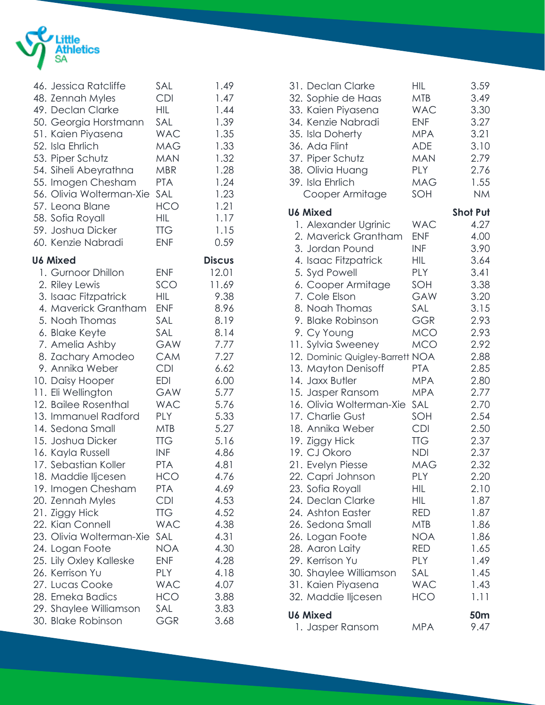

| 46. Jessica Ratcliffe    | SAL        | 1.49          |
|--------------------------|------------|---------------|
| 48. Zennah Myles         | <b>CDI</b> | 1.47          |
| 49. Declan Clarke        | HIL.       | 1.44          |
| 50. Georgia Horstmann    | SAL        | 1.39          |
| 51. Kaien Piyasena       | <b>WAC</b> | 1.35          |
| 52. Isla Ehrlich         | <b>MAG</b> | 1.33          |
| 53. Piper Schutz         | <b>MAN</b> | 1.32          |
| 54. Siheli Abeyrathna    | MBR        | 1.28          |
| 55. Imogen Chesham       | <b>PTA</b> | 1.24          |
| 56. Olivia Wolterman-Xie | SAL        | 1.23          |
| 57. Leona Blane          | <b>HCO</b> | 1.21          |
| 58. Sofia Royall         | HIL.       | 1.17          |
| 59. Joshua Dicker        | <b>TTG</b> | 1.15          |
| 60. Kenzie Nabradi       | <b>ENF</b> | 0.59          |
| <b>U6 Mixed</b>          |            | <b>Discus</b> |
| 1. Gurnoor Dhillon       | <b>ENF</b> | 12.01         |
| 2. Riley Lewis           | SCO        | 11.69         |
| 3. Isaac Fitzpatrick     | <b>HIL</b> | 9.38          |
| 4. Maverick Grantham     | <b>ENF</b> | 8.96          |
| 5. Noah Thomas           | SAL        | 8.19          |
| 6. Blake Keyte           | SAL        | 8.14          |
| 7. Amelia Ashby          | GAW        | 7.77          |
| 8. Zachary Amodeo        | <b>CAM</b> | 7.27          |
| 9. Annika Weber          | <b>CDI</b> | 6.62          |
| 10. Daisy Hooper         | <b>EDI</b> | 6.00          |
| 11. Eli Wellington       | GAW        | 5.77          |
| 12. Bailee Rosenthal     | <b>WAC</b> | 5.76          |
| 13. Immanuel Radford     | <b>PLY</b> | 5.33          |
| 14. Sedona Small         | <b>MTB</b> | 5.27          |
| 15. Joshua Dicker        | TTG        | 5.16          |
| 16. Kayla Russell        | INF        | 4.86          |
| 17. Sebastian Koller     | <b>PTA</b> | 4.81          |
| 18. Maddie Iljcesen      | <b>HCO</b> | 4.76          |
| 19. Imogen Chesham       | PTA        | 4.69          |
| 20. Zennah Myles         | <b>CDI</b> | 4.53          |
| 21. Ziggy Hick           | <b>TTG</b> | 4.52          |
| 22. Kian Connell         | <b>WAC</b> | 4.38          |
| 23. Olivia Wolterman-Xie | SAL        | 4.31          |
| 24. Logan Foote          | <b>NOA</b> | 4.30          |
| 25. Lily Oxley Kalleske  | <b>ENF</b> | 4.28          |
| 26. Kerrison Yu          | PLY        | 4.18          |
| 27. Lucas Cooke          | <b>WAC</b> | 4.07          |
| 28. Emeka Badics         | <b>HCO</b> | 3.88          |
| 29. Shaylee Williamson   | SAL        | 3.83          |
| 30. Blake Robinson       | GGR        | 3.68          |

| 31. Declan Clarke<br>32. Sophie de Haas<br>33. Kaien Piyasena<br>34. Kenzie Nabradi<br>35. Isla Doherty<br>36. Ada Flint<br>37. Piper Schutz<br>38. Olivia Huang<br>39. Isla Ehrlich<br>Cooper Armitage                                                                                                                                                                                                                                                                                                                                                                                                                                          | HIL<br>MTB<br><b>WAC</b><br><b>ENF</b><br><b>MPA</b><br><b>ADE</b><br><b>MAN</b><br><b>PLY</b><br><b>MAG</b><br>SOH                                                                                                                                                                                                                                  | 3.59<br>3.49<br>3.30<br>3.27<br>3.21<br>3.10<br>2.79<br>2.76<br>1.55<br><b>NM</b>                                                                                                                                                            |
|--------------------------------------------------------------------------------------------------------------------------------------------------------------------------------------------------------------------------------------------------------------------------------------------------------------------------------------------------------------------------------------------------------------------------------------------------------------------------------------------------------------------------------------------------------------------------------------------------------------------------------------------------|------------------------------------------------------------------------------------------------------------------------------------------------------------------------------------------------------------------------------------------------------------------------------------------------------------------------------------------------------|----------------------------------------------------------------------------------------------------------------------------------------------------------------------------------------------------------------------------------------------|
| <b>U6 Mixed</b><br>1. Alexander Ugrinic                                                                                                                                                                                                                                                                                                                                                                                                                                                                                                                                                                                                          | <b>WAC</b>                                                                                                                                                                                                                                                                                                                                           | <b>Shot Put</b><br>4.27                                                                                                                                                                                                                      |
| 2. Maverick Grantham<br>3. Jordan Pound<br>4. Isaac Fitzpatrick<br>5. Syd Powell<br>6. Cooper Armitage<br>7. Cole Elson<br>8. Noah Thomas<br>9. Blake Robinson<br>9. Cy Young<br>11. Sylvia Sweeney<br>12. Dominic Quigley-Barrett NOA<br>13. Mayton Denisoff<br>14. Jaxx Butler<br>15. Jasper Ransom<br>16. Olivia Wolterman-Xie<br>17. Charlie Gust<br>18. Annika Weber<br>19. Ziggy Hick<br>19. CJ Okoro<br>21. Evelyn Piesse<br>22. Capri Johnson<br>23. Sofia Royall<br>24. Declan Clarke<br>24. Ashton Easter<br>26. Sedona Small<br>26. Logan Foote<br>28. Aaron Laity<br>29. Kerrison Yu<br>30. Shaylee Williamson<br>31. Kaien Piyasena | <b>ENF</b><br><b>INF</b><br>HIL.<br><b>PLY</b><br>SOH<br>GAW<br>SAL<br><b>GGR</b><br><b>MCO</b><br><b>MCO</b><br><b>PTA</b><br><b>MPA</b><br><b>MPA</b><br>SAL<br>SOH<br><b>CDI</b><br><b>TTG</b><br><b>NDI</b><br><b>MAG</b><br><b>PLY</b><br>HIL<br><b>HIL</b><br><b>RED</b><br><b>MTB</b><br><b>NOA</b><br>RED<br><b>PLY</b><br>SAL<br><b>WAC</b> | 4.00<br>3.90<br>3.64<br>3.41<br>3.38<br>3.20<br>3.15<br>2.93<br>2.93<br>2.92<br>2.88<br>2.85<br>2.80<br>2.77<br>2.70<br>2.54<br>2.50<br>2.37<br>2.37<br>2.32<br>2.20<br>2.10<br>1.87<br>1.87<br>1.86<br>1.86<br>1.65<br>1.49<br>1.45<br>1.43 |
| 32. Maddie Iljcesen                                                                                                                                                                                                                                                                                                                                                                                                                                                                                                                                                                                                                              | <b>HCO</b>                                                                                                                                                                                                                                                                                                                                           | 1.11                                                                                                                                                                                                                                         |
| <b>U6 Mixed</b><br>1. Jasper Ransom                                                                                                                                                                                                                                                                                                                                                                                                                                                                                                                                                                                                              | <b>MPA</b>                                                                                                                                                                                                                                                                                                                                           | 50m<br>9.47                                                                                                                                                                                                                                  |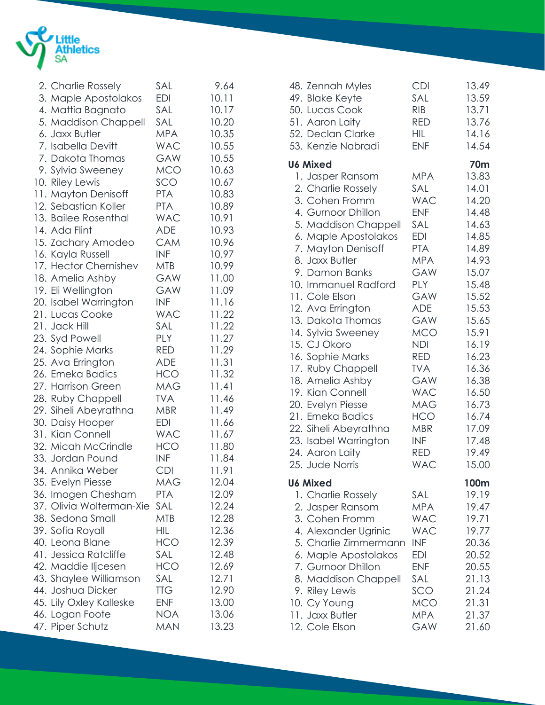

| 2. Charlie Rossely       | SAL        | 9.64  |
|--------------------------|------------|-------|
| 3. Maple Apostolakos     | <b>EDI</b> | 10.11 |
| 4. Mattia Bagnato        | SAL        | 10.17 |
| 5. Maddison Chappell     | SAL        | 10.20 |
| 6. Jaxx Butler           | <b>MPA</b> | 10.35 |
| 7. Isabella Devitt       | <b>WAC</b> | 10.55 |
| 7. Dakota Thomas         | GAW        | 10.55 |
| 9. Sylvia Sweeney        | <b>MCO</b> | 10.63 |
| 10. Riley Lewis          | SCO        | 10.67 |
| 11. Mayton Denisoff      | <b>PTA</b> | 10.83 |
| 12. Sebastian Koller     | <b>PTA</b> | 10.89 |
| 13. Bailee Rosenthal     | <b>WAC</b> | 10.91 |
| 14. Ada Flint            | <b>ADE</b> | 10.93 |
| 15. Zachary Amodeo       | <b>CAM</b> | 10.96 |
| 16. Kayla Russell        | <b>INF</b> | 10.97 |
| 17. Hector Chernishev    | MTB        | 10.99 |
| 18. Amelia Ashby         | GAW        | 11.00 |
| 19. Eli Wellington       | GAW        | 11.09 |
| 20. Isabel Warrington    | <b>INF</b> | 11.16 |
| 21. Lucas Cooke          | <b>WAC</b> | 11.22 |
| 21. Jack Hill            | SAL        | 11.22 |
| 23. Syd Powell           | <b>PLY</b> | 11.27 |
| 24. Sophie Marks         | RED        | 11.29 |
| 25. Ava Errington        | ADE        | 11.31 |
| 26. Emeka Badics         | HCO        | 11.32 |
| 27. Harrison Green       | <b>MAG</b> | 11.41 |
| 28. Ruby Chappell        | <b>TVA</b> | 11.46 |
| 29. Siheli Abeyrathna    | <b>MBR</b> | 11.49 |
| 30. Daisy Hooper         | <b>EDI</b> | 11.66 |
| 31. Kian Connell         | <b>WAC</b> | 11.67 |
| 32. Micah McCrindle      | <b>HCO</b> | 11.80 |
| 33. Jordan Pound         | <b>INF</b> | 11.84 |
| 34. Annika Weber         | <b>CDI</b> | 11.91 |
| 35. Evelyn Piesse        | <b>MAG</b> | 12.04 |
| 36. Imogen Chesham       | <b>PTA</b> | 12.09 |
| 37. Olivia Wolterman-Xie | SAL        | 12.24 |
| 38. Sedona Small         | MTB        | 12.28 |
| 39. Sofia Royall         | HIL        | 12.36 |
| 40. Leona Blane          | <b>HCO</b> | 12.39 |
| 41. Jessica Ratcliffe    | SAL        | 12.48 |
| 42. Maddie Iljcesen      | <b>HCO</b> | 12.69 |
| 43. Shaylee Williamson   | SAL        | 12.71 |
| 44. Joshua Dicker        | <b>TTG</b> | 12.90 |
| 45. Lily Oxley Kalleske  | <b>ENF</b> | 13.00 |
| 46. Logan Foote          | <b>NOA</b> | 13.06 |
| 47. Piper Schutz         | <b>MAN</b> | 13.23 |
|                          |            |       |

| 48. Zennah Myles<br>49. Blake Keyte<br>50. Lucas Cook<br>51. Aaron Laity<br>52. Declan Clarke<br>53. Kenzie Nabradi                                                                                                                                                                                                                                                                                                                                                                                                                                     | <b>CDI</b><br>SAL<br><b>RIB</b><br><b>RED</b><br><b>HIL</b><br><b>ENF</b>                                                                                                                                                                                                                                 | 13.49<br>13.59<br>13.71<br>13.76<br>14.16<br>14.54                                                                                                                                                                                          |
|---------------------------------------------------------------------------------------------------------------------------------------------------------------------------------------------------------------------------------------------------------------------------------------------------------------------------------------------------------------------------------------------------------------------------------------------------------------------------------------------------------------------------------------------------------|-----------------------------------------------------------------------------------------------------------------------------------------------------------------------------------------------------------------------------------------------------------------------------------------------------------|---------------------------------------------------------------------------------------------------------------------------------------------------------------------------------------------------------------------------------------------|
| <b>U6 Mixed</b><br>1. Jasper Ransom<br>2. Charlie Rossely<br>3. Cohen Fromm<br>4. Gurnoor Dhillon<br>5. Maddison Chappell<br>6. Maple Apostolakos<br>7. Mayton Denisoff<br>8. Jaxx Butler<br>9. Damon Banks<br>10. Immanuel Radford<br>11. Cole Elson<br>12. Ava Errington<br>13. Dakota Thomas<br>14. Sylvia Sweeney<br>15. CJ Okoro<br>16. Sophie Marks<br>17. Ruby Chappell<br>18. Amelia Ashby<br>19. Kian Connell<br>20. Evelyn Piesse<br>21. Emeka Badics<br>22. Siheli Abeyrathna<br>23. Isabel Warrington<br>24. Aaron Laity<br>25. Jude Norris | <b>MPA</b><br>SAL<br><b>WAC</b><br><b>ENF</b><br>SAL<br>EDI<br><b>PTA</b><br><b>MPA</b><br>GAW<br><b>PLY</b><br>GAW<br><b>ADE</b><br>GAW<br><b>MCO</b><br><b>NDI</b><br><b>RED</b><br><b>TVA</b><br>GAW<br><b>WAC</b><br><b>MAG</b><br><b>HCO</b><br><b>MBR</b><br><b>INF</b><br><b>RED</b><br><b>WAC</b> | <b>70m</b><br>13.83<br>14.01<br>14.20<br>14.48<br>14.63<br>14.85<br>14.89<br>14.93<br>15.07<br>15.48<br>15.52<br>15.53<br>15.65<br>15.91<br>16.19<br>16.23<br>16.36<br>16.38<br>16.50<br>16.73<br>16.74<br>17.09<br>17.48<br>19.49<br>15.00 |
| <b>U6 Mixed</b><br>1. Charlie Rossely<br>2. Jasper Ransom<br>3. Cohen Fromm<br>4. Alexander Ugrinic<br>5. Charlie Zimmermann<br>6. Maple Apostolakos<br>7. Gurnoor Dhillon<br>8. Maddison Chappell<br>9. Riley Lewis<br>10. Cy Young<br>11. Jaxx Butler<br>12. Cole Elson                                                                                                                                                                                                                                                                               | SAL<br><b>MPA</b><br><b>WAC</b><br><b>WAC</b><br><b>INF</b><br>EDI<br><b>ENF</b><br>SAL<br>SCO<br><b>MCO</b><br><b>MPA</b><br>GAW                                                                                                                                                                         | 100m<br>19.19<br>19.47<br>19.71<br>19.77<br>20.36<br>20.52<br>20.55<br>21.13<br>21.24<br>21.31<br>21.37<br>21.60                                                                                                                            |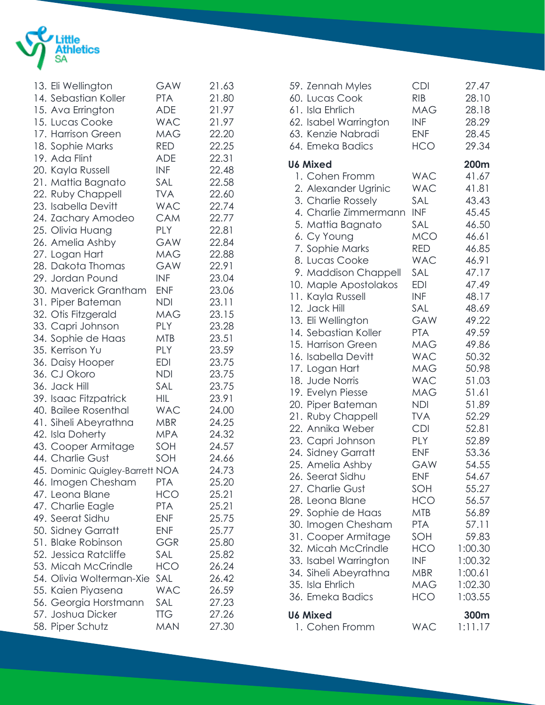

| 14. Sebastian Koller<br><b>PTA</b><br>21.80<br>15. Ava Errington<br>ADE<br>21.97<br>15. Lucas Cooke<br><b>WAC</b><br>21.97<br>17. Harrison Green<br><b>MAG</b><br>22.20<br><b>RED</b><br>22.25<br>18. Sophie Marks<br>19. Ada Flint<br><b>ADE</b><br>22.31<br><b>INF</b><br>22.48<br>20. Kayla Russell<br>21. Mattia Bagnato<br>SAL<br>22.58<br>22. Ruby Chappell<br><b>TVA</b><br>22.60<br><b>WAC</b><br>23. Isabella Devitt<br>22.74<br>24. Zachary Amodeo<br><b>CAM</b><br>22.77<br>25. Olivia Huang<br><b>PLY</b><br>22.81<br>22.84<br>26. Amelia Ashby<br>GAW<br><b>MAG</b><br>22.88<br>27. Logan Hart<br>28. Dakota Thomas<br>GAW<br>22.91<br>INF<br>23.04<br>29. Jordan Pound<br>23.06<br>30. Maverick Grantham<br>ENF<br>31. Piper Bateman<br>23.11<br><b>NDI</b><br>32. Otis Fitzgerald<br><b>MAG</b><br>23.15<br>33. Capri Johnson<br>23.28<br><b>PLY</b><br>34. Sophie de Haas<br>23.51<br>MTB<br>35. Kerrison Yu<br><b>PLY</b><br>23.59<br>EDI<br>23.75<br>36. Daisy Hooper<br>36. CJ Okoro<br>23.75<br>NDI<br>36. Jack Hill<br>SAL<br>23.75<br>39. Isaac Fitzpatrick<br>HIL<br>23.91<br>40. Bailee Rosenthal<br>24.00<br><b>WAC</b><br>24.25<br>41. Siheli Abeyrathna<br><b>MBR</b><br>42. Isla Doherty<br><b>MPA</b><br>24.32<br>24.57<br>43. Cooper Armitage<br>SOH<br>44. Charlie Gust<br>SOH<br>24.66<br>24.73<br>45. Dominic Quigley-Barrett NOA<br>46. Imogen Chesham<br><b>PTA</b><br>25.20<br>47. Leona Blane<br>25.21<br>HCO<br>47. Charlie Eagle<br>25.21<br>PTA<br>25.75<br>49. Seerat Sidhu<br><b>ENF</b><br>50. Sidney Garratt<br><b>ENF</b><br>25.77<br>51. Blake Robinson<br>25.80<br>GGR<br>52. Jessica Ratcliffe<br>SAL<br>25.82<br>26.24<br>53. Micah McCrindle<br><b>HCO</b><br>54. Olivia Wolterman-Xie<br>SAL<br>26.42<br>55. Kaien Piyasena<br><b>WAC</b><br>26.59<br>27.23<br>56. Georgia Horstmann<br>SAL<br>57. Joshua Dicker<br>27.26<br><b>TTG</b><br>58. Piper Schutz<br><b>MAN</b><br>27.30 | 13. Eli Wellington | GAW | 21.63 |
|---------------------------------------------------------------------------------------------------------------------------------------------------------------------------------------------------------------------------------------------------------------------------------------------------------------------------------------------------------------------------------------------------------------------------------------------------------------------------------------------------------------------------------------------------------------------------------------------------------------------------------------------------------------------------------------------------------------------------------------------------------------------------------------------------------------------------------------------------------------------------------------------------------------------------------------------------------------------------------------------------------------------------------------------------------------------------------------------------------------------------------------------------------------------------------------------------------------------------------------------------------------------------------------------------------------------------------------------------------------------------------------------------------------------------------------------------------------------------------------------------------------------------------------------------------------------------------------------------------------------------------------------------------------------------------------------------------------------------------------------------------------------------------------------------------------------------------------------------------------------------------------------------------------------------------------|--------------------|-----|-------|
|                                                                                                                                                                                                                                                                                                                                                                                                                                                                                                                                                                                                                                                                                                                                                                                                                                                                                                                                                                                                                                                                                                                                                                                                                                                                                                                                                                                                                                                                                                                                                                                                                                                                                                                                                                                                                                                                                                                                       |                    |     |       |
|                                                                                                                                                                                                                                                                                                                                                                                                                                                                                                                                                                                                                                                                                                                                                                                                                                                                                                                                                                                                                                                                                                                                                                                                                                                                                                                                                                                                                                                                                                                                                                                                                                                                                                                                                                                                                                                                                                                                       |                    |     |       |
|                                                                                                                                                                                                                                                                                                                                                                                                                                                                                                                                                                                                                                                                                                                                                                                                                                                                                                                                                                                                                                                                                                                                                                                                                                                                                                                                                                                                                                                                                                                                                                                                                                                                                                                                                                                                                                                                                                                                       |                    |     |       |
|                                                                                                                                                                                                                                                                                                                                                                                                                                                                                                                                                                                                                                                                                                                                                                                                                                                                                                                                                                                                                                                                                                                                                                                                                                                                                                                                                                                                                                                                                                                                                                                                                                                                                                                                                                                                                                                                                                                                       |                    |     |       |
|                                                                                                                                                                                                                                                                                                                                                                                                                                                                                                                                                                                                                                                                                                                                                                                                                                                                                                                                                                                                                                                                                                                                                                                                                                                                                                                                                                                                                                                                                                                                                                                                                                                                                                                                                                                                                                                                                                                                       |                    |     |       |
|                                                                                                                                                                                                                                                                                                                                                                                                                                                                                                                                                                                                                                                                                                                                                                                                                                                                                                                                                                                                                                                                                                                                                                                                                                                                                                                                                                                                                                                                                                                                                                                                                                                                                                                                                                                                                                                                                                                                       |                    |     |       |
|                                                                                                                                                                                                                                                                                                                                                                                                                                                                                                                                                                                                                                                                                                                                                                                                                                                                                                                                                                                                                                                                                                                                                                                                                                                                                                                                                                                                                                                                                                                                                                                                                                                                                                                                                                                                                                                                                                                                       |                    |     |       |
|                                                                                                                                                                                                                                                                                                                                                                                                                                                                                                                                                                                                                                                                                                                                                                                                                                                                                                                                                                                                                                                                                                                                                                                                                                                                                                                                                                                                                                                                                                                                                                                                                                                                                                                                                                                                                                                                                                                                       |                    |     |       |
|                                                                                                                                                                                                                                                                                                                                                                                                                                                                                                                                                                                                                                                                                                                                                                                                                                                                                                                                                                                                                                                                                                                                                                                                                                                                                                                                                                                                                                                                                                                                                                                                                                                                                                                                                                                                                                                                                                                                       |                    |     |       |
|                                                                                                                                                                                                                                                                                                                                                                                                                                                                                                                                                                                                                                                                                                                                                                                                                                                                                                                                                                                                                                                                                                                                                                                                                                                                                                                                                                                                                                                                                                                                                                                                                                                                                                                                                                                                                                                                                                                                       |                    |     |       |
|                                                                                                                                                                                                                                                                                                                                                                                                                                                                                                                                                                                                                                                                                                                                                                                                                                                                                                                                                                                                                                                                                                                                                                                                                                                                                                                                                                                                                                                                                                                                                                                                                                                                                                                                                                                                                                                                                                                                       |                    |     |       |
|                                                                                                                                                                                                                                                                                                                                                                                                                                                                                                                                                                                                                                                                                                                                                                                                                                                                                                                                                                                                                                                                                                                                                                                                                                                                                                                                                                                                                                                                                                                                                                                                                                                                                                                                                                                                                                                                                                                                       |                    |     |       |
|                                                                                                                                                                                                                                                                                                                                                                                                                                                                                                                                                                                                                                                                                                                                                                                                                                                                                                                                                                                                                                                                                                                                                                                                                                                                                                                                                                                                                                                                                                                                                                                                                                                                                                                                                                                                                                                                                                                                       |                    |     |       |
|                                                                                                                                                                                                                                                                                                                                                                                                                                                                                                                                                                                                                                                                                                                                                                                                                                                                                                                                                                                                                                                                                                                                                                                                                                                                                                                                                                                                                                                                                                                                                                                                                                                                                                                                                                                                                                                                                                                                       |                    |     |       |
|                                                                                                                                                                                                                                                                                                                                                                                                                                                                                                                                                                                                                                                                                                                                                                                                                                                                                                                                                                                                                                                                                                                                                                                                                                                                                                                                                                                                                                                                                                                                                                                                                                                                                                                                                                                                                                                                                                                                       |                    |     |       |
|                                                                                                                                                                                                                                                                                                                                                                                                                                                                                                                                                                                                                                                                                                                                                                                                                                                                                                                                                                                                                                                                                                                                                                                                                                                                                                                                                                                                                                                                                                                                                                                                                                                                                                                                                                                                                                                                                                                                       |                    |     |       |
|                                                                                                                                                                                                                                                                                                                                                                                                                                                                                                                                                                                                                                                                                                                                                                                                                                                                                                                                                                                                                                                                                                                                                                                                                                                                                                                                                                                                                                                                                                                                                                                                                                                                                                                                                                                                                                                                                                                                       |                    |     |       |
|                                                                                                                                                                                                                                                                                                                                                                                                                                                                                                                                                                                                                                                                                                                                                                                                                                                                                                                                                                                                                                                                                                                                                                                                                                                                                                                                                                                                                                                                                                                                                                                                                                                                                                                                                                                                                                                                                                                                       |                    |     |       |
|                                                                                                                                                                                                                                                                                                                                                                                                                                                                                                                                                                                                                                                                                                                                                                                                                                                                                                                                                                                                                                                                                                                                                                                                                                                                                                                                                                                                                                                                                                                                                                                                                                                                                                                                                                                                                                                                                                                                       |                    |     |       |
|                                                                                                                                                                                                                                                                                                                                                                                                                                                                                                                                                                                                                                                                                                                                                                                                                                                                                                                                                                                                                                                                                                                                                                                                                                                                                                                                                                                                                                                                                                                                                                                                                                                                                                                                                                                                                                                                                                                                       |                    |     |       |
|                                                                                                                                                                                                                                                                                                                                                                                                                                                                                                                                                                                                                                                                                                                                                                                                                                                                                                                                                                                                                                                                                                                                                                                                                                                                                                                                                                                                                                                                                                                                                                                                                                                                                                                                                                                                                                                                                                                                       |                    |     |       |
|                                                                                                                                                                                                                                                                                                                                                                                                                                                                                                                                                                                                                                                                                                                                                                                                                                                                                                                                                                                                                                                                                                                                                                                                                                                                                                                                                                                                                                                                                                                                                                                                                                                                                                                                                                                                                                                                                                                                       |                    |     |       |
|                                                                                                                                                                                                                                                                                                                                                                                                                                                                                                                                                                                                                                                                                                                                                                                                                                                                                                                                                                                                                                                                                                                                                                                                                                                                                                                                                                                                                                                                                                                                                                                                                                                                                                                                                                                                                                                                                                                                       |                    |     |       |
|                                                                                                                                                                                                                                                                                                                                                                                                                                                                                                                                                                                                                                                                                                                                                                                                                                                                                                                                                                                                                                                                                                                                                                                                                                                                                                                                                                                                                                                                                                                                                                                                                                                                                                                                                                                                                                                                                                                                       |                    |     |       |
|                                                                                                                                                                                                                                                                                                                                                                                                                                                                                                                                                                                                                                                                                                                                                                                                                                                                                                                                                                                                                                                                                                                                                                                                                                                                                                                                                                                                                                                                                                                                                                                                                                                                                                                                                                                                                                                                                                                                       |                    |     |       |
|                                                                                                                                                                                                                                                                                                                                                                                                                                                                                                                                                                                                                                                                                                                                                                                                                                                                                                                                                                                                                                                                                                                                                                                                                                                                                                                                                                                                                                                                                                                                                                                                                                                                                                                                                                                                                                                                                                                                       |                    |     |       |
|                                                                                                                                                                                                                                                                                                                                                                                                                                                                                                                                                                                                                                                                                                                                                                                                                                                                                                                                                                                                                                                                                                                                                                                                                                                                                                                                                                                                                                                                                                                                                                                                                                                                                                                                                                                                                                                                                                                                       |                    |     |       |
|                                                                                                                                                                                                                                                                                                                                                                                                                                                                                                                                                                                                                                                                                                                                                                                                                                                                                                                                                                                                                                                                                                                                                                                                                                                                                                                                                                                                                                                                                                                                                                                                                                                                                                                                                                                                                                                                                                                                       |                    |     |       |
|                                                                                                                                                                                                                                                                                                                                                                                                                                                                                                                                                                                                                                                                                                                                                                                                                                                                                                                                                                                                                                                                                                                                                                                                                                                                                                                                                                                                                                                                                                                                                                                                                                                                                                                                                                                                                                                                                                                                       |                    |     |       |
|                                                                                                                                                                                                                                                                                                                                                                                                                                                                                                                                                                                                                                                                                                                                                                                                                                                                                                                                                                                                                                                                                                                                                                                                                                                                                                                                                                                                                                                                                                                                                                                                                                                                                                                                                                                                                                                                                                                                       |                    |     |       |
|                                                                                                                                                                                                                                                                                                                                                                                                                                                                                                                                                                                                                                                                                                                                                                                                                                                                                                                                                                                                                                                                                                                                                                                                                                                                                                                                                                                                                                                                                                                                                                                                                                                                                                                                                                                                                                                                                                                                       |                    |     |       |
|                                                                                                                                                                                                                                                                                                                                                                                                                                                                                                                                                                                                                                                                                                                                                                                                                                                                                                                                                                                                                                                                                                                                                                                                                                                                                                                                                                                                                                                                                                                                                                                                                                                                                                                                                                                                                                                                                                                                       |                    |     |       |
|                                                                                                                                                                                                                                                                                                                                                                                                                                                                                                                                                                                                                                                                                                                                                                                                                                                                                                                                                                                                                                                                                                                                                                                                                                                                                                                                                                                                                                                                                                                                                                                                                                                                                                                                                                                                                                                                                                                                       |                    |     |       |
|                                                                                                                                                                                                                                                                                                                                                                                                                                                                                                                                                                                                                                                                                                                                                                                                                                                                                                                                                                                                                                                                                                                                                                                                                                                                                                                                                                                                                                                                                                                                                                                                                                                                                                                                                                                                                                                                                                                                       |                    |     |       |
|                                                                                                                                                                                                                                                                                                                                                                                                                                                                                                                                                                                                                                                                                                                                                                                                                                                                                                                                                                                                                                                                                                                                                                                                                                                                                                                                                                                                                                                                                                                                                                                                                                                                                                                                                                                                                                                                                                                                       |                    |     |       |
|                                                                                                                                                                                                                                                                                                                                                                                                                                                                                                                                                                                                                                                                                                                                                                                                                                                                                                                                                                                                                                                                                                                                                                                                                                                                                                                                                                                                                                                                                                                                                                                                                                                                                                                                                                                                                                                                                                                                       |                    |     |       |
|                                                                                                                                                                                                                                                                                                                                                                                                                                                                                                                                                                                                                                                                                                                                                                                                                                                                                                                                                                                                                                                                                                                                                                                                                                                                                                                                                                                                                                                                                                                                                                                                                                                                                                                                                                                                                                                                                                                                       |                    |     |       |
|                                                                                                                                                                                                                                                                                                                                                                                                                                                                                                                                                                                                                                                                                                                                                                                                                                                                                                                                                                                                                                                                                                                                                                                                                                                                                                                                                                                                                                                                                                                                                                                                                                                                                                                                                                                                                                                                                                                                       |                    |     |       |
|                                                                                                                                                                                                                                                                                                                                                                                                                                                                                                                                                                                                                                                                                                                                                                                                                                                                                                                                                                                                                                                                                                                                                                                                                                                                                                                                                                                                                                                                                                                                                                                                                                                                                                                                                                                                                                                                                                                                       |                    |     |       |
|                                                                                                                                                                                                                                                                                                                                                                                                                                                                                                                                                                                                                                                                                                                                                                                                                                                                                                                                                                                                                                                                                                                                                                                                                                                                                                                                                                                                                                                                                                                                                                                                                                                                                                                                                                                                                                                                                                                                       |                    |     |       |
|                                                                                                                                                                                                                                                                                                                                                                                                                                                                                                                                                                                                                                                                                                                                                                                                                                                                                                                                                                                                                                                                                                                                                                                                                                                                                                                                                                                                                                                                                                                                                                                                                                                                                                                                                                                                                                                                                                                                       |                    |     |       |
|                                                                                                                                                                                                                                                                                                                                                                                                                                                                                                                                                                                                                                                                                                                                                                                                                                                                                                                                                                                                                                                                                                                                                                                                                                                                                                                                                                                                                                                                                                                                                                                                                                                                                                                                                                                                                                                                                                                                       |                    |     |       |
|                                                                                                                                                                                                                                                                                                                                                                                                                                                                                                                                                                                                                                                                                                                                                                                                                                                                                                                                                                                                                                                                                                                                                                                                                                                                                                                                                                                                                                                                                                                                                                                                                                                                                                                                                                                                                                                                                                                                       |                    |     |       |
|                                                                                                                                                                                                                                                                                                                                                                                                                                                                                                                                                                                                                                                                                                                                                                                                                                                                                                                                                                                                                                                                                                                                                                                                                                                                                                                                                                                                                                                                                                                                                                                                                                                                                                                                                                                                                                                                                                                                       |                    |     |       |
|                                                                                                                                                                                                                                                                                                                                                                                                                                                                                                                                                                                                                                                                                                                                                                                                                                                                                                                                                                                                                                                                                                                                                                                                                                                                                                                                                                                                                                                                                                                                                                                                                                                                                                                                                                                                                                                                                                                                       |                    |     |       |
|                                                                                                                                                                                                                                                                                                                                                                                                                                                                                                                                                                                                                                                                                                                                                                                                                                                                                                                                                                                                                                                                                                                                                                                                                                                                                                                                                                                                                                                                                                                                                                                                                                                                                                                                                                                                                                                                                                                                       |                    |     |       |

| 61. Isla Ehrlich                                     | 59. Zennah Myles<br>60. Lucas Cook<br>62. Isabel Warrington<br>63. Kenzie Nabradi<br>64. Emeka Badics                                                                                                                                                                                                                                                                                                                                                                                                                                                                                                                                                                                                                                             | <b>CDI</b><br><b>RIB</b><br><b>MAG</b><br><b>INF</b><br><b>ENF</b><br><b>HCO</b>                                                                                                                                                                                                                                                                                                                                           | 27.47<br>28.10<br>28.18<br>28.29<br>28.45<br>29.34                                                                                                                                                                                                                                                                                                 |
|------------------------------------------------------|---------------------------------------------------------------------------------------------------------------------------------------------------------------------------------------------------------------------------------------------------------------------------------------------------------------------------------------------------------------------------------------------------------------------------------------------------------------------------------------------------------------------------------------------------------------------------------------------------------------------------------------------------------------------------------------------------------------------------------------------------|----------------------------------------------------------------------------------------------------------------------------------------------------------------------------------------------------------------------------------------------------------------------------------------------------------------------------------------------------------------------------------------------------------------------------|----------------------------------------------------------------------------------------------------------------------------------------------------------------------------------------------------------------------------------------------------------------------------------------------------------------------------------------------------|
| <b>U6 Mixed</b><br>12. Jack Hill<br>35. Isla Ehrlich | 1. Cohen Fromm<br>2. Alexander Ugrinic<br>3. Charlie Rossely<br>4. Charlie Zimmermann<br>5. Mattia Bagnato<br>6. Cy Young<br>7. Sophie Marks<br>8. Lucas Cooke<br>9. Maddison Chappell<br>10. Maple Apostolakos<br>11. Kayla Russell<br>13. Eli Wellington<br>14. Sebastian Koller<br>15. Harrison Green<br>16. Isabella Devitt<br>17. Logan Hart<br>18. Jude Norris<br>19. Evelyn Piesse<br>20. Piper Bateman<br>21. Ruby Chappell<br>22. Annika Weber<br>23. Capri Johnson<br>24. Sidney Garratt<br>25. Amelia Ashby<br>26. Seerat Sidhu<br>27. Charlie Gust<br>28. Leona Blane<br>29. Sophie de Haas<br>30. Imogen Chesham<br>31. Cooper Armitage<br>32. Micah McCrindle<br>33. Isabel Warrington<br>34. Siheli Abeyrathna<br>36. Emeka Badics | <b>WAC</b><br><b>WAC</b><br>SAL<br>INF<br>SAL<br><b>MCO</b><br><b>RED</b><br><b>WAC</b><br>SAL<br>EDI<br><b>INF</b><br>SAL<br>GAW<br><b>PTA</b><br><b>MAG</b><br><b>WAC</b><br><b>MAG</b><br><b>WAC</b><br><b>MAG</b><br><b>NDI</b><br><b>TVA</b><br><b>CDI</b><br><b>PLY</b><br><b>ENF</b><br>GAW<br><b>ENF</b><br>SOH<br><b>HCO</b><br><b>MTB</b><br><b>PTA</b><br>SOH<br>HCO<br><b>INF</b><br>MBR.<br><b>MAG</b><br>HCO | 200m<br>41.67<br>41.81<br>43.43<br>45.45<br>46.50<br>46.61<br>46.85<br>46.91<br>47.17<br>47.49<br>48.17<br>48.69<br>49.22<br>49.59<br>49.86<br>50.32<br>50.98<br>51.03<br>51.61<br>51.89<br>52.29<br>52.81<br>52.89<br>53.36<br>54.55<br>54.67<br>55.27<br>56.57<br>56.89<br>57.11<br>59.83<br>1:00.30<br>1:00.32<br>1:00.61<br>1:02.30<br>1:03.55 |
| <b>U6 Mixed</b>                                      | 1. Cohen Fromm                                                                                                                                                                                                                                                                                                                                                                                                                                                                                                                                                                                                                                                                                                                                    | <b>WAC</b>                                                                                                                                                                                                                                                                                                                                                                                                                 | 300m<br>1:11.17                                                                                                                                                                                                                                                                                                                                    |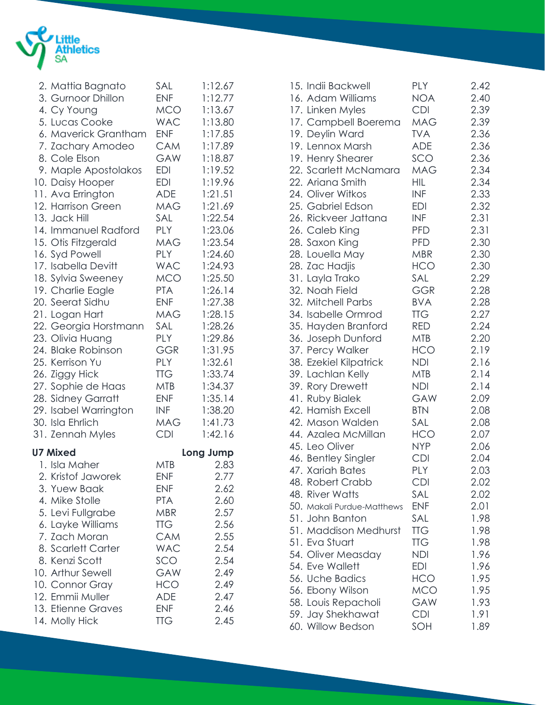

| 2. Mattia Bagnato                     | SAL                      | 1:12.67            |
|---------------------------------------|--------------------------|--------------------|
| 3. Gurnoor Dhillon                    | <b>ENF</b>               | 1:12.77            |
| 4. Cy Young                           | <b>MCO</b>               | 1:13.67            |
| 5. Lucas Cooke                        | <b>WAC</b>               | 1:13.80            |
| 6. Maverick Grantham                  | <b>ENF</b>               | 1:17.85            |
| 7. Zachary Amodeo                     | <b>CAM</b>               | 1:17.89            |
| 8. Cole Elson                         | <b>GAW</b>               | 1:18.87            |
| 9. Maple Apostolakos                  | <b>EDI</b>               | 1:19.52            |
| 10. Daisy Hooper                      | <b>EDI</b>               | 1:19.96            |
| 11. Ava Errington                     | ADE                      | 1:21.51            |
| 12. Harrison Green                    | <b>MAG</b>               | 1:21.69            |
| 13. Jack Hill                         | SAL                      | 1:22.54            |
| 14. Immanuel Radford                  | <b>PLY</b>               | 1:23.06            |
| 15. Otis Fitzgerald                   | <b>MAG</b>               | 1:23.54            |
| 16. Syd Powell                        | PLY                      | 1:24.60            |
| 17. Isabella Devitt                   | <b>WAC</b>               | 1:24.93            |
| 18. Sylvia Sweeney                    | <b>MCO</b>               | 1:25.50            |
| 19. Charlie Eagle                     | <b>PTA</b>               | 1:26.14            |
| 20. Seerat Sidhu                      | <b>ENF</b>               | 1:27.38            |
| 21. Logan Hart                        | <b>MAG</b>               | 1:28.15            |
| 22. Georgia Horstmann                 | SAL                      | 1:28.26            |
| 23. Olivia Huang                      | <b>PLY</b>               | 1:29.86            |
| 24. Blake Robinson<br>25. Kerrison Yu | <b>GGR</b><br><b>PLY</b> | 1:31.95<br>1:32.61 |
|                                       | <b>TTG</b>               | 1:33.74            |
| 26. Ziggy Hick<br>27. Sophie de Haas  | <b>MTB</b>               | 1:34.37            |
| 28. Sidney Garratt                    | <b>ENF</b>               | 1:35.14            |
| 29. Isabel Warrington                 | <b>INF</b>               | 1:38.20            |
| 30. Isla Ehrlich                      | <b>MAG</b>               | 1:41.73            |
| 31. Zennah Myles                      | <b>CDI</b>               | 1:42.16            |
|                                       |                          |                    |
| <b>U7 Mixed</b>                       |                          | Long Jump          |
| 1. Isla Maher                         | <b>MTB</b>               | 2.83               |
| 2. Kristof Jaworek                    | <b>ENF</b>               | 2.77               |
| 3. Yuew Baak                          | <b>ENF</b>               | 2.62               |
| 4. Mike Stolle                        | <b>PTA</b><br><b>MBR</b> | 2.60               |
| 5. Levi Fullgrabe                     |                          | 2.57<br>2.56       |
| 6. Layke Williams<br>7. Zach Moran    | <b>TTG</b><br><b>CAM</b> | 2.55               |
| 8. Scarlett Carter                    | <b>WAC</b>               | 2.54               |
| 8. Kenzi Scott                        | SCO                      | 2.54               |
| 10. Arthur Sewell                     | GAW                      | 2.49               |
| 10. Connor Gray                       | <b>HCO</b>               | 2.49               |
| 12. Emmii Muller                      | <b>ADE</b>               | 2.47               |
| 13. Etienne Graves                    | <b>ENF</b>               | 2.46               |
| 14. Molly Hick                        | <b>TTG</b>               | 2.45               |
|                                       |                          |                    |

| 15. Indii Backwell         | PLY        | 2.42 |
|----------------------------|------------|------|
| 16. Adam Williams          | <b>NOA</b> | 2.40 |
| 17. Linken Myles           | <b>CDI</b> | 2.39 |
| 17. Campbell Boerema       | <b>MAG</b> | 2.39 |
| 19. Deylin Ward            | <b>TVA</b> | 2.36 |
| 19. Lennox Marsh           | <b>ADE</b> | 2.36 |
| 19. Henry Shearer          | SCO        | 2.36 |
| 22. Scarlett McNamara      | <b>MAG</b> | 2.34 |
| 22. Ariana Smith           | <b>HIL</b> | 2.34 |
| 24. Oliver Witkos          | <b>INF</b> | 2.33 |
| 25. Gabriel Edson          | <b>EDI</b> | 2.32 |
| 26. Rickveer Jattana       | <b>INF</b> | 2.31 |
| 26. Caleb King             | PFD        | 2.31 |
| 28. Saxon King             | <b>PFD</b> | 2.30 |
| 28. Louella May            | <b>MBR</b> | 2.30 |
| 28. Zac Hadjis             | <b>HCO</b> | 2.30 |
| 31. Layla Trako            | SAL        | 2.29 |
| 32. Noah Field             | <b>GGR</b> | 2.28 |
| 32. Mitchell Parbs         | <b>BVA</b> | 2.28 |
| 34. Isabelle Ormrod        | <b>TTG</b> | 2.27 |
| 35. Hayden Branford        | <b>RED</b> | 2.24 |
| 36. Joseph Dunford         | <b>MTB</b> | 2.20 |
| 37. Percy Walker           | <b>HCO</b> | 2.19 |
| 38. Ezekiel Kilpatrick     | <b>NDI</b> | 2.16 |
| 39. Lachlan Kelly          | <b>MTB</b> | 2.14 |
| 39. Rory Drewett           | <b>NDI</b> | 2.14 |
| 41. Ruby Bialek            | GAW        | 2.09 |
| 42. Hamish Excell          | <b>BTN</b> | 2.08 |
| 42. Mason Walden           | SAL        | 2.08 |
| 44. Azalea McMillan        | <b>HCO</b> | 2.07 |
| 45. Leo Oliver             | <b>NYP</b> | 2.06 |
| 46. Bentley Singler        | <b>CDI</b> | 2.04 |
| 47. Xariah Bates           | PLY        | 2.03 |
| 48. Robert Crabb           | <b>CDI</b> | 2.02 |
| 48. River Watts            | SAL        | 2.02 |
| 50. Makali Purdue-Matthews | <b>ENF</b> | 2.01 |
| 51. John Banton            | SAL        | 1.98 |
| 51. Maddison Medhurst      | <b>TTG</b> | 1.98 |
| 51. Eva Stuart             | <b>TTG</b> | 1.98 |
| 54. Oliver Measday         | <b>NDI</b> | 1.96 |
| 54. Eve Wallett            | EDI        | 1.96 |
| 56. Uche Badics            | <b>HCO</b> | 1.95 |
| 56. Ebony Wilson           | <b>MCO</b> | 1.95 |
| 58. Louis Repacholi        | GAW        | 1.93 |
| 59. Jay Shekhawat          | CDI        | 1.91 |
| 60. Willow Bedson          | SOH        | 1.89 |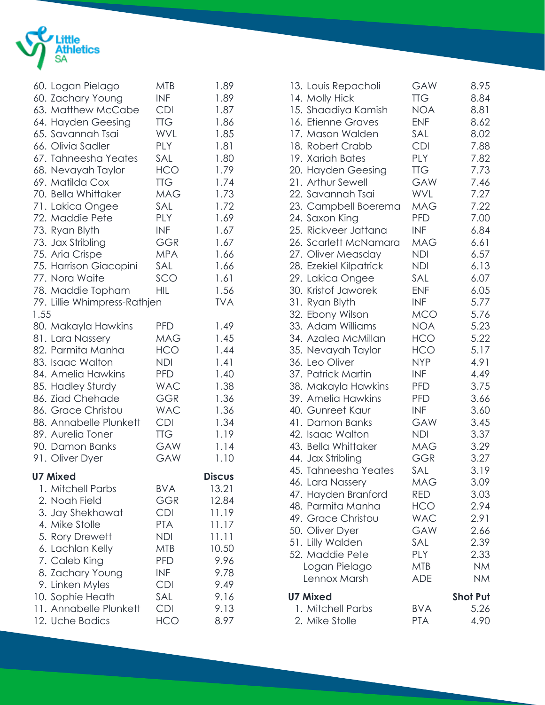

|      | 60. Logan Pielago            | <b>MTB</b> | 1.89          |
|------|------------------------------|------------|---------------|
|      | 60. Zachary Young            | INF        | 1.89          |
|      | 63. Matthew McCabe           | <b>CDI</b> | 1.87          |
|      | 64. Hayden Geesing           | <b>TTG</b> | 1.86          |
|      | 65. Savannah Tsai            | <b>WVL</b> | 1.85          |
|      | 66. Olivia Sadler            | <b>PLY</b> | 1.81          |
|      | 67. Tahneesha Yeates         | SAL        | 1.80          |
|      | 68. Nevayah Taylor           | HCO        | 1.79          |
|      | 69. Matilda Cox              | <b>TTG</b> | 1.74          |
|      | 70. Bella Whittaker          | MAG        | 1.73          |
|      | 71. Lakica Ongee             | SAL        | 1.72          |
|      | 72. Maddie Pete              | <b>PLY</b> | 1.69          |
|      | 73. Ryan Blyth               | <b>INF</b> | 1.67          |
|      | 73. Jax Stribling            | <b>GGR</b> | 1.67          |
|      | 75. Aria Crispe              | <b>MPA</b> | 1.66          |
|      | 75. Harrison Giacopini       | SAL        | 1.66          |
|      | 77. Nora Waite               | SCO        | 1.61          |
|      | 78. Maddie Topham            | HIL        | 1.56          |
|      | 79. Lillie Whimpress-Rathjen |            | <b>TVA</b>    |
| 1.55 |                              |            |               |
|      | 80. Makayla Hawkins          | PFD.       | 1.49          |
|      | 81. Lara Nassery             | <b>MAG</b> | 1.45          |
|      | 82. Parmita Manha            | HCO        | 1.44          |
|      | 83. Isaac Walton             | <b>NDI</b> | 1.41          |
|      | 84. Amelia Hawkins           | <b>PFD</b> | 1.40          |
|      | 85. Hadley Sturdy            | <b>WAC</b> | 1.38          |
|      | 86. Ziad Chehade             | <b>GGR</b> | 1.36          |
|      | 86. Grace Christou           | <b>WAC</b> | 1.36          |
|      | 88. Annabelle Plunkett       | <b>CDI</b> | 1.34          |
|      | 89. Aurelia Toner            | <b>TTG</b> | 1.19          |
|      | 90. Damon Banks              | GAW        | 1.14          |
|      | 91. Oliver Dyer              | GAW        | 1.10          |
|      |                              |            |               |
|      | <b>U7 Mixed</b>              |            | <b>Discus</b> |
|      | 1. Mitchell Parbs            | <b>BVA</b> | 13.21         |
|      | 2. Noah Field                | GGR        | 12.84         |
|      | 3. Jay Shekhawat             | CDI        | 11.19         |
|      | 4. Mike Stolle               | PTA        | 11.17         |
|      | 5. Rory Drewett              | NDI        | 11.11         |
|      | 6. Lachlan Kelly             | <b>MTB</b> | 10.50         |
|      | 7. Caleb King                | <b>PFD</b> | 9.96          |
|      | 8. Zachary Young             | <b>INF</b> | 9.78          |
|      | 9. Linken Myles              | <b>CDI</b> | 9.49          |
|      | 10. Sophie Heath             | SAL        | 9.16          |
|      | 11. Annabelle Plunkett       | <b>CDI</b> | 9.13          |
|      | 12. Uche Badics              | <b>HCO</b> | 8.97          |

| 13. Louis Repacholi    | GAW        | 8.95            |
|------------------------|------------|-----------------|
| 14. Molly Hick         | <b>TTG</b> | 8.84            |
| 15. Shaadiya Kamish    | <b>NOA</b> | 8.81            |
| 16. Etienne Graves     | <b>ENF</b> | 8.62            |
| 17. Mason Walden       | SAL        | 8.02            |
| 18. Robert Crabb       | <b>CDI</b> | 7.88            |
| 19. Xariah Bates       | PLY        | 7.82            |
| 20. Hayden Geesing     | <b>TTG</b> | 7.73            |
| 21. Arthur Sewell      | GAW        | 7.46            |
| 22. Savannah Tsai      | WVL        | 7.27            |
| 23. Campbell Boerema   | <b>MAG</b> | 7.22            |
| 24. Saxon King         | <b>PFD</b> | 7.00            |
| 25. Rickveer Jattana   | <b>INF</b> | 6.84            |
| 26. Scarlett McNamara  | <b>MAG</b> | 6.61            |
| 27. Oliver Measday     | <b>NDI</b> | 6.57            |
| 28. Ezekiel Kilpatrick | <b>NDI</b> | 6.13            |
| 29. Lakica Ongee       | SAL        | 6.07            |
| 30. Kristof Jaworek    | <b>ENF</b> | 6.05            |
| 31. Ryan Blyth         | <b>INF</b> | 5.77            |
| 32. Ebony Wilson       | <b>MCO</b> | 5.76            |
| 33. Adam Williams      | <b>NOA</b> | 5.23            |
| 34. Azalea McMillan    | <b>HCO</b> | 5.22            |
| 35. Nevayah Taylor     | <b>HCO</b> | 5.17            |
| 36. Leo Oliver         | NYP        | 4.91            |
| 37. Patrick Martin     | <b>INF</b> | 4.49            |
| 38. Makayla Hawkins    | <b>PFD</b> | 3.75            |
| 39. Amelia Hawkins     | <b>PFD</b> | 3.66            |
| 40. Gunreet Kaur       | INF        | 3.60            |
| 41. Damon Banks        | GAW        | 3.45            |
| 42. Isaac Walton       | <b>NDI</b> | 3.37            |
| 43. Bella Whittaker    | <b>MAG</b> | 3.29            |
| 44. Jax Stribling      | <b>GGR</b> | 3.27            |
| 45. Tahneesha Yeates   | SAL        | 3.19            |
| 46. Lara Nassery       | MAG        | 3.09            |
| 47. Hayden Branford    | RED        | 3.03            |
| 48. Parmita Manha      | <b>HCO</b> | 2.94            |
| 49. Grace Christou     | <b>WAC</b> | 2.91            |
| 50. Oliver Dyer        | <b>GAW</b> | 2.66            |
| 51. Lilly Walden       | SAL        | 2.39            |
| 52. Maddie Pete        | <b>PLY</b> | 2.33            |
| Logan Pielago          | <b>MTB</b> | <b>NM</b>       |
| Lennox Marsh           | <b>ADE</b> | <b>NM</b>       |
| <b>U7 Mixed</b>        |            | <b>Shot Put</b> |
| 1. Mitchell Parbs      | <b>BVA</b> | 5.26            |
| 2. Mike Stolle         | <b>PTA</b> | 4.90            |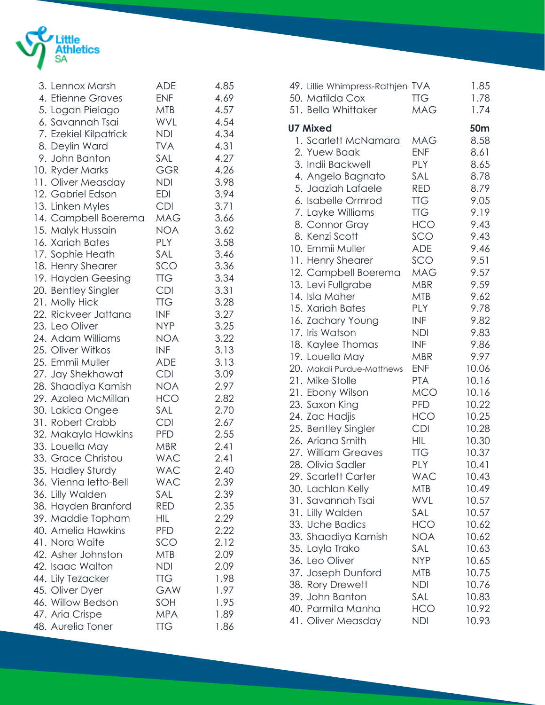

| 3. Lennox Marsh       | <b>ADE</b> | 4.85 |
|-----------------------|------------|------|
| 4. Etienne Graves     | <b>ENF</b> | 4.69 |
| 5. Logan Pielago      | MTB        | 4.57 |
| 6. Savannah Tsai      | <b>WVL</b> | 4.54 |
| 7. Ezekiel Kilpatrick | <b>NDI</b> | 4.34 |
| 8. Deylin Ward        | <b>TVA</b> | 4.31 |
| 9. John Banton        | SAL        | 4.27 |
| 10. Ryder Marks       | <b>GGR</b> | 4.26 |
| 11. Oliver Measday    | <b>NDI</b> | 3.98 |
| 12. Gabriel Edson     | EDI        | 3.94 |
| 13. Linken Myles      | <b>CDI</b> | 3.71 |
| 14. Campbell Boerema  | <b>MAG</b> | 3.66 |
| 15. Malyk Hussain     | <b>NOA</b> | 3.62 |
| 16. Xariah Bates      | <b>PLY</b> | 3.58 |
| 17. Sophie Heath      | SAL        | 3.46 |
| 18. Henry Shearer     | SCO        | 3.36 |
| 19. Hayden Geesing    | <b>TTG</b> | 3.34 |
| 20. Bentley Singler   | <b>CDI</b> | 3.31 |
| 21. Molly Hick        | <b>TTG</b> | 3.28 |
| 22. Rickveer Jattana  | INF        | 3.27 |
| 23. Leo Oliver        | <b>NYP</b> | 3.25 |
| 24. Adam Williams     | <b>NOA</b> | 3.22 |
| 25. Oliver Witkos     | <b>INF</b> | 3.13 |
| 25. Emmii Muller      | <b>ADE</b> | 3.13 |
| 27. Jay Shekhawat     | <b>CDI</b> | 3.09 |
| 28. Shaadiya Kamish   | <b>NOA</b> | 2.97 |
| 29. Azalea McMillan   | <b>HCO</b> | 2.82 |
| 30. Lakica Ongee      | SAL        | 2.70 |
| 31. Robert Crabb      | <b>CDI</b> | 2.67 |
| 32. Makayla Hawkins   | <b>PFD</b> | 2.55 |
| 33. Louella May       | <b>MBR</b> | 2.41 |
| 33. Grace Christou    | <b>WAC</b> | 2.41 |
| 35. Hadley Sturdy     | <b>WAC</b> | 2.40 |
| 36. Vienna letto-Bell | <b>WAC</b> | 2.39 |
| 36. Lilly Walden      | SAL        | 2.39 |
| 38. Hayden Branford   | <b>RED</b> | 2.35 |
| 39. Maddie Topham     | HIL.       | 2.29 |
| 40. Amelia Hawkins    | <b>PFD</b> | 2.22 |
| 41. Nora Waite        | SCO        | 2.12 |
| 42. Asher Johnston    | <b>MTB</b> | 2.09 |
| 42. Isaac Walton      | <b>NDI</b> | 2.09 |
| 44. Lily Tezacker     | <b>TTG</b> | 1.98 |
| 45. Oliver Dyer       | GAW        | 1.97 |
| 46. Willow Bedson     | SOH        | 1.95 |
| 47. Aria Crispe       | <b>MPA</b> | 1.89 |
| 48. Aurelia Toner     | <b>TTG</b> | 1.86 |
|                       |            |      |

| 49. Lillie Whimpress-Rathjen TVA<br>50. Matilda Cox<br>51. Bella Whittaker | <b>TTG</b><br><b>MAG</b> | 1.85<br>1.78<br>1.74 |
|----------------------------------------------------------------------------|--------------------------|----------------------|
| <b>U7 Mixed</b>                                                            |                          | 50m                  |
| 1. Scarlett McNamara                                                       | MAG                      | 8.58                 |
| 2. Yuew Baak                                                               | <b>ENF</b>               | 8.61                 |
| 3. Indii Backwell                                                          | <b>PLY</b>               | 8.65                 |
| 4. Angelo Bagnato                                                          | SAL                      | 8.78                 |
| 5. Jaaziah Lafaele                                                         | RED                      | 8.79                 |
| 6. Isabelle Ormrod                                                         | <b>TTG</b>               | 9.05                 |
| 7. Layke Williams                                                          | <b>TTG</b>               | 9.19                 |
| 8. Connor Gray                                                             | HCO                      | 9.43                 |
| 8. Kenzi Scott                                                             | SCO.                     | 9.43                 |
| 10. Emmii Muller                                                           | <b>ADE</b>               | 9.46                 |
| 11. Henry Shearer                                                          | SCO                      | 9.51                 |
| 12. Campbell Boerema                                                       | <b>MAG</b>               | 9.57                 |
| 13. Levi Fullgrabe                                                         | <b>MBR</b>               | 9.59                 |
| 14. Isla Maher                                                             | <b>MTB</b>               | 9.62                 |
| 15. Xariah Bates                                                           | <b>PLY</b>               | 9.78                 |
| 16. Zachary Young                                                          | INF                      | 9.82                 |
| 17. Iris Watson                                                            | NDI                      | 9.83                 |
| 18. Kaylee Thomas                                                          | INF                      | 9.86                 |
| 19. Louella May                                                            | <b>MBR</b>               | 9.97                 |
| 20. Makali Purdue-Matthews                                                 | <b>ENF</b>               | 10.06                |
| 21. Mike Stolle                                                            | <b>PTA</b>               | 10.16                |
| 21. Ebony Wilson                                                           | <b>MCO</b>               | 10.16                |
| 23. Saxon King                                                             | <b>PFD</b>               | 10.22                |
| 24. Zac Hadjis                                                             | HCO                      | 10.25                |
| 25. Bentley Singler                                                        | <b>CDI</b>               | 10.28                |
| 26. Ariana Smith                                                           | <b>HIL</b>               | 10.30                |
| 27. William Greaves                                                        | <b>TTG</b>               | 10.37                |
| 28. Olivia Sadler                                                          | PLY                      | 10.41                |
| 29. Scarlett Carter                                                        | <b>WAC</b>               | 10.43                |
| 30. Lachlan Kelly                                                          | MTB                      | 10.49                |
| 31. Savannah Tsai                                                          | <b>WVL</b>               | 10.57                |
| 31. Lilly Walden                                                           | SAL                      | 10.57                |
| 33. Uche Badics                                                            | <b>HCO</b>               | 10.62                |
| 33. Shaadiya Kamish                                                        | <b>NOA</b>               | 10.62                |
| 35. Layla Trako                                                            | SAL                      | 10.63                |
| 36. Leo Oliver                                                             | <b>NYP</b>               | 10.65                |
| 37. Joseph Dunford                                                         | MTB                      | 10.75                |
| 38. Rory Drewett                                                           | <b>NDI</b>               | 10.76                |
| 39. John Banton                                                            | SAL                      | 10.83                |
| 40. Parmita Manha                                                          | <b>HCO</b>               | 10.92                |
| 41. Oliver Measday                                                         | <b>NDI</b>               | 10.93                |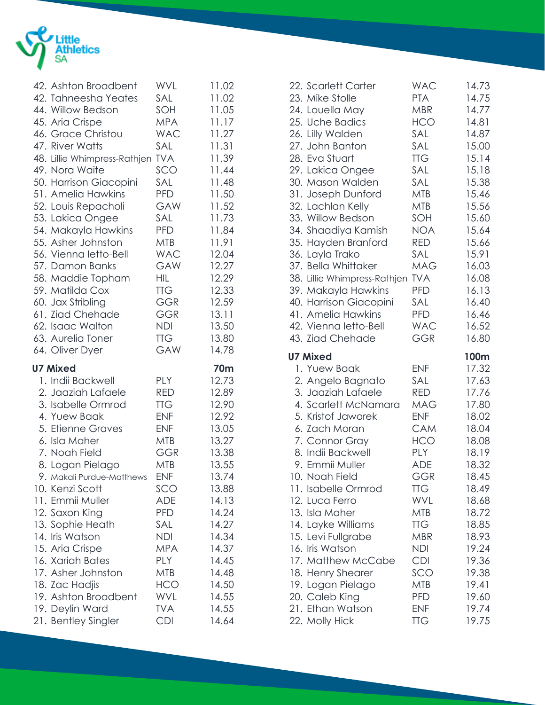

| 42. Ashton Broadbent                   | WVL                      | 11.02          |
|----------------------------------------|--------------------------|----------------|
| 42. Tahneesha Yeates                   | SAL                      | 11.02          |
| 44. Willow Bedson                      | SOH                      | 11.05          |
| 45. Aria Crispe                        | <b>MPA</b>               | 11.17          |
| 46. Grace Christou                     | <b>WAC</b>               | 11.27          |
| 47. River Watts                        | SAL                      | 11.31          |
| 48. Lillie Whimpress-Rathjen           | <b>TVA</b>               | 11.39          |
| 49. Nora Waite                         | SCO                      | 11.44          |
| 50. Harrison Giacopini                 | SAL                      | 11.48          |
| 51. Amelia Hawkins                     | <b>PFD</b>               | 11.50          |
| 52. Louis Repacholi                    | GAW                      | 11.52          |
| 53. Lakica Ongee                       | SAL                      | 11.73          |
| 54. Makayla Hawkins                    | <b>PFD</b>               | 11.84          |
| 55. Asher Johnston                     | MTB                      | 11.91          |
| 56. Vienna letto-Bell                  | <b>WAC</b>               | 12.04          |
| 57. Damon Banks                        | GAW                      | 12.27          |
| 58. Maddie Topham                      | <b>HIL</b>               | 12.29          |
| 59. Matilda Cox                        | <b>TTG</b>               | 12.33          |
| 60. Jax Stribling                      | <b>GGR</b>               | 12.59          |
| 61. Ziad Chehade                       | <b>GGR</b>               | 13.11          |
| 62. Isaac Walton                       | <b>NDI</b>               | 13.50          |
| 63. Aurelia Toner                      | <b>TTG</b>               | 13.80          |
| 64. Oliver Dyer                        | <b>GAW</b>               | 14.78          |
|                                        |                          |                |
| <b>U7 Mixed</b>                        |                          | <b>70m</b>     |
| 1. Indii Backwell                      | <b>PLY</b>               | 12.73          |
| 2. Jaaziah Lafaele                     | RED                      | 12.89          |
| 3. Isabelle Ormrod                     | <b>TTG</b>               | 12.90          |
| 4. Yuew Baak                           | <b>ENF</b>               | 12.92          |
| 5. Etienne Graves                      | <b>ENF</b>               | 13.05          |
| 6. Isla Maher                          | <b>MTB</b>               | 13.27          |
| 7. Noah Field                          | <b>GGR</b>               | 13.38          |
| 8. Logan Pielago                       | <b>MTB</b>               | 13.55          |
| 9. Makali Purdue-Matthews              | <b>ENF</b>               | 13.74          |
| 10. Kenzi Scott                        | SCO                      | 13.88          |
| 11. Emmii Muller                       | <b>ADE</b>               | 14.13          |
| 12. Saxon King                         | <b>PFD</b>               | 14.24          |
| 13. Sophie Heath                       | SAL                      | 14.27          |
| 14. Iris Watson                        | <b>NDI</b>               | 14.34          |
| 15. Aria Crispe                        | <b>MPA</b>               | 14.37          |
| 16. Xariah Bates                       | <b>PLY</b>               | 14.45          |
| 17. Asher Johnston                     | <b>MTB</b>               | 14.48          |
| 18. Zac Hadjis                         | <b>HCO</b>               | 14.50          |
| 19. Ashton Broadbent                   | WVL                      | 14.55          |
| 19. Deylin Ward<br>21. Bentley Singler | <b>TVA</b><br><b>CDI</b> | 14.55<br>14.64 |

| 22. Scarlett Carter                | <b>WAC</b>               | 14.73          |
|------------------------------------|--------------------------|----------------|
| 23. Mike Stolle                    | <b>PTA</b>               | 14.75          |
| 24. Louella May                    | <b>MBR</b>               | 14.77          |
| 25. Uche Badics                    | HCO                      | 14.81          |
| 26. Lilly Walden                   | SAL                      | 14.87          |
| 27. John Banton                    | SAL                      | 15.00          |
| 28. Eva Stuart                     | <b>TTG</b>               | 15.14          |
| 29. Lakica Ongee                   | SAL                      | 15.18          |
| 30. Mason Walden                   | SAL                      | 15.38          |
| 31. Joseph Dunford                 | <b>MTB</b>               | 15.46          |
| 32. Lachlan Kelly                  | <b>MTB</b>               | 15.56          |
| 33. Willow Bedson                  | SOH                      | 15.60          |
| 34. Shaadiya Kamish                | <b>NOA</b>               | 15.64          |
| 35. Hayden Branford                | <b>RED</b>               | 15.66          |
| 36. Layla Trako                    | SAL                      | 15.91          |
| 37. Bella Whittaker                | <b>MAG</b>               | 16.03          |
| 38. Lillie Whimpress-Rathjen       | <b>TVA</b>               | 16.08          |
| 39. Makayla Hawkins                | <b>PFD</b>               | 16.13          |
| 40. Harrison Giacopini             | SAL                      | 16.40          |
| 41. Amelia Hawkins                 | <b>PFD</b>               | 16.46          |
| 42. Vienna letto-Bell              | <b>WAC</b>               | 16.52          |
| 43. Ziad Chehade                   | <b>GGR</b>               | 16.80          |
|                                    |                          |                |
| <b>U7 Mixed</b>                    |                          | 100m           |
| 1. Yuew Baak                       | <b>ENF</b>               | 17.32          |
| 2. Angelo Bagnato                  | <b>SAL</b>               | 17.63          |
| 3. Jaaziah Lafaele                 | RED                      | 17.76          |
| 4. Scarlett McNamara               | <b>MAG</b>               | 17.80          |
| 5. Kristof Jaworek                 | <b>ENF</b>               | 18.02          |
| 6. Zach Moran                      | <b>CAM</b>               | 18.04          |
| 7. Connor Gray                     | <b>HCO</b>               | 18.08          |
| 8. Indii Backwell                  | <b>PLY</b>               | 18.19          |
| 9. Emmii Muller                    | <b>ADE</b>               | 18.32          |
| 10. Noah Field                     | GGR                      | 18.45          |
| 11. Isabelle Ormrod                | TTG                      | 18.49          |
| 12. Luca Ferro                     | WVL                      | 18.68          |
| 13. Isla Maher                     | <b>MTB</b>               | 18.72          |
| 14. Layke Williams                 | <b>TTG</b>               | 18.85          |
| 15. Levi Fullgrabe                 | MBR                      | 18.93          |
| 16. Iris Watson                    | NDI                      | 19.24          |
| 17. Matthew McCabe                 | <b>CDI</b>               | 19.36          |
| 18. Henry Shearer                  | SCO                      | 19.38          |
| 19. Logan Pielago                  | MTB                      | 19.41          |
| 20. Caleb King                     | <b>PFD</b>               | 19.60          |
| 21. Ethan Watson<br>22. Molly Hick | <b>ENF</b><br><b>TTG</b> | 19.74<br>19.75 |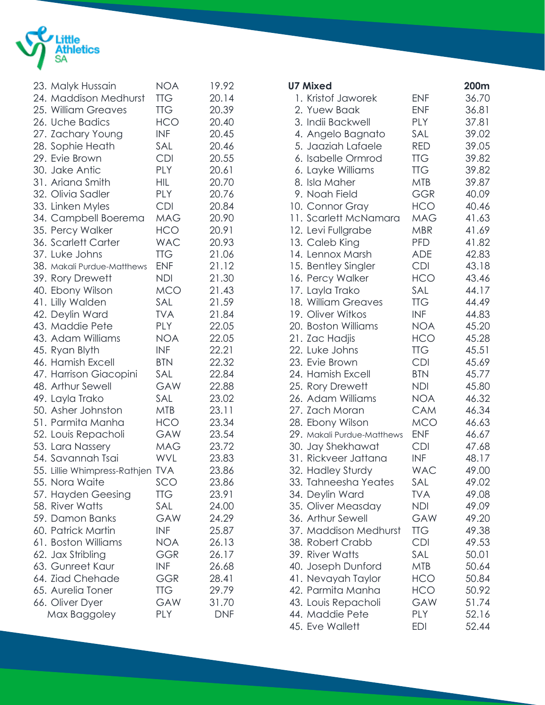

| 23. Malyk Hussain                | <b>NOA</b> | 19.92      |
|----------------------------------|------------|------------|
| 24. Maddison Medhurst            | <b>TTG</b> | 20.14      |
| 25. William Greaves              | <b>TTG</b> | 20.39      |
| 26. Uche Badics                  | <b>HCO</b> | 20.40      |
| 27. Zachary Young                | <b>INF</b> | 20.45      |
| 28. Sophie Heath                 | SAL        | 20.46      |
| 29. Evie Brown                   | <b>CDI</b> | 20.55      |
| 30. Jake Antic                   | <b>PLY</b> | 20.61      |
| 31. Ariana Smith                 | HIL.       | 20.70      |
| 32. Olivia Sadler                | <b>PLY</b> | 20.76      |
| 33. Linken Myles                 | <b>CDI</b> | 20.84      |
| 34. Campbell Boerema             | MAG        | 20.90      |
| 35. Percy Walker                 | <b>HCO</b> | 20.91      |
| 36. Scarlett Carter              | <b>WAC</b> | 20.93      |
| 37. Luke Johns                   | <b>TTG</b> | 21.06      |
| 38. Makali Purdue-Matthews       | <b>ENF</b> | 21.12      |
| 39. Rory Drewett                 | <b>NDI</b> | 21.30      |
| 40. Ebony Wilson                 | MCO        | 21.43      |
| 41. Lilly Walden                 | SAL        | 21.59      |
| 42. Deylin Ward                  | <b>TVA</b> | 21.84      |
| 43. Maddie Pete                  | <b>PLY</b> | 22.05      |
| 43. Adam Williams                | <b>NOA</b> | 22.05      |
| 45. Ryan Blyth                   | <b>INF</b> | 22.21      |
| 46. Hamish Excell                | <b>BTN</b> | 22.32      |
| 47. Harrison Giacopini           | SAL        | 22.84      |
| 48. Arthur Sewell                | GAW        | 22.88      |
| 49. Layla Trako                  | SAL        | 23.02      |
| 50. Asher Johnston               | <b>MTB</b> | 23.11      |
| 51. Parmita Manha                | <b>HCO</b> | 23.34      |
| 52. Louis Repacholi              | GAW        | 23.54      |
| 53. Lara Nassery                 | MAG        | 23.72      |
| 54. Savannah Tsai                | WVL        | 23.83      |
| 55. Lillie Whimpress-Rathjen TVA |            | 23.86      |
| 55. Nora Waite                   | SCO        | 23.86      |
| 57. Hayden Geesing               | <b>TTG</b> | 23.91      |
| 58. River Watts                  | SAL        | 24.00      |
| 59. Damon Banks                  | GAW        | 24.29      |
| 60. Patrick Martin               | <b>INF</b> | 25.87      |
| 61. Boston Williams              | <b>NOA</b> | 26.13      |
| 62. Jax Stribling                | <b>GGR</b> | 26.17      |
| 63. Gunreet Kaur                 | <b>INF</b> | 26.68      |
| 64. Ziad Chehade                 | <b>GGR</b> | 28.41      |
| 65. Aurelia Toner                | <b>TTG</b> | 29.79      |
| 66. Oliver Dyer                  | GAW        | 31.70      |
| Max Baggoley                     | <b>PLY</b> | <b>DNF</b> |
|                                  |            |            |

| <b>U7 Mixed</b>            |            | 200m  |
|----------------------------|------------|-------|
| 1. Kristof Jaworek         | <b>ENF</b> | 36.70 |
| 2. Yuew Baak               | <b>ENF</b> | 36.81 |
| 3. Indii Backwell          | <b>PLY</b> | 37.81 |
| 4. Angelo Bagnato          | SAL        | 39.02 |
| 5. Jaaziah Lafaele         | <b>RED</b> | 39.05 |
| 6. Isabelle Ormrod         | <b>TTG</b> | 39.82 |
| 6. Layke Williams          | <b>TTG</b> | 39.82 |
| 8. Isla Maher              | <b>MTB</b> | 39.87 |
| 9. Noah Field              | <b>GGR</b> | 40.09 |
| 10. Connor Gray            | <b>HCO</b> | 40.46 |
| 11. Scarlett McNamara      | <b>MAG</b> | 41.63 |
| 12. Levi Fullgrabe         | <b>MBR</b> | 41.69 |
| 13. Caleb King             | <b>PFD</b> | 41.82 |
| 14. Lennox Marsh           | <b>ADE</b> | 42.83 |
| 15. Bentley Singler        | <b>CDI</b> | 43.18 |
| 16. Percy Walker           | <b>HCO</b> | 43.46 |
| 17. Layla Trako            | SAL        | 44.17 |
| 18. William Greaves        | <b>TTG</b> | 44.49 |
| 19. Oliver Witkos          | <b>INF</b> | 44.83 |
| 20. Boston Williams        | <b>NOA</b> | 45.20 |
| 21. Zac Hadjis             | <b>HCO</b> | 45.28 |
| 22. Luke Johns             | <b>TTG</b> | 45.51 |
| 23. Evie Brown             | <b>CDI</b> | 45.69 |
| 24. Hamish Excell          | <b>BTN</b> | 45.77 |
| 25. Rory Drewett           | <b>NDI</b> | 45.80 |
| 26. Adam Williams          | <b>NOA</b> | 46.32 |
| 27. Zach Moran             | CAM        | 46.34 |
| 28. Ebony Wilson           | <b>MCO</b> | 46.63 |
| 29. Makali Purdue-Matthews | <b>ENF</b> | 46.67 |
| 30. Jay Shekhawat          | <b>CDI</b> | 47.68 |
| 31. Rickveer Jattana       | <b>INF</b> | 48.17 |
| 32. Hadley Sturdy          | <b>WAC</b> | 49.00 |
| 33. Tahneesha Yeates       | SAL        | 49.02 |
| 34. Deylin Ward            | <b>TVA</b> | 49.08 |
| 35. Oliver Measday         | NDI        | 49.09 |
| 36. Arthur Sewell          | GAW        | 49.20 |
| 37. Maddison Medhurst      | <b>TTG</b> | 49.38 |
| 38. Robert Crabb           | <b>CDI</b> | 49.53 |
| 39. River Watts            | SAL        | 50.01 |
| 40. Joseph Dunford         | <b>MTB</b> | 50.64 |
| 41. Nevayah Taylor         | <b>HCO</b> | 50.84 |
| 42. Parmita Manha          | <b>HCO</b> | 50.92 |
| 43. Louis Repacholi        | GAW        | 51.74 |
| 44. Maddie Pete            | <b>PLY</b> | 52.16 |
| 45. Eve Wallett            | <b>EDI</b> | 52.44 |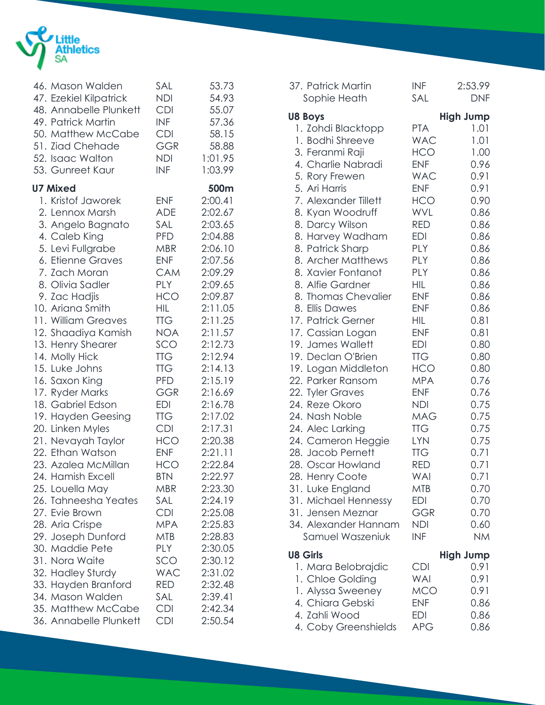

| 46. Mason Walden                                                                                                                                                                                                                                                                                                                                                                                                                                                                                                                                                                                                                                                                                                                                                               | SAL                                                                                                                                                                                                                                                                                                                                                                                                                                                    | 53.73   |
|--------------------------------------------------------------------------------------------------------------------------------------------------------------------------------------------------------------------------------------------------------------------------------------------------------------------------------------------------------------------------------------------------------------------------------------------------------------------------------------------------------------------------------------------------------------------------------------------------------------------------------------------------------------------------------------------------------------------------------------------------------------------------------|--------------------------------------------------------------------------------------------------------------------------------------------------------------------------------------------------------------------------------------------------------------------------------------------------------------------------------------------------------------------------------------------------------------------------------------------------------|---------|
| 47. Ezekiel Kilpatrick                                                                                                                                                                                                                                                                                                                                                                                                                                                                                                                                                                                                                                                                                                                                                         | <b>NDI</b>                                                                                                                                                                                                                                                                                                                                                                                                                                             | 54.93   |
| 48. Annabelle Plunkett                                                                                                                                                                                                                                                                                                                                                                                                                                                                                                                                                                                                                                                                                                                                                         | <b>CDI</b>                                                                                                                                                                                                                                                                                                                                                                                                                                             | 55.07   |
| 49. Patrick Martin                                                                                                                                                                                                                                                                                                                                                                                                                                                                                                                                                                                                                                                                                                                                                             | INF                                                                                                                                                                                                                                                                                                                                                                                                                                                    | 57.36   |
| 50. Matthew McCabe                                                                                                                                                                                                                                                                                                                                                                                                                                                                                                                                                                                                                                                                                                                                                             | <b>CDI</b>                                                                                                                                                                                                                                                                                                                                                                                                                                             | 58.15   |
| 51. Ziad Chehade                                                                                                                                                                                                                                                                                                                                                                                                                                                                                                                                                                                                                                                                                                                                                               | <b>GGR</b>                                                                                                                                                                                                                                                                                                                                                                                                                                             | 58.88   |
| 52. Isaac Walton                                                                                                                                                                                                                                                                                                                                                                                                                                                                                                                                                                                                                                                                                                                                                               | <b>NDI</b>                                                                                                                                                                                                                                                                                                                                                                                                                                             | 1:01.95 |
| 53. Gunreet Kaur                                                                                                                                                                                                                                                                                                                                                                                                                                                                                                                                                                                                                                                                                                                                                               | <b>INF</b>                                                                                                                                                                                                                                                                                                                                                                                                                                             | 1:03.99 |
| <b>U7 Mixed</b><br>1. Kristof Jaworek<br>2. Lennox Marsh<br>3. Angelo Bagnato<br>4. Caleb King<br>5. Levi Fullgrabe<br>6. Etienne Graves<br>7. Zach Moran<br>8. Olivia Sadler<br>9. Zac Hadjis<br>10. Ariana Smith<br>11. William Greaves<br>12. Shaadiya Kamish<br>13. Henry Shearer<br>14. Molly Hick<br>15. Luke Johns<br>16. Saxon King<br>17. Ryder Marks<br>18. Gabriel Edson<br>19. Hayden Geesing<br>20. Linken Myles<br>21. Nevayah Taylor<br>22. Ethan Watson<br>23. Azalea McMillan<br>24. Hamish Excell<br>25. Louella May<br>26. Tahneesha Yeates<br>27. Evie Brown<br>28. Aria Crispe<br>29. Joseph Dunford<br>30. Maddie Pete<br>31. Nora Waite<br>32. Hadley Sturdy<br>33. Hayden Branford<br>34. Mason Walden<br>35. Matthew McCabe<br>36. Annabelle Plunkett | <b>ENF</b><br><b>ADE</b><br>SAL<br><b>PFD</b><br><b>MBR</b><br><b>ENF</b><br>CAM<br>PLY<br><b>HCO</b><br>HIL.<br><b>TTG</b><br><b>NOA</b><br>SCO<br><b>TTG</b><br><b>TTG</b><br><b>PFD</b><br><b>GGR</b><br><b>EDI</b><br><b>TTG</b><br><b>CDI</b><br><b>HCO</b><br><b>ENF</b><br><b>HCO</b><br><b>BTN</b><br>MBR<br>SAL<br><b>CDI</b><br><b>MPA</b><br><b>MTB</b><br><b>PLY</b><br>SCO<br><b>WAC</b><br><b>RED</b><br>SAL<br><b>CDI</b><br><b>CDI</b> |         |

| 37. Patrick Martin   | <b>INF</b> | 2:53.99          |
|----------------------|------------|------------------|
| Sophie Heath         | SAL        | <b>DNF</b>       |
| <b>U8 Boys</b>       |            | <b>High Jump</b> |
| 1. Zohdi Blacktopp   | <b>PTA</b> | 1.01             |
| 1. Bodhi Shreeve     | <b>WAC</b> | 1.01             |
| 3. Feranmi Raji      | <b>HCO</b> | 1.00             |
| 4. Charlie Nabradi   | <b>ENF</b> | 0.96             |
| 5. Rory Frewen       | <b>WAC</b> | 0.91             |
| 5. Ari Harris        | <b>ENF</b> | 0.91             |
| 7. Alexander Tillett | <b>HCO</b> | 0.90             |
| 8. Kyan Woodruff     | <b>WVL</b> | 0.86             |
| 8. Darcy Wilson      | <b>RED</b> | 0.86             |
| 8. Harvey Wadham     | <b>EDI</b> | 0.86             |
| 8. Patrick Sharp     | <b>PLY</b> | 0.86             |
| 8. Archer Matthews   | <b>PLY</b> | 0.86             |
| 8. Xavier Fontanot   | PLY        | 0.86             |
| 8. Alfie Gardner     | HIL        | 0.86             |
| 8. Thomas Chevalier  | <b>ENF</b> | 0.86             |
| 8. Ellis Dawes       | <b>ENF</b> | 0.86             |
| 17. Patrick Gerner   | HIL        | 0.81             |
| 17. Cassian Logan    | <b>ENF</b> | 0.81             |
| 19. James Wallett    | <b>EDI</b> | 0.80             |
| 19. Declan O'Brien   | <b>TTG</b> | 0.80             |
| 19. Logan Middleton  | <b>HCO</b> | 0.80             |
| 22. Parker Ransom    | <b>MPA</b> | 0.76             |
| 22. Tyler Graves     | <b>ENF</b> | 0.76             |
| 24. Reze Okoro       | <b>NDI</b> | 0.75             |
| 24. Nash Noble       | <b>MAG</b> | 0.75             |
| 24. Alec Larking     | <b>TTG</b> | 0.75             |
| 24. Cameron Heggie   | <b>LYN</b> | 0.75             |
| 28. Jacob Pernett    | <b>TTG</b> | 0.71             |
| 28. Oscar Howland    | <b>RED</b> | 0.71             |
|                      | WAI        | 0.71             |
| 28. Henry Coote      | MTB        |                  |
| 31. Luke England     |            | 0.70             |
| 31. Michael Hennessy | <b>EDI</b> | 0.70             |
| 31. Jensen Meznar    | GGR        | 0.70             |
| 34. Alexander Hannam | NDI        | 0.60             |
| Samuel Waszeniuk     | <b>INF</b> | <b>NM</b>        |
| <b>U8 Girls</b>      |            | <b>High Jump</b> |
| 1. Mara Belobrajdic  | <b>CDI</b> | 0.91             |
| 1. Chloe Golding     | <b>WAI</b> | 0.91             |
| 1. Alyssa Sweeney    | <b>MCO</b> | 0.91             |
| 4. Chiara Gebski     | <b>ENF</b> | 0.86             |
| 4. Zahli Wood        | EDI        | 0.86             |

4. Coby Greenshields APG 0.86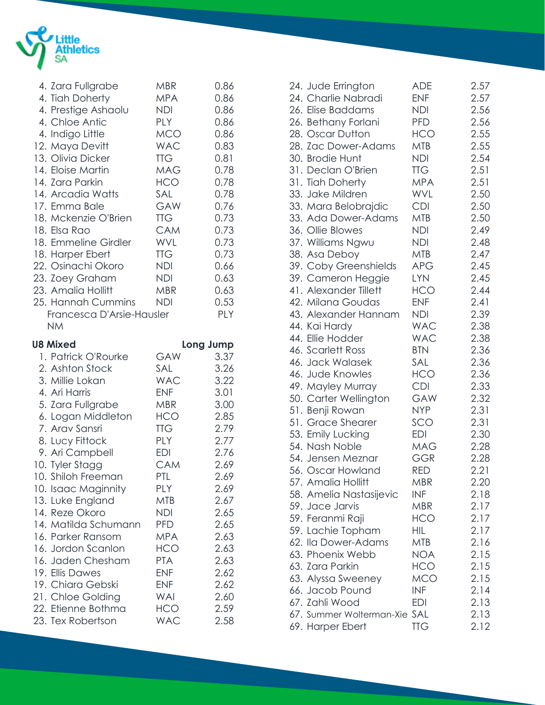

| 4. Zara Fullgrabe<br>4. Tiah Doherty<br>4. Prestige Ashaolu<br>4. Chloe Antic<br>4. Indigo Little<br>12. Maya Devitt<br>13. Olivia Dicker<br>14. Eloise Martin<br>14. Zara Parkin<br>14. Arcadia Watts<br>17. Emma Bale<br>18. Mckenzie O'Brien<br>18. Elsa Rao<br>18. Emmeline Girdler<br>18. Harper Ebert<br>22. Osinachi Okoro<br>23. Zoey Graham<br>23. Amalia Hollitt<br>25. Hannah Cummins<br>Francesca D'Arsie-Hausler<br><b>NM</b>                                        | <b>MBR</b><br><b>MPA</b><br><b>NDI</b><br><b>PLY</b><br><b>MCO</b><br><b>WAC</b><br><b>TTG</b><br><b>MAG</b><br><b>HCO</b><br>SAL<br>GAW<br><b>TTG</b><br>CAM<br>WVL<br><b>TTG</b><br><b>NDI</b><br><b>NDI</b><br><b>MBR</b><br><b>NDI</b>                             | 0.86<br>0.86<br>0.86<br>0.86<br>0.86<br>0.83<br>0.81<br>0.78<br>0.78<br>0.78<br>0.76<br>0.73<br>0.73<br>0.73<br>0.73<br>0.66<br>0.63<br>0.63<br>0.53<br>PLY                               |
|-----------------------------------------------------------------------------------------------------------------------------------------------------------------------------------------------------------------------------------------------------------------------------------------------------------------------------------------------------------------------------------------------------------------------------------------------------------------------------------|------------------------------------------------------------------------------------------------------------------------------------------------------------------------------------------------------------------------------------------------------------------------|-------------------------------------------------------------------------------------------------------------------------------------------------------------------------------------------|
| <b>U8 Mixed</b><br>1. Patrick O'Rourke<br>2. Ashton Stock<br>3. Millie Lokan<br>4. Ari Harris<br>5. Zara Fullgrabe<br>6. Logan Middleton<br>7. Arav Sansri<br>8. Lucy Fittock<br>9. Ari Campbell<br>10. Tyler Stagg<br>10. Shiloh Freeman<br>10. Isaac Maginnity<br>13. Luke England<br>14. Reze Okoro<br>14. Matilda Schumann<br>16. Parker Ransom<br>16. Jordon Scanlon<br>16. Jaden Chesham<br>19. Ellis Dawes<br>19. Chiara Gebski<br>21. Chloe Golding<br>22. Etienne Bothma | GAW<br>SAL<br><b>WAC</b><br><b>ENF</b><br><b>MBR</b><br><b>HCO</b><br><b>TTG</b><br><b>PLY</b><br><b>EDI</b><br><b>CAM</b><br>PTL<br>PLY<br><b>MTB</b><br><b>NDI</b><br><b>PFD</b><br><b>MPA</b><br>HCO<br><b>PTA</b><br><b>ENF</b><br><b>ENF</b><br>WAI<br><b>HCO</b> | Long Jump<br>3.37<br>3.26<br>3.22<br>3.01<br>3.00<br>2.85<br>2.79<br>2.77<br>2.76<br>2.69<br>2.69<br>2.69<br>2.67<br>2.65<br>2.65<br>2.63<br>2.63<br>2.63<br>2.62<br>2.62<br>2.60<br>2.59 |

|  | 24. Jude Errington           | <b>ADE</b> | 2.57 |
|--|------------------------------|------------|------|
|  | 24. Charlie Nabradi          | <b>ENF</b> | 2.57 |
|  | 26. Elise Baddams            | <b>NDI</b> | 2.56 |
|  | 26. Bethany Forlani          | <b>PFD</b> | 2.56 |
|  | 28. Oscar Dutton             | <b>HCO</b> | 2.55 |
|  | 28. Zac Dower-Adams          | <b>MTB</b> | 2.55 |
|  | 30. Brodie Hunt              | <b>NDI</b> | 2.54 |
|  | 31. Declan O'Brien           | TTG        | 2.51 |
|  | 31. Tiah Doherty             | <b>MPA</b> | 2.51 |
|  | 33. Jake Mildren             | <b>WVL</b> | 2.50 |
|  | 33. Mara Belobrajdic         | <b>CDI</b> | 2.50 |
|  | 33. Ada Dower-Adams          | MTB        | 2.50 |
|  | 36. Ollie Blowes             | <b>NDI</b> | 2.49 |
|  | 37. Williams Ngwu            | <b>NDI</b> | 2.48 |
|  | 38. Asa Deboy                | MTB        | 2.47 |
|  | 39. Coby Greenshields        | <b>APG</b> | 2.45 |
|  | 39. Cameron Heggie           | <b>LYN</b> | 2.45 |
|  | 41. Alexander Tillett        | <b>HCO</b> | 2.44 |
|  | 42. Milana Goudas            | <b>ENF</b> | 2.41 |
|  | 43. Alexander Hannam         | <b>NDI</b> | 2.39 |
|  | 44. Kai Hardy                | <b>WAC</b> | 2.38 |
|  | 44. Ellie Hodder             | <b>WAC</b> | 2.38 |
|  | 46. Scarlett Ross            | <b>BTN</b> | 2.36 |
|  | 46. Jack Walasek             | SAL        | 2.36 |
|  | 46. Jude Knowles             | <b>HCO</b> | 2.36 |
|  | 49. Mayley Murray            | <b>CDI</b> | 2.33 |
|  | 50. Carter Wellington        | GAW        | 2.32 |
|  | 51. Benji Rowan              | <b>NYP</b> | 2.31 |
|  | 51. Grace Shearer            | SCO        | 2.31 |
|  | 53. Emily Lucking            | <b>EDI</b> | 2.30 |
|  | 54. Nash Noble               | <b>MAG</b> | 2.28 |
|  | 54. Jensen Meznar            | <b>GGR</b> | 2.28 |
|  | 56. Oscar Howland            | <b>RED</b> | 2.21 |
|  | 57. Amalia Hollitt           | <b>MBR</b> | 2.20 |
|  | 58. Amelia Nastasijevic      | <b>INF</b> | 2.18 |
|  | 59. Jace Jarvis              | <b>MBR</b> | 2.17 |
|  | 59. Feranmi Raji             | <b>HCO</b> | 2.17 |
|  | 59. Lachie Topham            | HIL        | 2.17 |
|  | 62. Ila Dower-Adams          | <b>MTB</b> | 2.16 |
|  | 63. Phoenix Webb             | <b>NOA</b> | 2.15 |
|  | 63. Zara Parkin              | <b>HCO</b> | 2.15 |
|  | 63. Alyssa Sweeney           | <b>MCO</b> | 2.15 |
|  | 66. Jacob Pound              | <b>INF</b> | 2.14 |
|  | 67. Zahli Wood               | EDI        | 2.13 |
|  | 67. Summer Wolterman-Xie SAL |            | 2.13 |
|  | 69. Harper Ebert             | <b>TTG</b> | 2.12 |
|  |                              |            |      |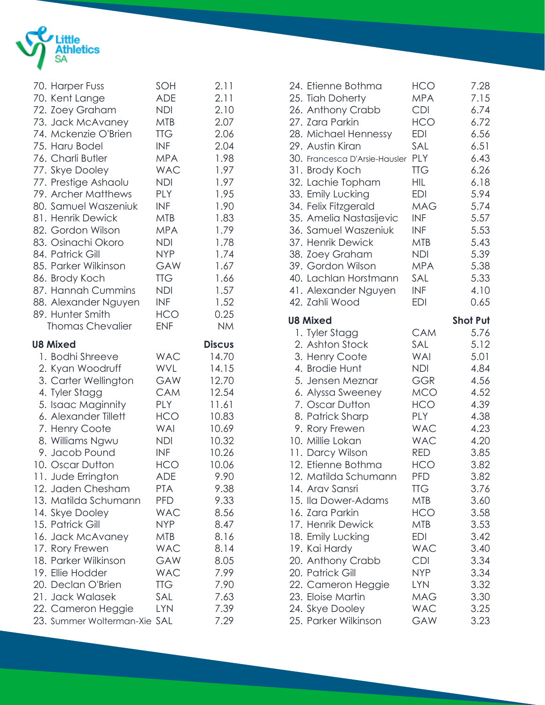

| 70. Harper Fuss                         | SOH        | 2.11          |
|-----------------------------------------|------------|---------------|
| 70. Kent Lange                          | <b>ADE</b> | 2.11          |
| 72. Zoey Graham                         | <b>NDI</b> | 2.10          |
| 73. Jack McAvaney                       | <b>MTB</b> | 2.07          |
| 74. Mckenzie O'Brien                    | <b>TTG</b> | 2.06          |
| 75. Haru Bodel                          | INF        | 2.04          |
| 76. Charli Butler                       | <b>MPA</b> | 1.98          |
| 77. Skye Dooley                         | <b>WAC</b> | 1.97          |
| 77. Prestige Ashaolu                    | <b>NDI</b> | 1.97          |
| 79. Archer Matthews                     | <b>PLY</b> | 1.95          |
| 80. Samuel Waszeniuk                    | <b>INF</b> | 1.90          |
| 81. Henrik Dewick                       | <b>MTB</b> | 1.83          |
| 82. Gordon Wilson                       | <b>MPA</b> | 1.79          |
| 83. Osinachi Okoro                      | <b>NDI</b> | 1.78          |
| 84. Patrick Gill                        | <b>NYP</b> | 1.74          |
| 85. Parker Wilkinson                    | GAW        | 1.67          |
| 86. Brody Koch                          | <b>TTG</b> | 1.66          |
| 87. Hannah Cummins                      | <b>NDI</b> | 1.57          |
| 88. Alexander Nguyen                    | <b>INF</b> | 1.52          |
| 89. Hunter Smith                        | <b>HCO</b> | 0.25          |
| <b>Thomas Chevalier</b>                 | <b>ENF</b> | <b>NM</b>     |
|                                         |            |               |
| <b>U8 Mixed</b>                         |            | <b>Discus</b> |
|                                         |            |               |
| 1. Bodhi Shreeve                        | <b>WAC</b> | 14.70         |
| 2. Kyan Woodruff                        | <b>WVL</b> | 14.15         |
| 3. Carter Wellington                    | GAW        | 12.70         |
| 4. Tyler Stagg                          | <b>CAM</b> | 12.54         |
| 5. Isaac Maginnity                      | <b>PLY</b> | 11.61         |
| 6. Alexander Tillett                    | <b>HCO</b> | 10.83         |
| 7. Henry Coote                          | WAI        | 10.69         |
|                                         | <b>NDI</b> | 10.32         |
| 8. Williams Ngwu<br>9. Jacob Pound      | <b>INF</b> | 10.26         |
| 10. Oscar Dutton                        | <b>HCO</b> | 10.06         |
|                                         | <b>ADE</b> | 9.90          |
| 11. Jude Errington<br>12. Jaden Chesham | <b>PTA</b> | 9.38          |
| 13. Matilda Schumann                    | <b>PFD</b> | 9.33          |
| 14. Skye Dooley                         | <b>WAC</b> | 8.56          |
| 15. Patrick Gill                        | <b>NYP</b> | 8.47          |
|                                         | <b>MTB</b> | 8.16          |
| 16. Jack McAvaney                       | <b>WAC</b> | 8.14          |
| 17. Rory Frewen<br>18. Parker Wilkinson | GAW        | 8.05          |
| 19. Ellie Hodder                        | <b>WAC</b> | 7.99          |
| 20. Declan O'Brien                      | <b>TTG</b> | 7.90          |
| 21. Jack Walasek                        | SAL        | 7.63          |
| 22. Cameron Heggie                      | <b>LYN</b> | 7.39          |

| 24. Etienne Bothma                      | <b>HCO</b>        | 7.28            |
|-----------------------------------------|-------------------|-----------------|
| 25. Tiah Doherty                        | <b>MPA</b>        | 7.15            |
| 26. Anthony Crabb                       | <b>CDI</b>        | 6.74            |
| 27. Zara Parkin                         | <b>HCO</b>        | 6.72            |
| 28. Michael Hennessy                    | <b>EDI</b>        | 6.56            |
| 29. Austin Kiran                        | SAL               | 6.51            |
| 30. Francesca D'Arsie-Hausler           | <b>PLY</b>        | 6.43            |
| 31. Brody Koch                          | <b>TTG</b>        | 6.26            |
| 32. Lachie Topham                       | <b>HIL</b>        | 6.18            |
| 33. Emily Lucking                       | <b>EDI</b>        | 5.94            |
| 34. Felix Fitzgerald                    | <b>MAG</b>        | 5.74            |
| 35. Amelia Nastasijevic                 | <b>INF</b>        | 5.57            |
| 36. Samuel Waszeniuk                    | <b>INF</b>        | 5.53            |
| 37. Henrik Dewick                       | <b>MTB</b>        | 5.43            |
| 38. Zoey Graham                         | <b>NDI</b>        | 5.39            |
| 39. Gordon Wilson                       | <b>MPA</b>        | 5.38            |
| 40. Lachlan Horstmann                   | SAL               | 5.33            |
| 41. Alexander Nguyen                    | <b>INF</b>        | 4.10            |
| 42. Zahli Wood                          | <b>EDI</b>        | 0.65            |
| <b>U8 Mixed</b>                         |                   | <b>Shot Put</b> |
| 1. Tyler Stagg                          | <b>CAM</b>        | 5.76            |
| 2. Ashton Stock                         | SAL               | 5.12            |
| 3. Henry Coote                          | WAI               | 5.01            |
|                                         |                   |                 |
|                                         |                   |                 |
| 4. Brodie Hunt                          | <b>NDI</b>        | 4.84            |
| 5. Jensen Meznar                        | <b>GGR</b><br>MCO | 4.56<br>4.52    |
| 6. Alyssa Sweeney<br>7. Oscar Dutton    | <b>HCO</b>        | 4.39            |
| 8. Patrick Sharp                        | <b>PLY</b>        | 4.38            |
| 9. Rory Frewen                          | <b>WAC</b>        | 4.23            |
| 10. Millie Lokan                        | <b>WAC</b>        | 4.20            |
| 11. Darcy Wilson                        | <b>RED</b>        | 3.85            |
| 12. Etienne Bothma                      | <b>HCO</b>        | 3.82            |
| 12. Matilda Schumann                    | PFD               | 3.82            |
| 14. Arav Sansri                         | TTG               | 3.76            |
| 15. Ila Dower-Adams                     | <b>MTB</b>        | 3.60            |
| 16. Zara Parkin                         | <b>HCO</b>        | 3.58            |
| 17. Henrik Dewick                       | MTB               | 3.53            |
| 18. Emily Lucking                       | <b>EDI</b>        | 3.42            |
| 19. Kai Hardy                           | <b>WAC</b>        | 3.40            |
| 20. Anthony Crabb                       | <b>CDI</b>        | 3.34            |
| 20. Patrick Gill                        | NYP               | 3.34            |
| 22. Cameron Heggie                      | <b>LYN</b>        | 3.32            |
| 23. Eloise Martin                       | <b>MAG</b>        | 3.30            |
| 24. Skye Dooley<br>25. Parker Wilkinson | <b>WAC</b><br>GAW | 3.25<br>3.23    |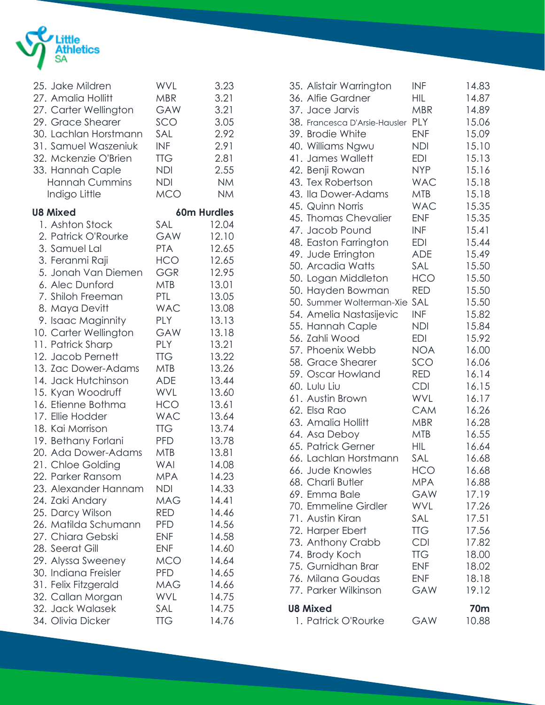

| 25. Jake Mildren                                                                                                                                                                                                                                                                                                                                                                                                                                                                                                                                                                                                                                                                                                                                                    | WVL                                                                                                                                                                                                                                                                                                                                                                                                    | 3.23                                                                                                                                                                                                                                                                                                                                 |
|---------------------------------------------------------------------------------------------------------------------------------------------------------------------------------------------------------------------------------------------------------------------------------------------------------------------------------------------------------------------------------------------------------------------------------------------------------------------------------------------------------------------------------------------------------------------------------------------------------------------------------------------------------------------------------------------------------------------------------------------------------------------|--------------------------------------------------------------------------------------------------------------------------------------------------------------------------------------------------------------------------------------------------------------------------------------------------------------------------------------------------------------------------------------------------------|--------------------------------------------------------------------------------------------------------------------------------------------------------------------------------------------------------------------------------------------------------------------------------------------------------------------------------------|
| 27. Amalia Hollitt                                                                                                                                                                                                                                                                                                                                                                                                                                                                                                                                                                                                                                                                                                                                                  | <b>MBR</b>                                                                                                                                                                                                                                                                                                                                                                                             | 3.21                                                                                                                                                                                                                                                                                                                                 |
| 27. Carter Wellington                                                                                                                                                                                                                                                                                                                                                                                                                                                                                                                                                                                                                                                                                                                                               | GAW                                                                                                                                                                                                                                                                                                                                                                                                    | 3.21                                                                                                                                                                                                                                                                                                                                 |
| 29. Grace Shearer                                                                                                                                                                                                                                                                                                                                                                                                                                                                                                                                                                                                                                                                                                                                                   | SCO                                                                                                                                                                                                                                                                                                                                                                                                    | 3.05                                                                                                                                                                                                                                                                                                                                 |
| 30. Lachlan Horstmann                                                                                                                                                                                                                                                                                                                                                                                                                                                                                                                                                                                                                                                                                                                                               | SAL                                                                                                                                                                                                                                                                                                                                                                                                    | 2.92                                                                                                                                                                                                                                                                                                                                 |
| 31. Samuel Waszeniuk                                                                                                                                                                                                                                                                                                                                                                                                                                                                                                                                                                                                                                                                                                                                                | <b>INF</b>                                                                                                                                                                                                                                                                                                                                                                                             | 2.91                                                                                                                                                                                                                                                                                                                                 |
| 32. Mckenzie O'Brien                                                                                                                                                                                                                                                                                                                                                                                                                                                                                                                                                                                                                                                                                                                                                | <b>TTG</b>                                                                                                                                                                                                                                                                                                                                                                                             | 2.81                                                                                                                                                                                                                                                                                                                                 |
| 33. Hannah Caple                                                                                                                                                                                                                                                                                                                                                                                                                                                                                                                                                                                                                                                                                                                                                    | <b>NDI</b>                                                                                                                                                                                                                                                                                                                                                                                             | 2.55                                                                                                                                                                                                                                                                                                                                 |
| <b>Hannah Cummins</b>                                                                                                                                                                                                                                                                                                                                                                                                                                                                                                                                                                                                                                                                                                                                               | <b>NDI</b>                                                                                                                                                                                                                                                                                                                                                                                             | <b>NM</b>                                                                                                                                                                                                                                                                                                                            |
| Indigo Little                                                                                                                                                                                                                                                                                                                                                                                                                                                                                                                                                                                                                                                                                                                                                       | <b>MCO</b>                                                                                                                                                                                                                                                                                                                                                                                             | <b>NM</b>                                                                                                                                                                                                                                                                                                                            |
| <b>U8 Mixed</b><br>1. Ashton Stock<br>2. Patrick O'Rourke<br>3. Samuel Lal<br>3. Feranmi Raji<br>5. Jonah Van Diemen<br>6. Alec Dunford<br>7. Shiloh Freeman<br>8. Maya Devitt<br>9. Isaac Maginnity<br>10. Carter Wellington<br>11. Patrick Sharp<br>12. Jacob Pernett<br>13. Zac Dower-Adams<br>14. Jack Hutchinson<br>15. Kyan Woodruff<br>16. Etienne Bothma<br>17. Ellie Hodder<br>18. Kai Morrison<br>19. Bethany Forlani<br>20. Ada Dower-Adams<br>21. Chloe Golding<br>22. Parker Ransom<br>23. Alexander Hannam<br>24. Zaki Andary<br>25. Darcy Wilson<br>26. Matilda Schumann<br>27. Chiara Gebski<br>28. Seerat Gill<br>29. Alyssa Sweeney<br>30. Indiana Freisler<br>31. Felix Fitzgerald<br>32. Callan Morgan<br>32. Jack Walasek<br>34. Olivia Dicker | SAL<br>GAW<br><b>PTA</b><br>HCO I<br><b>GGR</b><br><b>MTB</b><br>PTL<br><b>WAC</b><br><b>PLY</b><br>GAW<br><b>PLY</b><br><b>TTG</b><br>MTB<br>ADE<br>WVL<br>HCO<br><b>WAC</b><br><b>TTG</b><br><b>PFD</b><br>MTB<br>WAI<br><b>MPA</b><br><b>NDI</b><br><b>MAG</b><br><b>RED</b><br><b>PFD</b><br><b>ENF</b><br><b>ENF</b><br><b>MCO</b><br><b>PFD</b><br><b>MAG</b><br><b>WVL</b><br>SAL<br><b>TTG</b> | <b>60m Hurdles</b><br>12.04<br>12.10<br>12.65<br>12.65<br>12.95<br>13.01<br>13.05<br>13.08<br>13.13<br>13.18<br>13.21<br>13.22<br>13.26<br>13.44<br>13.60<br>13.61<br>13.64<br>13.74<br>13.78<br>13.81<br>14.08<br>14.23<br>14.33<br>14.41<br>14.46<br>14.56<br>14.58<br>14.60<br>14.64<br>14.65<br>14.66<br>14.75<br>14.75<br>14.76 |

| 35. Alistair Warrington                 | <b>INF</b> | 14.83        |
|-----------------------------------------|------------|--------------|
| 36. Alfie Gardner                       | HIL        | 14.87        |
| 37. Jace Jarvis                         | <b>MBR</b> | 14.89        |
| 38. Francesca D'Arsie-Hausler           | <b>PLY</b> | 15.06        |
| 39. Brodie White                        | <b>ENF</b> | 15.09        |
| 40. Williams Ngwu                       | <b>NDI</b> | 15.10        |
| 41. James Wallett                       | <b>EDI</b> | 15.13        |
| 42. Benji Rowan                         | <b>NYP</b> | 15.16        |
| 43. Tex Robertson                       | <b>WAC</b> | 15.18        |
| 43. Ila Dower-Adams                     | <b>MTB</b> | 15.18        |
| 45. Quinn Norris                        | <b>WAC</b> | 15.35        |
| 45. Thomas Chevalier                    | <b>ENF</b> | 15.35        |
| 47. Jacob Pound                         | <b>INF</b> | 15.41        |
| 48. Easton Farrington                   | EDI        | 15.44        |
| 49. Jude Errington                      | ADE        | 15.49        |
| 50. Arcadia Watts                       | SAL        | 15.50        |
| 50. Logan Middleton                     | <b>HCO</b> | 15.50        |
| 50. Hayden Bowman                       | <b>RED</b> | 15.50        |
| 50. Summer Wolterman-Xie                | SAL        | 15.50        |
| 54. Amelia Nastasijevic                 | <b>INF</b> | 15.82        |
| 55. Hannah Caple                        | <b>NDI</b> | 15.84        |
| 56. Zahli Wood                          | <b>EDI</b> | 15.92        |
| 57. Phoenix Webb                        | <b>NOA</b> | 16.00        |
| 58. Grace Shearer                       | SCO        | 16.06        |
| 59. Oscar Howland                       | <b>RED</b> | 16.14        |
| 60. Lulu Liu                            | <b>CDI</b> | 16.15        |
| 61. Austin Brown                        | <b>WVL</b> | 16.17        |
| 62. Elsa Rao                            | <b>CAM</b> | 16.26        |
| 63. Amalia Hollitt                      | <b>MBR</b> | 16.28        |
| 64. Asa Deboy                           | <b>MTB</b> | 16.55        |
| 65. Patrick Gerner                      | <b>HIL</b> | 16.64        |
| 66. Lachlan Horstmann                   | SAL        | 16.68        |
| 66. Jude Knowles                        | <b>HCO</b> | 16.68        |
| 68. Charli Butler                       | <b>MPA</b> | 16.88        |
| 69. Emma Bale                           | GAW        | 17.19        |
| 70. Emmeline Girdler                    | <b>WVL</b> | 17.26        |
| 71. Austin Kiran                        | SAL        | 17.51        |
| 72. Harper Ebert                        | <b>TTG</b> | 17.56        |
| 73. Anthony Crabb                       | <b>CDI</b> | 17.82        |
| 74. Brody Koch                          | <b>TTG</b> | 18.00        |
| 75. Gurnidhan Brar                      | <b>ENF</b> | 18.02        |
| 76. Milana Goudas                       | <b>ENF</b> | 18.18        |
| 77. Parker Wilkinson<br><b>U8 Mixed</b> | GAW        | 19.12<br>70m |
| 1. Patrick O'Rourke                     | GAW        | 10.88        |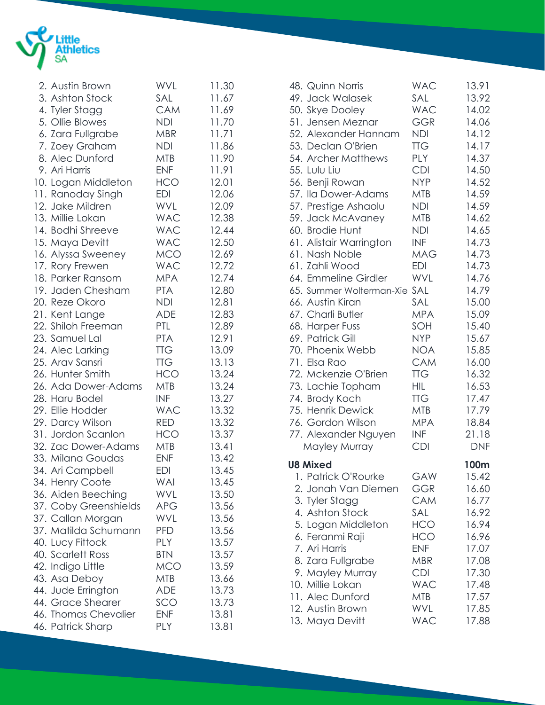

| 2. Austin Brown       | WVL        | 11.30 |
|-----------------------|------------|-------|
| 3. Ashton Stock       | SAL        | 11.67 |
| 4. Tyler Stagg        | <b>CAM</b> | 11.69 |
| 5. Ollie Blowes       | <b>NDI</b> | 11.70 |
| 6. Zara Fullgrabe     | <b>MBR</b> | 11.71 |
| 7. Zoey Graham        | <b>NDI</b> | 11.86 |
| 8. Alec Dunford       | <b>MTB</b> | 11.90 |
| 9. Ari Harris         | <b>ENF</b> | 11.91 |
| 10. Logan Middleton   | HCO        | 12.01 |
| 11. Ranoday Singh     | <b>EDI</b> | 12.06 |
| 12. Jake Mildren      | WVL        | 12.09 |
| 13. Millie Lokan      | <b>WAC</b> | 12.38 |
| 14. Bodhi Shreeve     | <b>WAC</b> | 12.44 |
| 15. Maya Devitt       | <b>WAC</b> | 12.50 |
| 16. Alyssa Sweeney    | <b>MCO</b> | 12.69 |
|                       |            |       |
| 17. Rory Frewen       | <b>WAC</b> | 12.72 |
| 18. Parker Ransom     | <b>MPA</b> | 12.74 |
| 19. Jaden Chesham     | <b>PTA</b> | 12.80 |
| 20. Reze Okoro        | <b>NDI</b> | 12.81 |
| 21. Kent Lange        | ADE        | 12.83 |
| 22. Shiloh Freeman    | PTL        | 12.89 |
| 23. Samuel Lal        | <b>PTA</b> | 12.91 |
| 24. Alec Larking      | <b>TTG</b> | 13.09 |
| 25. Arav Sansri       | TTG        | 13.13 |
| 26. Hunter Smith      | HCO        | 13.24 |
| 26. Ada Dower-Adams   | MTB        | 13.24 |
| 28. Haru Bodel        | INF        | 13.27 |
| 29. Ellie Hodder      | <b>WAC</b> | 13.32 |
| 29. Darcy Wilson      | <b>RED</b> | 13.32 |
| 31. Jordon Scanlon    | HCO        | 13.37 |
| 32. Zac Dower-Adams   | <b>MTB</b> | 13.41 |
| 33. Milana Goudas     | <b>ENF</b> | 13.42 |
| 34. Ari Campbell      | <b>EDI</b> | 13.45 |
| 34. Henry Coote       | WAI        | 13.45 |
| 36. Aiden Beeching    | WVL        | 13.50 |
| 37. Coby Greenshields | <b>APG</b> | 13.56 |
| 37. Callan Morgan     | WVL        | 13.56 |
| 37. Matilda Schumann  | <b>PFD</b> | 13.56 |
| 40. Lucy Fittock      | PLY        | 13.57 |
| 40. Scarlett Ross     | <b>BTN</b> | 13.57 |
| 42. Indigo Little     | <b>MCO</b> | 13.59 |
| 43. Asa Deboy         | <b>MTB</b> | 13.66 |
| 44. Jude Errington    | <b>ADE</b> | 13.73 |
| 44. Grace Shearer     | SCO        | 13.73 |
| 46. Thomas Chevalier  | <b>ENF</b> | 13.81 |
| 46. Patrick Sharp     | PLY        | 13.81 |
|                       |            |       |

| 48. Quinn Norris             | <b>WAC</b> | 13.91      |
|------------------------------|------------|------------|
| 49. Jack Walasek             | SAL        | 13.92      |
| 50. Skye Dooley              | <b>WAC</b> | 14.02      |
| 51. Jensen Meznar            | <b>GGR</b> | 14.06      |
| 52. Alexander Hannam         | <b>NDI</b> | 14.12      |
| 53. Declan O'Brien           | <b>TTG</b> | 14.17      |
| 54. Archer Matthews          | PLY        | 14.37      |
| 55. Lulu Liu                 | <b>CDI</b> | 14.50      |
| 56. Benji Rowan              | NYP        | 14.52      |
| 57. Ila Dower-Adams          | MTB        | 14.59      |
| 57. Prestige Ashaolu         | <b>NDI</b> | 14.59      |
| 59. Jack McAvaney            | MTB        | 14.62      |
| 60. Brodie Hunt              | <b>NDI</b> | 14.65      |
| 61. Alistair Warrington      | <b>INF</b> | 14.73      |
| 61. Nash Noble               | MAG        | 14.73      |
| 61. Zahli Wood               | <b>EDI</b> | 14.73      |
| 64. Emmeline Girdler         | WVL        | 14.76      |
| 65. Summer Wolterman-Xie SAL |            | 14.79      |
| 66. Austin Kiran             | SAL        | 15.00      |
| 67. Charli Butler            | <b>MPA</b> | 15.09      |
| 68. Harper Fuss              | SOH        | 15.40      |
| 69. Patrick Gill             | NYP I      | 15.67      |
| 70. Phoenix Webb             | <b>NOA</b> | 15.85      |
| 71. Elsa Rao                 | CAM        | 16.00      |
| 72. Mckenzie O'Brien         | <b>TTG</b> | 16.32      |
| 73. Lachie Topham            | <b>HIL</b> | 16.53      |
| 74. Brody Koch               | <b>TTG</b> | 17.47      |
| 75. Henrik Dewick            | MTB        | 17.79      |
| 76. Gordon Wilson            | <b>MPA</b> | 18.84      |
| 77. Alexander Nguyen         | <b>INF</b> | 21.18      |
| Mayley Murray                | <b>CDI</b> | <b>DNF</b> |
|                              |            |            |
| <b>U8 Mixed</b>              |            | 100m       |
| 1. Patrick O'Rourke          | GAW        | 15.42      |
| 2. Jonah Van Diemen          | GGR        | 16.60      |
| 3. Tyler Stagg               | CAM        | 16.77      |
| 4. Ashton Stock              | SAL        | 16.92      |
| 5. Logan Middleton           | <b>HCO</b> | 16.94      |
| 6. Feranmi Raji              | <b>HCO</b> | 16.96      |
| 7. Ari Harris                | <b>ENF</b> | 17.07      |
| 8. Zara Fullgrabe            | <b>MBR</b> | 17.08      |
| 9. Mayley Murray             | <b>CDI</b> | 17.30      |
| 10. Millie Lokan             | <b>WAC</b> | 17.48      |
| 11. Alec Dunford             | <b>MTB</b> | 17.57      |
| 12. Austin Brown             | WVL        | 17.85      |
| 13. Maya Devitt              | <b>WAC</b> | 17.88      |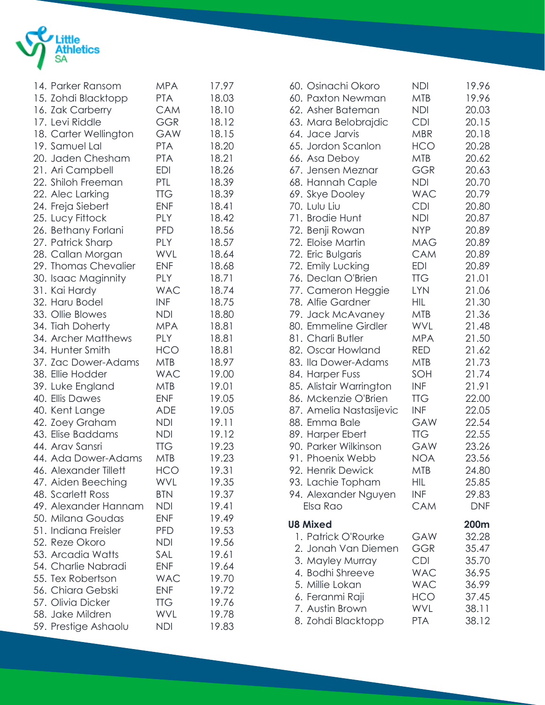

| 14. Parker Ransom     | <b>MPA</b> | 17.97 |
|-----------------------|------------|-------|
| 15. Zohdi Blacktopp   | <b>PTA</b> | 18.03 |
| 16. Zak Carberry      | <b>CAM</b> | 18.10 |
| 17. Levi Riddle       | <b>GGR</b> | 18.12 |
| 18. Carter Wellington | GAW        | 18.15 |
| 19. Samuel Lal        | <b>PTA</b> | 18.20 |
| 20. Jaden Chesham     | <b>PTA</b> | 18.21 |
| 21. Ari Campbell      | <b>EDI</b> | 18.26 |
| 22. Shiloh Freeman    | PTL        | 18.39 |
| 22. Alec Larking      | <b>TTG</b> | 18.39 |
| 24. Freja Siebert     | <b>ENF</b> | 18.41 |
| 25. Lucy Fittock      | PLY        | 18.42 |
| 26. Bethany Forlani   | <b>PFD</b> | 18.56 |
| 27. Patrick Sharp     | <b>PLY</b> | 18.57 |
| 28. Callan Morgan     | WVL        | 18.64 |
| 29. Thomas Chevalier  | <b>ENF</b> | 18.68 |
| 30. Isaac Maginnity   | <b>PLY</b> | 18.71 |
| 31. Kai Hardy         | <b>WAC</b> | 18.74 |
| 32. Haru Bodel        | <b>INF</b> | 18.75 |
| 33. Ollie Blowes      | <b>NDI</b> | 18.80 |
| 34. Tiah Doherty      | <b>MPA</b> | 18.81 |
| 34. Archer Matthews   | PLY        | 18.81 |
| 34. Hunter Smith      | HCO        | 18.81 |
| 37. Zac Dower-Adams   | <b>MTB</b> | 18.97 |
| 38. Ellie Hodder      | <b>WAC</b> | 19.00 |
| 39. Luke England      | <b>MTB</b> | 19.01 |
| 40. Ellis Dawes       | <b>ENF</b> | 19.05 |
| 40. Kent Lange        | ADE        | 19.05 |
| 42. Zoey Graham       | <b>NDI</b> | 19.11 |
| 43. Elise Baddams     | <b>NDI</b> | 19.12 |
| 44. Arav Sansri       | <b>TTG</b> | 19.23 |
| 44. Ada Dower-Adams   | <b>MTB</b> | 19.23 |
| 46. Alexander Tillett | <b>HCO</b> | 19.31 |
| 47. Aiden Beeching    | WVL        | 19.35 |
| 48. Scarlett Ross     | <b>BTN</b> | 19.37 |
| 49. Alexander Hannam  | <b>NDI</b> | 19.41 |
| 50. Milana Goudas     | <b>ENF</b> | 19.49 |
| 51. Indiana Freisler  | <b>PFD</b> | 19.53 |
| 52. Reze Okoro        | <b>NDI</b> | 19.56 |
| 53. Arcadia Watts     | SAL        | 19.61 |
| 54. Charlie Nabradi   | <b>ENF</b> | 19.64 |
| 55. Tex Robertson     | <b>WAC</b> | 19.70 |
| 56. Chiara Gebski     | <b>ENF</b> | 19.72 |
| 57. Olivia Dicker     | <b>TTG</b> | 19.76 |
| 58. Jake Mildren      | <b>WVL</b> | 19.78 |
| 59. Prestige Ashaolu  | <b>NDI</b> | 19.83 |
|                       |            |       |

| 60. Osinachi Okoro      | <b>NDI</b> | 19.96      |
|-------------------------|------------|------------|
| 60. Paxton Newman       | <b>MTB</b> | 19.96      |
| 62. Asher Bateman       | NDI        | 20.03      |
| 63. Mara Belobrajdic    | <b>CDI</b> | 20.15      |
| 64. Jace Jarvis         | <b>MBR</b> | 20.18      |
| 65. Jordon Scanlon      | <b>HCO</b> | 20.28      |
| 66. Asa Deboy           | <b>MTB</b> | 20.62      |
| 67. Jensen Meznar       | GGR        | 20.63      |
| 68. Hannah Caple        | <b>NDI</b> | 20.70      |
| 69. Skye Dooley         | <b>WAC</b> | 20.79      |
| 70. Lulu Liu            | <b>CDI</b> | 20.80      |
| 71. Brodie Hunt         | <b>NDI</b> | 20.87      |
| 72. Benji Rowan         | <b>NYP</b> | 20.89      |
| 72. Eloise Martin       | <b>MAG</b> | 20.89      |
| 72. Eric Bulgaris       | <b>CAM</b> | 20.89      |
| 72. Emily Lucking       | <b>EDI</b> | 20.89      |
| 76. Declan O'Brien      | <b>TTG</b> | 21.01      |
| 77. Cameron Heggie      | <b>LYN</b> | 21.06      |
| 78. Alfie Gardner       | HIL        | 21.30      |
| 79. Jack McAvaney       | MTB        | 21.36      |
| 80. Emmeline Girdler    | <b>WVL</b> | 21.48      |
| 81. Charli Butler       | <b>MPA</b> | 21.50      |
| 82. Oscar Howland       | <b>RED</b> | 21.62      |
| 83. Ila Dower-Adams     | <b>MTB</b> | 21.73      |
| 84. Harper Fuss         | SOH        | 21.74      |
| 85. Alistair Warrington | INF        | 21.91      |
| 86. Mckenzie O'Brien    | TTG        | 22.00      |
| 87. Amelia Nastasijevic | INF        | 22.05      |
| 88. Emma Bale           | GAW        | 22.54      |
| 89. Harper Ebert        | <b>TTG</b> | 22.55      |
| 90. Parker Wilkinson    | GAW        | 23.26      |
| 91. Phoenix Webb        | <b>NOA</b> | 23.56      |
| 92. Henrik Dewick       | <b>MTB</b> | 24.80      |
| 93. Lachie Topham       | <b>HIL</b> | 25.85      |
| 94. Alexander Nguyen    | <b>INF</b> | 29.83      |
| Elsa Rao                | <b>CAM</b> | <b>DNF</b> |
| <b>U8 Mixed</b>         |            | 200m       |
| 1. Patrick O'Rourke     | GAW        | 32.28      |
| 2. Jonah Van Diemen     | GGR        | 35.47      |
| 3. Mayley Murray        | <b>CDI</b> | 35.70      |
| 4. Bodhi Shreeve        | <b>WAC</b> | 36.95      |
| 5. Millie Lokan         | <b>WAC</b> | 36.99      |
| 6. Feranmi Raji         | <b>HCO</b> | 37.45      |
|                         |            |            |
| 7. Austin Brown         | WVL        | 38.11      |
|                         |            |            |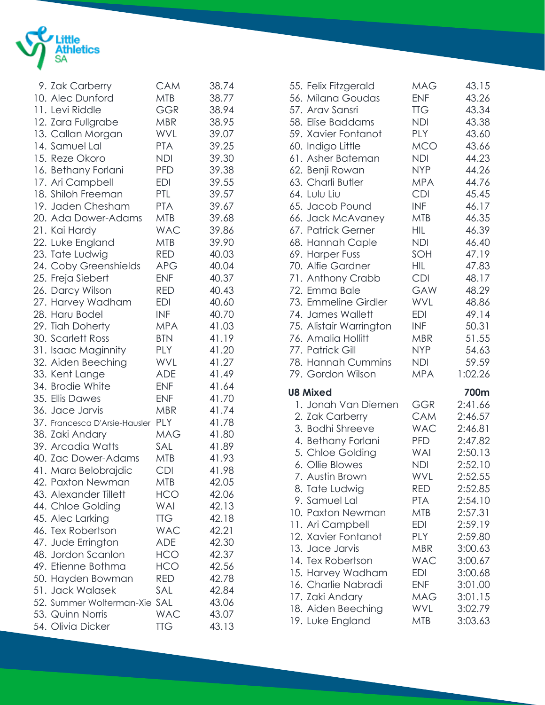

| 9. Zak Carberry                   | CAM        | 38.74 |
|-----------------------------------|------------|-------|
| 10. Alec Dunford                  | <b>MTB</b> | 38.77 |
| 11. Levi Riddle                   | GGR        | 38.94 |
| 12. Zara Fullgrabe                | <b>MBR</b> | 38.95 |
| 13. Callan Morgan                 | <b>WVL</b> | 39.07 |
| 14. Samuel Lal                    | <b>PTA</b> | 39.25 |
| 15. Reze Okoro                    | <b>NDI</b> | 39.30 |
| 16. Bethany Forlani               | <b>PFD</b> | 39.38 |
| 17. Ari Campbell                  | EDI        | 39.55 |
| 18. Shiloh Freeman                | PTL        | 39.57 |
| 19. Jaden Chesham                 | <b>PTA</b> | 39.67 |
| 20. Ada Dower-Adams               | <b>MTB</b> | 39.68 |
| 21. Kai Hardy                     | <b>WAC</b> | 39.86 |
| 22. Luke England                  | <b>MTB</b> | 39.90 |
| 23. Tate Ludwig                   | <b>RED</b> | 40.03 |
| 24. Coby Greenshields             | <b>APG</b> | 40.04 |
| 25. Freja Siebert                 | <b>ENF</b> | 40.37 |
| 26. Darcy Wilson                  | RED        | 40.43 |
| 27. Harvey Wadham                 | EDI        | 40.60 |
| 28. Haru Bodel                    | <b>INF</b> | 40.70 |
| 29. Tiah Doherty                  | <b>MPA</b> | 41.03 |
| 30. Scarlett Ross                 | <b>BTN</b> | 41.19 |
| 31. Isaac Maginnity               | <b>PLY</b> | 41.20 |
| 32. Aiden Beeching                | <b>WVL</b> | 41.27 |
| 33. Kent Lange                    | <b>ADE</b> | 41.49 |
|                                   |            |       |
| 34. Brodie White                  | <b>ENF</b> | 41.64 |
| 35. Ellis Dawes                   | <b>ENF</b> | 41.70 |
| 36. Jace Jarvis                   | MBR        | 41.74 |
| 37. Francesca D'Arsie-Hausler PLY |            | 41.78 |
| 38. Zaki Andary                   | <b>MAG</b> | 41.80 |
| 39. Arcadia Watts                 | SAL        | 41.89 |
| 40. Zac Dower-Adams               | <b>MTB</b> | 41.93 |
| 41. Mara Belobrajdic              | <b>CDI</b> | 41.98 |
| 42. Paxton Newman                 | <b>MTB</b> | 42.05 |
| 43. Alexander Tillett             | <b>HCO</b> | 42.06 |
| 44. Chloe Golding                 | WAI        | 42.13 |
| 45. Alec Larking                  | <b>TTG</b> | 42.18 |
| 46. Tex Robertson                 | <b>WAC</b> | 42.21 |
| 47. Jude Errington                | <b>ADE</b> | 42.30 |
| 48. Jordon Scanlon                | <b>HCO</b> | 42.37 |
| 49. Etienne Bothma                | <b>HCO</b> | 42.56 |
| 50. Hayden Bowman                 | <b>RED</b> | 42.78 |
| 51. Jack Walasek                  | SAL        | 42.84 |
| 52. Summer Wolterman-Xie SAL      |            | 43.06 |
| 53. Quinn Norris                  | <b>WAC</b> | 43.07 |
| 54. Olivia Dicker                 | <b>TTG</b> | 43.13 |
|                                   |            |       |

| 55. Felix Fitzgerald                                                                                                                                                                                                                                                                                                                                                                                              | <b>MAG</b>                                                                                                                                                                                                                                 | 43.15                                                                                                                                                                                                                 |
|-------------------------------------------------------------------------------------------------------------------------------------------------------------------------------------------------------------------------------------------------------------------------------------------------------------------------------------------------------------------------------------------------------------------|--------------------------------------------------------------------------------------------------------------------------------------------------------------------------------------------------------------------------------------------|-----------------------------------------------------------------------------------------------------------------------------------------------------------------------------------------------------------------------|
| 56. Milana Goudas                                                                                                                                                                                                                                                                                                                                                                                                 | <b>ENF</b>                                                                                                                                                                                                                                 | 43.26                                                                                                                                                                                                                 |
| 57. Arav Sansri                                                                                                                                                                                                                                                                                                                                                                                                   | <b>TTG</b>                                                                                                                                                                                                                                 | 43.34                                                                                                                                                                                                                 |
| 58. Elise Baddams                                                                                                                                                                                                                                                                                                                                                                                                 | <b>NDI</b>                                                                                                                                                                                                                                 | 43.38                                                                                                                                                                                                                 |
| 59. Xavier Fontanot                                                                                                                                                                                                                                                                                                                                                                                               | PLY                                                                                                                                                                                                                                        | 43.60                                                                                                                                                                                                                 |
| 60. Indigo Little                                                                                                                                                                                                                                                                                                                                                                                                 | <b>MCO</b>                                                                                                                                                                                                                                 | 43.66                                                                                                                                                                                                                 |
| 61. Asher Bateman                                                                                                                                                                                                                                                                                                                                                                                                 | <b>NDI</b>                                                                                                                                                                                                                                 | 44.23                                                                                                                                                                                                                 |
| 62. Benji Rowan                                                                                                                                                                                                                                                                                                                                                                                                   | <b>NYP</b>                                                                                                                                                                                                                                 | 44.26                                                                                                                                                                                                                 |
| 63. Charli Butler                                                                                                                                                                                                                                                                                                                                                                                                 | <b>MPA</b>                                                                                                                                                                                                                                 | 44.76                                                                                                                                                                                                                 |
| 64. Lulu Liu                                                                                                                                                                                                                                                                                                                                                                                                      | <b>CDI</b>                                                                                                                                                                                                                                 | 45.45                                                                                                                                                                                                                 |
| 65. Jacob Pound                                                                                                                                                                                                                                                                                                                                                                                                   | <b>INF</b>                                                                                                                                                                                                                                 | 46.17                                                                                                                                                                                                                 |
| 66. Jack McAvaney                                                                                                                                                                                                                                                                                                                                                                                                 | <b>MTB</b>                                                                                                                                                                                                                                 | 46.35                                                                                                                                                                                                                 |
| 67. Patrick Gerner                                                                                                                                                                                                                                                                                                                                                                                                | <b>HIL</b>                                                                                                                                                                                                                                 | 46.39                                                                                                                                                                                                                 |
| 68. Hannah Caple                                                                                                                                                                                                                                                                                                                                                                                                  | NDI                                                                                                                                                                                                                                        | 46.40                                                                                                                                                                                                                 |
| 69. Harper Fuss                                                                                                                                                                                                                                                                                                                                                                                                   | SOH                                                                                                                                                                                                                                        | 47.19                                                                                                                                                                                                                 |
| 70. Alfie Gardner                                                                                                                                                                                                                                                                                                                                                                                                 | <b>HIL</b>                                                                                                                                                                                                                                 | 47.83                                                                                                                                                                                                                 |
| 71. Anthony Crabb                                                                                                                                                                                                                                                                                                                                                                                                 | <b>CDI</b>                                                                                                                                                                                                                                 | 48.17                                                                                                                                                                                                                 |
| 72. Emma Bale                                                                                                                                                                                                                                                                                                                                                                                                     | <b>GAW</b>                                                                                                                                                                                                                                 | 48.29                                                                                                                                                                                                                 |
| 73. Emmeline Girdler                                                                                                                                                                                                                                                                                                                                                                                              | <b>WVL</b>                                                                                                                                                                                                                                 | 48.86                                                                                                                                                                                                                 |
| 74. James Wallett                                                                                                                                                                                                                                                                                                                                                                                                 | EDI                                                                                                                                                                                                                                        | 49.14                                                                                                                                                                                                                 |
| 75. Alistair Warrington                                                                                                                                                                                                                                                                                                                                                                                           | <b>INF</b>                                                                                                                                                                                                                                 | 50.31                                                                                                                                                                                                                 |
| 76. Amalia Hollitt                                                                                                                                                                                                                                                                                                                                                                                                | MBR                                                                                                                                                                                                                                        | 51.55                                                                                                                                                                                                                 |
| 77. Patrick Gill                                                                                                                                                                                                                                                                                                                                                                                                  | NYP                                                                                                                                                                                                                                        | 54.63                                                                                                                                                                                                                 |
| 78. Hannah Cummins                                                                                                                                                                                                                                                                                                                                                                                                | NDI                                                                                                                                                                                                                                        | 59.59                                                                                                                                                                                                                 |
| 79. Gordon Wilson                                                                                                                                                                                                                                                                                                                                                                                                 | <b>MPA</b>                                                                                                                                                                                                                                 | 1:02.26                                                                                                                                                                                                               |
| <b>U8 Mixed</b><br>1. Jonah Van Diemen<br>2. Zak Carberry<br>3. Bodhi Shreeve<br>4. Bethany Forlani<br>5. Chloe Golding<br>6. Ollie Blowes<br>7. Austin Brown<br>8. Tate Ludwig<br>9. Samuel Lal<br>10. Paxton Newman<br>11. Ari Campbell<br>12. Xavier Fontanot<br>13. Jace Jarvis<br>14. Tex Robertson<br>15. Harvey Wadham<br>16. Charlie Nabradi<br>17. Zaki Andary<br>18. Aiden Beeching<br>19. Luke England | <b>GGR</b><br><b>CAM</b><br><b>WAC</b><br><b>PFD</b><br>WAI<br><b>NDI</b><br>WVL<br><b>RED</b><br><b>PTA</b><br><b>MTB</b><br><b>EDI</b><br>PLY<br><b>MBR</b><br><b>WAC</b><br><b>EDI</b><br><b>ENF</b><br><b>MAG</b><br>WVL<br><b>MTB</b> | 700m<br>2:41.66<br>2:46.57<br>2:46.81<br>2:47.82<br>2:50.13<br>2:52.10<br>2:52.55<br>2:52.85<br>2:54.10<br>2:57.31<br>2:59.19<br>2:59.80<br>3:00.63<br>3:00.67<br>3:00.68<br>3:01.00<br>3:01.15<br>3:02.79<br>3:03.63 |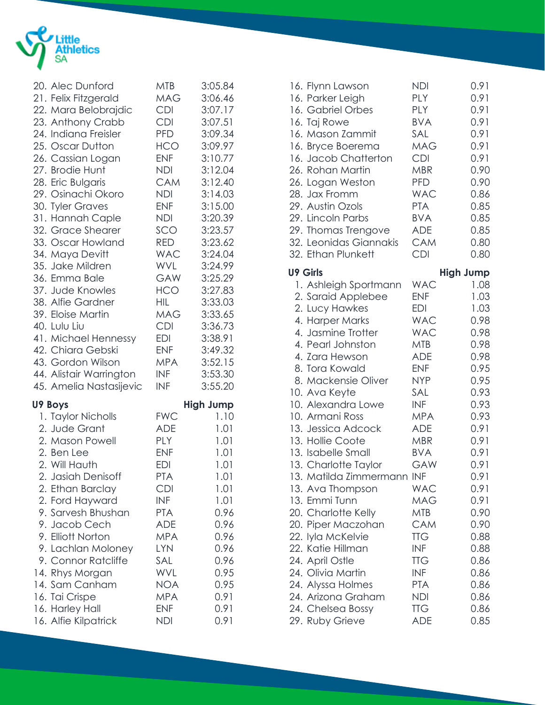

| 20. Alec Dunford        | <b>MTB</b> | 3:05.84          |
|-------------------------|------------|------------------|
| 21. Felix Fitzgerald    | MAG        | 3:06.46          |
| 22. Mara Belobrajdic    | <b>CDI</b> | 3:07.17          |
| 23. Anthony Crabb       | <b>CDI</b> | 3:07.51          |
| 24. Indiana Freisler    | <b>PFD</b> | 3:09.34          |
| 25. Oscar Dutton        | <b>HCO</b> | 3:09.97          |
| 26. Cassian Logan       | <b>ENF</b> | 3:10.77          |
| 27. Brodie Hunt         | <b>NDI</b> | 3:12.04          |
| 28. Eric Bulgaris       | <b>CAM</b> | 3:12.40          |
| 29. Osinachi Okoro      | <b>NDI</b> | 3:14.03          |
| 30. Tyler Graves        | <b>ENF</b> | 3:15.00          |
| 31. Hannah Caple        | NDI        | 3:20.39          |
| 32. Grace Shearer       | SCO        | 3:23.57          |
| 33. Oscar Howland       | RED        | 3:23.62          |
| 34. Maya Devitt         | <b>WAC</b> | 3:24.04          |
| 35. Jake Mildren        | WVL        | 3:24.99          |
| 36. Emma Bale           | GAW        | 3:25.29          |
| 37. Jude Knowles        | <b>HCO</b> | 3:27.83          |
| 38. Alfie Gardner       | HIL.       | 3:33.03          |
| 39. Eloise Martin       | <b>MAG</b> | 3:33.65          |
| 40. Lulu Liu            | <b>CDI</b> | 3:36.73          |
| 41. Michael Hennessy    | <b>EDI</b> | 3:38.91          |
| 42. Chiara Gebski       | <b>ENF</b> | 3:49.32          |
| 43. Gordon Wilson       | <b>MPA</b> | 3:52.15          |
| 44. Alistair Warrington | <b>INF</b> | 3:53.30          |
| 45. Amelia Nastasijevic | <b>INF</b> | 3:55.20          |
| U9 Boys                 |            | <b>High Jump</b> |
| 1. Taylor Nicholls      | <b>FWC</b> | 1.10             |
| 2. Jude Grant           | ADE        | 1.01             |
| 2. Mason Powell         | <b>PLY</b> | 1.01             |
| 2. Ben Lee              | <b>ENF</b> | 1.01             |
| 2. Will Hauth           | <b>EDI</b> | 1.01             |
| 2. Jasiah Denisoff      | <b>PTA</b> | 1.01             |
| 2. Ethan Barclay        | <b>CDI</b> | 1.01             |
| 2. Ford Hayward         | INF        | 1.01             |
| 9. Sarvesh Bhushan      | <b>PTA</b> | 0.96             |
| 9. Jacob Cech           | <b>ADE</b> | 0.96             |
| 9. Elliott Norton       | <b>MPA</b> | 0.96             |
| 9. Lachlan Moloney      | LYN        | 0.96             |
| 9. Connor Ratcliffe     | SAL        | 0.96             |
| 14. Rhys Morgan         | WVL        | 0.95             |
| 14. Sam Canham          | <b>NOA</b> | 0.95             |
| 16. Tai Crispe          | <b>MPA</b> | 0.91             |
| 16. Harley Hall         | <b>ENF</b> | 0.91             |
| 16. Alfie Kilpatrick    | <b>NDI</b> | 0.91             |

| 16. Flynn Lawson<br>16. Parker Leigh<br>16. Gabriel Orbes<br>16. Taj Rowe<br>16. Mason Zammit<br>16. Bryce Boerema<br>16. Jacob Chatterton<br>26. Rohan Martin<br>26. Logan Weston<br>28. Jax Fromm<br>29. Austin Ozols<br>29. Lincoln Parbs<br>29. Thomas Trengove<br>32. Leonidas Giannakis<br>32. Ethan Plunkett | <b>NDI</b><br><b>PLY</b><br><b>PLY</b><br><b>BVA</b><br>SAL<br><b>MAG</b><br><b>CDI</b><br>MBR<br><b>PFD</b><br><b>WAC</b><br><b>PTA</b><br><b>BVA</b><br><b>ADE</b><br><b>CAM</b><br><b>CDI</b> | 0.91<br>0.91<br>0.91<br>0.91<br>0.91<br>0.91<br>0.91<br>0.90<br>0.90<br>0.86<br>0.85<br>0.85<br>0.85<br>0.80<br>0.80 |
|---------------------------------------------------------------------------------------------------------------------------------------------------------------------------------------------------------------------------------------------------------------------------------------------------------------------|--------------------------------------------------------------------------------------------------------------------------------------------------------------------------------------------------|----------------------------------------------------------------------------------------------------------------------|
| <b>U9 Girls</b><br>1. Ashleigh Sportmann<br>2. Saraid Applebee                                                                                                                                                                                                                                                      | <b>WAC</b><br><b>ENF</b>                                                                                                                                                                         | <b>High Jump</b><br>1.08<br>1.03                                                                                     |
| 2. Lucy Hawkes                                                                                                                                                                                                                                                                                                      | EDI                                                                                                                                                                                              | 1.03                                                                                                                 |
| 4. Harper Marks                                                                                                                                                                                                                                                                                                     | <b>WAC</b>                                                                                                                                                                                       | 0.98                                                                                                                 |
| 4. Jasmine Trotter                                                                                                                                                                                                                                                                                                  | <b>WAC</b>                                                                                                                                                                                       | 0.98                                                                                                                 |
| 4. Pearl Johnston<br>4. Zara Hewson                                                                                                                                                                                                                                                                                 | <b>MTB</b><br><b>ADE</b>                                                                                                                                                                         | 0.98<br>0.98                                                                                                         |
| 8. Tora Kowald                                                                                                                                                                                                                                                                                                      | <b>ENF</b>                                                                                                                                                                                       | 0.95                                                                                                                 |
| 8. Mackensie Oliver                                                                                                                                                                                                                                                                                                 | <b>NYP</b>                                                                                                                                                                                       | 0.95                                                                                                                 |
| 10. Ava Keyte                                                                                                                                                                                                                                                                                                       | SAL                                                                                                                                                                                              | 0.93                                                                                                                 |
| 10. Alexandra Lowe                                                                                                                                                                                                                                                                                                  | <b>INF</b>                                                                                                                                                                                       | 0.93                                                                                                                 |
| 10. Armani Ross                                                                                                                                                                                                                                                                                                     | <b>MPA</b>                                                                                                                                                                                       | 0.93                                                                                                                 |
| 13. Jessica Adcock                                                                                                                                                                                                                                                                                                  | <b>ADE</b>                                                                                                                                                                                       | 0.91                                                                                                                 |
| 13. Hollie Coote                                                                                                                                                                                                                                                                                                    | <b>MBR</b>                                                                                                                                                                                       | 0.91                                                                                                                 |
| 13. Isabelle Small                                                                                                                                                                                                                                                                                                  | <b>BVA</b>                                                                                                                                                                                       | 0.91                                                                                                                 |
| 13. Charlotte Taylor                                                                                                                                                                                                                                                                                                | GAW                                                                                                                                                                                              | 0.91                                                                                                                 |
| 13. Matilda Zimmermann INF                                                                                                                                                                                                                                                                                          |                                                                                                                                                                                                  | 0.91                                                                                                                 |
| 13. Ava Thompson                                                                                                                                                                                                                                                                                                    | <b>WAC</b>                                                                                                                                                                                       | 0.91                                                                                                                 |
| 13. Emmi Tunn<br>20. Charlotte Kelly                                                                                                                                                                                                                                                                                | <b>MAG</b><br>MTB                                                                                                                                                                                | 0.91<br>0.90                                                                                                         |
| 20. Piper Maczohan                                                                                                                                                                                                                                                                                                  | <b>CAM</b>                                                                                                                                                                                       | 0.90                                                                                                                 |
| 22. Iyla McKelvie                                                                                                                                                                                                                                                                                                   | <b>TTG</b>                                                                                                                                                                                       | 0.88                                                                                                                 |
| 22. Katie Hillman                                                                                                                                                                                                                                                                                                   | <b>INF</b>                                                                                                                                                                                       | 0.88                                                                                                                 |
| 24. April Ostle                                                                                                                                                                                                                                                                                                     | <b>TTG</b>                                                                                                                                                                                       | 0.86                                                                                                                 |
| 24. Olivia Martin                                                                                                                                                                                                                                                                                                   | INF                                                                                                                                                                                              | 0.86                                                                                                                 |
| 24. Alyssa Holmes                                                                                                                                                                                                                                                                                                   | <b>PTA</b>                                                                                                                                                                                       | 0.86                                                                                                                 |
| 24. Arizona Graham                                                                                                                                                                                                                                                                                                  | NDI                                                                                                                                                                                              | 0.86                                                                                                                 |
| 24. Chelsea Bossy                                                                                                                                                                                                                                                                                                   | <b>TTG</b>                                                                                                                                                                                       | 0.86                                                                                                                 |
| 29. Ruby Grieve                                                                                                                                                                                                                                                                                                     | <b>ADE</b>                                                                                                                                                                                       | 0.85                                                                                                                 |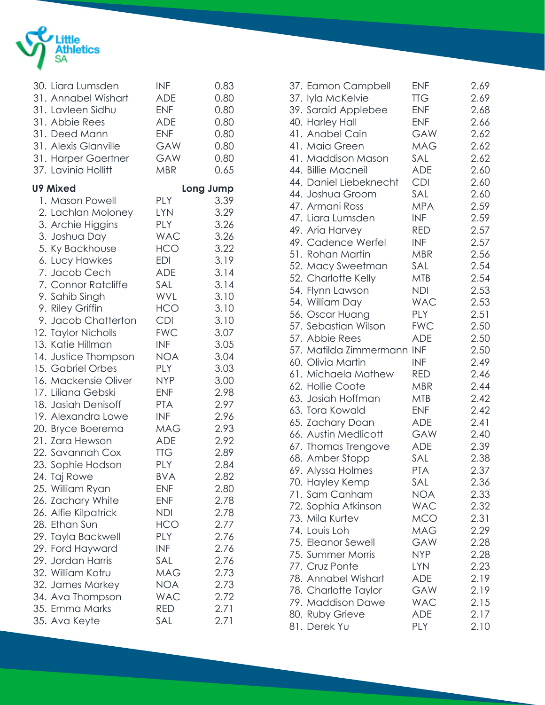

| 30. Liara Lumsden                                                                                                                                                                                                                                                                                                                                                                                                                                                                                                                                                                                                                                                                                                                                                              | <b>INF</b>                                                                                                                                                                                                                                                                                                                                                                                                                                     | 0.83 |
|--------------------------------------------------------------------------------------------------------------------------------------------------------------------------------------------------------------------------------------------------------------------------------------------------------------------------------------------------------------------------------------------------------------------------------------------------------------------------------------------------------------------------------------------------------------------------------------------------------------------------------------------------------------------------------------------------------------------------------------------------------------------------------|------------------------------------------------------------------------------------------------------------------------------------------------------------------------------------------------------------------------------------------------------------------------------------------------------------------------------------------------------------------------------------------------------------------------------------------------|------|
| 31. Annabel Wishart                                                                                                                                                                                                                                                                                                                                                                                                                                                                                                                                                                                                                                                                                                                                                            | ADE                                                                                                                                                                                                                                                                                                                                                                                                                                            | 0.80 |
| 31. Lavleen Sidhu                                                                                                                                                                                                                                                                                                                                                                                                                                                                                                                                                                                                                                                                                                                                                              | <b>ENF</b>                                                                                                                                                                                                                                                                                                                                                                                                                                     | 0.80 |
| 31. Abbie Rees                                                                                                                                                                                                                                                                                                                                                                                                                                                                                                                                                                                                                                                                                                                                                                 | ADE                                                                                                                                                                                                                                                                                                                                                                                                                                            | 0.80 |
| 31. Deed Mann                                                                                                                                                                                                                                                                                                                                                                                                                                                                                                                                                                                                                                                                                                                                                                  | <b>ENF</b>                                                                                                                                                                                                                                                                                                                                                                                                                                     | 0.80 |
| 31. Alexis Glanville                                                                                                                                                                                                                                                                                                                                                                                                                                                                                                                                                                                                                                                                                                                                                           | GAW                                                                                                                                                                                                                                                                                                                                                                                                                                            | 0.80 |
| 31. Harper Gaertner                                                                                                                                                                                                                                                                                                                                                                                                                                                                                                                                                                                                                                                                                                                                                            | <b>GAW</b>                                                                                                                                                                                                                                                                                                                                                                                                                                     | 0.80 |
| 37. Lavinia Hollitt                                                                                                                                                                                                                                                                                                                                                                                                                                                                                                                                                                                                                                                                                                                                                            | <b>MBR</b>                                                                                                                                                                                                                                                                                                                                                                                                                                     | 0.65 |
| <b>U9 Mixed</b><br>1. Mason Powell<br>2. Lachlan Moloney<br>3. Archie Higgins<br>3. Joshua Day<br>5. Ky Backhouse<br>6. Lucy Hawkes<br>7. Jacob Cech<br>7. Connor Ratcliffe<br>9. Sahib Singh<br>9. Riley Griffin<br>9. Jacob Chatterton<br>12. Taylor Nicholls<br>13. Katie Hillman<br>14. Justice Thompson<br>15. Gabriel Orbes<br>16. Mackensie Oliver<br>17. Liliana Gebski<br>18. Jasiah Denisoff<br>19. Alexandra Lowe<br>20. Bryce Boerema<br>21. Zara Hewson<br>22. Savannah Cox<br>23. Sophie Hodson<br>24. Taj Rowe<br>25. William Ryan<br>26. Zachary White<br>26. Alfie Kilpatrick<br>28. Ethan Sun<br>29. Tayla Backwell<br>29. Ford Hayward<br>29. Jordan Harris<br>32. William Kotru<br>32. James Markey<br>34. Ava Thompson<br>35. Emma Marks<br>35. Ava Keyte | <b>PLY</b><br><b>LYN</b><br><b>PLY</b><br><b>WAC</b><br>HCO<br><b>EDI</b><br><b>ADE</b><br>SAL<br>WVL<br>HCO<br><b>CDI</b><br><b>FWC</b><br><b>INF</b><br><b>NOA</b><br><b>PLY</b><br><b>NYP</b><br><b>ENF</b><br><b>PTA</b><br>INF<br><b>MAG</b><br>ADE<br><b>TTG</b><br><b>PLY</b><br><b>BVA</b><br><b>ENF</b><br><b>ENF</b><br>NDI<br><b>HCO</b><br>PLY<br><b>INF</b><br>SAL<br><b>MAG</b><br><b>NOA</b><br><b>WAC</b><br><b>RED</b><br>SAL |      |

|  | 37. Eamon Campbell         | <b>ENF</b> | 2.69 |
|--|----------------------------|------------|------|
|  | 37. lyla McKelvie          | <b>TTG</b> | 2.69 |
|  | 39. Saraid Applebee        | <b>ENF</b> | 2.68 |
|  | 40. Harley Hall            | <b>ENF</b> | 2.66 |
|  | 41. Anabel Cain            | <b>GAW</b> | 2.62 |
|  | 41. Maia Green             | <b>MAG</b> | 2.62 |
|  | 41. Maddison Mason         | SAL        | 2.62 |
|  | 44. Billie Macneil         | <b>ADE</b> | 2.60 |
|  | 44. Daniel Liebeknecht     | <b>CDI</b> | 2.60 |
|  | 44. Joshua Groom           | SAL        | 2.60 |
|  | 47. Armani Ross            | <b>MPA</b> | 2.59 |
|  | 47. Liara Lumsden          | <b>INF</b> | 2.59 |
|  | 49. Aria Harvey            | <b>RED</b> | 2.57 |
|  | 49. Cadence Werfel         | <b>INF</b> | 2.57 |
|  | 51. Rohan Martin           | <b>MBR</b> | 2.56 |
|  | 52. Macy Sweetman          | SAL        | 2.54 |
|  | 52. Charlotte Kelly        | <b>MTB</b> | 2.54 |
|  | 54. Flynn Lawson           | <b>NDI</b> | 2.53 |
|  | 54. William Day            | <b>WAC</b> | 2.53 |
|  | 56. Oscar Huang            | PLY        | 2.51 |
|  | 57. Sebastian Wilson       | <b>FWC</b> | 2.50 |
|  |                            |            | 2.50 |
|  | 57. Abbie Rees             | <b>ADE</b> |      |
|  | 57. Matilda Zimmermann INF |            | 2.50 |
|  | 60. Olivia Martin          | <b>INF</b> | 2.49 |
|  | 61. Michaela Mathew        | RED        | 2.46 |
|  | 62. Hollie Coote           | <b>MBR</b> | 2.44 |
|  | 63. Josiah Hoffman         | <b>MTB</b> | 2.42 |
|  | 63. Tora Kowald            | <b>ENF</b> | 2.42 |
|  | 65. Zachary Doan           | <b>ADE</b> | 2.41 |
|  | 66. Austin Medlicott       | GAW        | 2.40 |
|  | 67. Thomas Trengove        | <b>ADE</b> | 2.39 |
|  | 68. Amber Stopp            | SAL        | 2.38 |
|  | 69. Alyssa Holmes          | <b>PTA</b> | 2.37 |
|  | 70. Hayley Kemp            | SAL        | 2.36 |
|  | 71. Sam Canham             | <b>NOA</b> | 2.33 |
|  | 72. Sophia Atkinson        | <b>WAC</b> | 2.32 |
|  | 73. Mila Kurtev            | <b>MCO</b> | 2.31 |
|  | 74. Louis Loh              | <b>MAG</b> | 2.29 |
|  | 75. Eleanor Sewell         | GAW        | 2.28 |
|  | 75. Summer Morris          | NYP        | 2.28 |
|  | 77. Cruz Ponte             | <b>LYN</b> | 2.23 |
|  | 78. Annabel Wishart        | <b>ADE</b> | 2.19 |
|  | 78. Charlotte Taylor       | GAW        | 2.19 |
|  | 79. Maddison Dawe          | <b>WAC</b> | 2.15 |
|  | 80. Ruby Grieve            | <b>ADE</b> | 2.17 |
|  | 81. Derek Yu               | <b>PLY</b> | 2.10 |
|  |                            |            |      |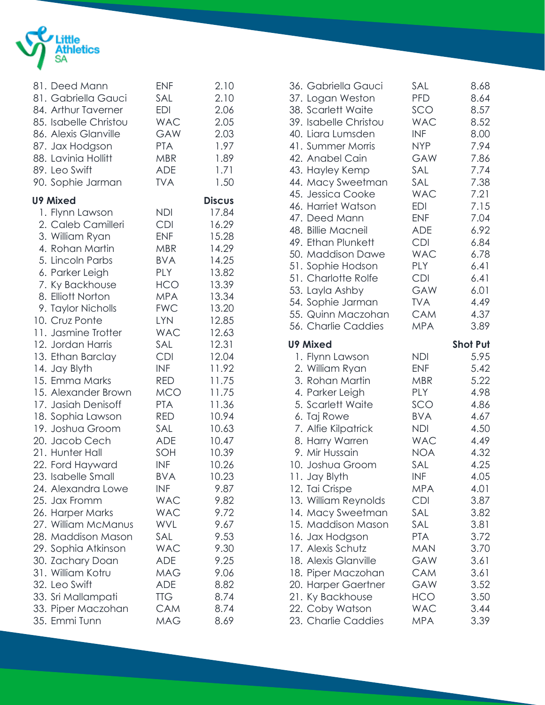

| 81. Deed Mann<br>81. Gabriella Gauci<br>84. Arthur Taverner<br>85. Isabelle Christou<br>86. Alexis Glanville<br>87. Jax Hodgson<br>88. Lavinia Hollitt<br>89. Leo Swift<br>90. Sophie Jarman | <b>ENF</b><br>SAL<br>EDI<br><b>WAC</b><br>GAW<br><b>PTA</b><br><b>MBR</b><br><b>ADE</b><br><b>TVA</b> | 2.10<br>2.10<br>2.06<br>2.05<br>2.03<br>1.97<br>1.89<br>1.71<br>1.50 |
|----------------------------------------------------------------------------------------------------------------------------------------------------------------------------------------------|-------------------------------------------------------------------------------------------------------|----------------------------------------------------------------------|
| <b>U9 Mixed</b><br>1. Flynn Lawson                                                                                                                                                           | <b>NDI</b>                                                                                            | <b>Discus</b><br>17.84                                               |
| 2. Caleb Camilleri                                                                                                                                                                           | <b>CDI</b>                                                                                            | 16.29                                                                |
| 3. William Ryan<br>4. Rohan Martin                                                                                                                                                           | <b>ENF</b><br>MBR                                                                                     | 15.28<br>14.29                                                       |
| 5. Lincoln Parbs                                                                                                                                                                             | <b>BVA</b>                                                                                            | 14.25                                                                |
| 6. Parker Leigh                                                                                                                                                                              | <b>PLY</b>                                                                                            | 13.82                                                                |
| 7. Ky Backhouse                                                                                                                                                                              | HCO                                                                                                   | 13.39                                                                |
| 8. Elliott Norton                                                                                                                                                                            | <b>MPA</b>                                                                                            | 13.34                                                                |
| 9. Taylor Nicholls<br>10. Cruz Ponte                                                                                                                                                         | <b>FWC</b><br><b>LYN</b>                                                                              | 13.20<br>12.85                                                       |
| 11. Jasmine Trotter                                                                                                                                                                          | <b>WAC</b>                                                                                            | 12.63                                                                |
| 12. Jordan Harris                                                                                                                                                                            | SAL                                                                                                   | 12.31                                                                |
| 13. Ethan Barclay                                                                                                                                                                            | <b>CDI</b>                                                                                            | 12.04                                                                |
| 14. Jay Blyth                                                                                                                                                                                | <b>INF</b>                                                                                            | 11.92                                                                |
| 15. Emma Marks                                                                                                                                                                               | <b>RED</b>                                                                                            | 11.75                                                                |
| 15. Alexander Brown<br>17. Jasiah Denisoff                                                                                                                                                   | <b>MCO</b><br><b>PTA</b>                                                                              | 11.75<br>11.36                                                       |
| 18. Sophia Lawson                                                                                                                                                                            | <b>RED</b>                                                                                            | 10.94                                                                |
| 19. Joshua Groom                                                                                                                                                                             | SAL                                                                                                   | 10.63                                                                |
| 20. Jacob Cech                                                                                                                                                                               | ADE                                                                                                   | 10.47                                                                |
| 21. Hunter Hall                                                                                                                                                                              | SOH                                                                                                   | 10.39                                                                |
| 22. Ford Hayward                                                                                                                                                                             | <b>INF</b>                                                                                            | 10.26                                                                |
| 23. Isabelle Small<br>24. Alexandra Lowe                                                                                                                                                     | <b>BVA</b><br><b>INF</b>                                                                              | 10.23<br>9.87                                                        |
| 25. Jax Fromm                                                                                                                                                                                | <b>WAC</b>                                                                                            | 9.82                                                                 |
| 26. Harper Marks                                                                                                                                                                             | <b>WAC</b>                                                                                            | 9.72                                                                 |
| 27. William McManus                                                                                                                                                                          | <b>WVL</b>                                                                                            | 9.67                                                                 |
| 28. Maddison Mason                                                                                                                                                                           | SAL                                                                                                   | 9.53                                                                 |
| 29. Sophia Atkinson                                                                                                                                                                          | <b>WAC</b>                                                                                            | 9.30                                                                 |
| 30. Zachary Doan<br>31. William Kotru                                                                                                                                                        | <b>ADE</b><br>MAG                                                                                     | 9.25<br>9.06                                                         |
| 32. Leo Swift                                                                                                                                                                                | <b>ADE</b>                                                                                            | 8.82                                                                 |
| 33. Sri Mallampati                                                                                                                                                                           | <b>TTG</b>                                                                                            | 8.74                                                                 |
| 33. Piper Maczohan                                                                                                                                                                           | CAM                                                                                                   | 8.74                                                                 |
| 35. Emmi Tunn                                                                                                                                                                                | <b>MAG</b>                                                                                            | 8.69                                                                 |

| 36. Gabriella Gauci                       | SAL               | 8.68            |
|-------------------------------------------|-------------------|-----------------|
| 37. Logan Weston                          | <b>PFD</b>        | 8.64            |
| 38. Scarlett Waite                        | SCO               | 8.57            |
| 39. Isabelle Christou                     | <b>WAC</b>        | 8.52            |
| 40. Liara Lumsden                         | INF               | 8.00            |
| 41. Summer Morris                         | NYP               | 7.94            |
| 42. Anabel Cain                           | GAW               | 7.86            |
| 43. Hayley Kemp                           | SAL               | 7.74            |
| 44. Macy Sweetman<br>45. Jessica Cooke    | SAL<br><b>WAC</b> | 7.38            |
| 46. Harriet Watson                        | EDI               | 7.21<br>7.15    |
| 47. Deed Mann                             | <b>ENF</b>        | 7.04            |
| 48. Billie Macneil                        | <b>ADE</b>        | 6.92            |
| 49. Ethan Plunkett                        | <b>CDI</b>        | 6.84            |
| 50. Maddison Dawe                         | <b>WAC</b>        | 6.78            |
| 51. Sophie Hodson                         | <b>PLY</b>        | 6.41            |
| 51. Charlotte Rolfe                       | <b>CDI</b>        | 6.41            |
| 53. Layla Ashby                           | <b>GAW</b>        | 6.01            |
| 54. Sophie Jarman                         | <b>TVA</b>        | 4.49            |
| 55. Quinn Maczohan                        | <b>CAM</b>        | 4.37            |
| 56. Charlie Caddies                       | <b>MPA</b>        | 3.89            |
| <b>U9 Mixed</b>                           |                   | <b>Shot Put</b> |
|                                           |                   |                 |
|                                           |                   |                 |
| 1. Flynn Lawson<br>2. William Ryan        | NDI<br><b>ENF</b> | 5.95<br>5.42    |
| 3. Rohan Martin                           | <b>MBR</b>        | 5.22            |
| 4. Parker Leigh                           | PLY               | 4.98            |
| 5. Scarlett Waite                         | SCO               | 4.86            |
| 6. Taj Rowe                               | <b>BVA</b>        | 4.67            |
| 7. Alfie Kilpatrick                       | <b>NDI</b>        | 4.50            |
| 8. Harry Warren                           | <b>WAC</b>        | 4.49            |
| 9. Mir Hussain                            | <b>NOA</b>        | 4.32            |
| 10. Joshua Groom                          | SAL               | 4.25            |
| 11. Jay Blyth                             | <b>INF</b>        | 4.05            |
| 12. Tai Crispe                            | <b>MPA</b>        | 4.01            |
| 13. William Reynolds                      | <b>CDI</b>        | 3.87            |
| 14. Macy Sweetman                         | SAL               | 3.82            |
| 15. Maddison Mason                        | SAL               | 3.81            |
| 16. Jax Hodgson                           | <b>PTA</b>        | 3.72            |
| 17. Alexis Schutz                         | <b>MAN</b>        | 3.70            |
| 18. Alexis Glanville                      | GAW<br><b>CAM</b> | 3.61<br>3.61    |
| 18. Piper Maczohan<br>20. Harper Gaertner | GAW               | 3.52            |
| 21. Ky Backhouse                          | <b>HCO</b>        | 3.50            |
| 22. Coby Watson                           | <b>WAC</b>        | 3.44            |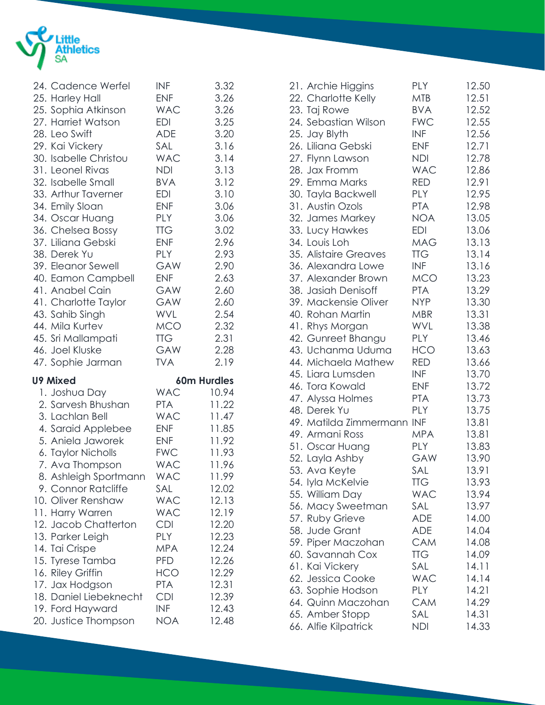

| 24. Cadence Werfel<br>25. Harley Hall     | <b>INF</b><br><b>ENF</b> | 3.32<br>3.26       |
|-------------------------------------------|--------------------------|--------------------|
| 25. Sophia Atkinson<br>27. Harriet Watson | <b>WAC</b><br><b>EDI</b> | 3.26<br>3.25       |
| 28. Leo Swift                             | <b>ADE</b>               | 3.20               |
| 29. Kai Vickery                           | SAL                      | 3.16               |
| 30. Isabelle Christou                     | <b>WAC</b>               | 3.14               |
| 31. Leonel Rivas                          | NDI                      | 3.13               |
| 32. Isabelle Small                        | <b>BVA</b>               | 3.12               |
| 33. Arthur Taverner                       | EDI                      | 3.10               |
| 34. Emily Sloan                           | <b>ENF</b>               | 3.06               |
| 34. Oscar Huang                           | <b>PLY</b>               | 3.06               |
| 36. Chelsea Bossy                         | <b>TTG</b>               | 3.02               |
| 37. Liliana Gebski                        | <b>ENF</b>               | 2.96               |
| 38. Derek Yu                              | <b>PLY</b>               | 2.93               |
| 39. Eleanor Sewell                        | GAW                      | 2.90               |
| 40. Eamon Campbell                        | <b>ENF</b>               | 2.63               |
| 41. Anabel Cain                           | GAW                      | 2.60               |
| 41. Charlotte Taylor                      | GAW                      | 2.60               |
| 43. Sahib Singh                           | <b>WVL</b>               | 2.54               |
| 44. Mila Kurtev                           | <b>MCO</b>               | 2.32               |
| 45. Sri Mallampati                        | <b>TTG</b>               | 2.31               |
| 46. Joel Kluske                           | <b>GAW</b><br><b>TVA</b> | 2.28<br>2.19       |
| 47. Sophie Jarman                         |                          |                    |
|                                           |                          |                    |
| <b>U9 Mixed</b>                           |                          | <b>60m Hurdles</b> |
| 1. Joshua Day                             | <b>WAC</b>               | 10.94              |
| 2. Sarvesh Bhushan                        | <b>PTA</b>               | 11.22              |
| 3. Lachlan Bell                           | <b>WAC</b>               | 11.47              |
| 4. Saraid Applebee                        | <b>ENF</b>               | 11.85              |
| 5. Aniela Jaworek                         | ENF                      | 11.92              |
| 6. Taylor Nicholls                        | <b>FWC</b>               | 11.93              |
| 7. Ava Thompson                           | <b>WAC</b>               | 11.96              |
| 8. Ashleigh Sportmann                     | <b>WAC</b>               | 11.99              |
| 9. Connor Ratcliffe<br>10. Oliver Renshaw | SAL<br><b>WAC</b>        | 12.02<br>12.13     |
| 11. Harry Warren                          | <b>WAC</b>               | 12.19              |
| 12. Jacob Chatterton                      | <b>CDI</b>               | 12.20              |
| 13. Parker Leigh                          | <b>PLY</b>               | 12.23              |
| 14. Tai Crispe                            | <b>MPA</b>               | 12.24              |
| 15. Tyrese Tamba                          | <b>PFD</b>               | 12.26              |
| 16. Riley Griffin                         | HCO                      | 12.29              |
| 17. Jax Hodgson                           | <b>PTA</b>               | 12.31              |
| 18. Daniel Liebeknecht                    | <b>CDI</b>               | 12.39              |
| 19. Ford Hayward<br>20. Justice Thompson  | <b>INF</b><br>NOA        | 12.43<br>12.48     |

| 21. Archie Higgins         | <b>PLY</b> | 12.50 |
|----------------------------|------------|-------|
| 22. Charlotte Kelly        | <b>MTB</b> | 12.51 |
| 23. Taj Rowe               | <b>BVA</b> | 12.52 |
| 24. Sebastian Wilson       | <b>FWC</b> | 12.55 |
| 25. Jay Blyth              | <b>INF</b> | 12.56 |
| 26. Liliana Gebski         | <b>ENF</b> | 12.71 |
| 27. Flynn Lawson           | <b>NDI</b> | 12.78 |
| 28. Jax Fromm              | <b>WAC</b> | 12.86 |
| 29. Emma Marks             | <b>RED</b> | 12.91 |
| 30. Tayla Backwell         | <b>PLY</b> | 12.95 |
| 31. Austin Ozols           | <b>PTA</b> | 12.98 |
| 32. James Markey           | <b>NOA</b> | 13.05 |
| 33. Lucy Hawkes            | <b>EDI</b> | 13.06 |
| 34. Louis Loh              | <b>MAG</b> | 13.13 |
| 35. Alistaire Greaves      | <b>TTG</b> | 13.14 |
| 36. Alexandra Lowe         | <b>INF</b> | 13.16 |
| 37. Alexander Brown        | <b>MCO</b> | 13.23 |
| 38. Jasiah Denisoff        | <b>PTA</b> | 13.29 |
| 39. Mackensie Oliver       | <b>NYP</b> | 13.30 |
| 40. Rohan Martin           | <b>MBR</b> | 13.31 |
| 41. Rhys Morgan            | WVL        | 13.38 |
| 42. Gunreet Bhangu         | PLY        | 13.46 |
| 43. Uchanma Uduma          | <b>HCO</b> | 13.63 |
| 44. Michaela Mathew        | <b>RED</b> | 13.66 |
| 45. Liara Lumsden          | <b>INF</b> | 13.70 |
| 46. Tora Kowald            | <b>ENF</b> | 13.72 |
| 47. Alyssa Holmes          | <b>PTA</b> | 13.73 |
| 48. Derek Yu               | <b>PLY</b> | 13.75 |
| 49. Matilda Zimmermann INF |            | 13.81 |
| 49. Armani Ross            | <b>MPA</b> | 13.81 |
| 51. Oscar Huang            | <b>PLY</b> | 13.83 |
| 52. Layla Ashby            | GAW        | 13.90 |
| 53. Ava Keyte              | SAL        | 13.91 |
| 54. lyla McKelvie          | <b>TTG</b> | 13.93 |
| 55. William Day            | <b>WAC</b> | 13.94 |
| 56. Macy Sweetman          | SAL        | 13.97 |
| 57. Ruby Grieve            | <b>ADE</b> | 14.00 |
| 58. Jude Grant             | <b>ADE</b> | 14.04 |
| 59. Piper Maczohan         | CAM        | 14.08 |
| 60. Savannah Cox           | <b>TTG</b> | 14.09 |
| 61. Kai Vickery            | SAL        | 14.11 |
| 62. Jessica Cooke          | <b>WAC</b> | 14.14 |
| 63. Sophie Hodson          | <b>PLY</b> | 14.21 |
| 64. Quinn Maczohan         | <b>CAM</b> | 14.29 |
| 65. Amber Stopp            | SAL        | 14.31 |
| 66. Alfie Kilpatrick       | <b>NDI</b> | 14.33 |
|                            |            |       |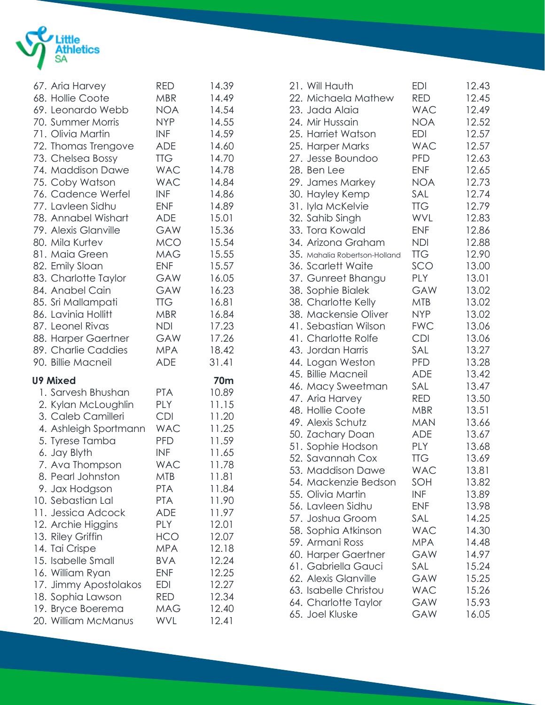

| 67. Aria Harvey                          | <b>RED</b>        | 14.39          |
|------------------------------------------|-------------------|----------------|
| 68. Hollie Coote                         | <b>MBR</b>        | 14.49          |
| 69. Leonardo Webb                        | NOA               | 14.54          |
| 70. Summer Morris                        | <b>NYP</b>        | 14.55          |
| 71. Olivia Martin                        | INF               | 14.59          |
| 72. Thomas Trengove                      | <b>ADE</b>        | 14.60          |
| 73. Chelsea Bossy                        | <b>TTG</b>        | 14.70          |
| 74. Maddison Dawe                        | <b>WAC</b>        | 14.78          |
| 75. Coby Watson                          | <b>WAC</b>        | 14.84          |
| 76. Cadence Werfel                       | INF               | 14.86          |
| 77. Lavleen Sidhu                        | <b>ENF</b>        | 14.89          |
| 78. Annabel Wishart                      | ADE               | 15.01          |
| 79. Alexis Glanville                     | GAW               | 15.36          |
| 80. Mila Kurtev                          | <b>MCO</b>        | 15.54          |
| 81. Maia Green                           | <b>MAG</b>        | 15.55          |
| 82. Emily Sloan                          | <b>ENF</b>        | 15.57          |
| 83. Charlotte Taylor                     | <b>GAW</b>        | 16.05          |
| 84. Anabel Cain                          | GAW               | 16.23          |
| 85. Sri Mallampati                       | <b>TTG</b>        | 16.81          |
| 86. Lavinia Hollitt                      | <b>MBR</b>        | 16.84          |
| 87. Leonel Rivas                         | <b>NDI</b>        | 17.23          |
| 88. Harper Gaertner                      | GAW               | 17.26          |
| 89. Charlie Caddies                      | <b>MPA</b>        | 18.42          |
| 90. Billie Macneil                       | <b>ADE</b>        | 31.41          |
| <b>U9 Mixed</b>                          |                   | <b>70m</b>     |
| 1. Sarvesh Bhushan                       | <b>PTA</b>        | 10.89          |
| 2. Kylan McLoughlin                      | <b>PLY</b>        | 11.15          |
|                                          |                   |                |
| 3. Caleb Camilleri                       | <b>CDI</b>        | 11.20          |
| 4. Ashleigh Sportmann                    | <b>WAC</b>        | 11.25          |
| 5. Tyrese Tamba                          | <b>PFD</b>        | 11.59          |
| 6. Jay Blyth                             | <b>INF</b>        | 11.65          |
| 7. Ava Thompson                          | <b>WAC</b>        | 11.78          |
| 8. Pearl Johnston                        | <b>MTB</b>        | 11.81          |
| 9. Jax Hodgson                           | <b>PTA</b>        | 11.84          |
| 10. Sebastian Lal                        | <b>PTA</b>        | 11.90          |
| 11. Jessica Adcock                       | <b>ADE</b>        | 11.97          |
| 12. Archie Higgins                       | <b>PLY</b>        | 12.01          |
| 13. Riley Griffin                        | <b>HCO</b>        | 12.07          |
| 14. Tai Crispe                           | <b>MPA</b>        | 12.18          |
| 15. Isabelle Small                       | <b>BVA</b>        | 12.24          |
| 16. William Ryan                         | <b>ENF</b>        | 12.25          |
| 17. Jimmy Apostolakos                    | EDI               | 12.27          |
| 18. Sophia Lawson                        | RED               | 12.34          |
| 19. Bryce Boerema<br>20. William McManus | <b>MAG</b><br>WVL | 12.40<br>12.41 |

| 21. Will Hauth                | <b>EDI</b> | 12.43 |
|-------------------------------|------------|-------|
| 22. Michaela Mathew           | RED        | 12.45 |
| 23. Jada Alaia                | <b>WAC</b> | 12.49 |
| 24. Mir Hussain               | <b>NOA</b> | 12.52 |
| 25. Harriet Watson            | <b>EDI</b> | 12.57 |
| 25. Harper Marks              | <b>WAC</b> | 12.57 |
| 27. Jesse Boundoo             | <b>PFD</b> | 12.63 |
| 28. Ben Lee                   | <b>ENF</b> | 12.65 |
| 29. James Markey              | <b>NOA</b> | 12.73 |
| 30. Hayley Kemp               | SAL        | 12.74 |
| 31. lyla McKelvie             | <b>TTG</b> | 12.79 |
| 32. Sahib Singh               | WVL        | 12.83 |
| 33. Tora Kowald               | <b>ENF</b> | 12.86 |
| 34. Arizona Graham            | <b>NDI</b> | 12.88 |
| 35. Mahalia Robertson-Holland | <b>TTG</b> | 12.90 |
| 36. Scarlett Waite            | SCO        | 13.00 |
| 37. Gunreet Bhangu            | <b>PLY</b> | 13.01 |
| 38. Sophie Bialek             | <b>GAW</b> | 13.02 |
| 38. Charlotte Kelly           | <b>MTB</b> | 13.02 |
| 38. Mackensie Oliver          | <b>NYP</b> | 13.02 |
| 41. Sebastian Wilson          | <b>FWC</b> | 13.06 |
| 41. Charlotte Rolfe           | <b>CDI</b> | 13.06 |
| 43. Jordan Harris             | SAL        | 13.27 |
| 44. Logan Weston              | <b>PFD</b> | 13.28 |
| 45. Billie Macneil            | <b>ADE</b> | 13.42 |
| 46. Macy Sweetman             | SAL        | 13.47 |
| 47. Aria Harvey               | <b>RED</b> | 13.50 |
| 48. Hollie Coote              | <b>MBR</b> | 13.51 |
| 49. Alexis Schutz             | <b>MAN</b> | 13.66 |
| 50. Zachary Doan              | <b>ADE</b> | 13.67 |
| 51. Sophie Hodson             | <b>PLY</b> | 13.68 |
| 52. Savannah Cox              | <b>TTG</b> | 13.69 |
| 53. Maddison Dawe             | <b>WAC</b> | 13.81 |
| 54. Mackenzie Bedson          | SOH        | 13.82 |
| 55. Olivia Martin             | <b>INF</b> | 13.89 |
| 56. Lavleen Sidhu             | <b>ENF</b> | 13.98 |
| 57. Joshua Groom              | SAL        | 14.25 |
| 58. Sophia Atkinson           | <b>WAC</b> | 14.30 |
| 59. Armani Ross               | MPA.       | 14.48 |
| 60. Harper Gaertner           | GAW        | 14.97 |
| 61. Gabriella Gauci           | SAL        | 15.24 |
| 62. Alexis Glanville          | GAW        | 15.25 |
| 63. Isabelle Christou         | <b>WAC</b> | 15.26 |
| 64. Charlotte Taylor          | GAW        | 15.93 |
| 65. Joel Kluske               | GAW        | 16.05 |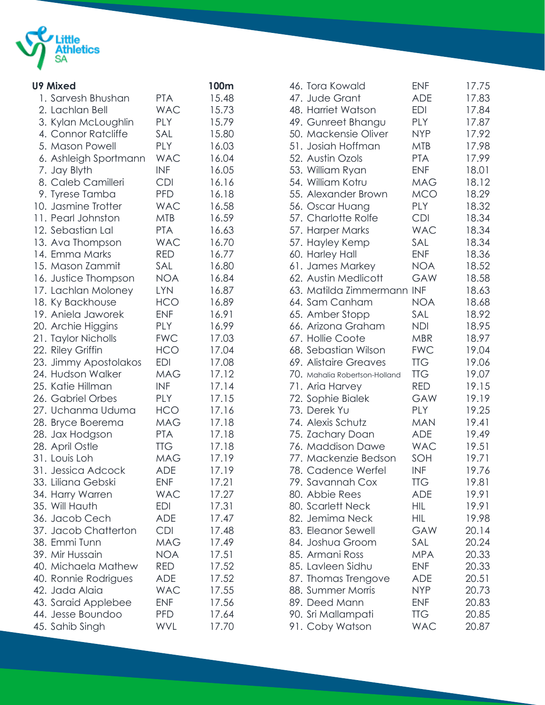

| 15.48<br>1. Sarvesh Bhushan<br><b>PTA</b><br>2. Lachlan Bell<br><b>WAC</b><br>15.73<br>15.79<br>3. Kylan McLoughlin<br><b>PLY</b><br>4. Connor Ratcliffe<br>15.80<br>SAL<br>5. Mason Powell<br><b>PLY</b><br>16.03<br><b>WAC</b><br>16.04<br>6. Ashleigh Sportmann<br><b>INF</b><br>16.05<br>7. Jay Blyth<br>8. Caleb Camilleri<br><b>CDI</b><br>16.16<br><b>PFD</b><br>9. Tyrese Tamba<br>16.18<br>10. Jasmine Trotter<br><b>WAC</b><br>16.58<br>11. Pearl Johnston<br><b>MTB</b><br>16.59<br>12. Sebastian Lal<br><b>PTA</b><br>16.63<br><b>WAC</b><br>13. Ava Thompson<br>16.70<br>14. Emma Marks<br><b>RED</b><br>16.77<br>SAL<br>15. Mason Zammit<br>16.80<br>16. Justice Thompson<br><b>NOA</b><br>16.84<br>17. Lachlan Moloney<br><b>LYN</b><br>16.87<br>16.89<br>18. Ky Backhouse<br>HCO<br><b>ENF</b><br>19. Aniela Jaworek<br>16.91<br>20. Archie Higgins<br>16.99<br><b>PLY</b><br>21. Taylor Nicholls<br><b>FWC</b><br>17.03<br>22. Riley Griffin<br>HCO<br>17.04<br>23. Jimmy Apostolakos<br>17.08<br><b>EDI</b><br>17.12<br>24. Hudson Walker<br><b>MAG</b><br><b>INF</b><br>17.14<br>25. Katie Hillman<br>PLY<br>17.15<br>26. Gabriel Orbes<br>17.16<br>27. Uchanma Uduma<br><b>HCO</b><br>17.18<br><b>MAG</b><br>28. Bryce Boerema<br>28. Jax Hodgson<br><b>PTA</b><br>17.18<br>28. April Ostle<br><b>TTG</b><br>17.18<br>31. Louis Loh<br>17.19<br><b>MAG</b><br>17.19<br>31. Jessica Adcock<br><b>ADE</b><br>33. Liliana Gebski<br><b>ENF</b><br>17.21<br>34. Harry Warren<br>17.27<br><b>WAC</b><br>35. Will Hauth<br>17.31<br><b>EDI</b><br>36. Jacob Cech<br>17.47<br>ADE<br>37. Jacob Chatterton<br><b>CDI</b><br>17.48<br>38. Emmi Tunn<br><b>MAG</b><br>17.49<br>39. Mir Hussain<br><b>NOA</b><br>17.51<br>17.52<br>40. Michaela Mathew<br>RED<br>40. Ronnie Rodrigues<br>17.52<br>ADE<br>42. Jada Alaia<br><b>WAC</b><br>17.55<br>43. Saraid Applebee<br>17.56<br><b>ENF</b><br>44. Jesse Boundoo<br>17.64<br>PFD.<br>45. Sahib Singh<br>WVL<br>17.70 | <b>U9 Mixed</b> | 100m |
|--------------------------------------------------------------------------------------------------------------------------------------------------------------------------------------------------------------------------------------------------------------------------------------------------------------------------------------------------------------------------------------------------------------------------------------------------------------------------------------------------------------------------------------------------------------------------------------------------------------------------------------------------------------------------------------------------------------------------------------------------------------------------------------------------------------------------------------------------------------------------------------------------------------------------------------------------------------------------------------------------------------------------------------------------------------------------------------------------------------------------------------------------------------------------------------------------------------------------------------------------------------------------------------------------------------------------------------------------------------------------------------------------------------------------------------------------------------------------------------------------------------------------------------------------------------------------------------------------------------------------------------------------------------------------------------------------------------------------------------------------------------------------------------------------------------------------------------------------------------------------------------------------------------------------------------------------------------------------------|-----------------|------|
|                                                                                                                                                                                                                                                                                                                                                                                                                                                                                                                                                                                                                                                                                                                                                                                                                                                                                                                                                                                                                                                                                                                                                                                                                                                                                                                                                                                                                                                                                                                                                                                                                                                                                                                                                                                                                                                                                                                                                                                |                 |      |
|                                                                                                                                                                                                                                                                                                                                                                                                                                                                                                                                                                                                                                                                                                                                                                                                                                                                                                                                                                                                                                                                                                                                                                                                                                                                                                                                                                                                                                                                                                                                                                                                                                                                                                                                                                                                                                                                                                                                                                                |                 |      |
|                                                                                                                                                                                                                                                                                                                                                                                                                                                                                                                                                                                                                                                                                                                                                                                                                                                                                                                                                                                                                                                                                                                                                                                                                                                                                                                                                                                                                                                                                                                                                                                                                                                                                                                                                                                                                                                                                                                                                                                |                 |      |
|                                                                                                                                                                                                                                                                                                                                                                                                                                                                                                                                                                                                                                                                                                                                                                                                                                                                                                                                                                                                                                                                                                                                                                                                                                                                                                                                                                                                                                                                                                                                                                                                                                                                                                                                                                                                                                                                                                                                                                                |                 |      |
|                                                                                                                                                                                                                                                                                                                                                                                                                                                                                                                                                                                                                                                                                                                                                                                                                                                                                                                                                                                                                                                                                                                                                                                                                                                                                                                                                                                                                                                                                                                                                                                                                                                                                                                                                                                                                                                                                                                                                                                |                 |      |
|                                                                                                                                                                                                                                                                                                                                                                                                                                                                                                                                                                                                                                                                                                                                                                                                                                                                                                                                                                                                                                                                                                                                                                                                                                                                                                                                                                                                                                                                                                                                                                                                                                                                                                                                                                                                                                                                                                                                                                                |                 |      |
|                                                                                                                                                                                                                                                                                                                                                                                                                                                                                                                                                                                                                                                                                                                                                                                                                                                                                                                                                                                                                                                                                                                                                                                                                                                                                                                                                                                                                                                                                                                                                                                                                                                                                                                                                                                                                                                                                                                                                                                |                 |      |
|                                                                                                                                                                                                                                                                                                                                                                                                                                                                                                                                                                                                                                                                                                                                                                                                                                                                                                                                                                                                                                                                                                                                                                                                                                                                                                                                                                                                                                                                                                                                                                                                                                                                                                                                                                                                                                                                                                                                                                                |                 |      |
|                                                                                                                                                                                                                                                                                                                                                                                                                                                                                                                                                                                                                                                                                                                                                                                                                                                                                                                                                                                                                                                                                                                                                                                                                                                                                                                                                                                                                                                                                                                                                                                                                                                                                                                                                                                                                                                                                                                                                                                |                 |      |
|                                                                                                                                                                                                                                                                                                                                                                                                                                                                                                                                                                                                                                                                                                                                                                                                                                                                                                                                                                                                                                                                                                                                                                                                                                                                                                                                                                                                                                                                                                                                                                                                                                                                                                                                                                                                                                                                                                                                                                                |                 |      |
|                                                                                                                                                                                                                                                                                                                                                                                                                                                                                                                                                                                                                                                                                                                                                                                                                                                                                                                                                                                                                                                                                                                                                                                                                                                                                                                                                                                                                                                                                                                                                                                                                                                                                                                                                                                                                                                                                                                                                                                |                 |      |
|                                                                                                                                                                                                                                                                                                                                                                                                                                                                                                                                                                                                                                                                                                                                                                                                                                                                                                                                                                                                                                                                                                                                                                                                                                                                                                                                                                                                                                                                                                                                                                                                                                                                                                                                                                                                                                                                                                                                                                                |                 |      |
|                                                                                                                                                                                                                                                                                                                                                                                                                                                                                                                                                                                                                                                                                                                                                                                                                                                                                                                                                                                                                                                                                                                                                                                                                                                                                                                                                                                                                                                                                                                                                                                                                                                                                                                                                                                                                                                                                                                                                                                |                 |      |
|                                                                                                                                                                                                                                                                                                                                                                                                                                                                                                                                                                                                                                                                                                                                                                                                                                                                                                                                                                                                                                                                                                                                                                                                                                                                                                                                                                                                                                                                                                                                                                                                                                                                                                                                                                                                                                                                                                                                                                                |                 |      |
|                                                                                                                                                                                                                                                                                                                                                                                                                                                                                                                                                                                                                                                                                                                                                                                                                                                                                                                                                                                                                                                                                                                                                                                                                                                                                                                                                                                                                                                                                                                                                                                                                                                                                                                                                                                                                                                                                                                                                                                |                 |      |
|                                                                                                                                                                                                                                                                                                                                                                                                                                                                                                                                                                                                                                                                                                                                                                                                                                                                                                                                                                                                                                                                                                                                                                                                                                                                                                                                                                                                                                                                                                                                                                                                                                                                                                                                                                                                                                                                                                                                                                                |                 |      |
|                                                                                                                                                                                                                                                                                                                                                                                                                                                                                                                                                                                                                                                                                                                                                                                                                                                                                                                                                                                                                                                                                                                                                                                                                                                                                                                                                                                                                                                                                                                                                                                                                                                                                                                                                                                                                                                                                                                                                                                |                 |      |
|                                                                                                                                                                                                                                                                                                                                                                                                                                                                                                                                                                                                                                                                                                                                                                                                                                                                                                                                                                                                                                                                                                                                                                                                                                                                                                                                                                                                                                                                                                                                                                                                                                                                                                                                                                                                                                                                                                                                                                                |                 |      |
|                                                                                                                                                                                                                                                                                                                                                                                                                                                                                                                                                                                                                                                                                                                                                                                                                                                                                                                                                                                                                                                                                                                                                                                                                                                                                                                                                                                                                                                                                                                                                                                                                                                                                                                                                                                                                                                                                                                                                                                |                 |      |
|                                                                                                                                                                                                                                                                                                                                                                                                                                                                                                                                                                                                                                                                                                                                                                                                                                                                                                                                                                                                                                                                                                                                                                                                                                                                                                                                                                                                                                                                                                                                                                                                                                                                                                                                                                                                                                                                                                                                                                                |                 |      |
|                                                                                                                                                                                                                                                                                                                                                                                                                                                                                                                                                                                                                                                                                                                                                                                                                                                                                                                                                                                                                                                                                                                                                                                                                                                                                                                                                                                                                                                                                                                                                                                                                                                                                                                                                                                                                                                                                                                                                                                |                 |      |
|                                                                                                                                                                                                                                                                                                                                                                                                                                                                                                                                                                                                                                                                                                                                                                                                                                                                                                                                                                                                                                                                                                                                                                                                                                                                                                                                                                                                                                                                                                                                                                                                                                                                                                                                                                                                                                                                                                                                                                                |                 |      |
|                                                                                                                                                                                                                                                                                                                                                                                                                                                                                                                                                                                                                                                                                                                                                                                                                                                                                                                                                                                                                                                                                                                                                                                                                                                                                                                                                                                                                                                                                                                                                                                                                                                                                                                                                                                                                                                                                                                                                                                |                 |      |
|                                                                                                                                                                                                                                                                                                                                                                                                                                                                                                                                                                                                                                                                                                                                                                                                                                                                                                                                                                                                                                                                                                                                                                                                                                                                                                                                                                                                                                                                                                                                                                                                                                                                                                                                                                                                                                                                                                                                                                                |                 |      |
|                                                                                                                                                                                                                                                                                                                                                                                                                                                                                                                                                                                                                                                                                                                                                                                                                                                                                                                                                                                                                                                                                                                                                                                                                                                                                                                                                                                                                                                                                                                                                                                                                                                                                                                                                                                                                                                                                                                                                                                |                 |      |
|                                                                                                                                                                                                                                                                                                                                                                                                                                                                                                                                                                                                                                                                                                                                                                                                                                                                                                                                                                                                                                                                                                                                                                                                                                                                                                                                                                                                                                                                                                                                                                                                                                                                                                                                                                                                                                                                                                                                                                                |                 |      |
|                                                                                                                                                                                                                                                                                                                                                                                                                                                                                                                                                                                                                                                                                                                                                                                                                                                                                                                                                                                                                                                                                                                                                                                                                                                                                                                                                                                                                                                                                                                                                                                                                                                                                                                                                                                                                                                                                                                                                                                |                 |      |
|                                                                                                                                                                                                                                                                                                                                                                                                                                                                                                                                                                                                                                                                                                                                                                                                                                                                                                                                                                                                                                                                                                                                                                                                                                                                                                                                                                                                                                                                                                                                                                                                                                                                                                                                                                                                                                                                                                                                                                                |                 |      |
|                                                                                                                                                                                                                                                                                                                                                                                                                                                                                                                                                                                                                                                                                                                                                                                                                                                                                                                                                                                                                                                                                                                                                                                                                                                                                                                                                                                                                                                                                                                                                                                                                                                                                                                                                                                                                                                                                                                                                                                |                 |      |
|                                                                                                                                                                                                                                                                                                                                                                                                                                                                                                                                                                                                                                                                                                                                                                                                                                                                                                                                                                                                                                                                                                                                                                                                                                                                                                                                                                                                                                                                                                                                                                                                                                                                                                                                                                                                                                                                                                                                                                                |                 |      |
|                                                                                                                                                                                                                                                                                                                                                                                                                                                                                                                                                                                                                                                                                                                                                                                                                                                                                                                                                                                                                                                                                                                                                                                                                                                                                                                                                                                                                                                                                                                                                                                                                                                                                                                                                                                                                                                                                                                                                                                |                 |      |
|                                                                                                                                                                                                                                                                                                                                                                                                                                                                                                                                                                                                                                                                                                                                                                                                                                                                                                                                                                                                                                                                                                                                                                                                                                                                                                                                                                                                                                                                                                                                                                                                                                                                                                                                                                                                                                                                                                                                                                                |                 |      |
|                                                                                                                                                                                                                                                                                                                                                                                                                                                                                                                                                                                                                                                                                                                                                                                                                                                                                                                                                                                                                                                                                                                                                                                                                                                                                                                                                                                                                                                                                                                                                                                                                                                                                                                                                                                                                                                                                                                                                                                |                 |      |
|                                                                                                                                                                                                                                                                                                                                                                                                                                                                                                                                                                                                                                                                                                                                                                                                                                                                                                                                                                                                                                                                                                                                                                                                                                                                                                                                                                                                                                                                                                                                                                                                                                                                                                                                                                                                                                                                                                                                                                                |                 |      |
|                                                                                                                                                                                                                                                                                                                                                                                                                                                                                                                                                                                                                                                                                                                                                                                                                                                                                                                                                                                                                                                                                                                                                                                                                                                                                                                                                                                                                                                                                                                                                                                                                                                                                                                                                                                                                                                                                                                                                                                |                 |      |
|                                                                                                                                                                                                                                                                                                                                                                                                                                                                                                                                                                                                                                                                                                                                                                                                                                                                                                                                                                                                                                                                                                                                                                                                                                                                                                                                                                                                                                                                                                                                                                                                                                                                                                                                                                                                                                                                                                                                                                                |                 |      |
|                                                                                                                                                                                                                                                                                                                                                                                                                                                                                                                                                                                                                                                                                                                                                                                                                                                                                                                                                                                                                                                                                                                                                                                                                                                                                                                                                                                                                                                                                                                                                                                                                                                                                                                                                                                                                                                                                                                                                                                |                 |      |
|                                                                                                                                                                                                                                                                                                                                                                                                                                                                                                                                                                                                                                                                                                                                                                                                                                                                                                                                                                                                                                                                                                                                                                                                                                                                                                                                                                                                                                                                                                                                                                                                                                                                                                                                                                                                                                                                                                                                                                                |                 |      |
|                                                                                                                                                                                                                                                                                                                                                                                                                                                                                                                                                                                                                                                                                                                                                                                                                                                                                                                                                                                                                                                                                                                                                                                                                                                                                                                                                                                                                                                                                                                                                                                                                                                                                                                                                                                                                                                                                                                                                                                |                 |      |
|                                                                                                                                                                                                                                                                                                                                                                                                                                                                                                                                                                                                                                                                                                                                                                                                                                                                                                                                                                                                                                                                                                                                                                                                                                                                                                                                                                                                                                                                                                                                                                                                                                                                                                                                                                                                                                                                                                                                                                                |                 |      |
|                                                                                                                                                                                                                                                                                                                                                                                                                                                                                                                                                                                                                                                                                                                                                                                                                                                                                                                                                                                                                                                                                                                                                                                                                                                                                                                                                                                                                                                                                                                                                                                                                                                                                                                                                                                                                                                                                                                                                                                |                 |      |
|                                                                                                                                                                                                                                                                                                                                                                                                                                                                                                                                                                                                                                                                                                                                                                                                                                                                                                                                                                                                                                                                                                                                                                                                                                                                                                                                                                                                                                                                                                                                                                                                                                                                                                                                                                                                                                                                                                                                                                                |                 |      |
|                                                                                                                                                                                                                                                                                                                                                                                                                                                                                                                                                                                                                                                                                                                                                                                                                                                                                                                                                                                                                                                                                                                                                                                                                                                                                                                                                                                                                                                                                                                                                                                                                                                                                                                                                                                                                                                                                                                                                                                |                 |      |
|                                                                                                                                                                                                                                                                                                                                                                                                                                                                                                                                                                                                                                                                                                                                                                                                                                                                                                                                                                                                                                                                                                                                                                                                                                                                                                                                                                                                                                                                                                                                                                                                                                                                                                                                                                                                                                                                                                                                                                                |                 |      |
|                                                                                                                                                                                                                                                                                                                                                                                                                                                                                                                                                                                                                                                                                                                                                                                                                                                                                                                                                                                                                                                                                                                                                                                                                                                                                                                                                                                                                                                                                                                                                                                                                                                                                                                                                                                                                                                                                                                                                                                |                 |      |

| 46. Tora Kowald               | <b>ENF</b> | 17.75 |
|-------------------------------|------------|-------|
| 47. Jude Grant                | ADE        | 17.83 |
| 48. Harriet Watson            | <b>EDI</b> | 17.84 |
| 49. Gunreet Bhangu            | <b>PLY</b> | 17.87 |
| 50. Mackensie Oliver          | <b>NYP</b> | 17.92 |
| 51. Josiah Hoffman            | MTB        | 17.98 |
| 52. Austin Ozols              | <b>PTA</b> | 17.99 |
| 53. William Ryan              | <b>ENF</b> | 18.01 |
| 54. William Kotru             | <b>MAG</b> | 18.12 |
| 55. Alexander Brown           | <b>MCO</b> | 18.29 |
| 56. Oscar Huang               | PLY        | 18.32 |
| 57. Charlotte Rolfe           | <b>CDI</b> | 18.34 |
| 57. Harper Marks              | <b>WAC</b> | 18.34 |
| 57. Hayley Kemp               | SAL        | 18.34 |
| 60. Harley Hall               | <b>ENF</b> | 18.36 |
| 61. James Markey              | NOA        | 18.52 |
| 62. Austin Medlicott          | <b>GAW</b> | 18.58 |
| 63. Matilda Zimmermann INF    |            | 18.63 |
| 64. Sam Canham                | <b>NOA</b> | 18.68 |
| 65. Amber Stopp               | SAL        | 18.92 |
| 66. Arizona Graham            | <b>NDI</b> | 18.95 |
| 67. Hollie Coote              | <b>MBR</b> | 18.97 |
| 68. Sebastian Wilson          | <b>FWC</b> | 19.04 |
| 69. Alistaire Greaves         | TTG        | 19.06 |
| 70. Mahalia Robertson-Holland | ΠG         | 19.07 |
| 71. Aria Harvey               | <b>RED</b> | 19.15 |
| 72. Sophie Bialek             | GAW        | 19.19 |
| 73. Derek Yu                  | <b>PLY</b> | 19.25 |
| 74. Alexis Schutz             | <b>MAN</b> | 19.41 |
| 75. Zachary Doan              | <b>ADE</b> | 19.49 |
| 76. Maddison Dawe             | <b>WAC</b> | 19.51 |
| 77. Mackenzie Bedson          | SOH        | 19.71 |
| 78. Cadence Werfel            | <b>INF</b> | 19.76 |
| 79. Savannah Cox              | <b>TTG</b> | 19.81 |
| 80. Abbie Rees                | ADE        | 19.91 |
| 80. Scarlett Neck             | HIL        | 19.91 |
| 82. Jemima Neck               | HIL        | 19.98 |
| 83. Eleanor Sewell            | GAW        | 20.14 |
| 84. Joshua Groom              | SAL        | 20.24 |
| 85. Armani Ross               | <b>MPA</b> | 20.33 |
| 85. Lavleen Sidhu             | <b>ENF</b> | 20.33 |
| 87. Thomas Trengove           | <b>ADE</b> | 20.51 |
| 88. Summer Morris             | <b>NYP</b> | 20.73 |
| 89. Deed Mann                 | <b>ENF</b> | 20.83 |
| 90. Sri Mallampati            | TTG        | 20.85 |
| 91. Coby Watson               | <b>WAC</b> | 20.87 |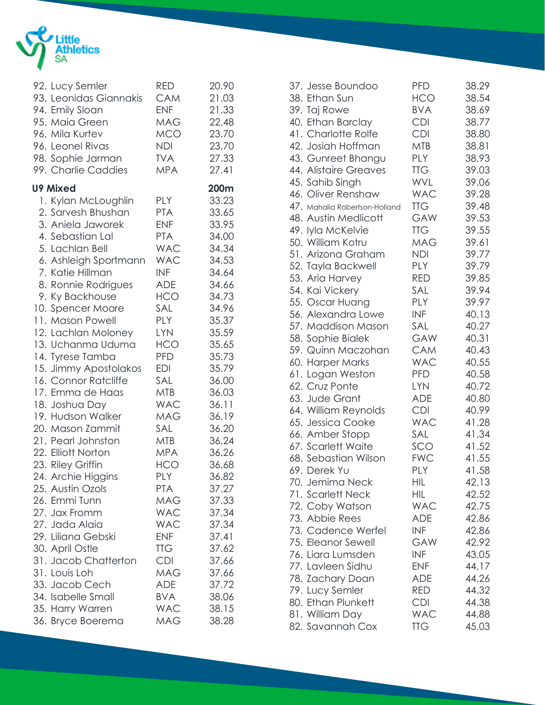

| 92. Lucy Semler                                                                                                                                                                                                                                                                                                                                                                                                                                                                                                                                                                                                                                                                                                                                                                            | <b>RED</b>                                                                                                                                                                                                                                                                                                                                                                                                                              | 20.90 |
|--------------------------------------------------------------------------------------------------------------------------------------------------------------------------------------------------------------------------------------------------------------------------------------------------------------------------------------------------------------------------------------------------------------------------------------------------------------------------------------------------------------------------------------------------------------------------------------------------------------------------------------------------------------------------------------------------------------------------------------------------------------------------------------------|-----------------------------------------------------------------------------------------------------------------------------------------------------------------------------------------------------------------------------------------------------------------------------------------------------------------------------------------------------------------------------------------------------------------------------------------|-------|
| 93. Leonidas Giannakis                                                                                                                                                                                                                                                                                                                                                                                                                                                                                                                                                                                                                                                                                                                                                                     | <b>CAM</b>                                                                                                                                                                                                                                                                                                                                                                                                                              | 21.03 |
| 94. Emily Sloan                                                                                                                                                                                                                                                                                                                                                                                                                                                                                                                                                                                                                                                                                                                                                                            | <b>ENF</b>                                                                                                                                                                                                                                                                                                                                                                                                                              | 21.33 |
| 95. Maia Green                                                                                                                                                                                                                                                                                                                                                                                                                                                                                                                                                                                                                                                                                                                                                                             | <b>MAG</b>                                                                                                                                                                                                                                                                                                                                                                                                                              | 22.48 |
| 96. Mila Kurtev                                                                                                                                                                                                                                                                                                                                                                                                                                                                                                                                                                                                                                                                                                                                                                            | <b>MCO</b>                                                                                                                                                                                                                                                                                                                                                                                                                              | 23.70 |
| 96. Leonel Rivas                                                                                                                                                                                                                                                                                                                                                                                                                                                                                                                                                                                                                                                                                                                                                                           | <b>NDI</b>                                                                                                                                                                                                                                                                                                                                                                                                                              | 23.70 |
| 98. Sophie Jarman                                                                                                                                                                                                                                                                                                                                                                                                                                                                                                                                                                                                                                                                                                                                                                          | <b>TVA</b>                                                                                                                                                                                                                                                                                                                                                                                                                              | 27.33 |
| 99. Charlie Caddies                                                                                                                                                                                                                                                                                                                                                                                                                                                                                                                                                                                                                                                                                                                                                                        | <b>MPA</b>                                                                                                                                                                                                                                                                                                                                                                                                                              | 27.41 |
| <b>U9 Mixed</b><br>1. Kylan McLoughlin<br>2. Sarvesh Bhushan<br>3. Aniela Jaworek<br>4. Sebastian Lal<br>5. Lachlan Bell<br>6. Ashleigh Sportmann<br>7. Katie Hillman<br>8. Ronnie Rodrigues<br>9. Ky Backhouse<br>10. Spencer Moore<br>11. Mason Powell<br>12. Lachlan Moloney<br>13. Uchanma Uduma<br>14. Tyrese Tamba<br>15. Jimmy Apostolakos<br>16. Connor Ratcliffe<br>17. Emma de Haas<br>18. Joshua Day<br>19. Hudson Walker<br>20. Mason Zammit<br>21. Pearl Johnston<br>22. Elliott Norton<br>23. Riley Griffin<br>24. Archie Higgins<br>25. Austin Ozols<br>26. Emmi Tunn<br>27. Jax Fromm<br>27. Jada Alaia<br>29. Liliana Gebski<br>30. April Ostle<br>31. Jacob Chatterton<br>31. Louis Loh<br>33. Jacob Cech<br>34. Isabelle Small<br>35. Harry Warren<br>36. Bryce Boerema | <b>PLY</b><br><b>PTA</b><br><b>ENF</b><br><b>PTA</b><br><b>WAC</b><br><b>WAC</b><br>INF<br>ADE<br>HCO<br>SAL<br><b>PLY</b><br><b>LYN</b><br>HCO<br><b>PFD</b><br>EDI<br>SAL<br>MTB<br><b>WAC</b><br><b>MAG</b><br>SAL<br>MTB<br><b>MPA</b><br><b>HCO</b><br><b>PLY</b><br><b>PTA</b><br><b>MAG</b><br><b>WAC</b><br><b>WAC</b><br><b>ENF</b><br><b>TTG</b><br><b>CDI</b><br><b>MAG</b><br>ADE<br><b>BVA</b><br><b>WAC</b><br><b>MAG</b> |       |

| 37. Jesse Boundoo             | <b>PFD</b> | 38.29 |
|-------------------------------|------------|-------|
| 38. Ethan Sun                 | <b>HCO</b> | 38.54 |
| 39. Taj Rowe                  | <b>BVA</b> | 38.69 |
| 40. Ethan Barclay             | <b>CDI</b> | 38.77 |
| 41. Charlotte Rolfe           | <b>CDI</b> | 38.80 |
| 42. Josiah Hoffman            | <b>MTB</b> | 38.81 |
| 43. Gunreet Bhangu            | <b>PLY</b> | 38.93 |
| 44. Alistaire Greaves         | <b>TTG</b> | 39.03 |
| 45. Sahib Singh               | <b>WVL</b> | 39.06 |
| 46. Oliver Renshaw            | <b>WAC</b> | 39.28 |
| 47. Mahalia Robertson-Holland | <b>TTG</b> | 39.48 |
| 48. Austin Medlicott          | GAW        | 39.53 |
| 49. lyla McKelvie             | <b>TTG</b> | 39.55 |
| 50. William Kotru             | <b>MAG</b> | 39.61 |
| 51. Arizona Graham            | <b>NDI</b> | 39.77 |
| 52. Tayla Backwell            | <b>PLY</b> | 39.79 |
| 53. Aria Harvey               | RED        | 39.85 |
| 54. Kai Vickery               | SAL        | 39.94 |
| 55. Oscar Huang               | <b>PLY</b> | 39.97 |
| 56. Alexandra Lowe            | <b>INF</b> | 40.13 |
| 57. Maddison Mason            | SAL        | 40.27 |
|                               | GAW        | 40.31 |
| 58. Sophie Bialek             |            |       |
| 59. Quinn Maczohan            | <b>CAM</b> | 40.43 |
| 60. Harper Marks              | <b>WAC</b> | 40.55 |
| 61. Logan Weston              | <b>PFD</b> | 40.58 |
| 62. Cruz Ponte                | <b>LYN</b> | 40.72 |
| 63. Jude Grant                | <b>ADE</b> | 40.80 |
| 64. William Reynolds          | <b>CDI</b> | 40.99 |
| 65. Jessica Cooke             | <b>WAC</b> | 41.28 |
| 66. Amber Stopp               | SAL        | 41.34 |
| 67. Scarlett Waite            | SCO        | 41.52 |
| 68. Sebastian Wilson          | <b>FWC</b> | 41.55 |
| 69. Derek Yu                  | PLY        | 41.58 |
| 70. Jemima Neck               | HIL        | 42.13 |
| 71. Scarlett Neck             | HIL        | 42.52 |
| 72. Coby Watson               | <b>WAC</b> | 42.75 |
| 73. Abbie Rees                | ADE        | 42.86 |
| 73. Cadence Werfel            | <b>INF</b> | 42.86 |
| 75. Eleanor Sewell            | GAW        | 42.92 |
| 76. Liara Lumsden             | <b>INF</b> | 43.05 |
| 77. Lavleen Sidhu             | <b>ENF</b> | 44.17 |
| 78. Zachary Doan              | <b>ADE</b> | 44.26 |
| 79. Lucy Semler               | RED        | 44.32 |
| 80. Ethan Plunkett            | <b>CDI</b> | 44.38 |
| 81. William Day               | <b>WAC</b> | 44.88 |
| 82. Savannah Cox              | <b>TTG</b> | 45.03 |
|                               |            |       |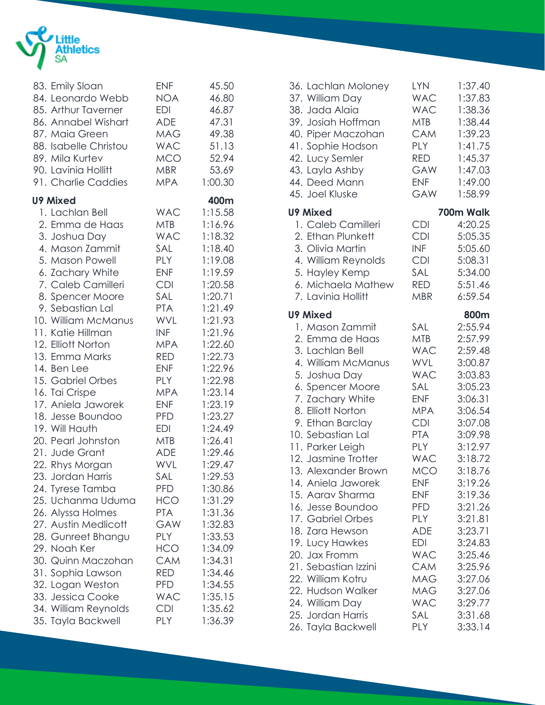

| 83. Emily Sloan                                            | <b>ENF</b>                             | 45.50                         |
|------------------------------------------------------------|----------------------------------------|-------------------------------|
| 84. Leonardo Webb                                          | NOA                                    | 46.80                         |
| 85. Arthur Taverner                                        | <b>EDI</b>                             | 46.87                         |
| 86. Annabel Wishart                                        | <b>ADE</b>                             | 47.31                         |
| 87. Maia Green                                             | <b>MAG</b>                             | 49.38                         |
| 88. Isabelle Christou                                      | <b>WAC</b>                             | 51.13                         |
| 89. Mila Kurtev                                            | <b>MCO</b>                             | 52.94                         |
| 90. Lavinia Hollitt                                        | <b>MBR</b>                             | 53.69                         |
| 91. Charlie Caddies                                        | <b>MPA</b>                             | 1:00.30                       |
| <b>U9 Mixed</b><br>1. Lachlan Bell<br>2. Emma de Haas      | <b>WAC</b><br><b>MTB</b>               | 400m<br>1:15.58<br>1:16.96    |
| 3. Joshua Day                                              | <b>WAC</b>                             | 1:18.32                       |
| 4. Mason Zammit                                            | SAL                                    | 1:18.40                       |
| 5. Mason Powell                                            | <b>PLY</b>                             | 1:19.08                       |
| 6. Zachary White                                           | <b>ENF</b>                             | 1:19.59                       |
| 7. Caleb Camilleri                                         | <b>CDI</b>                             | 1:20.58                       |
| 8. Spencer Moore                                           | SAL                                    | 1:20.71                       |
| 9. Sebastian Lal<br>10. William McManus                    | <b>PTA</b><br><b>WVL</b>               | 1:21.49<br>1:21.93<br>1:21.96 |
| 11. Katie Hillman<br>12. Elliott Norton<br>13. Emma Marks  | <b>INF</b><br><b>MPA</b><br><b>RED</b> | 1:22.60<br>1:22.73            |
| 14. Ben Lee                                                | <b>ENF</b>                             | 1:22.96                       |
| 15. Gabriel Orbes                                          | <b>PLY</b>                             | 1:22.98                       |
| 16. Tai Crispe                                             | <b>MPA</b>                             | 1:23.14                       |
| 17. Aniela Jaworek                                         | <b>ENF</b>                             | 1:23.19                       |
| 18. Jesse Boundoo                                          | <b>PFD</b>                             | 1:23.27                       |
| 19. Will Hauth                                             | EDI                                    | 1:24.49                       |
| 20. Pearl Johnston                                         | <b>MTB</b>                             | 1:26.41                       |
| 21. Jude Grant                                             | <b>ADE</b>                             | 1:29.46                       |
| 22. Rhys Morgan<br>23. Jordan Harris                       | WVL<br>SAL<br><b>PFD</b>               | 1:29.47<br>1:29.53            |
| 24. Tyrese Tamba<br>25. Uchanma Uduma<br>26. Alyssa Holmes | <b>HCO</b><br><b>PTA</b>               | 1:30.86<br>1:31.29<br>1:31.36 |
| 27. Austin Medlicott                                       | GAW                                    | 1:32.83                       |
| 28. Gunreet Bhangu                                         | PLY                                    | 1:33.53                       |
| 29. Noah Ker                                               | <b>HCO</b>                             | 1:34.09                       |
| 30. Quinn Maczohan                                         | <b>CAM</b>                             | 1:34.31                       |
| 31. Sophia Lawson                                          | <b>RED</b>                             | 1:34.46                       |
| 32. Logan Weston                                           | PFD                                    | 1:34.55                       |
| 33. Jessica Cooke                                          | <b>WAC</b>                             | 1:35.15                       |
| 34. William Reynolds                                       | <b>CDI</b>                             | 1:35.62                       |
| 35. Tayla Backwell                                         | PLY                                    | 1:36.39                       |
|                                                            |                                        |                               |

| 36. Lachlan Moloney  | LYN        | 1:37.40   |
|----------------------|------------|-----------|
| 37. William Day      | <b>WAC</b> | 1:37.83   |
| 38. Jada Alaia       | <b>WAC</b> | 1:38.36   |
| 39. Josiah Hoffman   | <b>MTB</b> | 1:38.44   |
| 40. Piper Maczohan   | <b>CAM</b> | 1:39.23   |
| 41. Sophie Hodson    | <b>PLY</b> | 1:41.75   |
| 42. Lucy Semler      | <b>RED</b> | 1:45.37   |
| 43. Layla Ashby      | GAW        | 1:47.03   |
| 44. Deed Mann        | <b>ENF</b> | 1:49.00   |
| 45. Joel Kluske      | GAW        | 1:58.99   |
| <b>U9 Mixed</b>      |            | 700m Walk |
| 1. Caleb Camilleri   | <b>CDI</b> | 4:20.25   |
| 2. Ethan Plunkett    | CDI        | 5:05.35   |
| 3. Olivia Martin     | <b>INF</b> | 5:05.60   |
| 4. William Reynolds  | <b>CDI</b> | 5:08.31   |
| 5. Hayley Kemp       | SAL        | 5:34.00   |
| 6. Michaela Mathew   | <b>RED</b> | 5:51.46   |
| 7. Lavinia Hollitt   | <b>MBR</b> | 6:59.54   |
| <b>U9 Mixed</b>      |            | 800m      |
| 1. Mason Zammit      | SAL        | 2:55.94   |
| 2. Emma de Haas      | <b>MTB</b> | 2:57.99   |
| 3. Lachlan Bell      | <b>WAC</b> | 2:59.48   |
| 4. William McManus   | WVL        | 3:00.87   |
| 5. Joshua Day        | <b>WAC</b> | 3:03.83   |
| 6. Spencer Moore     | SAL        | 3:05.23   |
| 7. Zachary White     | <b>ENF</b> | 3:06.31   |
| 8. Elliott Norton    | <b>MPA</b> | 3:06.54   |
| 9. Ethan Barclay     | <b>CDI</b> | 3:07.08   |
| 10. Sebastian Lal    | <b>PTA</b> | 3:09.98   |
| 11. Parker Leigh     | PLY        | 3:12.97   |
| 12. Jasmine Trotter  | <b>WAC</b> | 3:18.72   |
| 13. Alexander Brown  | <b>MCO</b> | 3:18.76   |
| 14. Aniela Jaworek   | <b>ENF</b> | 3:19.26   |
| 15. Aarav Sharma     | <b>ENF</b> | 3:19.36   |
| 16. Jesse Boundoo    | PFD        | 3:21.26   |
| 17. Gabriel Orbes    | <b>PLY</b> | 3:21.81   |
| 18. Zara Hewson      | <b>ADE</b> | 3:23.71   |
| 19. Lucy Hawkes      | EDI        | 3:24.83   |
| 20. Jax Fromm        | <b>WAC</b> | 3:25.46   |
| 21. Sebastian Izzini | <b>CAM</b> | 3:25.96   |
| 22. William Kotru    | <b>MAG</b> | 3:27.06   |
| 22. Hudson Walker    | <b>MAG</b> | 3:27.06   |
| 24. William Day      | <b>WAC</b> | 3:29.77   |
| 25. Jordan Harris    | SAL        | 3:31.68   |
| 26. Tayla Backwell   | <b>PLY</b> | 3:33.14   |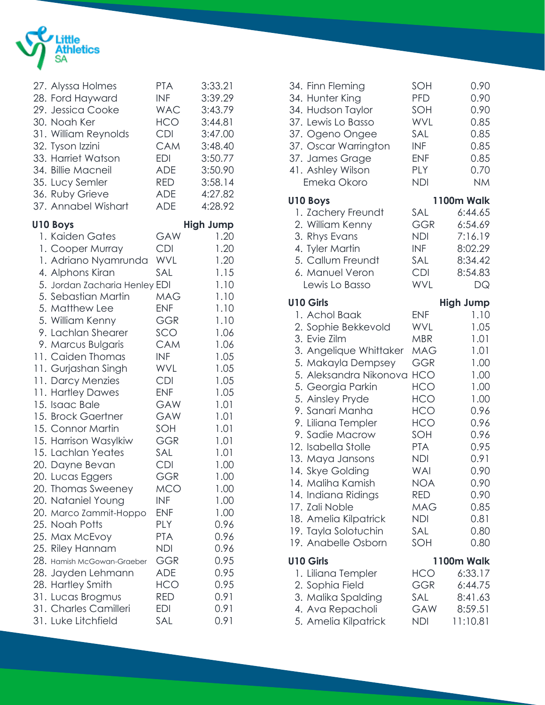

| 27. Alyssa Holmes             | <b>PTA</b> | 3:33.21          |
|-------------------------------|------------|------------------|
| 28. Ford Hayward              | <b>INF</b> | 3:39.29          |
| 29. Jessica Cooke             | <b>WAC</b> | 3:43.79          |
| 30. Noah Ker                  | HCO        | 3:44.81          |
| 31. William Reynolds          | <b>CDI</b> | 3:47.00          |
| 32. Tyson Izzini              | CAM        | 3:48.40          |
| 33. Harriet Watson            | <b>EDI</b> | 3:50.77          |
| 34. Billie Macneil            | <b>ADE</b> | 3:50.90          |
| 35. Lucy Semler               | <b>RED</b> | 3:58.14          |
| 36. Ruby Grieve               | ADE        | 4:27.82          |
| 37. Annabel Wishart           | <b>ADE</b> | 4:28.92          |
| <b>U10 Boys</b>               |            | <b>High Jump</b> |
| 1. Kaiden Gates               | GAW        | 1.20             |
| 1. Cooper Murray              | <b>CDI</b> | 1.20             |
| 1. Adriano Nyamrunda          | WVL        | 1.20             |
| 4. Alphons Kiran              | SAL        | 1.15             |
| 5. Jordan Zacharia Henley EDI |            | 1.10             |
| 5. Sebastian Martin           | <b>MAG</b> | 1.10             |
| 5. Matthew Lee                | <b>ENF</b> | 1.10             |
| 5. William Kenny              | <b>GGR</b> | 1.10             |
| 9. Lachlan Shearer            | SCO        | 1.06             |
| 9. Marcus Bulgaris            | <b>CAM</b> | 1.06             |
| 11. Caiden Thomas             | <b>INF</b> | 1.05             |
| 11. Gurjashan Singh           | WVL        | 1.05             |
| 11. Darcy Menzies             | <b>CDI</b> | 1.05             |
| 11. Hartley Dawes             | <b>ENF</b> | 1.05             |
| 15. Isaac Bale                | GAW        | 1.01             |
| 15. Brock Gaertner            | GAW        | 1.01             |
| 15. Connor Martin             | SOH        | 1.01             |
| 15. Harrison Wasylkiw         | <b>GGR</b> | 1.01             |
| 15. Lachlan Yeates            | SAL        | 1.01             |
| 20. Dayne Bevan               | <b>CDI</b> | 1.00             |
| 20. Lucas Eggers              | GGR        | 1.00             |
| 20. Thomas Sweeney            | MCO        | 1.00             |
| 20. Nataniel Young            | <b>INF</b> | 1.00             |
| 20. Marco Zammit-Hoppo        | <b>ENF</b> | 1.00             |
| 25. Noah Potts                | <b>PLY</b> | 0.96             |
| 25. Max McEvoy                | <b>PTA</b> | 0.96             |
| 25. Riley Hannam              | NDI        | 0.96             |
| 28. Hamish McGowan-Graeber    | GGR        | 0.95             |
| 28. Jayden Lehmann            | <b>ADE</b> | 0.95             |
| 28. Hartley Smith             | <b>HCO</b> | 0.95             |
| 31. Lucas Brogmus             | <b>RED</b> | 0.91             |
| 31. Charles Camilleri         | EDI        | 0.91             |
| 31. Luke Litchfield           | SAL        | 0.91             |

| 34. Finn Fleming<br>34. Hunter King<br>34. Hudson Taylor<br>37. Lewis Lo Basso<br>37. Ogeno Ongee<br>37. Oscar Warrington<br>37. James Grage<br>41. Ashley Wilson<br>Emeka Okoro                                                                                                                                                                                                                                                                             | SOH<br><b>PFD</b><br>SOH<br>WVL<br>SAL<br><b>INF</b><br><b>ENF</b><br><b>PLY</b><br><b>NDI</b>                                                                                                                                | 0.90<br>0.90<br>0.90<br>0.85<br>0.85<br>0.85<br>0.85<br>0.70<br><b>NM</b>                                                                                                        |
|--------------------------------------------------------------------------------------------------------------------------------------------------------------------------------------------------------------------------------------------------------------------------------------------------------------------------------------------------------------------------------------------------------------------------------------------------------------|-------------------------------------------------------------------------------------------------------------------------------------------------------------------------------------------------------------------------------|----------------------------------------------------------------------------------------------------------------------------------------------------------------------------------|
| U10 Boys<br>1. Zachery Freundt<br>2. William Kenny<br>3. Rhys Evans<br>4. Tyler Martin<br>5. Callum Freundt<br>6. Manuel Veron<br>Lewis Lo Basso                                                                                                                                                                                                                                                                                                             | SAL<br>GGR<br><b>NDI</b><br><b>INF</b><br>SAL<br><b>CDI</b><br>WVL                                                                                                                                                            | <b>1100m Walk</b><br>6:44.65<br>6:54.69<br>7:16.19<br>8:02.29<br>8:34.42<br>8:54.83<br>DQ                                                                                        |
| <b>U10 Girls</b><br>1. Achol Baak<br>2. Sophie Bekkevold<br>3. Evie Zilm<br>3. Angelique Whittaker<br>5. Makayla Dempsey<br>5. Aleksandra Nikonova<br>5. Georgia Parkin<br>5. Ainsley Pryde<br>9. Sanari Manha<br>9. Liliana Templer<br>9. Sadie Macrow<br>12. Isabella Stolle<br>13. Maya Jansons<br>14. Skye Golding<br>14. Maliha Kamish<br>14. Indiana Ridings<br>17. Zali Noble<br>18. Amelia Kilpatrick<br>19. Tayla Solotuchin<br>19. Anabelle Osborn | <b>ENF</b><br>WVL<br>MBR.<br><b>MAG</b><br><b>GGR</b><br><b>HCO</b><br><b>HCO</b><br><b>HCO</b><br><b>HCO</b><br><b>HCO</b><br>SOH<br><b>PTA</b><br><b>NDI</b><br>WAI<br><b>NOA</b><br>RED<br><b>MAG</b><br>NDI<br>SAL<br>SOH | <b>High Jump</b><br>1.10<br>1.05<br>1.01<br>1.01<br>1.00<br>1.00<br>1.00<br>1.00<br>0.96<br>0.96<br>0.96<br>0.95<br>0.91<br>0.90<br>0.90<br>0.90<br>0.85<br>0.81<br>0.80<br>0.80 |
| <b>U10 Girls</b><br>1. Liliana Templer<br>2. Sophia Field<br>3. Malika Spalding<br>4. Ava Repacholi<br>5. Amelia Kilpatrick                                                                                                                                                                                                                                                                                                                                  | HCO<br>GGR<br>SAL<br>GAW<br>NDI                                                                                                                                                                                               | <b>1100m Walk</b><br>6:33.17<br>6:44.75<br>8:41.63<br>8:59.51<br>11:10.81                                                                                                        |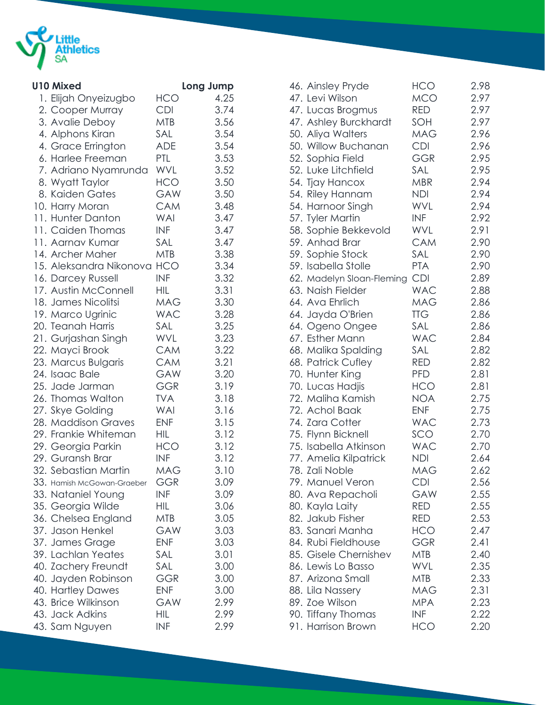

| <b>U10 Mixed</b>           | Long Jump  |      |
|----------------------------|------------|------|
| 1. Elijah Onyeizugbo       | <b>HCO</b> | 4.25 |
| 2. Cooper Murray           | <b>CDI</b> | 3.74 |
| 3. Avalie Deboy            | <b>MTB</b> | 3.56 |
| 4. Alphons Kiran           | SAL        | 3.54 |
| 4. Grace Errington         | <b>ADE</b> | 3.54 |
| 6. Harlee Freeman          | PTL        | 3.53 |
| 7. Adriano Nyamrunda       | <b>WVL</b> | 3.52 |
| 8. Wyatt Taylor            | HCO        | 3.50 |
| 8. Kaiden Gates            | GAW        | 3.50 |
| 10. Harry Moran            | <b>CAM</b> | 3.48 |
| 11. Hunter Danton          | WAI        | 3.47 |
| 11. Caiden Thomas          | <b>INF</b> | 3.47 |
| 11. Aarnav Kumar           | SAL        | 3.47 |
| 14. Archer Maher           | <b>MTB</b> | 3.38 |
| 15. Aleksandra Nikonova    | <b>HCO</b> | 3.34 |
| 16. Darcey Russell         | <b>INF</b> | 3.32 |
| 17. Austin McConnell       | HIL        | 3.31 |
| 18. James Nicolitsi        | <b>MAG</b> | 3.30 |
| 19. Marco Ugrinic          | <b>WAC</b> | 3.28 |
| 20. Teanah Harris          | SAL        | 3.25 |
| 21. Gurjashan Singh        | WVL        | 3.23 |
| 22. Mayci Brook            | <b>CAM</b> | 3.22 |
| 23. Marcus Bulgaris        | <b>CAM</b> | 3.21 |
| 24. Isaac Bale             | GAW        | 3.20 |
| 25. Jade Jarman            | <b>GGR</b> | 3.19 |
| 26. Thomas Walton          | <b>TVA</b> | 3.18 |
| 27. Skye Golding           | WAI        | 3.16 |
| 28. Maddison Graves        | <b>ENF</b> | 3.15 |
| 29. Frankie Whiteman       | HIL        | 3.12 |
| 29. Georgia Parkin         | <b>HCO</b> | 3.12 |
| 29. Guransh Brar           | <b>INF</b> | 3.12 |
| 32. Sebastian Martin       | <b>MAG</b> | 3.10 |
| 33. Hamish McGowan-Graeber | <b>GGR</b> | 3.09 |
| 33. Nataniel Young         | <b>INF</b> | 3.09 |
| 35. Georgia Wilde          | HIL        | 3.06 |
| 36. Chelsea England        | <b>MTB</b> | 3.05 |
| 37. Jason Henkel           | GAW        | 3.03 |
| 37. James Grage            | <b>ENF</b> | 3.03 |
| 39. Lachlan Yeates         | SAL        | 3.01 |
| 40. Zachery Freundt        | SAL        | 3.00 |
| 40. Jayden Robinson        | GGR        | 3.00 |
| 40. Hartley Dawes          | <b>ENF</b> | 3.00 |
| 43. Brice Wilkinson        | GAW        | 2.99 |
| 43. Jack Adkins            | <b>HIL</b> | 2.99 |
| 43. Sam Nguyen             | <b>INF</b> | 2.99 |
|                            |            |      |

| 46. Ainsley Pryde         | HCO        | 2.98 |
|---------------------------|------------|------|
| 47. Levi Wilson           | <b>MCO</b> | 2.97 |
| 47. Lucas Brogmus         | <b>RED</b> | 2.97 |
| 47. Ashley Burckhardt     | SOH        | 2.97 |
| 50. Aliya Walters         | <b>MAG</b> | 2.96 |
| 50. Willow Buchanan       | <b>CDI</b> | 2.96 |
| 52. Sophia Field          | <b>GGR</b> | 2.95 |
| 52. Luke Litchfield       | SAL        | 2.95 |
| 54. Tjay Hancox           | <b>MBR</b> | 2.94 |
| 54. Riley Hannam          | NDI        | 2.94 |
| 54. Harnoor Singh         | WVL        | 2.94 |
| 57. Tyler Martin          | <b>INF</b> | 2.92 |
| 58. Sophie Bekkevold      | WVL        | 2.91 |
| 59. Anhad Brar            | <b>CAM</b> | 2.90 |
| 59. Sophie Stock          | SAL        | 2.90 |
| 59. Isabella Stolle       | <b>PTA</b> | 2.90 |
| 62. Madelyn Sloan-Fleming | <b>CDI</b> | 2.89 |
| 63. Naish Fielder         | <b>WAC</b> | 2.88 |
| 64. Ava Ehrlich           | MAG        | 2.86 |
| 64. Jayda O'Brien         | <b>TTG</b> | 2.86 |
| 64. Ogeno Ongee           | SAL        | 2.86 |
| 67. Esther Mann           | <b>WAC</b> | 2.84 |
| 68. Malika Spalding       | SAL        | 2.82 |
| 68. Patrick Cufley        | <b>RED</b> | 2.82 |
| 70. Hunter King           | <b>PFD</b> | 2.81 |
| 70. Lucas Hadjis          | <b>HCO</b> | 2.81 |
| 72. Maliha Kamish         | <b>NOA</b> | 2.75 |
| 72. Achol Baak            | <b>ENF</b> | 2.75 |
| 74. Zara Cotter           | <b>WAC</b> | 2.73 |
| 75. Flynn Bicknell        | SCO        | 2.70 |
| 75. Isabella Atkinson     | <b>WAC</b> | 2.70 |
| 77. Amelia Kilpatrick     | <b>NDI</b> | 2.64 |
| 78. Zali Noble            | <b>MAG</b> | 2.62 |
| 79. Manuel Veron          | <b>CDI</b> | 2.56 |
|                           |            |      |
| 80. Ava Repacholi         | GAW        | 2.55 |
| 80. Kayla Laity           | <b>RED</b> | 2.55 |
| 82. Jakub Fisher          | <b>RED</b> | 2.53 |
| 83. Sanari Manha          | <b>HCO</b> | 2.47 |
| 84. Rubi Fieldhouse       | GGR        | 2.41 |
| 85. Gisele Chernishev     | <b>MTB</b> | 2.40 |
| 86. Lewis Lo Basso        | WVL        | 2.35 |
| 87. Arizona Small         | <b>MTB</b> | 2.33 |
| 88. Lila Nassery          | <b>MAG</b> | 2.31 |
| 89. Zoe Wilson            | <b>MPA</b> | 2.23 |
| 90. Tiffany Thomas        | INF        | 2.22 |
| 91. Harrison Brown        | <b>HCO</b> | 2.20 |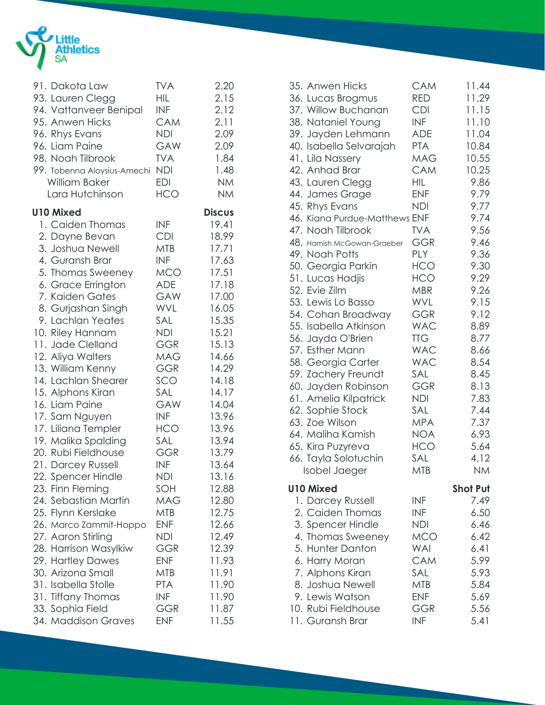

| 93. Lauren Clegg<br>94. Vattanveer Benipal<br>95. Anwen Hicks<br>96. Rhys Evans<br>96. Liam Paine<br>98. Noah Tilbrook<br>99. Tobenna Aloysius-Amechi<br>William Baker<br>Lara Hutchinson<br><b>U10 Mixed</b> | HIL.<br><b>INF</b><br><b>CAM</b><br><b>NDI</b><br><b>GAW</b><br><b>TVA</b><br><b>NDI</b><br>EDI<br><b>HCO</b> | 2.15<br>2.12<br>2.11<br>2.09<br>2.09<br>1.84<br>1.48<br><b>NM</b><br><b>NM</b><br><b>Discus</b> |
|---------------------------------------------------------------------------------------------------------------------------------------------------------------------------------------------------------------|---------------------------------------------------------------------------------------------------------------|-------------------------------------------------------------------------------------------------|
| 1. Caiden Thomas                                                                                                                                                                                              | <b>INF</b>                                                                                                    | 19.41                                                                                           |
| 2. Dayne Bevan                                                                                                                                                                                                | <b>CDI</b>                                                                                                    | 18.99                                                                                           |
| 3. Joshua Newell                                                                                                                                                                                              | <b>MTB</b>                                                                                                    | 17.71                                                                                           |
| 4. Guransh Brar                                                                                                                                                                                               | INF                                                                                                           | 17.63                                                                                           |
| 5. Thomas Sweeney                                                                                                                                                                                             | <b>MCO</b>                                                                                                    | 17.51                                                                                           |
| 6. Grace Errington                                                                                                                                                                                            | <b>ADE</b>                                                                                                    | 17.18                                                                                           |
| 7. Kaiden Gates                                                                                                                                                                                               | <b>GAW</b>                                                                                                    | 17.00                                                                                           |
| 8. Gurjashan Singh                                                                                                                                                                                            | WVL                                                                                                           | 16.05                                                                                           |
| 9. Lachlan Yeates                                                                                                                                                                                             | SAL                                                                                                           | 15.35                                                                                           |
| 10. Riley Hannam                                                                                                                                                                                              | <b>NDI</b>                                                                                                    | 15.21                                                                                           |
| 11. Jade Clelland                                                                                                                                                                                             | <b>GGR</b>                                                                                                    | 15.13                                                                                           |
| 12. Aliya Walters                                                                                                                                                                                             | <b>MAG</b>                                                                                                    | 14.66                                                                                           |
| 13. William Kenny                                                                                                                                                                                             | <b>GGR</b>                                                                                                    | 14.29                                                                                           |
| 14. Lachlan Shearer                                                                                                                                                                                           | SCO                                                                                                           | 14.18                                                                                           |
| 15. Alphons Kiran                                                                                                                                                                                             | SAL                                                                                                           | 14.17                                                                                           |
| 16. Liam Paine                                                                                                                                                                                                | GAW                                                                                                           | 14.04                                                                                           |
| 17. Sam Nguyen                                                                                                                                                                                                | <b>INF</b>                                                                                                    | 13.96                                                                                           |
| 17. Liliana Templer                                                                                                                                                                                           | HCO                                                                                                           | 13.96                                                                                           |
| 19. Malika Spalding                                                                                                                                                                                           | SAL                                                                                                           | 13.94                                                                                           |
| 20. Rubi Fieldhouse                                                                                                                                                                                           | <b>GGR</b>                                                                                                    | 13.79                                                                                           |
| 21. Darcey Russell                                                                                                                                                                                            | <b>INF</b>                                                                                                    | 13.64                                                                                           |
| 22. Spencer Hindle                                                                                                                                                                                            | <b>NDI</b>                                                                                                    | 13.16                                                                                           |
| 23. Finn Fleming                                                                                                                                                                                              | SOH                                                                                                           | 12.88                                                                                           |
| 24. Sebastian Martin                                                                                                                                                                                          | <b>MAG</b>                                                                                                    | 12.80                                                                                           |
| 25. Flynn Kerslake                                                                                                                                                                                            | MTB                                                                                                           | 12.75                                                                                           |
| 26. Marco Zammit-Hoppo                                                                                                                                                                                        | <b>ENF</b>                                                                                                    | 12.66                                                                                           |
| 27. Aaron Stirling                                                                                                                                                                                            | <b>NDI</b>                                                                                                    | 12.49                                                                                           |
| 28. Harrison Wasylkiw                                                                                                                                                                                         | GGR                                                                                                           | 12.39                                                                                           |
| 29. Hartley Dawes                                                                                                                                                                                             | <b>ENF</b>                                                                                                    | 11.93                                                                                           |
| 30. Arizona Small                                                                                                                                                                                             | MTB                                                                                                           | 11.91                                                                                           |
| 31. Isabella Stolle                                                                                                                                                                                           | <b>PTA</b>                                                                                                    | 11.90                                                                                           |
| 31. Tiffany Thomas                                                                                                                                                                                            | INF                                                                                                           | 11.90                                                                                           |
| 33. Sophia Field                                                                                                                                                                                              | <b>GGR</b>                                                                                                    | 11.87                                                                                           |
| 34. Maddison Graves                                                                                                                                                                                           | <b>ENF</b>                                                                                                    | 11.55                                                                                           |

| 35. Anwen Hicks<br>36. Lucas Brogmus<br>37. Willow Buchanan<br>38. Nataniel Young<br>39. Jayden Lehmann<br>40. Isabella Selvarajah<br>41. Lila Nassery | <b>CAM</b><br><b>RED</b><br><b>CDI</b><br><b>INF</b><br><b>ADE</b><br><b>PTA</b><br>MAG | 11.44<br>11.29<br>11.15<br>11.10<br>11.04<br>10.84<br>10.55 |
|--------------------------------------------------------------------------------------------------------------------------------------------------------|-----------------------------------------------------------------------------------------|-------------------------------------------------------------|
| 42. Anhad Brar<br>43. Lauren Clegg                                                                                                                     | <b>CAM</b><br><b>HIL</b>                                                                | 10.25<br>9.86                                               |
| 44. James Grage                                                                                                                                        | <b>ENF</b>                                                                              | 9.79                                                        |
| 45. Rhys Evans                                                                                                                                         | <b>NDI</b>                                                                              | 9.77                                                        |
| 46. Kiana Purdue-Matthews ENF                                                                                                                          |                                                                                         | 9.74                                                        |
| 47. Noah Tilbrook                                                                                                                                      | <b>TVA</b>                                                                              | 9.56                                                        |
| 48. Hamish McGowan-Graeber                                                                                                                             | GGR                                                                                     | 9.46                                                        |
| 49. Noah Potts                                                                                                                                         | PLY                                                                                     | 9.36                                                        |
| 50. Georgia Parkin                                                                                                                                     | <b>HCO</b>                                                                              | 9.30                                                        |
| 51. Lucas Hadjis                                                                                                                                       | <b>HCO</b>                                                                              | 9.29                                                        |
| 52. Evie Zilm                                                                                                                                          | <b>MBR</b>                                                                              | 9.26                                                        |
| 53. Lewis Lo Basso                                                                                                                                     | WVL                                                                                     | 9.15                                                        |
| 54. Cohan Broadway                                                                                                                                     | GGR                                                                                     | 9.12                                                        |
| 55. Isabella Atkinson                                                                                                                                  | <b>WAC</b>                                                                              | 8.89                                                        |
| 56. Jayda O'Brien                                                                                                                                      | <b>TTG</b>                                                                              | 8.77                                                        |
| 57. Esther Mann                                                                                                                                        | <b>WAC</b>                                                                              | 8.66                                                        |
| 58. Georgia Carter                                                                                                                                     | <b>WAC</b>                                                                              | 8.54                                                        |
| 59. Zachery Freundt                                                                                                                                    | SAL                                                                                     | 8.45                                                        |
| 60. Jayden Robinson                                                                                                                                    | <b>GGR</b>                                                                              | 8.13                                                        |
| 61. Amelia Kilpatrick                                                                                                                                  | <b>NDI</b>                                                                              | 7.83                                                        |
| 62. Sophie Stock                                                                                                                                       | SAL                                                                                     | 7.44                                                        |
| 63. Zoe Wilson                                                                                                                                         | <b>MPA</b>                                                                              | 7.37                                                        |
| 64. Maliha Kamish                                                                                                                                      | <b>NOA</b>                                                                              | 6.93                                                        |
| 65. Kira Puzyreva                                                                                                                                      | <b>HCO</b>                                                                              | 5.64                                                        |
| 66. Tayla Solotuchin                                                                                                                                   | SAL                                                                                     | 4.12                                                        |
| Isobel Jaeger                                                                                                                                          | MTB                                                                                     | <b>NM</b>                                                   |
| <b>U10 Mixed</b>                                                                                                                                       |                                                                                         | <b>Shot Put</b>                                             |
| 1. Darcey Russell                                                                                                                                      | <b>INF</b>                                                                              | 7.49                                                        |
| 2. Caiden Thomas                                                                                                                                       | <b>INF</b>                                                                              | 6.50                                                        |
| 3. Spencer Hindle                                                                                                                                      | <b>NDI</b>                                                                              | 6.46                                                        |
| 4. Thomas Sweeney                                                                                                                                      | <b>MCO</b>                                                                              | 6.42                                                        |
| 5. Hunter Danton                                                                                                                                       | <b>WAI</b>                                                                              | 6.41                                                        |
| 6. Harry Moran                                                                                                                                         | <b>CAM</b>                                                                              | 5.99                                                        |
| 7. Alphons Kiran                                                                                                                                       | SAL                                                                                     | 5.93                                                        |
| 8. Joshua Newell                                                                                                                                       | <b>MTB</b>                                                                              | 5.84                                                        |
| 9. Lewis Watson                                                                                                                                        | <b>ENF</b>                                                                              | 5.69                                                        |
| 10. Rubi Fieldhouse                                                                                                                                    | GGR                                                                                     | 5.56                                                        |
| 11. Guransh Brar                                                                                                                                       | <b>INF</b>                                                                              | 5.41                                                        |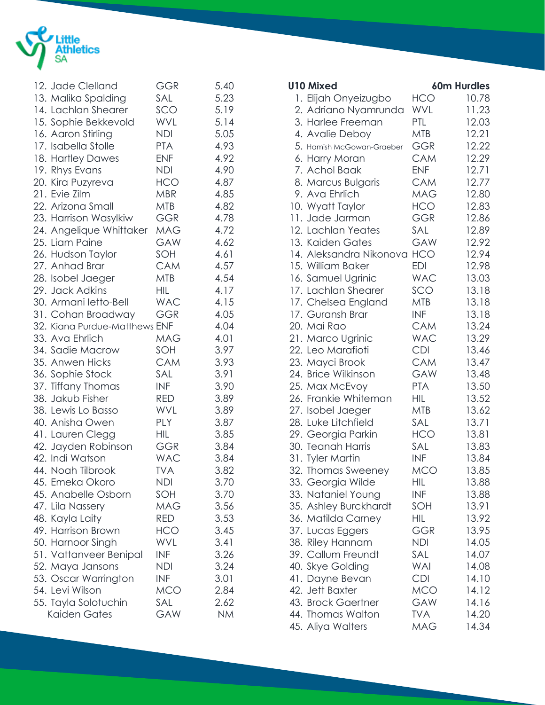

| 12. Jade Clelland             | <b>GGR</b> | 5.40      |
|-------------------------------|------------|-----------|
| 13. Malika Spalding           | SAL        | 5.23      |
| 14. Lachlan Shearer           | SCO        | 5.19      |
| 15. Sophie Bekkevold          | WVL        | 5.14      |
| 16. Aaron Stirling            | <b>NDI</b> | 5.05      |
| 17. Isabella Stolle           | <b>PTA</b> | 4.93      |
| 18. Hartley Dawes             | <b>ENF</b> | 4.92      |
| 19. Rhys Evans                | NDI        | 4.90      |
| 20. Kira Puzyreva             | <b>HCO</b> | 4.87      |
| 21. Evie Zilm                 | <b>MBR</b> | 4.85      |
| 22. Arizona Small             | <b>MTB</b> | 4.82      |
| 23. Harrison Wasylkiw         | GGR        | 4.78      |
| 24. Angelique Whittaker MAG   |            | 4.72      |
| 25. Liam Paine                | GAW        | 4.62      |
| 26. Hudson Taylor             | SOH        | 4.61      |
| 27. Anhad Brar                | <b>CAM</b> | 4.57      |
| 28. Isobel Jaeger             | <b>MTB</b> | 4.54      |
| 29. Jack Adkins               | <b>HIL</b> | 4.17      |
| 30. Armani letto-Bell         | <b>WAC</b> | 4.15      |
| 31. Cohan Broadway            | <b>GGR</b> | 4.05      |
| 32. Kiana Purdue-Matthews ENF |            | 4.04      |
| 33. Ava Ehrlich               | <b>MAG</b> | 4.01      |
| 34. Sadie Macrow              | SOH        | 3.97      |
| 35. Anwen Hicks               | <b>CAM</b> | 3.93      |
| 36. Sophie Stock              | SAL        | 3.91      |
| 37. Tiffany Thomas            | <b>INF</b> | 3.90      |
| 38. Jakub Fisher              | RED        | 3.89      |
| 38. Lewis Lo Basso            | WVL        | 3.89      |
| 40. Anisha Owen               | PLY        | 3.87      |
| 41. Lauren Clegg              | <b>HIL</b> | 3.85      |
| 42. Jayden Robinson           | GGR        | 3.84      |
| 42. Indi Watson               | <b>WAC</b> | 3.84      |
| 44. Noah Tilbrook             | <b>TVA</b> | 3.82      |
| 45. Emeka Okoro               | <b>NDI</b> | 3.70      |
| 45. Anabelle Osborn           | SOH        | 3.70      |
| 47. Lila Nassery              | <b>MAG</b> | 3.56      |
| 48. Kayla Laity               | <b>RED</b> | 3.53      |
| 49. Harrison Brown            | HCO        | 3.45      |
| 50. Harnoor Singh             | WVL        | 3.41      |
| 51. Vattanveer Benipal        | <b>INF</b> | 3.26      |
| 52. Maya Jansons              | <b>NDI</b> | 3.24      |
| 53. Oscar Warrington          | <b>INF</b> | 3.01      |
| 54. Levi Wilson               | <b>MCO</b> | 2.84      |
| 55. Tayla Solotuchin          | SAL        | 2.62      |
| Kaiden Gates                  | GAW        | <b>NM</b> |
|                               |            |           |

| <b>U10 Mixed</b>          | <b>60m Hurdles</b> |       |
|---------------------------|--------------------|-------|
| 1. Elijah Onyeizugbo      | HCO                | 10.78 |
| 2. Adriano Nyamrunda      | <b>WVL</b>         | 11.23 |
| 3. Harlee Freeman         | PTL                | 12.03 |
| 4. Avalie Deboy           | <b>MTB</b>         | 12.21 |
| 5. Hamish McGowan-Graeber | <b>GGR</b>         | 12.22 |
| 6. Harry Moran            | CAM                | 12.29 |
| 7. Achol Baak             | <b>ENF</b>         | 12.71 |
| 8. Marcus Bulgaris        | <b>CAM</b>         | 12.77 |
| 9. Ava Ehrlich            | <b>MAG</b>         | 12.80 |
| 10. Wyatt Taylor          | HCO                | 12.83 |
| 11. Jade Jarman           | <b>GGR</b>         | 12.86 |
| 12. Lachlan Yeates        | SAL                | 12.89 |
| 13. Kaiden Gates          | GAW                | 12.92 |
| 14. Aleksandra Nikonova   | <b>HCO</b>         | 12.94 |
| 15. William Baker         | <b>EDI</b>         | 12.98 |
| 16. Samuel Ugrinic        | <b>WAC</b>         | 13.03 |
| 17. Lachlan Shearer       | SCO                | 13.18 |
| 17. Chelsea England       | <b>MTB</b>         | 13.18 |
| 17. Guransh Brar          | <b>INF</b>         | 13.18 |
| 20. Mai Rao               | <b>CAM</b>         | 13.24 |
| 21. Marco Ugrinic         | <b>WAC</b>         | 13.29 |
| 22. Leo Marafioti         | <b>CDI</b>         | 13.46 |
| 23. Mayci Brook           | <b>CAM</b>         | 13.47 |
| 24. Brice Wilkinson       | GAW                | 13.48 |
| 25. Max McEvoy            | <b>PTA</b>         | 13.50 |
| 26. Frankie Whiteman      | HIL                | 13.52 |
| 27. Isobel Jaeger         | <b>MTB</b>         | 13.62 |
| 28. Luke Litchfield       | SAL                | 13.71 |
| 29. Georgia Parkin        | <b>HCO</b>         | 13.81 |
| 30. Teanah Harris         | SAL                | 13.83 |
| 31. Tyler Martin          | <b>INF</b>         | 13.84 |
| 32. Thomas Sweeney        | MCO                | 13.85 |
| 33. Georgia Wilde         | HIL                | 13.88 |
| 33. Nataniel Young        | <b>INF</b>         | 13.88 |
| 35. Ashley Burckhardt     | SOH                | 13.91 |
| 36. Matilda Carney        | HIL                | 13.92 |
| 37. Lucas Eggers          | GGR                | 13.95 |
| 38. Riley Hannam          | <b>NDI</b>         | 14.05 |
| 39. Callum Freundt        | SAL                | 14.07 |
| 40. Skye Golding          | WAI                | 14.08 |
| 41. Dayne Bevan           | <b>CDI</b>         | 14.10 |
| 42. Jett Baxter           | <b>MCO</b>         | 14.12 |
| 43. Brock Gaertner        | GAW                | 14.16 |
| 44. Thomas Walton         | <b>TVA</b>         | 14.20 |
| 45. Aliya Walters         | <b>MAG</b>         | 14.34 |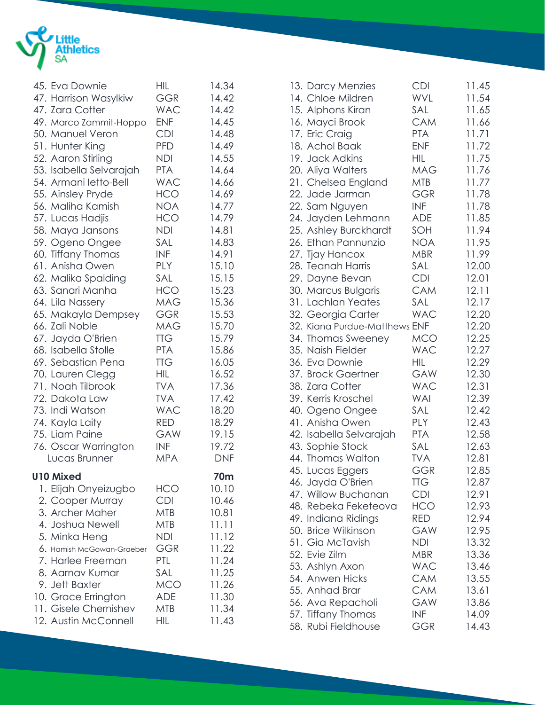

| 45. Eva Downie            | <b>HIL</b> | 14.34      |
|---------------------------|------------|------------|
| 47. Harrison Wasylkiw     | GGR        | 14.42      |
| 47. Zara Cotter           | <b>WAC</b> | 14.42      |
| 49. Marco Zammit-Hoppo    | <b>ENF</b> | 14.45      |
| 50. Manuel Veron          | <b>CDI</b> | 14.48      |
| 51. Hunter King           | <b>PFD</b> | 14.49      |
| 52. Aaron Stirling        | <b>NDI</b> | 14.55      |
| 53. Isabella Selvarajah   | <b>PTA</b> | 14.64      |
| 54. Armani letto-Bell     | <b>WAC</b> | 14.66      |
| 55. Ainsley Pryde         | HCO        | 14.69      |
| 56. Maliha Kamish         | NOA        | 14.77      |
| 57. Lucas Hadjis          | HCO        | 14.79      |
| 58. Maya Jansons          | <b>NDI</b> | 14.81      |
| 59. Ogeno Ongee           | SAL        | 14.83      |
| 60. Tiffany Thomas        | <b>INF</b> | 14.91      |
| 61. Anisha Owen           | PLY        | 15.10      |
| 62. Malika Spalding       | SAL        | 15.15      |
| 63. Sanari Manha          | HCO        | 15.23      |
| 64. Lila Nassery          | MAG        | 15.36      |
| 65. Makayla Dempsey       | <b>GGR</b> | 15.53      |
| 66. Zali Noble            | <b>MAG</b> | 15.70      |
| 67. Jayda O'Brien         | <b>TTG</b> | 15.79      |
| 68. Isabella Stolle       | <b>PTA</b> | 15.86      |
| 69. Sebastian Pena        | <b>TTG</b> | 16.05      |
| 70. Lauren Clegg          | <b>HIL</b> | 16.52      |
| 71. Noah Tilbrook         | <b>TVA</b> | 17.36      |
| 72. Dakota Law            | <b>TVA</b> | 17.42      |
| 73. Indi Watson           | <b>WAC</b> | 18.20      |
| 74. Kayla Laity           | <b>RED</b> | 18.29      |
| 75. Liam Paine            | GAW        | 19.15      |
| 76. Oscar Warrington      | <b>INF</b> | 19.72      |
| Lucas Brunner             | <b>MPA</b> | <b>DNF</b> |
| <b>U10 Mixed</b>          |            | <b>70m</b> |
| 1. Elijah Onyeizugbo      | HCO        | 10.10      |
| 2. Cooper Murray          | <b>CDI</b> | 10.46      |
| 3. Archer Maher           | MTB        | 10.81      |
| 4. Joshua Newell          | <b>MTB</b> | 11.11      |
| 5. Minka Heng             | <b>NDI</b> | 11.12      |
| 6. Hamish McGowan-Graeber | GGR        | 11.22      |
| 7. Harlee Freeman         | PTL        | 11.24      |
| 8. Aarnav Kumar           | SAL        | 11.25      |
| 9. Jett Baxter            | <b>MCO</b> | 11.26      |
| 10. Grace Errington       | <b>ADE</b> | 11.30      |
| 11. Gisele Chernishev     | <b>MTB</b> | 11.34      |
| 12. Austin McConnell      | HIL        | 11.43      |

|  | 13. Darcy Menzies             | <b>CDI</b> | 11.45 |
|--|-------------------------------|------------|-------|
|  | 14. Chloe Mildren             | WVL        | 11.54 |
|  | 15. Alphons Kiran             | SAL        | 11.65 |
|  | 16. Mayci Brook               | CAM        | 11.66 |
|  | 17. Eric Craig                | <b>PTA</b> | 11.71 |
|  | 18. Achol Baak                | <b>ENF</b> | 11.72 |
|  | 19. Jack Adkins               | HIL        | 11.75 |
|  | 20. Aliya Walters             | <b>MAG</b> | 11.76 |
|  | 21. Chelsea England           | <b>MTB</b> | 11.77 |
|  | 22. Jade Jarman               | <b>GGR</b> | 11.78 |
|  | 22. Sam Nguyen                | <b>INF</b> | 11.78 |
|  | 24. Jayden Lehmann            | <b>ADE</b> | 11.85 |
|  | 25. Ashley Burckhardt         | SOH        | 11.94 |
|  | 26. Ethan Pannunzio           | NOA        | 11.95 |
|  | 27. Tjay Hancox               | <b>MBR</b> | 11.99 |
|  | 28. Teanah Harris             | SAL        | 12.00 |
|  | 29. Dayne Bevan               | <b>CDI</b> | 12.01 |
|  | 30. Marcus Bulgaris           | <b>CAM</b> | 12.11 |
|  | 31. Lachlan Yeates            | SAL        | 12.17 |
|  | 32. Georgia Carter            | <b>WAC</b> | 12.20 |
|  | 32. Kiana Purdue-Matthews ENF |            | 12.20 |
|  | 34. Thomas Sweeney            | <b>MCO</b> | 12.25 |
|  | 35. Naish Fielder             | <b>WAC</b> | 12.27 |
|  | 36. Eva Downie                | HIL        | 12.29 |
|  | 37. Brock Gaertner            | GAW        | 12.30 |
|  | 38. Zara Cotter               | <b>WAC</b> | 12.31 |
|  | 39. Kerris Kroschel           | <b>WAI</b> | 12.39 |
|  | 40. Ogeno Ongee               | SAL        | 12.42 |
|  | 41. Anisha Owen               | PLY        | 12.43 |
|  | 42. Isabella Selvarajah       | <b>PTA</b> | 12.58 |
|  | 43. Sophie Stock              | SAL        | 12.63 |
|  | 44. Thomas Walton             | <b>TVA</b> | 12.81 |
|  | 45. Lucas Eggers              | GGR        | 12.85 |
|  | 46. Jayda O'Brien             | <b>TTG</b> | 12.87 |
|  | 47. Willow Buchanan           | CDI        | 12.91 |
|  | 48. Rebeka Feketeova          | HCO        | 12.93 |
|  | 49. Indiana Ridings           | RED        | 12.94 |
|  | 50. Brice Wilkinson           | GAW        | 12.95 |
|  | 51. Gia McTavish              | NDI        | 13.32 |
|  | 52. Evie Zilm                 | <b>MBR</b> | 13.36 |
|  | 53. Ashlyn Axon               | <b>WAC</b> | 13.46 |
|  | 54. Anwen Hicks               | <b>CAM</b> | 13.55 |
|  | 55. Anhad Brar                | <b>CAM</b> | 13.61 |
|  | 56. Ava Repacholi             | GAW        | 13.86 |
|  | 57. Tiffany Thomas            | INF        | 14.09 |
|  | 58. Rubi Fieldhouse           | <b>GGR</b> | 14.43 |
|  |                               |            |       |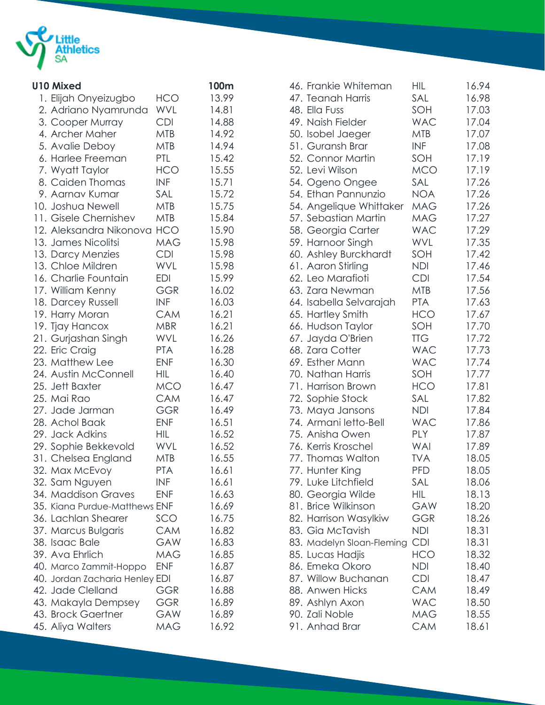

| <b>U10 Mixed</b>               |            | 100m  |
|--------------------------------|------------|-------|
| 1. Elijah Onyeizugbo           | HCO        | 13.99 |
| 2. Adriano Nyamrunda           | <b>WVL</b> | 14.81 |
| 3. Cooper Murray               | <b>CDI</b> | 14.88 |
| 4. Archer Maher                | <b>MTB</b> | 14.92 |
| 5. Avalie Deboy                | <b>MTB</b> | 14.94 |
| 6. Harlee Freeman              | PTL        | 15.42 |
| 7. Wyatt Taylor                | <b>HCO</b> | 15.55 |
| 8. Caiden Thomas               | <b>INF</b> | 15.71 |
| 9. Aarnav Kumar                | SAL        | 15.72 |
| 10. Joshua Newell              | MTB        | 15.75 |
| 11. Gisele Chernishev          | MTB        | 15.84 |
| 12. Aleksandra Nikonova HCO    |            | 15.90 |
| 13. James Nicolitsi            | <b>MAG</b> | 15.98 |
| 13. Darcy Menzies              | <b>CDI</b> | 15.98 |
| 13. Chloe Mildren              | <b>WVL</b> | 15.98 |
| 16. Charlie Fountain           | <b>EDI</b> | 15.99 |
| 17. William Kenny              | GGR        | 16.02 |
| 18. Darcey Russell             | <b>INF</b> | 16.03 |
| 19. Harry Moran                | <b>CAM</b> | 16.21 |
| 19. Tjay Hancox                | <b>MBR</b> | 16.21 |
| 21. Gurjashan Singh            | <b>WVL</b> | 16.26 |
| 22. Eric Craig                 | <b>PTA</b> | 16.28 |
| 23. Matthew Lee                | <b>ENF</b> | 16.30 |
| 24. Austin McConnell           | HIL.       | 16.40 |
| 25. Jett Baxter                | MCO.       | 16.47 |
| 25. Mai Rao                    | <b>CAM</b> | 16.47 |
| 27. Jade Jarman                | GGR        | 16.49 |
| 28. Achol Baak                 | <b>ENF</b> | 16.51 |
| 29. Jack Adkins                | HIL.       | 16.52 |
| 29. Sophie Bekkevold           | <b>WVL</b> | 16.52 |
| 31. Chelsea England            | <b>MTB</b> | 16.55 |
| 32. Max McEvoy                 | <b>PTA</b> | 16.61 |
| 32. Sam Nguyen                 | INF        | 16.61 |
| 34. Maddison Graves            | <b>ENF</b> | 16.63 |
| 35. Kiana Purdue-Matthews ENF  |            | 16.69 |
| 36. Lachlan Shearer            | SCO        | 16.75 |
| 37. Marcus Bulgaris            | <b>CAM</b> | 16.82 |
| 38. Isaac Bale                 | GAW        | 16.83 |
| 39. Ava Ehrlich                | <b>MAG</b> | 16.85 |
| 40. Marco Zammit-Hoppo         | <b>ENF</b> | 16.87 |
| 40. Jordan Zacharia Henley EDI |            | 16.87 |
| 42. Jade Clelland              | GGR        | 16.88 |
| 43. Makayla Dempsey            | <b>GGR</b> | 16.89 |
| 43. Brock Gaertner             | GAW        | 16.89 |
| 45. Aliya Walters              | MAG        | 16.92 |
|                                |            |       |

| 46. Frankie Whiteman      | HIL        | 16.94 |
|---------------------------|------------|-------|
| 47. Teanah Harris         | SAL        | 16.98 |
| 48. Ella Fuss             | SOH        | 17.03 |
| 49. Naish Fielder         | <b>WAC</b> | 17.04 |
| 50. Isobel Jaeger         | MTB        | 17.07 |
| 51. Guransh Brar          | <b>INF</b> | 17.08 |
| 52. Connor Martin         | SOH        | 17.19 |
| 52. Levi Wilson           | <b>MCO</b> | 17.19 |
| 54. Ogeno Ongee           | SAL        | 17.26 |
| 54. Ethan Pannunzio       | NOA        | 17.26 |
| 54. Angelique Whittaker   | <b>MAG</b> | 17.26 |
| 57. Sebastian Martin      | MAG        | 17.27 |
| 58. Georgia Carter        | <b>WAC</b> | 17.29 |
| 59. Harnoor Singh         | <b>WVL</b> | 17.35 |
| 60. Ashley Burckhardt     | SOH        | 17.42 |
| 61. Aaron Stirling        | <b>NDI</b> | 17.46 |
| 62. Leo Marafioti         | <b>CDI</b> | 17.54 |
| 63. Zara Newman           | <b>MTB</b> | 17.56 |
| 64. Isabella Selvarajah   | <b>PTA</b> | 17.63 |
| 65. Hartley Smith         | <b>HCO</b> | 17.67 |
| 66. Hudson Taylor         | SOH        | 17.70 |
| 67. Jayda O'Brien         | <b>TTG</b> | 17.72 |
| 68. Zara Cotter           | <b>WAC</b> | 17.73 |
| 69. Esther Mann           | <b>WAC</b> | 17.74 |
| 70. Nathan Harris         | SOH        | 17.77 |
| 71. Harrison Brown        | <b>HCO</b> | 17.81 |
| 72. Sophie Stock          | SAL        | 17.82 |
| 73. Maya Jansons          | <b>NDI</b> | 17.84 |
| 74. Armani letto-Bell     | <b>WAC</b> | 17.86 |
| 75. Anisha Owen           | <b>PLY</b> | 17.87 |
| 76. Kerris Kroschel       | WAI        | 17.89 |
| 77. Thomas Walton         | <b>TVA</b> | 18.05 |
| 77. Hunter King           | <b>PFD</b> | 18.05 |
| 79. Luke Litchfield       | SAL        | 18.06 |
| 80. Georgia Wilde         | HIL        | 18.13 |
| 81. Brice Wilkinson       | GAW        | 18.20 |
| 82. Harrison Wasylkiw     | GGR        | 18.26 |
| 83. Gia McTavish          | <b>NDI</b> | 18.31 |
| 83. Madelyn Sloan-Fleming | <b>CDI</b> | 18.31 |
| 85. Lucas Hadjis          | HCO        | 18.32 |
| 86. Emeka Okoro           | <b>NDI</b> | 18.40 |
| 87. Willow Buchanan       | <b>CDI</b> | 18.47 |
| 88. Anwen Hicks           | <b>CAM</b> | 18.49 |
| 89. Ashlyn Axon           | <b>WAC</b> | 18.50 |
| 90. Zali Noble            | MAG        | 18.55 |
| 91. Anhad Brar            | <b>CAM</b> | 18.61 |
|                           |            |       |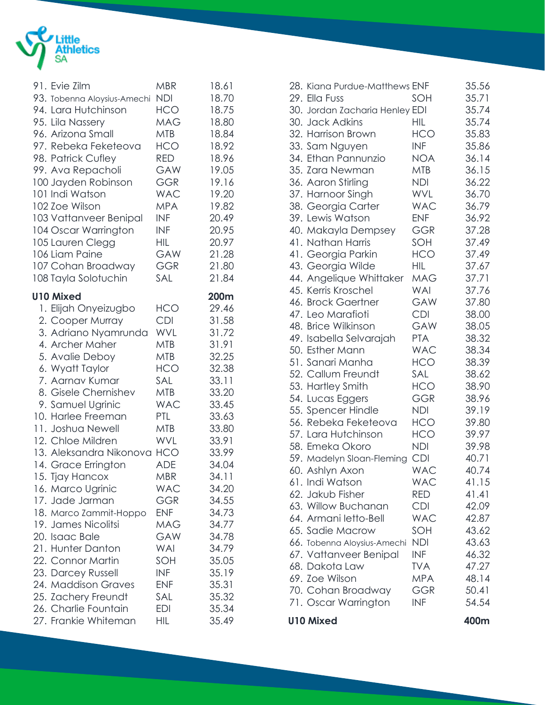

| 91. Evie Zilm               | <b>MBR</b> | 18.61 |
|-----------------------------|------------|-------|
| 93. Tobenna Aloysius-Amechi | <b>NDI</b> | 18.70 |
| 94. Lara Hutchinson         | HCO        | 18.75 |
| 95. Lila Nassery            | <b>MAG</b> | 18.80 |
| 96. Arizona Small           | <b>MTB</b> | 18.84 |
| 97. Rebeka Feketeova        | <b>HCO</b> | 18.92 |
| 98. Patrick Cufley          | <b>RED</b> | 18.96 |
| 99. Ava Repacholi           | GAW        | 19.05 |
| 100 Jayden Robinson         | <b>GGR</b> | 19.16 |
| 101 Indi Watson             | <b>WAC</b> | 19.20 |
| 102 Zoe Wilson              | <b>MPA</b> | 19.82 |
| 103 Vattanveer Benipal      | <b>INF</b> | 20.49 |
| 104 Oscar Warrington        | <b>INF</b> | 20.95 |
| 105 Lauren Clegg            | HIL.       | 20.97 |
| 106 Liam Paine              | <b>GAW</b> | 21.28 |
| 107 Cohan Broadway          | <b>GGR</b> | 21.80 |
| 108 Tayla Solotuchin        | SAL        | 21.84 |
| <b>U10 Mixed</b>            |            | 200m  |
| 1. Elijah Onyeizugbo        | <b>HCO</b> | 29.46 |
| 2. Cooper Murray            | <b>CDI</b> | 31.58 |
| 3. Adriano Nyamrunda        | <b>WVL</b> | 31.72 |
| 4. Archer Maher             | <b>MTB</b> | 31.91 |
| 5. Avalie Deboy             | <b>MTB</b> | 32.25 |
| 6. Wyatt Taylor             | <b>HCO</b> | 32.38 |
| 7. Aarnav Kumar             | SAL        | 33.11 |
| 8. Gisele Chernishev        | <b>MTB</b> | 33.20 |
| 9. Samuel Ugrinic           | <b>WAC</b> | 33.45 |
| 10. Harlee Freeman          | PTL        | 33.63 |
| 11. Joshua Newell           | MTB        | 33.80 |
| 12. Chloe Mildren           | <b>WVL</b> | 33.91 |
| 13. Aleksandra Nikonova     | <b>HCO</b> | 33.99 |
| 14. Grace Errington         | <b>ADE</b> | 34.04 |
| 15. Tjay Hancox             | <b>MBR</b> | 34.11 |
| 16. Marco Ugrinic           | WAC        | 34.20 |
| 17. Jade Jarman             | <b>GGR</b> | 34.55 |
| 18. Marco Zammit-Hoppo      | <b>ENF</b> | 34.73 |
| 19. James Nicolitsi         | <b>MAG</b> | 34.77 |
| 20. Isaac Bale              | GAW        | 34.78 |
| 21. Hunter Danton           | <b>WAI</b> | 34.79 |
| 22. Connor Martin           | SOH        | 35.05 |
| 23. Darcey Russell          | <b>INF</b> | 35.19 |
| 24. Maddison Graves         | <b>ENF</b> | 35.31 |
| 25. Zachery Freundt         | SAL        | 35.32 |
| 26. Charlie Fountain        | <b>EDI</b> | 35.34 |
| 27. Frankie Whiteman        | <b>HIL</b> | 35.49 |
|                             |            |       |

| 28. Kiana Purdue-Matthews ENF       |                          | 35.56          |
|-------------------------------------|--------------------------|----------------|
| 29. Ella Fuss                       | SOH                      | 35.71          |
| 30. Jordan Zacharia Henley EDI      |                          | 35.74          |
| 30. Jack Adkins                     | HIL.                     | 35.74          |
| 32. Harrison Brown                  | <b>HCO</b>               | 35.83          |
| 33. Sam Nguyen                      | <b>INF</b>               | 35.86          |
| 34. Ethan Pannunzio                 | <b>NOA</b>               | 36.14          |
| 35. Zara Newman                     | <b>MTB</b>               | 36.15          |
| 36. Aaron Stirling                  | <b>NDI</b>               | 36.22          |
| 37. Harnoor Singh                   | <b>WVL</b>               | 36.70          |
| 38. Georgia Carter                  | <b>WAC</b>               | 36.79          |
| 39. Lewis Watson                    | <b>ENF</b>               | 36.92          |
| 40. Makayla Dempsey                 | <b>GGR</b>               | 37.28          |
| 41. Nathan Harris                   | SOH                      | 37.49          |
| 41. Georgia Parkin                  | <b>HCO</b>               | 37.49          |
| 43. Georgia Wilde                   | <b>HIL</b>               | 37.67          |
| 44. Angelique Whittaker             | <b>MAG</b>               | 37.71          |
| 45. Kerris Kroschel                 | <b>WAI</b>               | 37.76          |
| 46. Brock Gaertner                  | GAW                      | 37.80          |
| 47. Leo Marafioti                   | <b>CDI</b>               | 38.00          |
| 48. Brice Wilkinson                 | GAW                      | 38.05          |
| 49. Isabella Selvarajah             | <b>PTA</b>               | 38.32          |
| 50. Esther Mann                     | <b>WAC</b>               | 38.34          |
| 51. Sanari Manha                    | <b>HCO</b>               | 38.39          |
| 52. Callum Freundt                  | SAL                      | 38.62          |
| 53. Hartley Smith                   | <b>HCO</b>               | 38.90          |
| 54. Lucas Eggers                    | <b>GGR</b>               | 38.96          |
| 55. Spencer Hindle                  | <b>NDI</b>               | 39.19          |
| 56. Rebeka Feketeova                | <b>HCO</b>               | 39.80          |
| 57. Lara Hutchinson                 | <b>HCO</b>               | 39.97          |
| 58. Emeka Okoro                     | <b>NDI</b>               | 39.98          |
| 59. Madelyn Sloan-Fleming           | <b>CDI</b><br><b>WAC</b> | 40.71          |
| 60. Ashlyn Axon                     |                          | 40.74<br>41.15 |
| 61. Indi Watson<br>62. Jakub Fisher | WAC<br>RED               | 41.41          |
| 63. Willow Buchanan                 | <b>CDI</b>               | 42.09          |
| 64. Armani letto-Bell               | <b>WAC</b>               | 42.87          |
| 65. Sadie Macrow                    | SOH                      | 43.62          |
| 66. Tobenna Aloysius-Amechi         | NDI                      | 43.63          |
| 67. Vattanveer Benipal              | INF                      | 46.32          |
| 68. Dakota Law                      | <b>TVA</b>               | 47.27          |
| 69. Zoe Wilson                      | <b>MPA</b>               | 48.14          |
| 70. Cohan Broadway                  | GGR                      | 50.41          |
| 71. Oscar Warrington                | <b>INF</b>               | 54.54          |
| <b>U10 Mixed</b>                    |                          | 400m           |
|                                     |                          |                |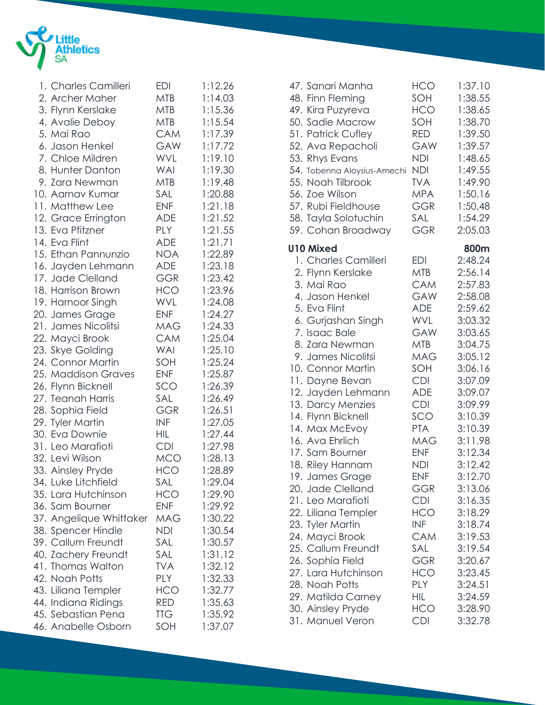

| 1. Charles Camilleri    | <b>EDI</b> | 1:12.26 |
|-------------------------|------------|---------|
| 2. Archer Maher         | <b>MTB</b> | 1:14.03 |
| 3. Flynn Kerslake       | <b>MTB</b> | 1:15.36 |
| 4. Avalie Deboy         | <b>MTB</b> | 1:15.54 |
| 5. Mai Rao              | <b>CAM</b> | 1:17.39 |
| 6. Jason Henkel         | GAW        | 1:17.72 |
| 7. Chloe Mildren        | <b>WVL</b> | 1:19.10 |
| 8. Hunter Danton        | WAI        | 1:19.30 |
| 9. Zara Newman          | <b>MTB</b> | 1:19.48 |
| 10. Aarnav Kumar        | SAL        | 1:20.88 |
| 11. Matthew Lee         | <b>ENF</b> | 1:21.18 |
| 12. Grace Errington     | <b>ADE</b> | 1:21.52 |
| 13. Eva Pfitzner        | PLY        | 1:21.55 |
| 14. Eva Flint           | <b>ADE</b> | 1:21.71 |
| 15. Ethan Pannunzio     | <b>NOA</b> | 1:22.89 |
| 16. Jayden Lehmann      | <b>ADE</b> | 1:23.18 |
| 17. Jade Clelland       | <b>GGR</b> | 1:23.42 |
| 18. Harrison Brown      | <b>HCO</b> | 1:23.96 |
| 19. Harnoor Singh       | <b>WVL</b> | 1:24.08 |
| 20. James Grage         | <b>ENF</b> | 1:24.27 |
| 21. James Nicolitsi     | <b>MAG</b> | 1:24.33 |
| 22. Mayci Brook         | <b>CAM</b> | 1:25.04 |
| 23. Skye Golding        | <b>WAI</b> | 1:25.10 |
| 24. Connor Martin       | SOH        | 1:25.24 |
| 25. Maddison Graves     | <b>ENF</b> | 1:25.87 |
| 26. Flynn Bicknell      | SCO        | 1:26.39 |
| 27. Teanah Harris       | SAL        | 1:26.49 |
| 28. Sophia Field        | <b>GGR</b> | 1:26.51 |
| 29. Tyler Martin        | <b>INF</b> | 1:27.05 |
| 30. Eva Downie          | <b>HIL</b> | 1:27.44 |
| 31. Leo Marafioti       | <b>CDI</b> | 1:27.98 |
| 32. Levi Wilson         | <b>MCO</b> | 1:28.13 |
| 33. Ainsley Pryde       | <b>HCO</b> | 1:28.89 |
| 34. Luke Litchfield     | SAL        | 1:29.04 |
| 35. Lara Hutchinson     | <b>HCO</b> | 1:29.90 |
| 36. Sam Bourner         | <b>ENF</b> | 1:29.92 |
| 37. Angelique Whittaker | <b>MAG</b> | 1:30.22 |
| 38. Spencer Hindle      | <b>NDI</b> | 1:30.54 |
| 39. Callum Freundt      | SAL        | 1:30.57 |
| 40. Zachery Freundt     | SAL        | 1:31.12 |
| 41. Thomas Walton       | <b>TVA</b> | 1:32.12 |
| 42. Noah Potts          | <b>PLY</b> | 1:32.33 |
| 43. Liliana Templer     | <b>HCO</b> | 1:32.77 |
| 44. Indiana Ridings     | <b>RED</b> | 1:35.63 |
| 45. Sebastian Pena      | <b>TTG</b> | 1:35.92 |
| 46. Anabelle Osborn     | SOH        | 1:37.07 |
|                         |            |         |

| 47. Sanari Manha            | <b>HCO</b> | 1:37.10 |
|-----------------------------|------------|---------|
| 48. Finn Fleming            | SOH        | 1:38.55 |
| 49. Kira Puzyreva           | <b>HCO</b> | 1:38.65 |
| 50. Sadie Macrow            | SOH        | 1:38.70 |
| 51. Patrick Cufley          | RED        | 1:39.50 |
| 52. Ava Repacholi           | GAW        | 1:39.57 |
| 53. Rhys Evans              | <b>NDI</b> | 1:48.65 |
| 54. Tobenna Aloysius-Amechi | NDI        | 1:49.55 |
| 55. Noah Tilbrook           | <b>TVA</b> | 1:49.90 |
| 56. Zoe Wilson              | <b>MPA</b> | 1:50.16 |
| 57. Rubi Fieldhouse         | <b>GGR</b> | 1:50.48 |
| 58. Tayla Solotuchin        | SAL        | 1:54.29 |
| 59. Cohan Broadway          | <b>GGR</b> | 2:05.03 |
| <b>U10 Mixed</b>            |            | 800m    |
| 1. Charles Camilleri        | EDI        | 2:48.24 |
| 2. Flynn Kerslake           | <b>MTB</b> | 2:56.14 |
| 3. Mai Rao                  | <b>CAM</b> | 2:57.83 |
| 4. Jason Henkel             | <b>GAW</b> | 2:58.08 |
| 5. Eva Flint                | <b>ADE</b> | 2:59.62 |
| 6. Gurjashan Singh          | WVL        | 3:03.32 |
| 7. Isaac Bale               | GAW        | 3:03.65 |
| 8. Zara Newman              | <b>MTB</b> | 3:04.75 |
| 9. James Nicolitsi          | <b>MAG</b> | 3:05.12 |
| 10. Connor Martin           | SOH        | 3:06.16 |
| 11. Dayne Bevan             | <b>CDI</b> | 3:07.09 |
| 12. Jayden Lehmann          | <b>ADE</b> | 3:09.07 |
| 13. Darcy Menzies           | <b>CDI</b> | 3:09.99 |
| 14. Flynn Bicknell          | SCO        | 3:10.39 |
| 14. Max McEvoy              | <b>PTA</b> | 3:10.39 |
| 16. Ava Ehrlich             | <b>MAG</b> | 3:11.98 |
| 17. Sam Bourner             | <b>ENF</b> | 3:12.34 |
| 18. Riley Hannam            | NDI        | 3:12.42 |
| 19. James Grage             | <b>ENF</b> | 3:12.70 |
| 20. Jade Clelland           | GGR        | 3:13.06 |
| 21. Leo Marafioti           | <b>CDI</b> | 3:16.35 |
| 22. Liliana Templer         | <b>HCO</b> | 3:18.29 |
| 23. Tyler Martin            | INF        | 3:18.74 |
| 24. Mayci Brook             | CAM        | 3:19.53 |
| 25. Callum Freundt          | SAL        | 3:19.54 |
| 26. Sophia Field            | <b>GGR</b> | 3:20.67 |
| 27. Lara Hutchinson         | <b>HCO</b> | 3:23.45 |
| 28. Noah Potts              | <b>PLY</b> | 3:24.51 |
| 29. Matilda Carney          | <b>HIL</b> | 3:24.59 |
| 30. Ainsley Pryde           | <b>HCO</b> | 3:28.90 |
| 31. Manuel Veron            | <b>CDI</b> | 3:32.78 |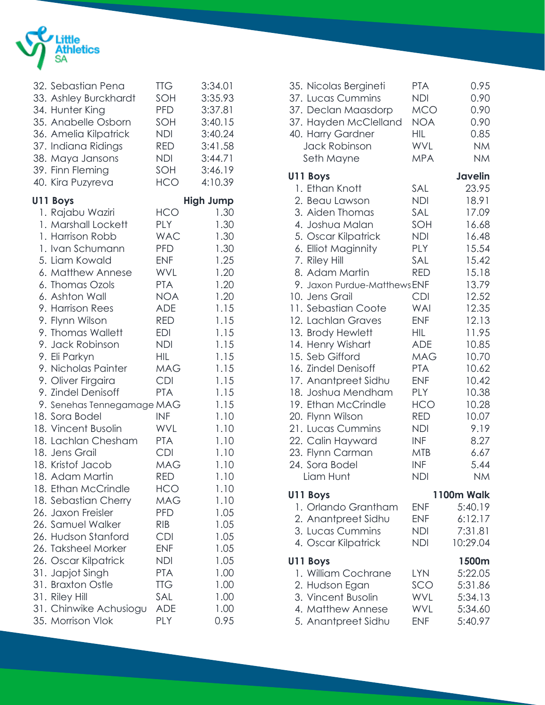

| 32. Sebastian Pena                                                                                                                                                                                                                                                                                                                                                                                                                                                                                                                                                                                                                                                                                                                                                            | <b>TTG</b>                                                                                                                                                                                                                                                                                                                                                                                                          | 3:34.01 |
|-------------------------------------------------------------------------------------------------------------------------------------------------------------------------------------------------------------------------------------------------------------------------------------------------------------------------------------------------------------------------------------------------------------------------------------------------------------------------------------------------------------------------------------------------------------------------------------------------------------------------------------------------------------------------------------------------------------------------------------------------------------------------------|---------------------------------------------------------------------------------------------------------------------------------------------------------------------------------------------------------------------------------------------------------------------------------------------------------------------------------------------------------------------------------------------------------------------|---------|
| 33. Ashley Burckhardt                                                                                                                                                                                                                                                                                                                                                                                                                                                                                                                                                                                                                                                                                                                                                         | SOH                                                                                                                                                                                                                                                                                                                                                                                                                 | 3:35.93 |
| 34. Hunter King                                                                                                                                                                                                                                                                                                                                                                                                                                                                                                                                                                                                                                                                                                                                                               | <b>PFD</b>                                                                                                                                                                                                                                                                                                                                                                                                          | 3:37.81 |
| 35. Anabelle Osborn                                                                                                                                                                                                                                                                                                                                                                                                                                                                                                                                                                                                                                                                                                                                                           | SOH                                                                                                                                                                                                                                                                                                                                                                                                                 | 3:40.15 |
| 36. Amelia Kilpatrick                                                                                                                                                                                                                                                                                                                                                                                                                                                                                                                                                                                                                                                                                                                                                         | <b>NDI</b>                                                                                                                                                                                                                                                                                                                                                                                                          | 3:40.24 |
| 37. Indiana Ridings                                                                                                                                                                                                                                                                                                                                                                                                                                                                                                                                                                                                                                                                                                                                                           | RED                                                                                                                                                                                                                                                                                                                                                                                                                 | 3:41.58 |
| 38. Maya Jansons                                                                                                                                                                                                                                                                                                                                                                                                                                                                                                                                                                                                                                                                                                                                                              | <b>NDI</b>                                                                                                                                                                                                                                                                                                                                                                                                          | 3:44.71 |
| 39. Finn Fleming                                                                                                                                                                                                                                                                                                                                                                                                                                                                                                                                                                                                                                                                                                                                                              | SOH                                                                                                                                                                                                                                                                                                                                                                                                                 | 3:46.19 |
| 40. Kira Puzyreva                                                                                                                                                                                                                                                                                                                                                                                                                                                                                                                                                                                                                                                                                                                                                             | <b>HCO</b>                                                                                                                                                                                                                                                                                                                                                                                                          | 4:10.39 |
| U11 Boys<br>1. Rajabu Waziri<br>1. Marshall Lockett<br>1. Harrison Robb<br>1. Ivan Schumann<br>5. Liam Kowald<br>6. Matthew Annese<br>6. Thomas Ozols<br>6. Ashton Wall<br>9. Harrison Rees<br>9. Flynn Wilson<br>9. Thomas Wallett<br>9. Jack Robinson<br>9. Eli Parkyn<br>9. Nicholas Painter<br>9. Oliver Firgaira<br>9. Zindel Denisoff<br>9. Senehas Tennegamage MAG<br>18. Sora Bodel<br>18. Vincent Busolin<br>18. Lachlan Chesham<br>18. Jens Grail<br>18. Kristof Jacob<br>18. Adam Martin<br>18. Ethan McCrindle<br>18. Sebastian Cherry<br>26. Jaxon Freisler<br>26. Samuel Walker<br>26. Hudson Stanford<br>26. Taksheel Morker<br>26. Oscar Kilpatrick<br>31. Japjot Singh<br>31. Braxton Ostle<br>31. Riley Hill<br>31. Chinwike Achusiogu<br>35. Morrison Vlok | <b>HCO</b><br><b>PLY</b><br>WAC<br><b>PFD</b><br><b>ENF</b><br><b>WVL</b><br><b>PTA</b><br><b>NOA</b><br>ADE<br>RED<br>EDI<br><b>NDI</b><br>HIL.<br><b>MAG</b><br><b>CDI</b><br><b>PTA</b><br><b>INF</b><br>WVL<br><b>PTA</b><br>CDI<br><b>MAG</b><br>RED<br><b>HCO</b><br><b>MAG</b><br><b>PFD</b><br><b>RIB</b><br><b>CDI</b><br><b>ENF</b><br><b>NDI</b><br><b>PTA</b><br><b>TTG</b><br>SAL<br><b>ADE</b><br>PLY |         |

| 35. Nicolas Bergineti<br>37. Lucas Cummins<br>37. Declan Maasdorp<br>37. Hayden McClelland<br>40. Harry Gardner<br><b>Jack Robinson</b><br>Seth Mayne                                                                                                                                                                                                                                                                                                                                                                           | <b>PTA</b><br><b>NDI</b><br><b>MCO</b><br><b>NOA</b><br><b>HIL</b><br>WVL<br><b>MPA</b>                                                                                                                                                                                              | 0.95<br>0.90<br>0.90<br>0.90<br>0.85<br><b>NM</b><br><b>NM</b>                                                                                                                                                                     |
|---------------------------------------------------------------------------------------------------------------------------------------------------------------------------------------------------------------------------------------------------------------------------------------------------------------------------------------------------------------------------------------------------------------------------------------------------------------------------------------------------------------------------------|--------------------------------------------------------------------------------------------------------------------------------------------------------------------------------------------------------------------------------------------------------------------------------------|------------------------------------------------------------------------------------------------------------------------------------------------------------------------------------------------------------------------------------|
| U11 Boys<br>1. Ethan Knott<br>2. Beau Lawson<br>3. Aiden Thomas<br>4. Joshua Malan<br>5. Oscar Kilpatrick<br>6. Elliot Maginnity<br>7. Riley Hill<br>8. Adam Martin<br>9. Jaxon Purdue-Matthews ENF<br>10. Jens Grail<br>11. Sebastian Coote<br>12. Lachlan Graves<br>13. Brody Hewlett<br>14. Henry Wishart<br>15. Seb Gifford<br>16. Zindel Denisoff<br>17. Anantpreet Sidhu<br>18. Joshua Mendham<br>19. Ethan McCrindle<br>20. Flynn Wilson<br>21. Lucas Cummins<br>22. Calin Hayward<br>23. Flynn Carman<br>24. Sora Bodel | SAL<br><b>NDI</b><br>SAL<br>SOH<br><b>NDI</b><br><b>PLY</b><br>SAL<br><b>RED</b><br><b>CDI</b><br><b>WAI</b><br><b>ENF</b><br>HIL<br><b>ADE</b><br><b>MAG</b><br><b>PTA</b><br><b>ENF</b><br><b>PLY</b><br><b>HCO</b><br><b>RED</b><br><b>NDI</b><br>INF<br><b>MTB</b><br><b>INF</b> | <b>Javelin</b><br>23.95<br>18.91<br>17.09<br>16.68<br>16.48<br>15.54<br>15.42<br>15.18<br>13.79<br>12.52<br>12.35<br>12.13<br>11.95<br>10.85<br>10.70<br>10.62<br>10.42<br>10.38<br>10.28<br>10.07<br>9.19<br>8.27<br>6.67<br>5.44 |
| Liam Hunt<br>U11 Boys<br>1. Orlando Grantham<br>2. Anantpreet Sidhu<br>3. Lucas Cummins<br>4. Oscar Kilpatrick                                                                                                                                                                                                                                                                                                                                                                                                                  | <b>NDI</b><br><b>ENF</b><br><b>ENF</b><br><b>NDI</b><br><b>NDI</b>                                                                                                                                                                                                                   | <b>NM</b><br><b>1100m Walk</b><br>5:40.19<br>6:12.17<br>7:31.81<br>10:29.04                                                                                                                                                        |
| U11 Boys<br>1. William Cochrane<br>2. Hudson Egan<br>3. Vincent Busolin<br>4. Matthew Annese<br>5. Anantpreet Sidhu                                                                                                                                                                                                                                                                                                                                                                                                             | <b>LYN</b><br>SCO<br>WVL<br>WVL<br><b>ENF</b>                                                                                                                                                                                                                                        | 1500m<br>5:22.05<br>5:31.86<br>5:34.13<br>5:34.60<br>5:40.97                                                                                                                                                                       |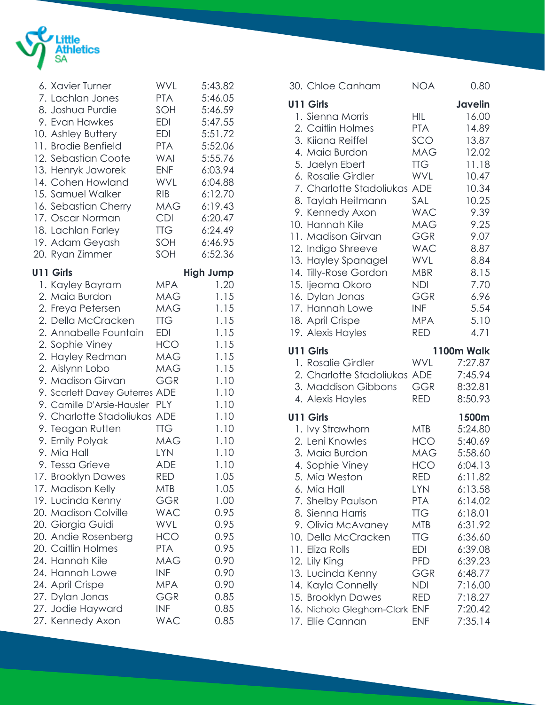

| 6. Xavier Turner               | WVL        | 5:43.82          |
|--------------------------------|------------|------------------|
| 7. Lachlan Jones               | <b>PTA</b> | 5:46.05          |
| 8. Joshua Purdie               | SOH        | 5:46.59          |
| 9. Evan Hawkes                 | <b>EDI</b> | 5:47.55          |
| 10. Ashley Buttery             | EDI        | 5:51.72          |
| 11. Brodie Benfield            | <b>PTA</b> | 5:52.06          |
| 12. Sebastian Coote            | WAI        | 5:55.76          |
| 13. Henryk Jaworek             | <b>ENF</b> | 6:03.94          |
| 14. Cohen Howland              | WVL        | 6:04.88          |
| 15. Samuel Walker              | <b>RIB</b> | 6:12.70          |
| 16. Sebastian Cherry           | <b>MAG</b> | 6:19.43          |
| 17. Oscar Norman               | <b>CDI</b> | 6:20.47          |
| 18. Lachlan Farley             | <b>TTG</b> | 6:24.49          |
| 19. Adam Geyash                | SOH        | 6:46.95          |
| 20. Ryan Zimmer                | SOH        | 6:52.36          |
| <b>U11 Girls</b>               |            | <b>High Jump</b> |
| 1. Kayley Bayram               | <b>MPA</b> | 1.20             |
| 2. Maia Burdon                 | MAG        | 1.15             |
| 2. Freya Petersen              | MAG        | 1.15             |
| 2. Della McCracken             | <b>TTG</b> | 1.15             |
| 2. Annabelle Fountain          | <b>EDI</b> | 1.15             |
| 2. Sophie Viney                | <b>HCO</b> | 1.15             |
| 2. Hayley Redman               | <b>MAG</b> | 1.15             |
| 2. Aislynn Lobo                | <b>MAG</b> | 1.15             |
| 9. Madison Girvan              | <b>GGR</b> | 1.10             |
| 9. Scarlett Davey Guterres ADE |            | 1.10             |
| 9. Camille D'Arsie-Hausler     | <b>PLY</b> | 1.10             |
| 9. Charlotte Stadoliukas ADE   |            | 1.10             |
| 9. Teagan Rutten               | <b>TTG</b> | 1.10             |
| 9. Emily Polyak                | <b>MAG</b> | 1.10             |
| 9. Mia Hall                    | <b>LYN</b> | 1.10             |
| 9. Tessa Grieve                | <b>ADE</b> | 1.10             |
| 17. Brooklyn Dawes             | <b>RED</b> | 1.05             |
| 17. Madison Kelly              | MTB        | 1.05             |
| 19. Lucinda Kenny              | GGR        | 1.00             |
| 20. Madison Colville           | <b>WAC</b> | 0.95             |
| 20. Giorgia Guidi              | WVL        | 0.95             |
| 20. Andie Rosenberg            | <b>HCO</b> | 0.95             |
| 20. Caitlin Holmes             | <b>PTA</b> | 0.95             |
| 24. Hannah Kile                | <b>MAG</b> | 0.90             |
| 24. Hannah Lowe                | <b>INF</b> | 0.90             |
| 24. April Crispe               | <b>MPA</b> | 0.90             |
| 27. Dylan Jonas                | GGR        | 0.85             |
| 27. Jodie Hayward              | <b>INF</b> | 0.85             |
| 27. Kennedy Axon               | <b>WAC</b> | 0.85             |

| 30. Chloe Canham                                                                                                                                                                                                                                                                                                                                                                                                                 | <b>NOA</b>                                                                                                                                                                                                            | 0.80                                                                                                                                                                                             |
|----------------------------------------------------------------------------------------------------------------------------------------------------------------------------------------------------------------------------------------------------------------------------------------------------------------------------------------------------------------------------------------------------------------------------------|-----------------------------------------------------------------------------------------------------------------------------------------------------------------------------------------------------------------------|--------------------------------------------------------------------------------------------------------------------------------------------------------------------------------------------------|
| <b>U11 Girls</b><br>1. Sienna Morris<br>2. Caitlin Holmes<br>3. Kiiana Reiffel<br>4. Maia Burdon<br>5. Jaelyn Ebert<br>6. Rosalie Girdler<br>7. Charlotte Stadoliukas<br>8. Taylah Heitmann<br>9. Kennedy Axon<br>10. Hannah Kile<br>11. Madison Girvan<br>12. Indigo Shreeve<br>13. Hayley Spanagel<br>14. Tilly-Rose Gordon<br>15. ljeoma Okoro<br>16. Dylan Jonas<br>17. Hannah Lowe<br>18. April Crispe<br>19. Alexis Hayles | <b>HIL</b><br><b>PTA</b><br>SCO<br>MAG<br><b>TTG</b><br>WVL<br><b>ADE</b><br>SAL<br><b>WAC</b><br>MAG<br>GGR<br><b>WAC</b><br>WVL<br><b>MBR</b><br><b>NDI</b><br><b>GGR</b><br><b>INF</b><br><b>MPA</b><br><b>RED</b> | <b>Javelin</b><br>16.00<br>14.89<br>13.87<br>12.02<br>11.18<br>10.47<br>10.34<br>10.25<br>9.39<br>9.25<br>9.07<br>8.87<br>8.84<br>8.15<br>7.70<br>6.96<br>5.54<br>5.10<br>4.71                   |
| U11 Girls<br>1. Rosalie Girdler<br>2. Charlotte Stadoliukas ADE<br>3. Maddison Gibbons<br>4. Alexis Hayles                                                                                                                                                                                                                                                                                                                       | <b>WVL</b><br>GGR<br><b>RED</b>                                                                                                                                                                                       | <b>1100m Walk</b><br>7:27.87<br>7:45.94<br>8:32.81<br>8:50.93                                                                                                                                    |
| <b>U11 Girls</b><br>1. Ivy Strawhorn<br>2. Leni Knowles<br>3. Maia Burdon<br>4. Sophie Viney<br>5. Mia Weston<br>6. Mia Hall<br>7. Shelby Paulson<br>8. Sienna Harris<br>9. Olivia McAvaney<br>10. Della McCracken<br>11. Eliza Rolls<br>12. Lily King<br>13. Lucinda Kenny<br>14. Kayla Connelly<br>15. Brooklyn Dawes<br>16. Nichola Gleghorn-Clark ENF<br>17. Ellie Cannan                                                    | <b>MTB</b><br>HCO<br><b>MAG</b><br><b>HCO</b><br><b>RED</b><br><b>LYN</b><br><b>PTA</b><br><b>TTG</b><br><b>MTB</b><br><b>TTG</b><br><b>EDI</b><br><b>PFD</b><br>GGR<br><b>NDI</b><br><b>RED</b><br><b>ENF</b>        | 1500m<br>5:24.80<br>5:40.69<br>5:58.60<br>6:04.13<br>6:11.82<br>6:13.58<br>6:14.02<br>6:18.01<br>6:31.92<br>6:36.60<br>6:39.08<br>6:39.23<br>6:48.77<br>7:16.00<br>7:18.27<br>7:20.42<br>7:35.14 |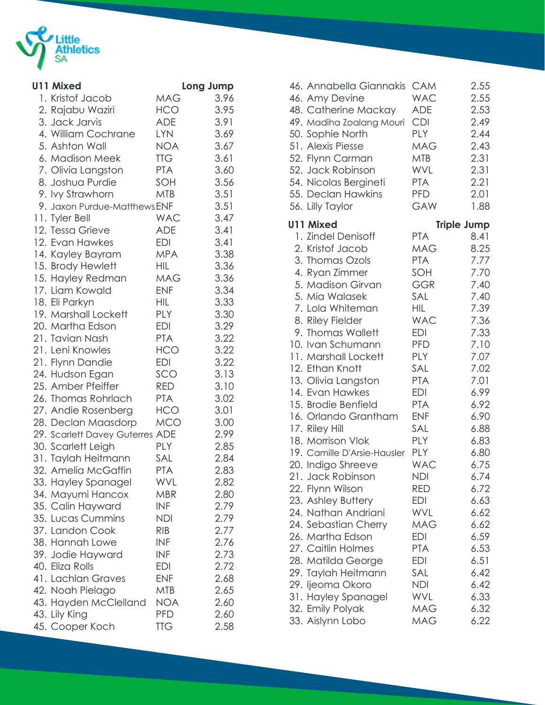

| <b>U11 Mixed</b>                | Long Jump  |      |
|---------------------------------|------------|------|
| 1. Kristof Jacob                | <b>MAG</b> | 3.96 |
| 2. Rajabu Waziri                | HCO        | 3.95 |
| 3. Jack Jarvis                  | ADE        | 3.91 |
| 4. William Cochrane             | <b>LYN</b> | 3.69 |
| 5. Ashton Wall                  | <b>NOA</b> | 3.67 |
| 6. Madison Meek                 | <b>TTG</b> | 3.61 |
| 7. Olivia Langston              | <b>PTA</b> | 3.60 |
| 8. Joshua Purdie                | SOH        | 3.56 |
| 9. Ivy Strawhorn                | <b>MTB</b> | 3.51 |
| 9. Jaxon Purdue-MatthewsENF     |            | 3.51 |
| 11. Tyler Bell                  | <b>WAC</b> | 3.47 |
| 12. Tessa Grieve                | <b>ADE</b> | 3.41 |
| 12. Evan Hawkes                 | <b>EDI</b> | 3.41 |
| 14. Kayley Bayram               | <b>MPA</b> | 3.38 |
| 15. Brody Hewlett               | <b>HIL</b> | 3.36 |
| 15. Hayley Redman               | MAG        | 3.36 |
| 17. Liam Kowald                 | <b>ENF</b> | 3.34 |
| 18. Eli Parkyn                  | HIL        | 3.33 |
| 19. Marshall Lockett            | <b>PLY</b> | 3.30 |
| 20. Martha Edson                | <b>EDI</b> | 3.29 |
| 21. Tavian Nash                 | <b>PTA</b> | 3.22 |
| 21. Leni Knowles                | <b>HCO</b> | 3.22 |
| 21. Flynn Dandie                | <b>EDI</b> | 3.22 |
| 24. Hudson Egan                 | SCO        | 3.13 |
| 25. Amber Pfeiffer              | <b>RED</b> | 3.10 |
| 26. Thomas Rohrlach             | <b>PTA</b> | 3.02 |
| 27. Andie Rosenberg             | <b>HCO</b> | 3.01 |
| 28. Declan Maasdorp             | <b>MCO</b> | 3.00 |
| 29. Scarlett Davey Guterres ADE |            | 2.99 |
| 30. Scarlett Leigh              | PLY        | 2.85 |
| 31. Taylah Heitmann             | SAL        | 2.84 |
| 32. Amelia McGaffin             | <b>PTA</b> | 2.83 |
| 33. Hayley Spanagel             | WVL        | 2.82 |
| 34. Mayumi Hancox               | MBR        | 2.80 |
| 35. Calin Hayward               | <b>INF</b> | 2.79 |
| 35. Lucas Cummins               | NDI        | 2.79 |
| 37. Landon Cook                 | <b>RIB</b> | 2.77 |
| 38. Hannah Lowe                 | <b>INF</b> | 2.76 |
| 39. Jodie Hayward               | <b>INF</b> | 2.73 |
| 40. Eliza Rolls                 | <b>EDI</b> | 2.72 |
| 41. Lachlan Graves              | <b>ENF</b> | 2.68 |
| 42. Noah Pielago                | <b>MTB</b> | 2.65 |
| 43. Hayden McClelland           | <b>NOA</b> | 2.60 |
| 43. Lily King                   | <b>PFD</b> | 2.60 |
| 45. Cooper Koch                 | <b>TTG</b> | 2.58 |

| 46. Annabella Giannakis                          | <b>CAM</b>         | 2.55         |
|--------------------------------------------------|--------------------|--------------|
| 46. Amy Devine                                   | <b>WAC</b><br>ADE  | 2.55         |
| 48. Catherine Mackay<br>49. Madiha Zoalang Mouri | <b>CDI</b>         | 2.53<br>2.49 |
| 50. Sophie North                                 | <b>PLY</b>         | 2.44         |
| 51. Alexis Piesse                                | <b>MAG</b>         | 2.43         |
| 52. Flynn Carman                                 | <b>MTB</b>         | 2.31         |
| 52. Jack Robinson                                | <b>WVL</b>         | 2.31         |
| 54. Nicolas Bergineti                            | <b>PTA</b>         | 2.21         |
| 55. Declan Hawkins                               | <b>PFD</b>         | 2.01         |
| 56. Lilly Taylor                                 | GAW                | 1.88         |
| <b>U11 Mixed</b>                                 | <b>Triple Jump</b> |              |
| 1. Zindel Denisoff                               | <b>PTA</b>         | 8.41         |
| 2. Kristof Jacob                                 | MAG                | 8.25         |
| 3. Thomas Ozols                                  | <b>PTA</b>         | 7.77         |
| 4. Ryan Zimmer                                   | SOH                | 7.70         |
| 5. Madison Girvan                                | <b>GGR</b>         | 7.40         |
| 5. Mia Walasek                                   | SAL                | 7.40         |
| 7. Lola Whiteman                                 | <b>HIL</b>         | 7.39         |
| 8. Riley Fielder                                 | <b>WAC</b>         | 7.36         |
| 9. Thomas Wallett                                | <b>EDI</b>         | 7.33         |
| 10. Ivan Schumann                                | <b>PFD</b>         | 7.10         |
| 11. Marshall Lockett                             | <b>PLY</b>         | 7.07         |
| 12. Ethan Knott                                  | SAL                | 7.02         |
| 13. Olivia Langston                              | <b>PTA</b>         | 7.01         |
| 14. Evan Hawkes                                  | <b>EDI</b>         | 6.99         |
| 15. Brodie Benfield                              | <b>PTA</b>         | 6.92         |
| 16. Orlando Grantham                             | <b>ENF</b><br>SAL  | 6.90<br>6.88 |
| 17. Riley Hill<br>18. Morrison Vlok              | <b>PLY</b>         | 6.83         |
| 19. Camille D'Arsie-Hausler                      | <b>PLY</b>         | 6.80         |
| 20. Indigo Shreeve                               | <b>WAC</b>         | 6.75         |
| 21. Jack Robinson                                | NDI                | 6.74         |
| 22. Flynn Wilson                                 | <b>RED</b>         | 6.72         |
| 23. Ashley Buttery                               | EDI                | 6.63         |
| 24. Nathan Andriani                              | WVL                | 6.62         |
| 24. Sebastian Cherry                             | <b>MAG</b>         | 6.62         |
| 26. Martha Edson                                 | <b>EDI</b>         | 6.59         |
| 27. Caitlin Holmes                               | <b>PTA</b>         | 6.53         |
| 28. Matilda George                               | EDI                | 6.51         |
| 29. Taylah Heitmann                              | SAL                | 6.42         |
| 29. ljeoma Okoro                                 | <b>NDI</b>         | 6.42         |
| 31. Hayley Spanagel                              | WVL                | 6.33         |
| 32. Emily Polyak                                 | <b>MAG</b>         | 6.32         |
| 33. Aislynn Lobo                                 | <b>MAG</b>         | 6.22         |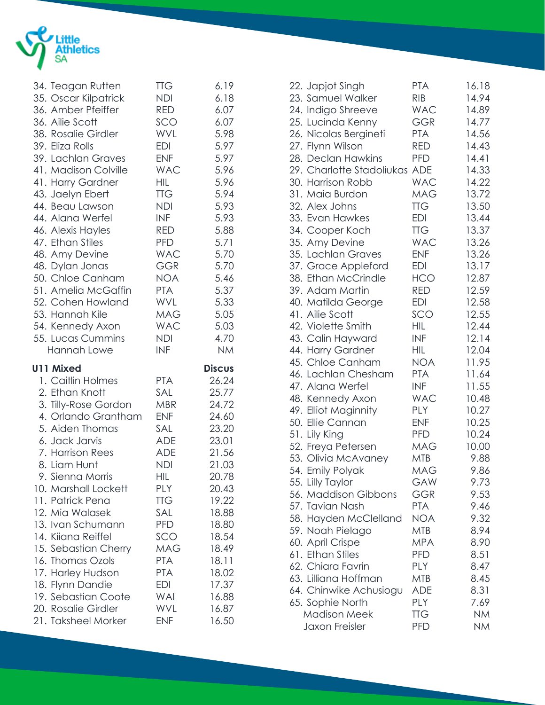

| 34. Teagan Rutten                          | <b>TTG</b>        | 6.19           |
|--------------------------------------------|-------------------|----------------|
| 35. Oscar Kilpatrick                       | <b>NDI</b>        | 6.18           |
| 36. Amber Pfeiffer                         | <b>RED</b>        | 6.07           |
| 36. Ailie Scott                            | SCO               | 6.07           |
| 38. Rosalie Girdler                        | <b>WVL</b>        | 5.98           |
| 39. Eliza Rolls                            | <b>EDI</b>        | 5.97           |
| 39. Lachlan Graves                         | <b>ENF</b>        | 5.97           |
| 41. Madison Colville                       | <b>WAC</b>        | 5.96           |
| 41. Harry Gardner                          | <b>HIL</b>        | 5.96           |
| 43. Jaelyn Ebert                           | <b>TTG</b>        | 5.94           |
| 44. Beau Lawson                            | <b>NDI</b>        | 5.93           |
| 44. Alana Werfel                           | INF               | 5.93           |
| 46. Alexis Hayles                          | <b>RED</b>        | 5.88           |
| 47. Ethan Stiles                           | <b>PFD</b>        | 5.71           |
| 48. Amy Devine                             | <b>WAC</b>        | 5.70           |
| 48. Dylan Jonas                            | <b>GGR</b>        | 5.70           |
| 50. Chloe Canham                           | <b>NOA</b>        | 5.46           |
| 51. Amelia McGaffin                        | <b>PTA</b>        | 5.37           |
| 52. Cohen Howland                          | <b>WVL</b>        | 5.33           |
| 53. Hannah Kile                            | <b>MAG</b>        | 5.05           |
| 54. Kennedy Axon                           | <b>WAC</b>        | 5.03           |
| 55. Lucas Cummins                          | <b>NDI</b>        | 4.70           |
| Hannah Lowe                                | <b>INF</b>        | <b>NM</b>      |
|                                            |                   |                |
| <b>U11 Mixed</b>                           |                   | <b>Discus</b>  |
| 1. Caitlin Holmes                          | <b>PTA</b>        | 26.24          |
| 2. Ethan Knott                             | SAL               | 25.77          |
| 3. Tilly-Rose Gordon                       | <b>MBR</b>        | 24.72          |
| 4. Orlando Grantham                        | <b>ENF</b>        | 24.60          |
| 5. Aiden Thomas                            | SAL               | 23.20          |
| 6. Jack Jarvis                             | ADE               | 23.01          |
| 7. Harrison Rees                           | <b>ADE</b>        | 21.56          |
| 8. Liam Hunt                               | <b>NDI</b>        | 21.03          |
| 9. Sienna Morris                           | <b>HIL</b>        | 20.78          |
| 10. Marshall Lockett                       | PLY               | 20.43          |
| 11. Patrick Pena                           | <b>TTG</b>        | 19.22          |
| 12. Mia Walasek                            | SAL               | 18.88          |
| 13. Ivan Schumann                          | <b>PFD</b>        | 18.80          |
| 14. Kiiana Reiffel                         | SCO               | 18.54          |
| 15. Sebastian Cherry                       | <b>MAG</b>        | 18.49          |
| 16. Thomas Ozols                           | <b>PTA</b>        | 18.11          |
| 17. Harley Hudson                          | <b>PTA</b>        | 18.02          |
| 18. Flynn Dandie                           | EDI               | 17.37          |
| 19. Sebastian Coote                        | <b>WAI</b>        | 16.88          |
| 20. Rosalie Girdler<br>21. Taksheel Morker | WVL<br><b>ENF</b> | 16.87<br>16.50 |

| 22. Japjot Singh              | <b>PTA</b> | 16.18     |
|-------------------------------|------------|-----------|
| 23. Samuel Walker             | <b>RIB</b> | 14.94     |
| 24. Indigo Shreeve            | <b>WAC</b> | 14.89     |
| 25. Lucinda Kenny             | <b>GGR</b> | 14.77     |
| 26. Nicolas Bergineti         | <b>PTA</b> | 14.56     |
| 27. Flynn Wilson              | <b>RED</b> | 14.43     |
| 28. Declan Hawkins            | <b>PFD</b> | 14.41     |
| 29. Charlotte Stadoliukas ADE |            | 14.33     |
| 30. Harrison Robb             | <b>WAC</b> | 14.22     |
| 31. Maia Burdon               | <b>MAG</b> | 13.72     |
| 32. Alex Johns                | <b>TTG</b> | 13.50     |
| 33. Evan Hawkes               | <b>EDI</b> | 13.44     |
| 34. Cooper Koch               | <b>TTG</b> | 13.37     |
| 35. Amy Devine                | <b>WAC</b> | 13.26     |
| 35. Lachlan Graves            | <b>ENF</b> | 13.26     |
| 37. Grace Appleford           | EDI        | 13.17     |
| 38. Ethan McCrindle           | <b>HCO</b> | 12.87     |
| 39. Adam Martin               | <b>RED</b> | 12.59     |
| 40. Matilda George            | <b>EDI</b> | 12.58     |
| 41. Ailie Scott               | SCO        | 12.55     |
| 42. Violette Smith            | <b>HIL</b> | 12.44     |
| 43. Calin Hayward             | <b>INF</b> | 12.14     |
| 44. Harry Gardner             | HIL.       | 12.04     |
| 45. Chloe Canham              | <b>NOA</b> | 11.95     |
| 46. Lachlan Chesham           | <b>PTA</b> | 11.64     |
| 47. Alana Werfel              | <b>INF</b> | 11.55     |
| 48. Kennedy Axon              | <b>WAC</b> | 10.48     |
| 49. Elliot Maginnity          | <b>PLY</b> | 10.27     |
| 50. Ellie Cannan              | <b>ENF</b> | 10.25     |
| 51. Lily King                 | <b>PFD</b> | 10.24     |
| 52. Freya Petersen            | <b>MAG</b> | 10.00     |
| 53. Olivia McAvaney           | <b>MTB</b> | 9.88      |
| 54. Emily Polyak              | <b>MAG</b> | 9.86      |
| 55. Lilly Taylor              | GAW        | 9.73      |
| 56. Maddison Gibbons          | GGR        | 9.53      |
| 57. Tavian Nash               | <b>PTA</b> | 9.46      |
| 58. Hayden McClelland         | <b>NOA</b> | 9.32      |
| 59. Noah Pielago              | <b>MTB</b> | 8.94      |
| 60. April Crispe              | <b>MPA</b> | 8.90      |
| 61. Ethan Stiles              | <b>PFD</b> | 8.51      |
| 62. Chiara Favrin             | <b>PLY</b> | 8.47      |
| 63. Lilliana Hoffman          | <b>MTB</b> | 8.45      |
| 64. Chinwike Achusiogu        | <b>ADE</b> | 8.31      |
| 65. Sophie North              | <b>PLY</b> | 7.69      |
| <b>Madison Meek</b>           | <b>TTG</b> | <b>NM</b> |
| Jaxon Freisler                | <b>PFD</b> | <b>NM</b> |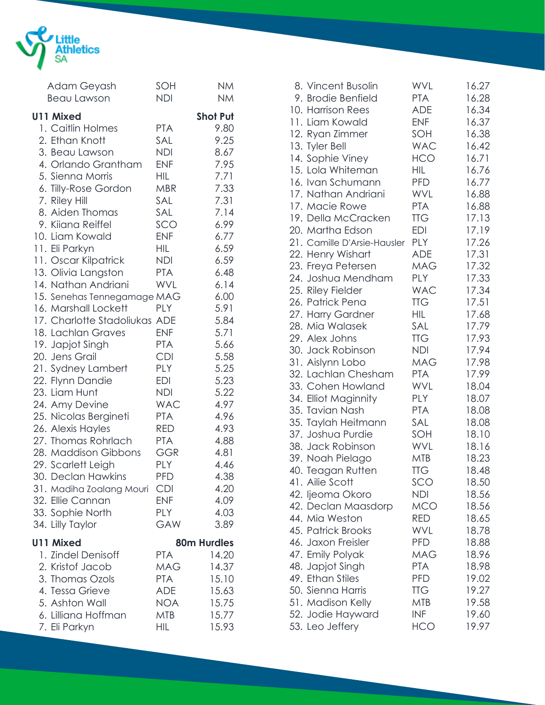

| Adam Geyash                                                                                                                                                                                                                                                                                                                                                                                                                                                                                                                                                                                                                                                                                                                                                      | SOH                                                                                                                                                                                                                                                                                                                                                                             | <b>NM</b>                                                                                                                                                                                                                                                                                    |
|------------------------------------------------------------------------------------------------------------------------------------------------------------------------------------------------------------------------------------------------------------------------------------------------------------------------------------------------------------------------------------------------------------------------------------------------------------------------------------------------------------------------------------------------------------------------------------------------------------------------------------------------------------------------------------------------------------------------------------------------------------------|---------------------------------------------------------------------------------------------------------------------------------------------------------------------------------------------------------------------------------------------------------------------------------------------------------------------------------------------------------------------------------|----------------------------------------------------------------------------------------------------------------------------------------------------------------------------------------------------------------------------------------------------------------------------------------------|
|                                                                                                                                                                                                                                                                                                                                                                                                                                                                                                                                                                                                                                                                                                                                                                  |                                                                                                                                                                                                                                                                                                                                                                                 |                                                                                                                                                                                                                                                                                              |
| <b>Beau Lawson</b><br><b>U11 Mixed</b><br>1. Caitlin Holmes<br>2. Ethan Knott<br>3. Beau Lawson<br>4. Orlando Grantham<br>5. Sienna Morris<br>6. Tilly-Rose Gordon<br>7. Riley Hill<br>8. Aiden Thomas<br>9. Kiiana Reiffel<br>10. Liam Kowald<br>11. Eli Parkyn<br>11. Oscar Kilpatrick<br>13. Olivia Langston<br>14. Nathan Andriani<br>15. Senehas Tennegamage MAG<br>16. Marshall Lockett<br>17. Charlotte Stadoliukas ADE<br>18. Lachlan Graves<br>19. Japjot Singh<br>20. Jens Grail<br>21. Sydney Lambert<br>22. Flynn Dandie<br>23. Liam Hunt<br>24. Amy Devine<br>25. Nicolas Bergineti<br>26. Alexis Hayles<br>27. Thomas Rohrlach<br>28. Maddison Gibbons<br>29. Scarlett Leigh<br>30. Declan Hawkins<br>31. Madiha Zoalang Mouri<br>32. Ellie Cannan | <b>NDI</b><br><b>PTA</b><br>SAL<br><b>NDI</b><br><b>ENF</b><br><b>HIL</b><br><b>MBR</b><br>SAL<br>SAL<br>SCO<br><b>ENF</b><br>HIL<br><b>NDI</b><br><b>PTA</b><br><b>WVL</b><br>PLY<br><b>ENF</b><br><b>PTA</b><br><b>CDI</b><br>PLY<br><b>EDI</b><br><b>NDI</b><br><b>WAC</b><br><b>PTA</b><br><b>RED</b><br><b>PTA</b><br>GGR<br><b>PLY</b><br>PFD<br><b>CDI</b><br><b>ENF</b> | <b>NM</b><br><b>Shot Put</b><br>9.80<br>9.25<br>8.67<br>7.95<br>7.71<br>7.33<br>7.31<br>7.14<br>6.99<br>6.77<br>6.59<br>6.59<br>6.48<br>6.14<br>6.00<br>5.91<br>5.84<br>5.71<br>5.66<br>5.58<br>5.25<br>5.23<br>5.22<br>4.97<br>4.96<br>4.93<br>4.88<br>4.81<br>4.46<br>4.38<br>4.20<br>4.09 |
| 33. Sophie North                                                                                                                                                                                                                                                                                                                                                                                                                                                                                                                                                                                                                                                                                                                                                 | <b>PLY</b>                                                                                                                                                                                                                                                                                                                                                                      | 4.03                                                                                                                                                                                                                                                                                         |
| 34. Lilly Taylor                                                                                                                                                                                                                                                                                                                                                                                                                                                                                                                                                                                                                                                                                                                                                 | GAW                                                                                                                                                                                                                                                                                                                                                                             | 3.89                                                                                                                                                                                                                                                                                         |
| <b>U11 Mixed</b><br>1. Zindel Denisoff                                                                                                                                                                                                                                                                                                                                                                                                                                                                                                                                                                                                                                                                                                                           |                                                                                                                                                                                                                                                                                                                                                                                 | <b>80m Hurdles</b><br>14.20                                                                                                                                                                                                                                                                  |
| 2. Kristof Jacob<br>3. Thomas Ozols<br>4. Tessa Grieve<br>5. Ashton Wall<br>6. Lilliana Hoffman                                                                                                                                                                                                                                                                                                                                                                                                                                                                                                                                                                                                                                                                  | <b>PTA</b><br><b>MAG</b><br><b>PTA</b><br><b>ADE</b><br><b>NOA</b><br><b>MTB</b>                                                                                                                                                                                                                                                                                                | 14.37<br>15.10<br>15.63<br>15.75<br>15.77                                                                                                                                                                                                                                                    |
| 7. Eli Parkyn                                                                                                                                                                                                                                                                                                                                                                                                                                                                                                                                                                                                                                                                                                                                                    | HIL                                                                                                                                                                                                                                                                                                                                                                             | 15.93                                                                                                                                                                                                                                                                                        |

| 8. Vincent Busolin          | WVL        | 16.27 |
|-----------------------------|------------|-------|
| 9. Brodie Benfield          | <b>PTA</b> | 16.28 |
| 10. Harrison Rees           | <b>ADE</b> | 16.34 |
| 11. Liam Kowald             | <b>ENF</b> | 16.37 |
| 12. Ryan Zimmer             | SOH        | 16.38 |
| 13. Tyler Bell              | <b>WAC</b> | 16.42 |
| 14. Sophie Viney            | HCO        | 16.71 |
| 15. Lola Whiteman           | HIL        | 16.76 |
| 16. Ivan Schumann           | <b>PFD</b> | 16.77 |
| 17. Nathan Andriani         | <b>WVL</b> | 16.88 |
| 17. Macie Rowe              | <b>PTA</b> | 16.88 |
| 19. Della McCracken         | <b>TTG</b> | 17.13 |
| 20. Martha Edson            | <b>EDI</b> | 17.19 |
| 21. Camille D'Arsie-Hausler | PLY        | 17.26 |
| 22. Henry Wishart           | <b>ADE</b> | 17.31 |
| 23. Freya Petersen          | <b>MAG</b> | 17.32 |
| 24. Joshua Mendham          | PLY        | 17.33 |
| 25. Riley Fielder           | <b>WAC</b> | 17.34 |
| 26. Patrick Pena            | <b>TTG</b> | 17.51 |
| 27. Harry Gardner           | <b>HIL</b> | 17.68 |
| 28. Mia Walasek             | SAL        | 17.79 |
| 29. Alex Johns              | <b>TTG</b> | 17.93 |
| 30. Jack Robinson           | <b>NDI</b> | 17.94 |
| 31. Aislynn Lobo            | <b>MAG</b> | 17.98 |
| 32. Lachlan Chesham         | <b>PTA</b> | 17.99 |
| 33. Cohen Howland           | WVL        | 18.04 |
| 34. Elliot Maginnity        | <b>PLY</b> | 18.07 |
| 35. Tavian Nash             | <b>PTA</b> | 18.08 |
| 35. Taylah Heitmann         | SAL        | 18.08 |
| 37. Joshua Purdie           | SOH        | 18.10 |
| 38. Jack Robinson           | WVL        | 18.16 |
| 39. Noah Pielago            | <b>MTB</b> | 18.23 |
| 40. Teagan Rutten           | <b>TTG</b> | 18.48 |
| 41. Ailie Scott             | SCO        | 18.50 |
| 42. ljeoma Okoro            | <b>NDI</b> | 18.56 |
| 42. Declan Maasdorp         | MCO        | 18.56 |
| 44. Mia Weston              | RED        | 18.65 |
| 45. Patrick Brooks          | WVL        | 18.78 |
| 46. Jaxon Freisler          | <b>PFD</b> | 18.88 |
| 47. Emily Polyak            | <b>MAG</b> | 18.96 |
| 48. Japjot Singh            | <b>PTA</b> | 18.98 |
| 49. Ethan Stiles            | PFD        | 19.02 |
| 50. Sienna Harris           | <b>TTG</b> | 19.27 |
| 51. Madison Kelly           | <b>MTB</b> | 19.58 |
| 52. Jodie Hayward           | <b>INF</b> | 19.60 |
| 53. Leo Jeffery             | <b>HCO</b> | 19.97 |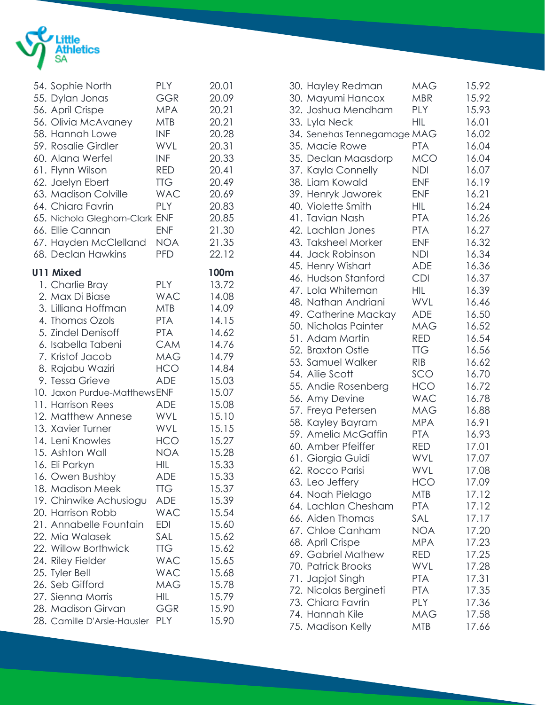

| 54. Sophie North               | <b>PLY</b> | 20.01 |
|--------------------------------|------------|-------|
| 55. Dylan Jonas                | GGR        | 20.09 |
| 56. April Crispe               | <b>MPA</b> | 20.21 |
| 56. Olivia McAvaney            | MTB        | 20.21 |
| 58. Hannah Lowe                | <b>INF</b> | 20.28 |
| 59. Rosalie Girdler            | WVL        | 20.31 |
| 60. Alana Werfel               | INF        | 20.33 |
| 61. Flynn Wilson               | RED        | 20.41 |
| 62. Jaelyn Ebert               | <b>TTG</b> | 20.49 |
| 63. Madison Colville           | <b>WAC</b> | 20.69 |
| 64. Chiara Favrin              | <b>PLY</b> | 20.83 |
| 65. Nichola Gleghorn-Clark ENF |            | 20.85 |
| 66. Ellie Cannan               | <b>ENF</b> | 21.30 |
| 67. Hayden McClelland          | <b>NOA</b> | 21.35 |
| 68. Declan Hawkins             | <b>PFD</b> | 22.12 |
| <b>U11 Mixed</b>               |            | 100m  |
| 1. Charlie Bray                | PLY        | 13.72 |
| 2. Max Di Biase                | <b>WAC</b> | 14.08 |
| 3. Lilliana Hoffman            | <b>MTB</b> | 14.09 |
| 4. Thomas Ozols                | <b>PTA</b> | 14.15 |
| 5. Zindel Denisoff             | <b>PTA</b> | 14.62 |
| 6. Isabella Tabeni             | <b>CAM</b> | 14.76 |
| 7. Kristof Jacob               | MAG        | 14.79 |
| 8. Rajabu Waziri               | HCO        | 14.84 |
| 9. Tessa Grieve                | <b>ADE</b> | 15.03 |
| 10. Jaxon Purdue-MatthewsENF   |            | 15.07 |
| 11. Harrison Rees              | ADE        | 15.08 |
| 12. Matthew Annese             | <b>WVL</b> | 15.10 |
| 13. Xavier Turner              | WVL        | 15.15 |
| 14. Leni Knowles               | <b>HCO</b> | 15.27 |
| 15. Ashton Wall                | <b>NOA</b> | 15.28 |
| 16. Eli Parkyn                 | <b>HIL</b> | 15.33 |
| 16. Owen Bushby                | ADE        | 15.33 |
| 18. Madison Meek               | TTG        | 15.37 |
| 19. Chinwike Achusiogu         | <b>ADE</b> | 15.39 |
| 20. Harrison Robb              | <b>WAC</b> | 15.54 |
| 21. Annabelle Fountain         | EDI        | 15.60 |
| 22. Mia Walasek                | SAL        | 15.62 |
|                                |            |       |
| 22. Willow Borthwick           | <b>TTG</b> | 15.62 |
| 24. Riley Fielder              | <b>WAC</b> | 15.65 |
| 25. Tyler Bell                 | <b>WAC</b> | 15.68 |
| 26. Seb Gifford                | <b>MAG</b> | 15.78 |
| 27. Sienna Morris              | <b>HIL</b> | 15.79 |
| 28. Madison Girvan             | GGR        | 15.90 |

| 30. Hayley Redman           | <b>MAG</b> | 15.92 |
|-----------------------------|------------|-------|
| 30. Mayumi Hancox           | <b>MBR</b> | 15.92 |
| 32. Joshua Mendham          | <b>PLY</b> | 15.93 |
| 33. Lyla Neck               | HIL        | 16.01 |
| 34. Senehas Tennegamage MAG |            | 16.02 |
| 35. Macie Rowe              | <b>PTA</b> | 16.04 |
| 35. Declan Maasdorp         | <b>MCO</b> | 16.04 |
| 37. Kayla Connelly          | <b>NDI</b> | 16.07 |
| 38. Liam Kowald             | <b>ENF</b> | 16.19 |
| 39. Henryk Jaworek          | <b>ENF</b> | 16.21 |
| 40. Violette Smith          | HIL        | 16.24 |
| 41. Tavian Nash             | <b>PTA</b> | 16.26 |
| 42. Lachlan Jones           | <b>PTA</b> | 16.27 |
| 43. Taksheel Morker         | <b>ENF</b> | 16.32 |
| 44. Jack Robinson           | <b>NDI</b> | 16.34 |
| 45. Henry Wishart           | <b>ADE</b> | 16.36 |
| 46. Hudson Stanford         | <b>CDI</b> | 16.37 |
| 47. Lola Whiteman           | <b>HIL</b> | 16.39 |
| 48. Nathan Andriani         | WVL        | 16.46 |
| 49. Catherine Mackay        | <b>ADE</b> | 16.50 |
| 50. Nicholas Painter        | <b>MAG</b> | 16.52 |
| 51. Adam Martin             | RED        | 16.54 |
| 52. Braxton Ostle           | <b>TTG</b> | 16.56 |
| 53. Samuel Walker           | RIB        | 16.62 |
| 54. Ailie Scott             | SCO        | 16.70 |
| 55. Andie Rosenberg         | HCO        | 16.72 |
| 56. Amy Devine              | <b>WAC</b> | 16.78 |
| 57. Freya Petersen          | MAG        | 16.88 |
| 58. Kayley Bayram           | <b>MPA</b> | 16.91 |
| 59. Amelia McGaffin         | <b>PTA</b> | 16.93 |
| 60. Amber Pfeiffer          | RED        | 17.01 |
| 61. Giorgia Guidi           | <b>WVL</b> | 17.07 |
| 62. Rocco Parisi            | WVL        | 17.08 |
| 63. Leo Jeffery             | <b>HCO</b> | 17.09 |
| 64. Noah Pielago            | MTB        | 17.12 |
| 64. Lachlan Chesham         | <b>PTA</b> | 17.12 |
| 66. Aiden Thomas            | SAL        | 17.17 |
| 67. Chloe Canham            | <b>NOA</b> | 17.20 |
| 68. April Crispe            | <b>MPA</b> | 17.23 |
| 69. Gabriel Mathew          | <b>RED</b> | 17.25 |
| 70. Patrick Brooks          | WVL        | 17.28 |
| 71. Japjot Singh            | <b>PTA</b> | 17.31 |
| 72. Nicolas Bergineti       | <b>PTA</b> | 17.35 |
| 73. Chiara Favrin           | <b>PLY</b> | 17.36 |
| 74. Hannah Kile             | <b>MAG</b> | 17.58 |
| 75. Madison Kelly           | <b>MTB</b> | 17.66 |
|                             |            |       |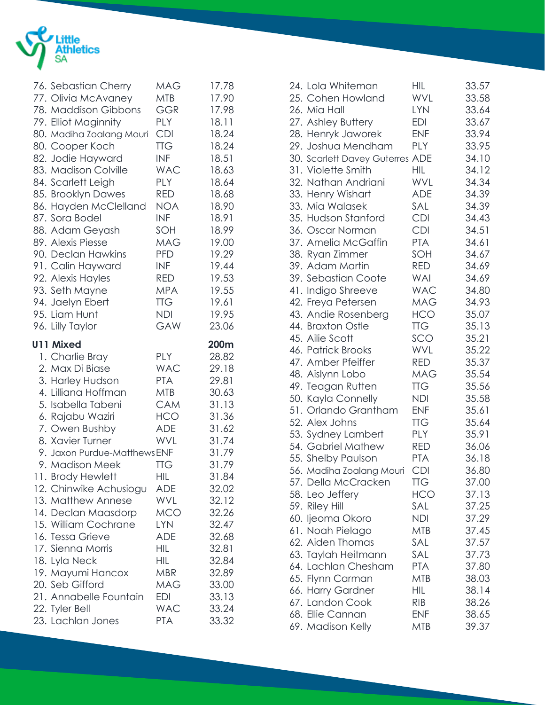

| 76. Sebastian Cherry                        | <b>MAG</b>               | 17.78          |
|---------------------------------------------|--------------------------|----------------|
| 77. Olivia McAvaney                         | MTB                      | 17.90          |
| 78. Maddison Gibbons                        | GGR                      | 17.98          |
| 79. Elliot Maginnity                        | <b>PLY</b>               | 18.11          |
| 80. Madiha Zoalang Mouri                    | <b>CDI</b>               | 18.24          |
| 80. Cooper Koch                             | <b>TTG</b>               | 18.24          |
| 82. Jodie Hayward                           | INF                      | 18.51          |
| 83. Madison Colville                        | <b>WAC</b>               | 18.63          |
| 84. Scarlett Leigh                          | <b>PLY</b>               | 18.64          |
| 85. Brooklyn Dawes                          | RED                      | 18.68          |
| 86. Hayden McClelland                       | NOA                      | 18.90          |
| 87. Sora Bodel                              | <b>INF</b>               | 18.91          |
| 88. Adam Geyash                             | SOH                      | 18.99          |
| 89. Alexis Piesse                           | <b>MAG</b>               | 19.00          |
| 90. Declan Hawkins                          | <b>PFD</b>               | 19.29          |
| 91. Calin Hayward                           | INF                      | 19.44          |
| 92. Alexis Hayles                           | RED                      | 19.53          |
| 93. Seth Mayne                              | <b>MPA</b>               | 19.55          |
| 94. Jaelyn Ebert                            | <b>TTG</b>               | 19.61          |
| 95. Liam Hunt                               | <b>NDI</b>               | 19.95          |
| 96. Lilly Taylor                            | GAW                      | 23.06          |
| <b>U11 Mixed</b>                            |                          | 200m           |
| 1. Charlie Bray                             | <b>PLY</b>               | 28.82          |
| 2. Max Di Biase                             | <b>WAC</b>               | 29.18          |
|                                             |                          |                |
|                                             | <b>PTA</b>               |                |
| 3. Harley Hudson<br>4. Lilliana Hoffman     | <b>MTB</b>               | 29.81<br>30.63 |
| 5. Isabella Tabeni                          | <b>CAM</b>               |                |
| 6. Rajabu Waziri                            | <b>HCO</b>               | 31.13<br>31.36 |
| 7. Owen Bushby                              | <b>ADE</b>               |                |
| 8. Xavier Turner                            | <b>WVL</b>               | 31.62<br>31.74 |
| 9. Jaxon Purdue-Matthews ENF                |                          | 31.79          |
| 9. Madison Meek                             | <b>TTG</b>               | 31.79          |
|                                             | <b>HIL</b>               | 31.84          |
| 11. Brody Hewlett<br>12. Chinwike Achusiogu | ADE                      | 32.02          |
| 13. Matthew Annese                          | WVL                      | 32.12          |
| 14. Declan Maasdorp                         | <b>MCO</b>               | 32.26          |
| 15. William Cochrane                        | <b>LYN</b>               | 32.47          |
| 16. Tessa Grieve                            | <b>ADE</b>               | 32.68          |
| 17. Sienna Morris                           | HIL                      | 32.81          |
| 18. Lyla Neck                               | HIL                      | 32.84          |
| 19. Mayumi Hancox                           | <b>MBR</b>               | 32.89          |
| 20. Seb Gifford                             | <b>MAG</b>               | 33.00          |
| 21. Annabelle Fountain                      | <b>EDI</b>               | 33.13          |
| 22. Tyler Bell<br>23. Lachlan Jones         | <b>WAC</b><br><b>PTA</b> | 33.24<br>33.32 |

| 24. Lola Whiteman               | HIL        | 33.57 |
|---------------------------------|------------|-------|
| 25. Cohen Howland               | WVL        | 33.58 |
| 26. Mia Hall                    | <b>LYN</b> | 33.64 |
| 27. Ashley Buttery              | EDI        | 33.67 |
| 28. Henryk Jaworek              | <b>ENF</b> | 33.94 |
| 29. Joshua Mendham              | <b>PLY</b> | 33.95 |
| 30. Scarlett Davey Guterres ADE |            | 34.10 |
| 31. Violette Smith              | <b>HIL</b> | 34.12 |
| 32. Nathan Andriani             | WVL        | 34.34 |
| 33. Henry Wishart               | <b>ADE</b> | 34.39 |
| 33. Mia Walasek                 | SAL        | 34.39 |
| 35. Hudson Stanford             | <b>CDI</b> | 34.43 |
| 36. Oscar Norman                | <b>CDI</b> | 34.51 |
| 37. Amelia McGaffin             | <b>PTA</b> | 34.61 |
| 38. Ryan Zimmer                 | SOH        | 34.67 |
| 39. Adam Martin                 | <b>RED</b> | 34.69 |
| 39. Sebastian Coote             | WAI        | 34.69 |
| 41. Indigo Shreeve              | <b>WAC</b> | 34.80 |
| 42. Freya Petersen              | <b>MAG</b> | 34.93 |
| 43. Andie Rosenberg             | <b>HCO</b> | 35.07 |
| 44. Braxton Ostle               | <b>TTG</b> | 35.13 |
| 45. Ailie Scott                 | SCO        | 35.21 |
| 46. Patrick Brooks              | WVL        | 35.22 |
| 47. Amber Pfeiffer              | <b>RED</b> | 35.37 |
| 48. Aislynn Lobo                | <b>MAG</b> | 35.54 |
| 49. Teagan Rutten               | <b>TTG</b> | 35.56 |
| 50. Kayla Connelly              | <b>NDI</b> | 35.58 |
|                                 | <b>ENF</b> | 35.61 |
| 51. Orlando Grantham            |            |       |
| 52. Alex Johns                  | <b>TTG</b> | 35.64 |
| 53. Sydney Lambert              | <b>PLY</b> | 35.91 |
| 54. Gabriel Mathew              | <b>RED</b> | 36.06 |
| 55. Shelby Paulson              | <b>PTA</b> | 36.18 |
| 56. Madiha Zoalang Mouri        | <b>CDI</b> | 36.80 |
| 57. Della McCracken             | <b>TTG</b> | 37.00 |
| 58. Leo Jeffery                 | HCO        | 37.13 |
| 59. Riley Hill                  | SAL        | 37.25 |
| 60. ljeoma Okoro                | <b>NDI</b> | 37.29 |
| 61. Noah Pielago                | <b>MTB</b> | 37.45 |
| 62. Aiden Thomas                | SAL        | 37.57 |
| 63. Taylah Heitmann             | SAL        | 37.73 |
| 64. Lachlan Chesham             | <b>PTA</b> | 37.80 |
| 65. Flynn Carman                | <b>MTB</b> | 38.03 |
| 66. Harry Gardner               | НIL        | 38.14 |
| 67. Landon Cook                 | <b>RIB</b> | 38.26 |
| 68. Ellie Cannan                | <b>ENF</b> | 38.65 |
| 69. Madison Kelly               | <b>MTB</b> | 39.37 |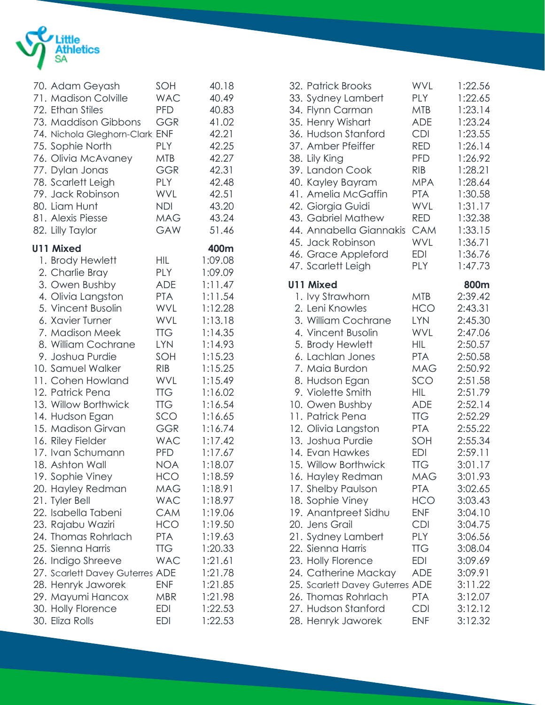

| 70. Adam Geyash                 | SOH        | 40.18   |
|---------------------------------|------------|---------|
| 71. Madison Colville            | <b>WAC</b> | 40.49   |
| 72. Ethan Stiles                | <b>PFD</b> | 40.83   |
| 73. Maddison Gibbons            | <b>GGR</b> | 41.02   |
| 74. Nichola Gleghorn-Clark ENF  |            | 42.21   |
| 75. Sophie North                | <b>PLY</b> | 42.25   |
| 76. Olivia McAvaney             | <b>MTB</b> | 42.27   |
| 77. Dylan Jonas                 | <b>GGR</b> | 42.31   |
| 78. Scarlett Leigh              | <b>PLY</b> | 42.48   |
| 79. Jack Robinson               | WVL        | 42.51   |
| 80. Liam Hunt                   | <b>NDI</b> | 43.20   |
| 81. Alexis Piesse               | <b>MAG</b> | 43.24   |
| 82. Lilly Taylor                | <b>GAW</b> | 51.46   |
| <b>U11 Mixed</b>                |            | 400m    |
| 1. Brody Hewlett                | HIL        | 1:09.08 |
| 2. Charlie Bray                 | <b>PLY</b> | 1:09.09 |
| 3. Owen Bushby                  | <b>ADE</b> | 1:11.47 |
| 4. Olivia Langston              | <b>PTA</b> | 1:11.54 |
| 5. Vincent Busolin              | <b>WVL</b> | 1:12.28 |
| 6. Xavier Turner                | <b>WVL</b> | 1:13.18 |
| 7. Madison Meek                 | <b>TTG</b> | 1:14.35 |
| 8. William Cochrane             | <b>LYN</b> | 1:14.93 |
| 9. Joshua Purdie                | SOH        | 1:15.23 |
| 10. Samuel Walker               | RIB        | 1:15.25 |
| 11. Cohen Howland               | WVL        | 1:15.49 |
| 12. Patrick Pena                | <b>TTG</b> | 1:16.02 |
| 13. Willow Borthwick            | <b>TTG</b> | 1:16.54 |
| 14. Hudson Egan                 | SCO        | 1:16.65 |
| 15. Madison Girvan              | <b>GGR</b> | 1:16.74 |
| 16. Riley Fielder               | <b>WAC</b> | 1:17.42 |
| 17. Ivan Schumann               | <b>PFD</b> | 1:17.67 |
| 18. Ashton Wall                 | <b>NOA</b> | 1:18.07 |
| 19. Sophie Viney                | <b>HCO</b> | 1:18.59 |
| 20. Hayley Redman               | MAG        | 1:18.91 |
| 21. Tyler Bell                  | <b>WAC</b> | 1:18.97 |
| 22. Isabella Tabeni             | <b>CAM</b> | 1:19.06 |
| 23. Rajabu Waziri               | <b>HCO</b> | 1:19.50 |
| 24. Thomas Rohrlach             | <b>PTA</b> | 1:19.63 |
| 25. Sienna Harris               | <b>TTG</b> | 1:20.33 |
| 26. Indigo Shreeve              | <b>WAC</b> | 1:21.61 |
| 27. Scarlett Davey Guterres ADE |            | 1:21.78 |
| 28. Henryk Jaworek              | <b>ENF</b> | 1:21.85 |
| 29. Mayumi Hancox               | <b>MBR</b> | 1:21.98 |
| 30. Holly Florence              | <b>EDI</b> | 1:22.53 |
| 30. Eliza Rolls                 | <b>EDI</b> | 1:22.53 |

| 32. Patrick Brooks              | WVL        | 1:22.56 |
|---------------------------------|------------|---------|
| 33. Sydney Lambert              | <b>PLY</b> | 1:22.65 |
| 34. Flynn Carman                | <b>MTB</b> | 1:23.14 |
| 35. Henry Wishart               | <b>ADE</b> | 1:23.24 |
| 36. Hudson Stanford             | <b>CDI</b> | 1:23.55 |
| 37. Amber Pfeiffer              | RED        | 1:26.14 |
| 38. Lily King                   | <b>PFD</b> | 1:26.92 |
| 39. Landon Cook                 | <b>RIB</b> | 1:28.21 |
| 40. Kayley Bayram               | <b>MPA</b> | 1:28.64 |
| 41. Amelia McGaffin             | <b>PTA</b> | 1:30.58 |
| 42. Giorgia Guidi               | WVL        | 1:31.17 |
| 43. Gabriel Mathew              | <b>RED</b> | 1:32.38 |
| 44. Annabella Giannakis         | <b>CAM</b> | 1:33.15 |
| 45. Jack Robinson               | <b>WVL</b> | 1:36.71 |
| 46. Grace Appleford             | <b>EDI</b> | 1:36.76 |
| 47. Scarlett Leigh              | <b>PLY</b> | 1:47.73 |
| <b>U11 Mixed</b>                |            | 800m    |
| 1. Ivy Strawhorn                | <b>MTB</b> | 2:39.42 |
| 2. Leni Knowles                 | <b>HCO</b> | 2:43.31 |
| 3. William Cochrane             | <b>LYN</b> | 2:45.30 |
| 4. Vincent Busolin              | WVL        | 2:47.06 |
| 5. Brody Hewlett                | <b>HIL</b> | 2:50.57 |
| 6. Lachlan Jones                | <b>PTA</b> | 2:50.58 |
| 7. Maia Burdon                  | <b>MAG</b> | 2:50.92 |
| 8. Hudson Egan                  | SCO        | 2:51.58 |
| 9. Violette Smith               | <b>HIL</b> | 2:51.79 |
| 10. Owen Bushby                 | <b>ADE</b> | 2:52.14 |
| 11. Patrick Pena                | <b>TTG</b> | 2:52.29 |
| 12. Olivia Langston             | <b>PTA</b> | 2:55.22 |
| 13. Joshua Purdie               | SOH        | 2:55.34 |
| 14. Evan Hawkes                 | <b>EDI</b> | 2:59.11 |
| 15. Willow Borthwick            | <b>TTG</b> | 3:01.17 |
| 16. Hayley Redman               | <b>MAG</b> | 3:01.93 |
| 17. Shelby Paulson              | <b>PTA</b> | 3:02.65 |
| 18. Sophie Viney                | <b>HCO</b> | 3:03.43 |
| 19. Anantpreet Sidhu            | <b>ENF</b> | 3:04.10 |
| 20. Jens Grail                  | CDI        | 3:04.75 |
| 21. Sydney Lambert              | <b>PLY</b> | 3:06.56 |
| 22. Sienna Harris               | TTG        | 3:08.04 |
| 23. Holly Florence              | EDI        | 3:09.69 |
| 24. Catherine Mackay            | <b>ADE</b> | 3:09.91 |
| 25. Scarlett Davey Guterres ADE |            | 3:11.22 |
| 26. Thomas Rohrlach             | <b>PTA</b> | 3:12.07 |
| 27. Hudson Stanford             | <b>CDI</b> | 3:12.12 |
| 28. Henryk Jaworek              | <b>ENF</b> | 3:12.32 |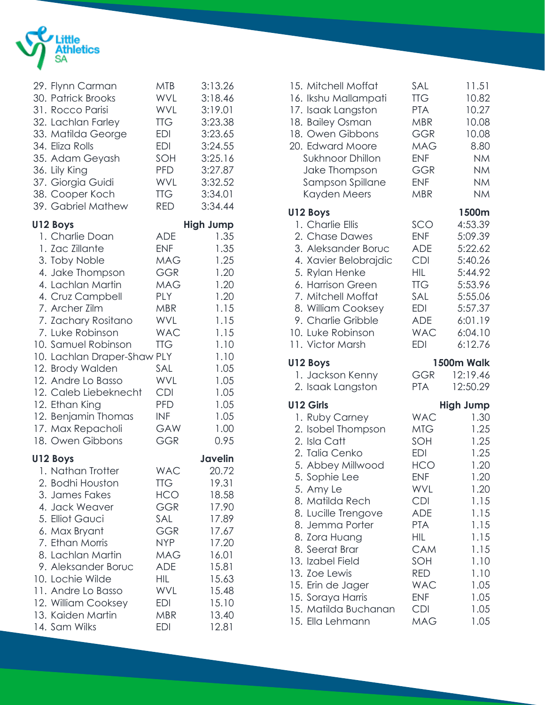

| 29. Flynn Carman<br>30. Patrick Brooks<br>31. Rocco Parisi<br>32. Lachlan Farley<br>33. Matilda George<br>34. Eliza Rolls<br>35. Adam Geyash<br>36. Lily King<br>37. Giorgia Guidi<br>38. Cooper Koch<br>39. Gabriel Mathew                                                                                                                                                                          | <b>MTB</b><br><b>WVL</b><br><b>WVL</b><br><b>TTG</b><br>EDI<br><b>EDI</b><br>SOH<br>PFD<br><b>WVL</b><br><b>TTG</b><br>RED                                                                | 3:13.26<br>3:18.46<br>3:19.01<br>3:23.38<br>3:23.65<br>3:24.55<br>3:25.16<br>3:27.87<br>3:32.52<br>3:34.01<br>3:34.44                                            |
|------------------------------------------------------------------------------------------------------------------------------------------------------------------------------------------------------------------------------------------------------------------------------------------------------------------------------------------------------------------------------------------------------|-------------------------------------------------------------------------------------------------------------------------------------------------------------------------------------------|------------------------------------------------------------------------------------------------------------------------------------------------------------------|
| U12 Boys<br>1. Charlie Doan<br>1. Zac Zillante<br>3. Toby Noble<br>4. Jake Thompson<br>4. Lachlan Martin<br>4. Cruz Campbell<br>7. Archer Zilm<br>7. Zachary Rositano<br>7. Luke Robinson<br>10. Samuel Robinson<br>10. Lachlan Draper-Shaw PLY<br>12. Brody Walden<br>12. Andre Lo Basso<br>12. Caleb Liebeknecht<br>12. Ethan King<br>12. Benjamin Thomas<br>17. Max Repacholi<br>18. Owen Gibbons | <b>ADE</b><br><b>ENF</b><br>MAG<br><b>GGR</b><br><b>MAG</b><br>PLY<br><b>MBR</b><br>WVL<br><b>WAC</b><br><b>TTG</b><br>SAL<br>WVL<br><b>CDI</b><br><b>PFD</b><br>INF<br>GAW<br><b>GGR</b> | <b>High Jump</b><br>1.35<br>1.35<br>1.25<br>1.20<br>1.20<br>1.20<br>1.15<br>1.15<br>1.15<br>1.10<br>1.10<br>1.05<br>1.05<br>1.05<br>1.05<br>1.05<br>1.00<br>0.95 |
| U12 Boys<br>1. Nathan Trotter<br>2. Bodhi Houston<br>3. James Fakes<br>4. Jack Weaver<br>5. Elliot Gauci<br>6. Max Bryant<br>7. Ethan Morris<br>8. Lachlan Martin<br>9. Aleksander Boruc<br>10. Lochie Wilde<br>11. Andre Lo Basso<br>12. William Cooksey<br>13. Kaiden Martin<br>14. Sam Wilks                                                                                                      | <b>WAC</b><br>ПG<br>HCO<br>GGR<br>SAL<br>GGR<br>NYP<br><b>MAG</b><br><b>ADE</b><br>HIL<br><b>WVL</b><br>EDI<br>MBR<br>EDI                                                                 | Javelin<br>20.72<br>19.31<br>18.58<br>17.90<br>17.89<br>17.67<br>17.20<br>16.01<br>15.81<br>15.63<br>15.48<br>15.10<br>13.40<br>12.81                            |

| 15. Mitchell Moffat<br>16. Ikshu Mallampati<br>17. Isaak Langston<br>18. Bailey Osman<br>18. Owen Gibbons<br>20. Edward Moore<br>Sukhnoor Dhillon<br>Jake Thompson<br>Sampson Spillane<br>Kayden Meers                                           | SAL<br><b>TTG</b><br><b>PTA</b><br><b>MBR</b><br><b>GGR</b><br><b>MAG</b><br><b>ENF</b><br>GGR<br><b>ENF</b><br><b>MBR</b> | 11.51<br>10.82<br>10.27<br>10.08<br>10.08<br>8.80<br><b>NM</b><br><b>NM</b><br><b>NM</b><br><b>NM</b>                          |
|--------------------------------------------------------------------------------------------------------------------------------------------------------------------------------------------------------------------------------------------------|----------------------------------------------------------------------------------------------------------------------------|--------------------------------------------------------------------------------------------------------------------------------|
| U12 Boys<br>1. Charlie Ellis<br>2. Chase Dawes<br>3. Aleksander Boruc<br>4. Xavier Belobrajdic<br>5. Rylan Henke<br>6. Harrison Green<br>7. Mitchell Moffat<br>8. William Cooksey<br>9. Charlie Gribble<br>10. Luke Robinson<br>11. Victor Marsh | SCO<br><b>ENF</b><br>ADE<br>CDI<br><b>HIL</b><br><b>TTG</b><br>SAL<br><b>EDI</b><br><b>ADE</b><br><b>WAC</b><br><b>EDI</b> | 1500m<br>4:53.39<br>5:09.39<br>5:22.62<br>5:40.26<br>5:44.92<br>5:53.96<br>5:55.06<br>5:57.37<br>6:01.19<br>6:04.10<br>6:12.76 |
| U12 Boys<br>1. Jackson Kenny<br>2. Isaak Langston                                                                                                                                                                                                | <b>GGR</b><br><b>PTA</b>                                                                                                   | 1500m Walk<br>12:19.46<br>12:50.29                                                                                             |
| U12 Girls<br>1. Ruby Carney<br>2. Isobel Thompson<br>2. Isla Catt                                                                                                                                                                                | <b>WAC</b><br>MTG<br>SOH                                                                                                   | <b>High Jump</b><br>1.30<br>1.25<br>1.25                                                                                       |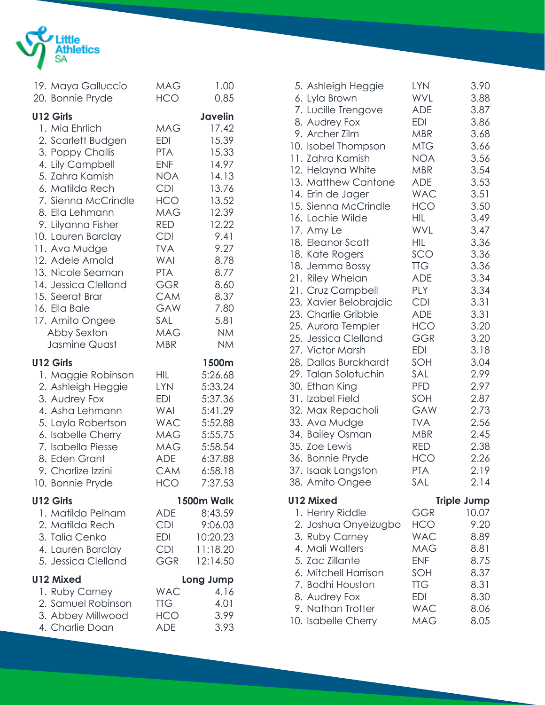

| 19. Maya Galluccio<br>20. Bonnie Pryde                                                                                                                                                                                                                                                                                                                                                                | <b>MAG</b><br><b>HCO</b>                                                                                                                                                                                                                                 | 1.00<br>0.85                                                                                                                                                                              |
|-------------------------------------------------------------------------------------------------------------------------------------------------------------------------------------------------------------------------------------------------------------------------------------------------------------------------------------------------------------------------------------------------------|----------------------------------------------------------------------------------------------------------------------------------------------------------------------------------------------------------------------------------------------------------|-------------------------------------------------------------------------------------------------------------------------------------------------------------------------------------------|
| <b>U12 Girls</b><br>1. Mia Ehrlich<br>2. Scarlett Budgen<br>3. Poppy Challis<br>4. Lily Campbell<br>5. Zahra Kamish<br>6. Matilda Rech<br>7. Sienna McCrindle<br>8. Ella Lehmann<br>9. Lilyanna Fisher<br>10. Lauren Barclay<br>11. Ava Mudge<br>12. Adele Arnold<br>13. Nicole Seaman<br>14. Jessica Clelland<br>15. Seerat Brar<br>16. Ella Bale<br>17. Amito Ongee<br>Abby Sexton<br>Jasmine Quast | <b>MAG</b><br><b>EDI</b><br><b>PTA</b><br><b>ENF</b><br><b>NOA</b><br><b>CDI</b><br><b>HCO</b><br><b>MAG</b><br><b>RED</b><br><b>CDI</b><br><b>TVA</b><br><b>WAI</b><br><b>PTA</b><br><b>GGR</b><br><b>CAM</b><br>GAW<br>SAL<br><b>MAG</b><br><b>MBR</b> | <b>Javelin</b><br>17.42<br>15.39<br>15.33<br>14.97<br>14.13<br>13.76<br>13.52<br>12.39<br>12.22<br>9.41<br>9.27<br>8.78<br>8.77<br>8.60<br>8.37<br>7.80<br>5.81<br><b>NM</b><br><b>NM</b> |
| <b>U12 Girls</b><br>1. Maggie Robinson<br>2. Ashleigh Heggie<br>3. Audrey Fox<br>4. Asha Lehmann<br>5. Layla Robertson<br>6. Isabelle Cherry<br>7. Isabella Piesse<br>8. Eden Grant<br>9. Charlize Izzini<br>10. Bonnie Pryde                                                                                                                                                                         | HIL I<br><b>LYN</b><br>EDI<br><b>WAI</b><br><b>WAC</b><br>MAG<br><b>MAG</b><br><b>ADE</b><br><b>CAM</b><br>HCO                                                                                                                                           | 1500m<br>5:26.68<br>5:33.24<br>5:37.36<br>5:41.29<br>5:52.88<br>5:55.75<br>5:58.54<br>6:37.88<br>6:58.18<br>7:37.53                                                                       |
| U12 Girls<br>1. Matilda Pelham<br>2. Matilda Rech<br>3. Talia Cenko<br>4. Lauren Barclay<br>5. Jessica Clelland                                                                                                                                                                                                                                                                                       | <b>ADE</b><br><b>CDI</b><br>EDI<br><b>CDI</b><br>GGR                                                                                                                                                                                                     | 1500m Walk<br>8:43.59<br>9:06.03<br>10:20.23<br>11:18.20<br>12:14.50                                                                                                                      |
| <b>U12 Mixed</b><br>1. Ruby Carney<br>2. Samuel Robinson<br>3. Abbey Millwood<br>4. Charlie Doan                                                                                                                                                                                                                                                                                                      | <b>WAC</b><br><b>TTG</b><br><b>HCO</b><br><b>ADE</b>                                                                                                                                                                                                     | Long Jump<br>4.16<br>4.01<br>3.99<br>3.93                                                                                                                                                 |

| 5. Ashleigh Heggie                                                                                                                                                                                                            | <b>LYN</b>                                                                                                     | 3.90                                                                                                          |
|-------------------------------------------------------------------------------------------------------------------------------------------------------------------------------------------------------------------------------|----------------------------------------------------------------------------------------------------------------|---------------------------------------------------------------------------------------------------------------|
| 6. Lyla Brown                                                                                                                                                                                                                 | WVL                                                                                                            | 3.88                                                                                                          |
| 7. Lucille Trengove                                                                                                                                                                                                           | <b>ADE</b>                                                                                                     | 3.87                                                                                                          |
| 8. Audrey Fox                                                                                                                                                                                                                 | <b>EDI</b>                                                                                                     | 3.86                                                                                                          |
| 9. Archer Zilm                                                                                                                                                                                                                | <b>MBR</b>                                                                                                     | 3.68                                                                                                          |
| 10. Isobel Thompson                                                                                                                                                                                                           | <b>MTG</b>                                                                                                     | 3.66                                                                                                          |
| 11. Zahra Kamish                                                                                                                                                                                                              | <b>NOA</b>                                                                                                     | 3.56                                                                                                          |
| 12. Helayna White                                                                                                                                                                                                             | <b>MBR</b>                                                                                                     | 3.54                                                                                                          |
| 13. Matthew Cantone                                                                                                                                                                                                           | <b>ADE</b>                                                                                                     | 3.53                                                                                                          |
| 14. Erin de Jager                                                                                                                                                                                                             | <b>WAC</b>                                                                                                     | 3.51                                                                                                          |
| 15. Sienna McCrindle                                                                                                                                                                                                          | <b>HCO</b>                                                                                                     | 3.50                                                                                                          |
| 16. Lochie Wilde                                                                                                                                                                                                              | HIL                                                                                                            | 3.49                                                                                                          |
| 17. Amy Le                                                                                                                                                                                                                    | WVL                                                                                                            | 3.47                                                                                                          |
| 18. Eleanor Scott                                                                                                                                                                                                             | <b>HIL</b>                                                                                                     | 3.36                                                                                                          |
| 18. Kate Rogers                                                                                                                                                                                                               | SCO                                                                                                            | 3.36                                                                                                          |
| 18. Jemma Bossy                                                                                                                                                                                                               | <b>TTG</b>                                                                                                     | 3.36                                                                                                          |
| 21. Riley Whelan                                                                                                                                                                                                              | <b>ADE</b>                                                                                                     | 3.34                                                                                                          |
| 21. Cruz Campbell                                                                                                                                                                                                             | <b>PLY</b>                                                                                                     | 3.34                                                                                                          |
| 23. Xavier Belobrajdic                                                                                                                                                                                                        | <b>CDI</b>                                                                                                     | 3.31                                                                                                          |
| 23. Charlie Gribble                                                                                                                                                                                                           | <b>ADE</b>                                                                                                     | 3.31                                                                                                          |
| 25. Aurora Templer                                                                                                                                                                                                            | HCO                                                                                                            | 3.20                                                                                                          |
| 25. Jessica Clelland                                                                                                                                                                                                          | GGR                                                                                                            | 3.20                                                                                                          |
| 27. Victor Marsh                                                                                                                                                                                                              | <b>EDI</b>                                                                                                     | 3.18                                                                                                          |
| 28. Dallas Burckhardt                                                                                                                                                                                                         | SOH                                                                                                            | 3.04                                                                                                          |
| 29. Talan Solotuchin                                                                                                                                                                                                          | SAL                                                                                                            | 2.99                                                                                                          |
| 30. Ethan King                                                                                                                                                                                                                | <b>PFD</b>                                                                                                     | 2.97                                                                                                          |
| 31. Izabel Field                                                                                                                                                                                                              | SOH                                                                                                            | 2.87                                                                                                          |
| 32. Max Repacholi                                                                                                                                                                                                             | GAW                                                                                                            | 2.73                                                                                                          |
| 33. Ava Mudge                                                                                                                                                                                                                 | <b>TVA</b>                                                                                                     | 2.56                                                                                                          |
| 34. Bailey Osman                                                                                                                                                                                                              | <b>MBR</b>                                                                                                     | 2.45                                                                                                          |
| 35. Zoe Lewis                                                                                                                                                                                                                 | RED                                                                                                            | 2.38                                                                                                          |
| 36. Bonnie Pryde                                                                                                                                                                                                              | <b>HCO</b>                                                                                                     | 2.26                                                                                                          |
| 37. Isaak Langston                                                                                                                                                                                                            | <b>PTA</b>                                                                                                     | 2.19                                                                                                          |
| 38. Amito Ongee                                                                                                                                                                                                               | SAL                                                                                                            | 2.14                                                                                                          |
| <b>U12 Mixed</b><br>1. Henry Riddle<br>2. Joshua Onyeizugbo<br>3. Ruby Carney<br>4. Mali Walters<br>5. Zac Zillante<br>6. Mitchell Harrison<br>7. Bodhi Houston<br>8. Audrey Fox<br>9. Nathan Trotter<br>$10$ Icahollo Charni | GGR<br>HCO<br><b>WAC</b><br>MAG<br><b>ENF</b><br>SOH<br>TTG<br>EDI<br><b>WAC</b><br>$\Lambda$ $\Lambda$ $\cap$ | <b>Triple Jump</b><br>10.07<br>9.20<br>8.89<br>8.81<br>8.75<br>8.37<br>8.31<br>8.30<br>8.06<br>$O$ $\cap$ $E$ |

10. Isabelle Cherry MAG 8.05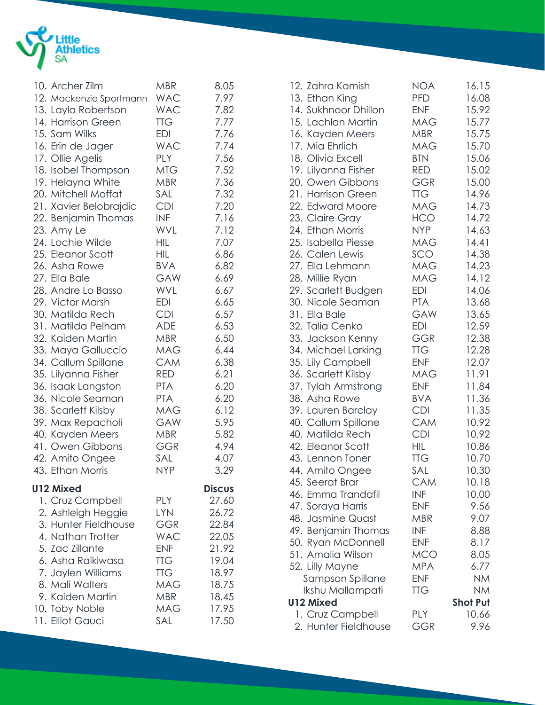

| 10. Archer Zilm         | <b>MBR</b> | 8.05          |
|-------------------------|------------|---------------|
| 12. Mackenzie Sportmann | <b>WAC</b> | 7.97          |
| 13. Layla Robertson     | <b>WAC</b> | 7.82          |
| 14. Harrison Green      | <b>TTG</b> | 7.77          |
| 15. Sam Wilks           | <b>EDI</b> | 7.76          |
| 16. Erin de Jager       | <b>WAC</b> | 7.74          |
| 17. Ollie Agelis        | PLY        | 7.56          |
| 18. Isobel Thompson     | <b>MTG</b> | 7.52          |
| 19. Helayna White       | <b>MBR</b> | 7.36          |
| 20. Mitchell Moffat     | SAL        | 7.32          |
| 21. Xavier Belobrajdic  | <b>CDI</b> | 7.20          |
| 22. Benjamin Thomas     | <b>INF</b> | 7.16          |
| 23. Amy Le              | WVL        | 7.12          |
| 24. Lochie Wilde        | <b>HIL</b> | 7.07          |
| 25. Eleanor Scott       | <b>HIL</b> | 6.86          |
| 26. Asha Rowe           | <b>BVA</b> | 6.82          |
| 27. Ella Bale           | GAW        | 6.69          |
| 28. Andre Lo Basso      | <b>WVL</b> | 6.67          |
| 29. Victor Marsh        | <b>EDI</b> | 6.65          |
| 30. Matilda Rech        | <b>CDI</b> | 6.57          |
| 31. Matilda Pelham      | <b>ADE</b> | 6.53          |
| 32. Kaiden Martin       | <b>MBR</b> | 6.50          |
| 33. Maya Galluccio      | <b>MAG</b> | 6.44          |
| 34. Callum Spillane     | <b>CAM</b> | 6.38          |
| 35. Lilyanna Fisher     | <b>RED</b> | 6.21          |
| 36. Isaak Langston      | <b>PTA</b> | 6.20          |
| 36. Nicole Seaman       | <b>PTA</b> | 6.20          |
| 38. Scarlett Kilsby     | <b>MAG</b> | 6.12          |
| 39. Max Repacholi       | GAW        | 5.95          |
| 40. Kayden Meers        | <b>MBR</b> | 5.82          |
| 41. Owen Gibbons        | <b>GGR</b> | 4.94          |
| 42. Amito Ongee         | SAL        | 4.07          |
| 43. Ethan Morris        | <b>NYP</b> | 3.29          |
|                         |            |               |
| <b>U12 Mixed</b>        |            | <b>Discus</b> |
| 1. Cruz Campbell        | PLY        | 27.60         |
| 2. Ashleigh Heggie      | <b>LYN</b> | 26.72         |
| 3. Hunter Fieldhouse    | <b>GGR</b> | 22.84         |
| 4. Nathan Trotter       | <b>WAC</b> | 22.05         |
| 5. Zac Zillante         | <b>ENF</b> | 21.92         |
| 6. Asha Raikiwasa       | <b>TTG</b> | 19.04         |
| 7. Jaylen Williams      | <b>TTG</b> | 18.97         |
| 8. Mali Walters         | <b>MAG</b> | 18.75         |
| 9. Kaiden Martin        | <b>MBR</b> | 18.45         |
| 10. Toby Noble          | <b>MAG</b> | 17.95         |
| 11. Elliot Gauci        | SAL        | 17.50         |

| 12. Zahra Kamish     | <b>NOA</b> | 16.15           |
|----------------------|------------|-----------------|
| 13. Ethan King       | <b>PFD</b> | 16.08           |
| 14. Sukhnoor Dhillon | <b>ENF</b> | 15.92           |
| 15. Lachlan Martin   | <b>MAG</b> | 15.77           |
| 16. Kayden Meers     | <b>MBR</b> | 15.75           |
| 17. Mia Ehrlich      | <b>MAG</b> | 15.70           |
| 18. Olivia Excell    | <b>BTN</b> | 15.06           |
| 19. Lilyanna Fisher  | RED        | 15.02           |
| 20. Owen Gibbons     | GGR        | 15.00           |
| 21. Harrison Green   | <b>TTG</b> | 14.96           |
| 22. Edward Moore     | <b>MAG</b> | 14.73           |
| 23. Claire Gray      | <b>HCO</b> | 14.72           |
| 24. Ethan Morris     | <b>NYP</b> | 14.63           |
| 25. Isabella Piesse  | <b>MAG</b> | 14.41           |
| 26. Calen Lewis      | SCO        | 14.38           |
| 27. Ella Lehmann     | <b>MAG</b> | 14.23           |
| 28. Millie Ryan      | <b>MAG</b> | 14.12           |
| 29. Scarlett Budgen  | <b>EDI</b> | 14.06           |
| 30. Nicole Seaman    | <b>PTA</b> | 13.68           |
| 31. Ella Bale        | GAW        | 13.65           |
| 32. Talia Cenko      | <b>EDI</b> | 12.59           |
| 33. Jackson Kenny    | <b>GGR</b> | 12.38           |
| 34. Michael Larking  | <b>TTG</b> | 12.28           |
| 35. Lily Campbell    | <b>ENF</b> | 12.07           |
| 36. Scarlett Kilsby  | <b>MAG</b> | 11.91           |
| 37. Tylah Armstrong  | <b>ENF</b> | 11.84           |
| 38. Asha Rowe        | <b>BVA</b> | 11.36           |
| 39. Lauren Barclay   | <b>CDI</b> | 11.35           |
| 40. Callum Spillane  | <b>CAM</b> | 10.92           |
| 40. Matilda Rech     | <b>CDI</b> | 10.92           |
| 42. Eleanor Scott    | <b>HIL</b> | 10.86           |
| 43. Lennon Toner     | <b>TTG</b> | 10.70           |
| 44. Amito Ongee      | SAL        | 10.30           |
| 45. Seerat Brar      | CAM        | 10.18           |
| 46. Emma Trandafil   | <b>INF</b> | 10.00           |
| 47. Soraya Harris    | <b>ENF</b> | 9.56            |
| 48. Jasmine Quast    | <b>MBR</b> | 9.07            |
| 49. Benjamin Thomas  | <b>INF</b> | 8.88            |
| 50. Ryan McDonnell   | <b>ENF</b> | 8.17            |
| 51. Amalia Wilson    | <b>MCO</b> | 8.05            |
| 52. Lilly Mayne      | <b>MPA</b> | 6.77            |
| Sampson Spillane     | <b>ENF</b> | <b>NM</b>       |
| Ikshu Mallampati     | <b>TTG</b> | <b>NM</b>       |
| <b>U12 Mixed</b>     |            | <b>Shot Put</b> |
| 1. Cruz Campbell     | <b>PLY</b> | 10.66           |
| 2. Hunter Fieldhouse | GGR        | 9.96            |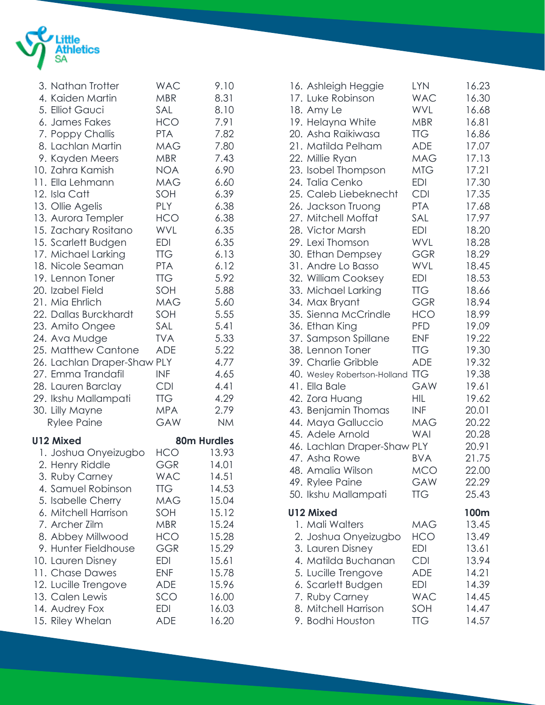

| 3. Nathan Trotter<br>4. Kaiden Martin<br>5. Elliot Gauci<br>6. James Fakes<br>7. Poppy Challis<br>8. Lachlan Martin<br>9. Kayden Meers<br>10. Zahra Kamish<br>11. Ella Lehmann<br>12. Isla Catt<br>13. Ollie Agelis<br>13. Aurora Templer<br>15. Zachary Rositano<br>15. Scarlett Budgen<br>17. Michael Larking<br>18. Nicole Seaman<br>19. Lennon Toner<br>20. Izabel Field<br>21. Mia Ehrlich<br>22. Dallas Burckhardt<br>23. Amito Ongee<br>24. Ava Mudge<br>25. Matthew Cantone<br>26. Lachlan Draper-Shaw PLY<br>27. Emma Trandafil<br>28. Lauren Barclay | <b>WAC</b><br><b>MBR</b><br>SAL<br><b>HCO</b><br><b>PTA</b><br><b>MAG</b><br><b>MBR</b><br><b>NOA</b><br><b>MAG</b><br>SOH<br><b>PLY</b><br>HCO<br><b>WVL</b><br>EDI<br><b>TTG</b><br><b>PTA</b><br><b>TTG</b><br>SOH<br><b>MAG</b><br>SOH<br>SAL<br><b>TVA</b><br><b>ADE</b><br>INF<br><b>CDI</b> | 9.10<br>8.31<br>8.10<br>7.91<br>7.82<br>7.80<br>7.43<br>6.90<br>6.60<br>6.39<br>6.38<br>6.38<br>6.35<br>6.35<br>6.13<br>6.12<br>5.92<br>5.88<br>5.60<br>5.55<br>5.41<br>5.33<br>5.22<br>4.77<br>4.65<br>4.41 |
|----------------------------------------------------------------------------------------------------------------------------------------------------------------------------------------------------------------------------------------------------------------------------------------------------------------------------------------------------------------------------------------------------------------------------------------------------------------------------------------------------------------------------------------------------------------|----------------------------------------------------------------------------------------------------------------------------------------------------------------------------------------------------------------------------------------------------------------------------------------------------|--------------------------------------------------------------------------------------------------------------------------------------------------------------------------------------------------------------|
| 29. Ikshu Mallampati<br>30. Lilly Mayne                                                                                                                                                                                                                                                                                                                                                                                                                                                                                                                        | <b>TTG</b><br><b>MPA</b>                                                                                                                                                                                                                                                                           | 4.29<br>2.79                                                                                                                                                                                                 |
| <b>Rylee Paine</b>                                                                                                                                                                                                                                                                                                                                                                                                                                                                                                                                             | <b>GAW</b>                                                                                                                                                                                                                                                                                         | <b>NM</b>                                                                                                                                                                                                    |
| <b>U12 Mixed</b>                                                                                                                                                                                                                                                                                                                                                                                                                                                                                                                                               |                                                                                                                                                                                                                                                                                                    | <b>80m Hurdles</b>                                                                                                                                                                                           |
| 1. Joshua Onyeizugbo<br>2. Henry Riddle<br>3. Ruby Carney<br>4. Samuel Robinson<br>5. Isabelle Cherry<br>6. Mitchell Harrison<br>7. Archer Zilm<br>8. Abbey Millwood<br>9. Hunter Fieldhouse<br>10. Lauren Disney<br>11. Chase Dawes<br>12. Lucille Trengove<br>13. Calen Lewis<br>14. Audrey Fox<br>15. Riley Whelan                                                                                                                                                                                                                                          | HCO<br><b>GGR</b><br><b>WAC</b><br><b>TTG</b><br><b>MAG</b><br>SOH<br><b>MBR</b><br><b>HCO</b><br>GGR<br>EDI<br><b>ENF</b><br><b>ADE</b><br>SCO<br><b>EDI</b><br><b>ADE</b>                                                                                                                        | 13.93<br>14.01<br>14.51<br>14.53<br>15.04<br>15.12<br>15.24<br>15.28<br>15.29<br>15.61<br>15.78<br>15.96<br>16.00<br>16.03<br>16.20                                                                          |

| 16. Ashleigh Heggie<br>17. Luke Robinson | <b>LYN</b><br><b>WAC</b> | 16.23<br>16.30 |
|------------------------------------------|--------------------------|----------------|
| 18. Amy Le                               | <b>WVL</b>               | 16.68          |
| 19. Helayna White                        | <b>MBR</b>               | 16.81          |
| 20. Asha Raikiwasa                       | <b>TTG</b>               | 16.86          |
| 21. Matilda Pelham                       | <b>ADE</b>               | 17.07          |
| 22. Millie Ryan                          | <b>MAG</b>               | 17.13          |
| 23. Isobel Thompson                      | MTG.                     | 17.21          |
| 24. Talia Cenko                          | <b>EDI</b>               | 17.30          |
| 25. Caleb Liebeknecht                    | <b>CDI</b>               | 17.35          |
| 26. Jackson Truong                       | <b>PTA</b>               | 17.68          |
| 27. Mitchell Moffat                      | SAL                      | 17.97          |
| 28. Victor Marsh                         | <b>EDI</b>               | 18.20          |
| 29. Lexi Thomson                         | WVL                      | 18.28          |
| 30. Ethan Dempsey                        | <b>GGR</b>               | 18.29          |
| 31. Andre Lo Basso                       | <b>WVL</b>               | 18.45          |
| 32. William Cooksey                      | <b>EDI</b>               | 18.53          |
| 33. Michael Larking                      | <b>TTG</b>               | 18.66          |
| 34. Max Bryant                           | <b>GGR</b>               | 18.94          |
| 35. Sienna McCrindle                     | <b>HCO</b>               | 18.99          |
| 36. Ethan King                           | <b>PFD</b>               | 19.09          |
| 37. Sampson Spillane                     | <b>ENF</b>               | 19.22          |
| 38. Lennon Toner                         | <b>TTG</b>               | 19.30          |
| 39. Charlie Gribble                      | <b>ADE</b>               | 19.32          |
| 40. Wesley Robertson-Holland             | <b>TTG</b>               | 19.38          |
| 41. Ella Bale                            | GAW                      | 19.61          |
| 42. Zora Huang                           | HIL                      | 19.62          |
| 43. Benjamin Thomas                      | <b>INF</b>               | 20.01          |
| 44. Maya Galluccio                       | <b>MAG</b>               | 20.22          |
| 45. Adele Arnold                         | <b>WAI</b>               | 20.28          |
| 46. Lachlan Draper-Shaw PLY              |                          | 20.91          |
| 47. Asha Rowe                            | <b>BVA</b>               | 21.75          |
| 48. Amalia Wilson                        | <b>MCO</b>               | 22.00          |
| 49. Rylee Paine                          | GAW                      | 22.29          |
| 50. Ikshu Mallampati                     | TTG                      | 25.43          |
| <b>U12 Mixed</b>                         |                          | 100m           |
| 1. Mali Walters                          | MAG                      | 13.45          |
| 2. Joshua Onyeizugbo                     | <b>HCO</b>               | 13.49          |
| 3. Lauren Disney                         | <b>EDI</b>               | 13.61          |
| 4. Matilda Buchanan                      | <b>CDI</b>               | 13.94          |
| 5. Lucille Trengove                      | <b>ADE</b>               | 14.21          |
| 6. Scarlett Budgen                       | <b>EDI</b>               | 14.39          |
| 7. Ruby Carney                           | <b>WAC</b>               | 14.45          |
| 8. Mitchell Harrison                     | SOH                      | 14.47          |
| 9. Bodhi Houston                         | <b>TTG</b>               | 14.57          |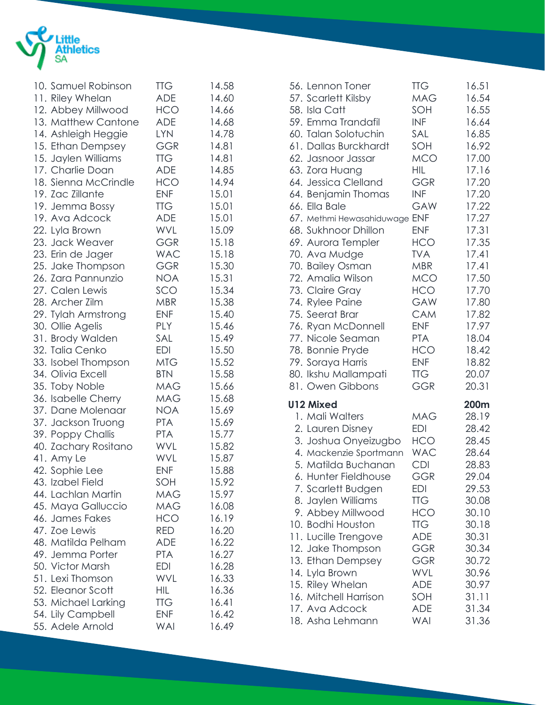

| 10. Samuel Robinson  | <b>TTG</b> | 14.58 |
|----------------------|------------|-------|
| 11. Riley Whelan     | ADE        | 14.60 |
| 12. Abbey Millwood   | HCO        | 14.66 |
| 13. Matthew Cantone  | <b>ADE</b> | 14.68 |
| 14. Ashleigh Heggie  | <b>LYN</b> | 14.78 |
| 15. Ethan Dempsey    | <b>GGR</b> | 14.81 |
| 15. Jaylen Williams  | <b>TTG</b> | 14.81 |
| 17. Charlie Doan     | <b>ADE</b> | 14.85 |
| 18. Sienna McCrindle | HCO        | 14.94 |
| 19. Zac Zillante     | <b>ENF</b> | 15.01 |
| 19. Jemma Bossy      | <b>TTG</b> | 15.01 |
| 19. Ava Adcock       | <b>ADE</b> | 15.01 |
| 22. Lyla Brown       | <b>WVL</b> | 15.09 |
| 23. Jack Weaver      | <b>GGR</b> | 15.18 |
|                      |            |       |
| 23. Erin de Jager    | <b>WAC</b> | 15.18 |
| 25. Jake Thompson    | <b>GGR</b> | 15.30 |
| 26. Zara Pannunzio   | <b>NOA</b> | 15.31 |
| 27. Calen Lewis      | SCO        | 15.34 |
| 28. Archer Zilm      | <b>MBR</b> | 15.38 |
| 29. Tylah Armstrong  | <b>ENF</b> | 15.40 |
| 30. Ollie Agelis     | <b>PLY</b> | 15.46 |
| 31. Brody Walden     | SAL        | 15.49 |
| 32. Talia Cenko      | EDI        | 15.50 |
| 33. Isobel Thompson  | <b>MTG</b> | 15.52 |
| 34. Olivia Excell    | <b>BTN</b> | 15.58 |
| 35. Toby Noble       | <b>MAG</b> | 15.66 |
| 36. Isabelle Cherry  | <b>MAG</b> | 15.68 |
| 37. Dane Molenaar    | <b>NOA</b> | 15.69 |
| 37. Jackson Truong   | <b>PTA</b> | 15.69 |
| 39. Poppy Challis    | <b>PTA</b> | 15.77 |
| 40. Zachary Rositano | <b>WVL</b> | 15.82 |
| 41. Amy Le           | <b>WVL</b> | 15.87 |
| 42. Sophie Lee       | <b>ENF</b> | 15.88 |
| 43. Izabel Field     | SOH        | 15.92 |
| 44. Lachlan Martin   | <b>MAG</b> | 15.97 |
| 45. Maya Galluccio   | <b>MAG</b> | 16.08 |
| 46. James Fakes      | <b>HCO</b> | 16.19 |
| 47. Zoe Lewis        | <b>RED</b> | 16.20 |
| 48. Matilda Pelham   | <b>ADE</b> | 16.22 |
| 49. Jemma Porter     | <b>PTA</b> | 16.27 |
| 50. Victor Marsh     | EDI        | 16.28 |
| 51. Lexi Thomson     | WVL        | 16.33 |
| 52. Eleanor Scott    | <b>HIL</b> | 16.36 |
| 53. Michael Larking  | <b>TTG</b> | 16.41 |
| 54. Lily Campbell    | <b>ENF</b> | 16.42 |
| 55. Adele Arnold     | <b>WAI</b> | 16.49 |
|                      |            |       |

| 56. Lennon Toner<br>57. Scarlett Kilsby<br>58. Isla Catt<br>59. Emma Trandafil<br>60. Talan Solotuchin<br>61. Dallas Burckhardt<br>62. Jasnoor Jassar<br>63. Zora Huang<br>64. Jessica Clelland<br>64. Benjamin Thomas<br>66. Ella Bale                                                                                                                                                                               | <b>TTG</b><br><b>MAG</b><br>SOH<br>INF<br>SAL<br>SOH<br><b>MCO</b><br><b>HIL</b><br><b>GGR</b><br><b>INF</b><br><b>GAW</b>                                                                              | 16.51<br>16.54<br>16.55<br>16.64<br>16.85<br>16.92<br>17.00<br>17.16<br>17.20<br>17.20<br>17.22                                                                        |
|-----------------------------------------------------------------------------------------------------------------------------------------------------------------------------------------------------------------------------------------------------------------------------------------------------------------------------------------------------------------------------------------------------------------------|---------------------------------------------------------------------------------------------------------------------------------------------------------------------------------------------------------|------------------------------------------------------------------------------------------------------------------------------------------------------------------------|
| 67. Methmi Hewasahiduwage ENF<br>68. Sukhnoor Dhillon<br>69. Aurora Templer<br>70. Ava Mudge<br>70. Bailey Osman<br>72. Amalia Wilson<br>73. Claire Gray<br>74. Rylee Paine<br>75. Seerat Brar<br>76. Ryan McDonnell<br>77. Nicole Seaman<br>78. Bonnie Pryde<br>79. Soraya Harris<br>80. Ikshu Mallampati<br>81. Owen Gibbons                                                                                        | <b>ENF</b><br><b>HCO</b><br><b>TVA</b><br><b>MBR</b><br><b>MCO</b><br><b>HCO</b><br><b>GAW</b><br><b>CAM</b><br><b>ENF</b><br><b>PTA</b><br><b>HCO</b><br><b>ENF</b><br><b>TTG</b><br><b>GGR</b>        | 17.27<br>17.31<br>17.35<br>17.41<br>17.41<br>17.50<br>17.70<br>17.80<br>17.82<br>17.97<br>18.04<br>18.42<br>18.82<br>20.07<br>20.31                                    |
| <b>U12 Mixed</b><br>1. Mali Walters<br>2. Lauren Disney<br>3. Joshua Onyeizugbo<br>4. Mackenzie Sportmann<br>5. Matilda Buchanan<br>6. Hunter Fieldhouse<br>7. Scarlett Budgen<br>8. Jaylen Williams<br>9. Abbey Millwood<br>10. Bodhi Houston<br>11. Lucille Trengove<br>12. Jake Thompson<br>13. Ethan Dempsey<br>14. Lyla Brown<br>15. Riley Whelan<br>16. Mitchell Harrison<br>17. Ava Adcock<br>18. Asha Lehmann | MAG<br><b>EDI</b><br>HCO<br><b>WAC</b><br><b>CDI</b><br>GGR<br>EDI<br><b>TTG</b><br><b>HCO</b><br><b>TTG</b><br><b>ADE</b><br>GGR<br><b>GGR</b><br>WVL<br><b>ADE</b><br>SOH<br><b>ADE</b><br><b>WAI</b> | 200m<br>28.19<br>28.42<br>28.45<br>28.64<br>28.83<br>29.04<br>29.53<br>30.08<br>30.10<br>30.18<br>30.31<br>30.34<br>30.72<br>30.96<br>30.97<br>31.11<br>31.34<br>31.36 |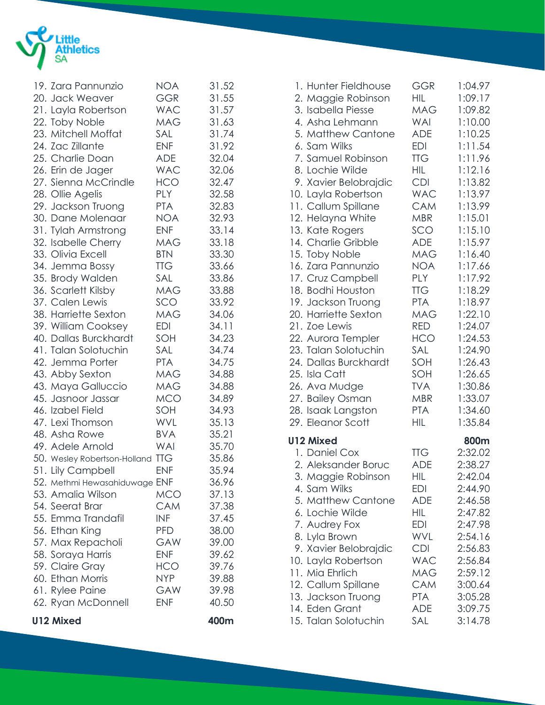

| <b>U12 Mixed</b>                             |            | 400m  |
|----------------------------------------------|------------|-------|
| 62. Ryan McDonnell                           | <b>ENF</b> | 40.50 |
| 61. Rylee Paine                              | GAW        | 39.98 |
| 60. Ethan Morris                             | <b>NYP</b> | 39.88 |
| 59. Claire Gray                              | <b>HCO</b> | 39.76 |
| 58. Soraya Harris                            | <b>ENF</b> | 39.62 |
| 57. Max Repacholi                            | GAW        | 39.00 |
| 56. Ethan King                               | <b>PFD</b> | 38.00 |
| 55. Emma Trandafil                           | <b>INF</b> | 37.45 |
| 54. Seerat Brar                              | <b>CAM</b> | 37.38 |
| 53. Amalia Wilson                            | <b>MCO</b> | 37.13 |
| 52. Methmi Hewasahiduwage ENF                |            | 36.96 |
| 51. Lily Campbell                            | <b>ENF</b> | 35.94 |
| 50. Wesley Robertson-Holland TTG             |            | 35.86 |
| 49. Adele Arnold                             | WAI        | 35.70 |
| 48. Asha Rowe                                | <b>BVA</b> | 35.21 |
| 47. Lexi Thomson                             | <b>WVL</b> | 35.13 |
| 46. Izabel Field                             | SOH        | 34.93 |
| 45. Jasnoor Jassar                           | <b>MCO</b> | 34.89 |
| 43. Maya Galluccio                           | MAG        | 34.88 |
| 43. Abby Sexton                              | <b>MAG</b> | 34.88 |
| 42. Jemma Porter                             | <b>PTA</b> | 34.75 |
| 41. Talan Solotuchin                         |            | 34.74 |
|                                              | SAL        |       |
| 39. William Cooksey<br>40. Dallas Burckhardt | EDI<br>SOH | 34.23 |
|                                              |            | 34.11 |
| 38. Harriette Sexton                         | <b>MAG</b> | 34.06 |
| 37. Calen Lewis                              | SCO        | 33.92 |
| 36. Scarlett Kilsby                          | <b>MAG</b> | 33.88 |
| 35. Brody Walden                             | SAL        | 33.86 |
| 34. Jemma Bossy                              | <b>TTG</b> | 33.66 |
| 33. Olivia Excell                            | <b>BTN</b> | 33.30 |
| 32. Isabelle Cherry                          | <b>MAG</b> | 33.18 |
| 31. Tylah Armstrong                          | <b>ENF</b> | 33.14 |
| 30. Dane Molenaar                            | <b>NOA</b> | 32.93 |
| 29. Jackson Truong                           | <b>PTA</b> | 32.83 |
| 28. Ollie Agelis                             | <b>PLY</b> | 32.58 |
| 27. Sienna McCrindle                         | <b>HCO</b> | 32.47 |
| 26. Erin de Jager                            | <b>WAC</b> | 32.06 |
| 25. Charlie Doan                             | ADE        | 32.04 |
| 24. Zac Zillante                             | <b>ENF</b> | 31.92 |
| 23. Mitchell Moffat                          | SAL        | 31.74 |
| 22. Toby Noble                               | MAG        | 31.63 |
| 21. Layla Robertson                          | <b>WAC</b> | 31.57 |
| 20. Jack Weaver                              | <b>GGR</b> | 31.55 |
| 19. Zara Pannunzio                           | <b>NOA</b> | 31.52 |

| 1. Hunter Fieldhouse<br>2. Maggie Robinson<br>3. Isabella Piesse<br>4. Asha Lehmann<br>5. Matthew Cantone<br>6. Sam Wilks<br>7. Samuel Robinson<br>8. Lochie Wilde<br>9. Xavier Belobrajdic<br>10. Layla Robertson<br>11. Callum Spillane<br>12. Helayna White<br>13. Kate Rogers<br>14. Charlie Gribble<br>15. Toby Noble<br>16. Zara Pannunzio<br>17. Cruz Campbell<br>18. Bodhi Houston<br>19. Jackson Truong<br>20. Harriette Sexton<br>21. Zoe Lewis<br>22. Aurora Templer<br>23. Talan Solotuchin<br>24. Dallas Burckhardt<br>25. Isla Catt<br>26. Ava Mudge<br>27. Bailey Osman<br>28. Isaak Langston | GGR<br>HIL<br><b>MAG</b><br><b>WAI</b><br><b>ADE</b><br>EDI<br><b>TTG</b><br>HIL<br><b>CDI</b><br><b>WAC</b><br><b>CAM</b><br><b>MBR</b><br>SCO<br><b>ADE</b><br><b>MAG</b><br><b>NOA</b><br><b>PLY</b><br><b>TTG</b><br><b>PTA</b><br><b>MAG</b><br><b>RED</b><br><b>HCO</b><br>SAL<br>SOH<br>SOH<br><b>TVA</b><br><b>MBR</b><br><b>PTA</b> | 1:04.97<br>1:09.17<br>1:09.82<br>1:10.00<br>1:10.25<br>1:11.54<br>1:11.96<br>1:12.16<br>1:13.82<br>1:13.97<br>1:13.99<br>1:15.01<br>1:15.10<br>1:15.97<br>1:16.40<br>1:17.66<br>1:17.92<br>1:18.29<br>1:18.97<br>1:22.10<br>1:24.07<br>1:24.53<br>1:24.90<br>1:26.43<br>1:26.65<br>1:30.86<br>1:33.07<br>1:34.60 |
|--------------------------------------------------------------------------------------------------------------------------------------------------------------------------------------------------------------------------------------------------------------------------------------------------------------------------------------------------------------------------------------------------------------------------------------------------------------------------------------------------------------------------------------------------------------------------------------------------------------|----------------------------------------------------------------------------------------------------------------------------------------------------------------------------------------------------------------------------------------------------------------------------------------------------------------------------------------------|------------------------------------------------------------------------------------------------------------------------------------------------------------------------------------------------------------------------------------------------------------------------------------------------------------------|
| 29. Eleanor Scott                                                                                                                                                                                                                                                                                                                                                                                                                                                                                                                                                                                            | <b>HIL</b>                                                                                                                                                                                                                                                                                                                                   | 1:35.84                                                                                                                                                                                                                                                                                                          |
| <b>U12 Mixed</b><br>1. Daniel Cox<br>2. Aleksander Boruc<br>3. Maggie Robinson<br>4. Sam Wilks<br>5. Matthew Cantone<br>6. Lochie Wilde<br>7. Audrey Fox<br>8. Lyla Brown<br>9. Xavier Belobrajdic<br>10. Layla Robertson<br>11. Mia Ehrlich<br>12. Callum Spillane<br>13. Jackson Truong<br>14. Eden Grant<br>15. Talan Solotuchin                                                                                                                                                                                                                                                                          | <b>TTG</b><br><b>ADE</b><br><b>HIL</b><br>EDI<br><b>ADE</b><br>HIL<br>EDI<br>WVL<br>CDI<br><b>WAC</b><br><b>MAG</b><br><b>CAM</b><br><b>PTA</b><br><b>ADE</b><br>SAL                                                                                                                                                                         | 800m<br>2:32.02<br>2:38.27<br>2:42.04<br>2:44.90<br>2:46.58<br>2:47.82<br>2:47.98<br>2:54.16<br>2:56.83<br>2:56.84<br>2:59.12<br>3:00.64<br>3:05.28<br>3:09.75<br>3:14.78                                                                                                                                        |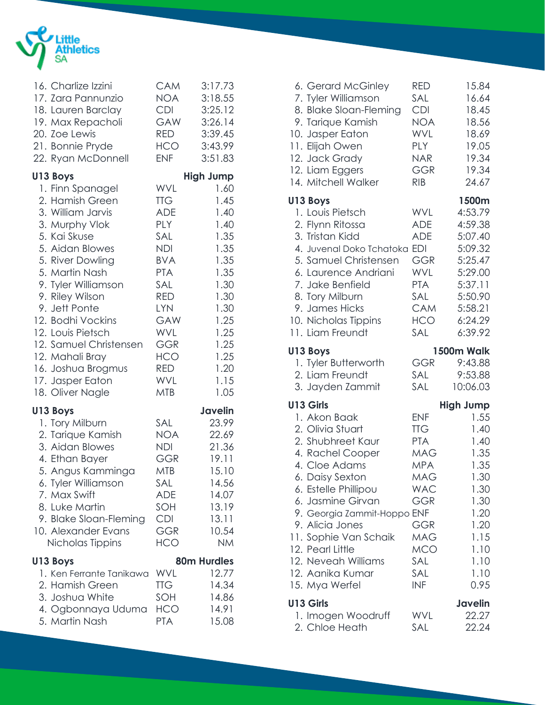

| 16. Charlize Izzini      | <b>CAM</b> | 3:17.73          |
|--------------------------|------------|------------------|
| 17. Zara Pannunzio       | NOA        | 3:18.55          |
| 18. Lauren Barclay       | <b>CDI</b> | 3:25.12          |
| 19. Max Repacholi        | GAW        | 3:26.14          |
| 20. Zoe Lewis            | RED        | 3:39.45          |
| 21. Bonnie Pryde         | <b>HCO</b> | 3:43.99          |
| 22. Ryan McDonnell       | <b>ENF</b> | 3:51.83          |
| U13 Boys                 |            | <b>High Jump</b> |
| 1. Finn Spanagel         | <b>WVL</b> | 1.60             |
| 2. Hamish Green          | <b>TTG</b> | 1.45             |
| 3. William Jarvis        | <b>ADE</b> | 1.40             |
| 3. Murphy Vlok           | <b>PLY</b> | 1.40             |
| 5. Kai Skuse             | SAL        | 1.35             |
| 5. Aidan Blowes          | <b>NDI</b> | 1.35             |
| 5. River Dowling         | <b>BVA</b> | 1.35             |
| 5. Martin Nash           | <b>PTA</b> | 1.35             |
| 9. Tyler Williamson      | SAL        | 1.30             |
| 9. Riley Wilson          | <b>RED</b> | 1.30             |
| 9. Jett Ponte            | <b>LYN</b> | 1.30             |
| 12. Bodhi Vockins        | GAW        | 1.25             |
| 12. Louis Pietsch        | <b>WVL</b> | 1.25             |
| 12. Samuel Christensen   | <b>GGR</b> | 1.25             |
| 12. Mahali Bray          | <b>HCO</b> | 1.25             |
| 16. Joshua Brogmus       | RED        | 1.20             |
| 17. Jasper Eaton         | <b>WVL</b> | 1.15             |
| 18. Oliver Nagle         | <b>MTB</b> | 1.05             |
| U13 Boys                 |            | <b>Javelin</b>   |
| 1. Tory Milburn          | SAL        | 23.99            |
| 2. Tarique Kamish        | NOA        | 22.69            |
| 3. Aidan Blowes          | <b>NDI</b> | 21.36            |
| 4. Ethan Bayer           | GGR        | 19.11            |
| 5. Angus Kamminga        | <b>MTB</b> | 15.10            |
| 6. Tyler Williamson      | SAL        | 14.56            |
| 7. Max Swift             | <b>ADE</b> | 14.07            |
| 8. Luke Martin           | SOH        | 13.19            |
| 9. Blake Sloan-Fleming   | <b>CDI</b> | 13.11            |
| 10. Alexander Evans      | GGR        | 10.54            |
| Nicholas Tippins         | <b>HCO</b> | <b>NM</b>        |
| U13 Boys                 |            | 80m Hurdles      |
| 1. Ken Ferrante Tanikawa | WVL        | 12.77            |
| 2. Hamish Green          | TTG        | 14.34            |
| 3. Joshua White          | SOH        | 14.86            |
| 4. Ogbonnaya Uduma       | <b>HCO</b> | 14.91            |
| 5. Martin Nash           | <b>PTA</b> | 15.08            |

| 6. Gerard McGinley<br>7. Tyler Williamson<br>8. Blake Sloan-Fleming<br>9. Tarique Kamish<br>10. Jasper Eaton<br>11. Elijah Owen<br>12. Jack Grady<br>12. Liam Eggers<br>14. Mitchell Walker                                                                                                                                         | RED<br>SAL<br><b>CDI</b><br>NOA<br><b>WVL</b><br><b>PLY</b><br>NAR.<br>GGR<br><b>RIB</b>                                                                      | 15.84<br>16.64<br>18.45<br>18.56<br>18.69<br>19.05<br>19.34<br>19.34<br>24.67                                                            |
|-------------------------------------------------------------------------------------------------------------------------------------------------------------------------------------------------------------------------------------------------------------------------------------------------------------------------------------|---------------------------------------------------------------------------------------------------------------------------------------------------------------|------------------------------------------------------------------------------------------------------------------------------------------|
| U13 Boys<br>1. Louis Pietsch<br>2. Flynn Ritossa<br>3. Tristan Kidd<br>4. Juvenal Doko Tchatoka<br>5. Samuel Christensen<br>6. Laurence Andriani<br>7. Jake Benfield<br>8. Tory Milburn<br>9. James Hicks<br>10. Nicholas Tippins<br>11. Liam Freundt                                                                               | WVL<br><b>ADE</b><br><b>ADE</b><br><b>EDI</b><br><b>GGR</b><br><b>WVL</b><br><b>PTA</b><br>SAL<br>CAM<br><b>HCO</b><br>SAL                                    | 1500m<br>4:53.79<br>4:59.38<br>5:07.40<br>5:09.32<br>5:25.47<br>5:29.00<br>5:37.11<br>5:50.90<br>5:58.21<br>6:24.29<br>6:39.92           |
| U13 Boys<br>1. Tyler Butterworth<br>2. Liam Freundt<br>3. Jayden Zammit                                                                                                                                                                                                                                                             | <b>GGR</b><br>SAL<br>SAL                                                                                                                                      | 1500m Walk<br>9:43.88<br>9:53.88<br>10:06.03                                                                                             |
| U13 Girls<br>1. Akon Baak<br>2. Olivia Stuart<br>2. Shubhreet Kaur<br>4. Rachel Cooper<br>4. Cloe Adams<br>6. Daisy Sexton<br>6. Estelle Phillipou<br>6. Jasmine Girvan<br>9. Georgia Zammit-Hoppo ENF<br>9. Alicia Jones<br>11. Sophie Van Schaik<br>12. Pearl Little<br>12. Neveah Williams<br>12. Aanika Kumar<br>15. Mya Werfel | <b>ENF</b><br><b>TTG</b><br><b>PTA</b><br><b>MAG</b><br><b>MPA</b><br><b>MAG</b><br><b>WAC</b><br>GGR<br>GGR<br><b>MAG</b><br><b>MCO</b><br>SAL<br>SAL<br>INF | <b>High Jump</b><br>1.55<br>1.40<br>1.40<br>1.35<br>1.35<br>1.30<br>1.30<br>1.30<br>1.20<br>1.20<br>1.15<br>1.10<br>1.10<br>1.10<br>0.95 |
| U13 Girls<br>1. Imogen Woodruff<br>2. Chloe Heath                                                                                                                                                                                                                                                                                   | WVL<br>SAL                                                                                                                                                    | Javelin<br>22.27<br>22.24                                                                                                                |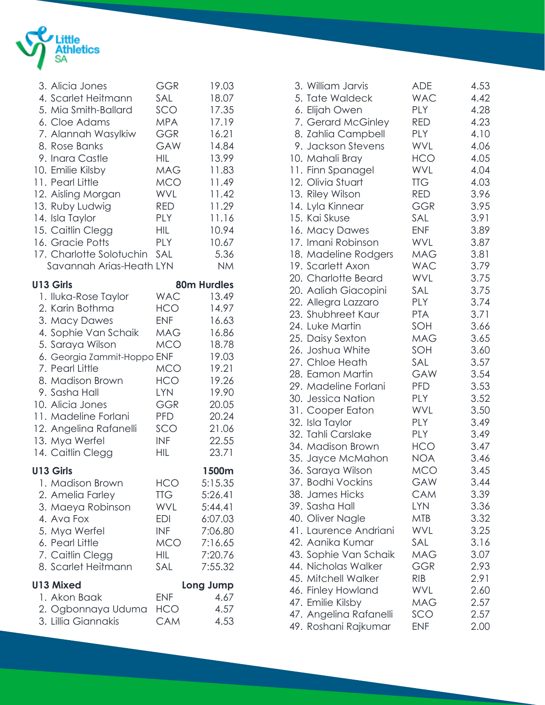

| 3. Alicia Jones<br>4. Scarlet Heitmann<br>5. Mia Smith-Ballard<br>6. Cloe Adams<br>7. Alannah Wasylkiw<br>8. Rose Banks<br>9. Inara Castle<br>10. Emilie Kilsby<br>11. Pearl Little<br>12. Aisling Morgan<br>13. Ruby Ludwig<br>14. Isla Taylor<br>15. Caitlin Clegg<br>16. Gracie Potts<br>17. Charlotte Solotuchin<br>Savannah Arias-Heath LYN | GGR<br>SAL<br>SCO<br><b>MPA</b><br><b>GGR</b><br>GAW<br>HIL<br>MAG<br><b>MCO</b><br><b>WVL</b><br><b>RED</b><br><b>PLY</b><br><b>HIL</b><br><b>PLY</b><br>SAL | 19.03<br>18.07<br>17.35<br>17.19<br>16.21<br>14.84<br>13.99<br>11.83<br>11.49<br>11.42<br>11.29<br>11.16<br>10.94<br>10.67<br>5.36<br><b>NM</b> |
|--------------------------------------------------------------------------------------------------------------------------------------------------------------------------------------------------------------------------------------------------------------------------------------------------------------------------------------------------|---------------------------------------------------------------------------------------------------------------------------------------------------------------|-------------------------------------------------------------------------------------------------------------------------------------------------|
| U13 Girls                                                                                                                                                                                                                                                                                                                                        |                                                                                                                                                               | <b>80m Hurdles</b>                                                                                                                              |
| 1. Iluka-Rose Taylor<br>2. Karin Bothma<br>3. Macy Dawes<br>4. Sophie Van Schaik<br>5. Saraya Wilson<br>6. Georgia Zammit-Hoppo ENF<br>7. Pearl Little<br>8. Madison Brown<br>9. Sasha Hall<br>10. Alicia Jones<br>11. Madeline Forlani<br>12. Angelina Rafanelli<br>13. Mya Werfel<br>14. Caitlin Clegg                                         | <b>WAC</b><br>HCO I<br><b>ENF</b><br>MAG<br>MCO<br><b>MCO</b><br><b>HCO</b><br><b>LYN</b><br><b>GGR</b><br><b>PFD</b><br>SCO<br><b>INF</b><br><b>HIL</b>      | 13.49<br>14.97<br>16.63<br>16.86<br>18.78<br>19.03<br>19.21<br>19.26<br>19.90<br>20.05<br>20.24<br>21.06<br>22.55<br>23.71                      |
| U13 Girls<br>1. Madison Brown<br>2. Amelia Farley<br>3. Maeya Robinson<br>4. Ava Fox<br>5. Mya Werfel<br>6. Pearl Little<br>7. Caitlin Clegg<br>8. Scarlet Heitmann                                                                                                                                                                              | HCO<br>TTG<br>WVL<br>EDI<br><b>INF</b><br><b>MCO</b><br>HIL.<br>SAL                                                                                           | 1500m<br>5:15.35<br>5:26.41<br>5:44.41<br>6:07.03<br>7:06.80<br>7:16.65<br>7:20.76<br>7:55.32                                                   |
| <b>U13 Mixed</b><br>1. Akon Baak<br>2. Ogbonnaya Uduma<br>3. Lillia Giannakis                                                                                                                                                                                                                                                                    | <b>ENF</b><br>HCO<br><b>CAM</b>                                                                                                                               | Long Jump<br>4.67<br>4.57<br>4.53                                                                                                               |

| 3. William Jarvis      | <b>ADE</b> | 4.53 |
|------------------------|------------|------|
| 5. Tate Waldeck        | <b>WAC</b> | 4.42 |
| 6. Elijah Owen         | <b>PLY</b> | 4.28 |
| 7. Gerard McGinley     | <b>RED</b> | 4.23 |
| 8. Zahlia Campbell     | <b>PLY</b> | 4.10 |
| 9. Jackson Stevens     | WVL        | 4.06 |
| 10. Mahali Bray        | <b>HCO</b> | 4.05 |
| 11. Finn Spanagel      | WVL        | 4.04 |
| 12. Olivia Stuart      | <b>TTG</b> | 4.03 |
| 13. Riley Wilson       | <b>RED</b> | 3.96 |
| 14. Lyla Kinnear       | GGR        | 3.95 |
| 15. Kai Skuse          | SAL        | 3.91 |
| 16. Macy Dawes         | <b>ENF</b> | 3.89 |
| 17. Imani Robinson     | WVL        | 3.87 |
| 18. Madeline Rodgers   | <b>MAG</b> | 3.81 |
| 19. Scarlett Axon      | <b>WAC</b> | 3.79 |
| 20. Charlotte Beard    | <b>WVL</b> | 3.75 |
| 20. Aaliah Giacopini   | SAL        | 3.75 |
| 22. Allegra Lazzaro    | <b>PLY</b> | 3.74 |
| 23. Shubhreet Kaur     | <b>PTA</b> | 3.71 |
| 24. Luke Martin        | SOH        | 3.66 |
| 25. Daisy Sexton       | <b>MAG</b> | 3.65 |
| 26. Joshua White       | SOH        | 3.60 |
| 27. Chloe Heath        | SAL        | 3.57 |
| 28. Eamon Martin       | GAW        | 3.54 |
| 29. Madeline Forlani   | <b>PFD</b> | 3.53 |
| 30. Jessica Nation     | <b>PLY</b> | 3.52 |
| 31. Cooper Eaton       | WVL        | 3.50 |
| 32. Isla Taylor        | PLY        | 3.49 |
| 32. Tahli Carslake     | PLY        | 3.49 |
| 34. Madison Brown      | <b>HCO</b> | 3.47 |
| 35. Jayce McMahon      | <b>NOA</b> | 3.46 |
| 36. Saraya Wilson      | MCO        | 3.45 |
| 37. Bodhi Vockins      | GAW        | 3.44 |
| 38. James Hicks        | <b>CAM</b> | 3.39 |
| 39. Sasha Hall         | <b>LYN</b> | 3.36 |
| 40. Oliver Nagle       | MTB        | 3.32 |
| 41. Laurence Andriani  | WVL        | 3.25 |
| 42. Aanika Kumar       | SAL        | 3.16 |
| 43. Sophie Van Schaik  | <b>MAG</b> | 3.07 |
| 44. Nicholas Walker    | GGR        | 2.93 |
| 45. Mitchell Walker    | <b>RIB</b> | 2.91 |
| 46. Finley Howland     | WVL        | 2.60 |
| 47. Emilie Kilsby      | <b>MAG</b> | 2.57 |
| 47. Angelina Rafanelli | SCO        | 2.57 |
| 49. Roshani Rajkumar   | <b>ENF</b> | 2.00 |
|                        |            |      |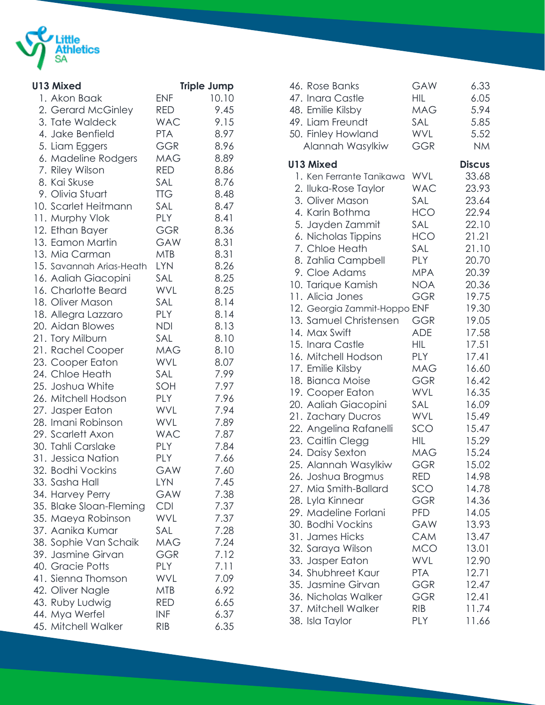

| <b>U13 Mixed</b>         | <b>Triple Jump</b> |       |
|--------------------------|--------------------|-------|
| 1. Akon Baak             | <b>ENF</b>         | 10.10 |
| 2. Gerard McGinley       | RED                | 9.45  |
| 3. Tate Waldeck          | WAC                | 9.15  |
| 4. Jake Benfield         | <b>PTA</b>         | 8.97  |
| 5. Liam Eggers           | GGR                | 8.96  |
| 6. Madeline Rodgers      | MAG                | 8.89  |
| 7. Riley Wilson          | RED                | 8.86  |
| 8. Kai Skuse             | SAL                | 8.76  |
| 9. Olivia Stuart         | <b>TTG</b>         | 8.48  |
| 10. Scarlet Heitmann     | SAL                | 8.47  |
| 11. Murphy Vlok          | <b>PLY</b>         | 8.41  |
| 12. Ethan Bayer          | <b>GGR</b>         | 8.36  |
| 13. Eamon Martin         | GAW                | 8.31  |
| 13. Mia Carman           | <b>MTB</b>         | 8.31  |
| 15. Savannah Arias-Heath | <b>LYN</b>         | 8.26  |
| 16. Aaliah Giacopini     | SAL                | 8.25  |
| 16. Charlotte Beard      | WVL                | 8.25  |
| 18. Oliver Mason         | SAL                | 8.14  |
| 18. Allegra Lazzaro      | <b>PLY</b>         | 8.14  |
| 20. Aidan Blowes         | <b>NDI</b>         | 8.13  |
| 21. Tory Milburn         | SAL                | 8.10  |
| 21. Rachel Cooper        | <b>MAG</b>         | 8.10  |
| 23. Cooper Eaton         | <b>WVL</b>         | 8.07  |
| 24. Chloe Heath          | SAL                | 7.99  |
| 25. Joshua White         | SOH                | 7.97  |
| 26. Mitchell Hodson      | <b>PLY</b>         | 7.96  |
| 27. Jasper Eaton         | <b>WVL</b>         | 7.94  |
| 28. Imani Robinson       | WVL                | 7.89  |
| 29. Scarlett Axon        | <b>WAC</b>         | 7.87  |
| 30. Tahli Carslake       | PLY                | 7.84  |
| 31. Jessica Nation       | <b>PLY</b>         | 7.66  |
| 32. Bodhi Vockins        | GAW                | 7.60  |
| 33. Sasha Hall           | LYN                | 7.45  |
| 34. Harvey Perry         | GAW                | 7.38  |
| 35. Blake Sloan-Fleming  | <b>CDI</b>         | 7.37  |
| 35. Maeya Robinson       | <b>WVL</b>         | 7.37  |
| 37. Aanika Kumar         | SAL                | 7.28  |
| 38. Sophie Van Schaik    | <b>MAG</b>         | 7.24  |
| 39. Jasmine Girvan       | <b>GGR</b>         | 7.12  |
| 40. Gracie Potts         | <b>PLY</b>         | 7.11  |
| 41. Sienna Thomson       | <b>WVL</b>         | 7.09  |
| 42. Oliver Nagle         | <b>MTB</b>         | 6.92  |
| 43. Ruby Ludwig          | <b>RED</b>         | 6.65  |
| 44. Mya Werfel           | <b>INF</b>         | 6.37  |
| 45. Mitchell Walker      | <b>RIB</b>         | 6.35  |

| <b>U13 Mixed</b><br><b>Discus</b><br>WVL<br>1. Ken Ferrante Tanikawa<br><b>WAC</b><br>2. Iluka-Rose Taylor<br>23.64<br>3. Oliver Mason<br>SAL<br><b>HCO</b><br>4. Karin Bothma<br>22.94<br>5. Jayden Zammit<br>SAL<br>22.10<br>21.21<br>6. Nicholas Tippins<br><b>HCO</b><br>7. Chloe Heath<br>SAL<br>21.10<br>8. Zahlia Campbell<br>PLY<br>9. Cloe Adams<br><b>MPA</b><br>20.39<br>10. Tarique Kamish<br><b>NOA</b><br>20.36<br>11. Alicia Jones | 46. Rose Banks<br>47. Inara Castle<br>48. Emilie Kilsby<br>49. Liam Freundt<br>50. Finley Howland<br>Alannah Wasylkiw | GAW<br>HIL<br><b>MAG</b><br>SAL<br>WVL<br>GGR | 6.33<br>6.05<br>5.94<br>5.85<br>5.52<br><b>NM</b> |
|---------------------------------------------------------------------------------------------------------------------------------------------------------------------------------------------------------------------------------------------------------------------------------------------------------------------------------------------------------------------------------------------------------------------------------------------------|-----------------------------------------------------------------------------------------------------------------------|-----------------------------------------------|---------------------------------------------------|
|                                                                                                                                                                                                                                                                                                                                                                                                                                                   |                                                                                                                       |                                               | 33.68                                             |
|                                                                                                                                                                                                                                                                                                                                                                                                                                                   |                                                                                                                       |                                               | 23.93                                             |
|                                                                                                                                                                                                                                                                                                                                                                                                                                                   |                                                                                                                       |                                               |                                                   |
|                                                                                                                                                                                                                                                                                                                                                                                                                                                   |                                                                                                                       |                                               |                                                   |
|                                                                                                                                                                                                                                                                                                                                                                                                                                                   |                                                                                                                       |                                               |                                                   |
|                                                                                                                                                                                                                                                                                                                                                                                                                                                   |                                                                                                                       |                                               |                                                   |
|                                                                                                                                                                                                                                                                                                                                                                                                                                                   |                                                                                                                       |                                               | 20.70                                             |
|                                                                                                                                                                                                                                                                                                                                                                                                                                                   |                                                                                                                       |                                               |                                                   |
|                                                                                                                                                                                                                                                                                                                                                                                                                                                   |                                                                                                                       |                                               |                                                   |
|                                                                                                                                                                                                                                                                                                                                                                                                                                                   |                                                                                                                       | <b>GGR</b>                                    | 19.75                                             |
| 12. Georgia Zammit-Hoppo ENF                                                                                                                                                                                                                                                                                                                                                                                                                      |                                                                                                                       |                                               | 19.30                                             |
| 13. Samuel Christensen<br><b>GGR</b>                                                                                                                                                                                                                                                                                                                                                                                                              |                                                                                                                       |                                               | 19.05                                             |
| 17.58<br><b>ADE</b><br>14. Max Swift<br>17.51<br>15. Inara Castle<br>HIL                                                                                                                                                                                                                                                                                                                                                                          |                                                                                                                       |                                               |                                                   |
| 16. Mitchell Hodson<br><b>PLY</b><br>17.41                                                                                                                                                                                                                                                                                                                                                                                                        |                                                                                                                       |                                               |                                                   |
| 17. Emilie Kilsby<br><b>MAG</b>                                                                                                                                                                                                                                                                                                                                                                                                                   |                                                                                                                       |                                               | 16.60                                             |
| 18. Bianca Moise<br><b>GGR</b>                                                                                                                                                                                                                                                                                                                                                                                                                    |                                                                                                                       |                                               | 16.42                                             |
| WVL<br>19. Cooper Eaton                                                                                                                                                                                                                                                                                                                                                                                                                           |                                                                                                                       |                                               | 16.35                                             |
| 20. Aaliah Giacopini<br>SAL<br>16.09                                                                                                                                                                                                                                                                                                                                                                                                              |                                                                                                                       |                                               |                                                   |
| 21. Zachary Ducros<br>WVL<br>15.49                                                                                                                                                                                                                                                                                                                                                                                                                |                                                                                                                       |                                               |                                                   |
| 22. Angelina Rafanelli<br>SCO                                                                                                                                                                                                                                                                                                                                                                                                                     |                                                                                                                       |                                               | 15.47                                             |
| 23. Caitlin Clegg<br>HIL                                                                                                                                                                                                                                                                                                                                                                                                                          |                                                                                                                       |                                               | 15.29                                             |
| 24. Daisy Sexton<br>MAG<br>15.02<br>GGR                                                                                                                                                                                                                                                                                                                                                                                                           |                                                                                                                       |                                               | 15.24                                             |
| 25. Alannah Wasylkiw<br>RED<br>14.98<br>26. Joshua Brogmus                                                                                                                                                                                                                                                                                                                                                                                        |                                                                                                                       |                                               |                                                   |
| 27. Mia Smith-Ballard<br>SCO                                                                                                                                                                                                                                                                                                                                                                                                                      |                                                                                                                       |                                               | 14.78                                             |
| 28. Lyla Kinnear<br><b>GGR</b>                                                                                                                                                                                                                                                                                                                                                                                                                    |                                                                                                                       |                                               | 14.36                                             |
| 29. Madeline Forlani<br>PFD.                                                                                                                                                                                                                                                                                                                                                                                                                      |                                                                                                                       |                                               | 14.05                                             |
| 30. Bodhi Vockins<br>GAW<br>13.93                                                                                                                                                                                                                                                                                                                                                                                                                 |                                                                                                                       |                                               |                                                   |
| 31. James Hicks<br><b>CAM</b><br>13.47                                                                                                                                                                                                                                                                                                                                                                                                            |                                                                                                                       |                                               |                                                   |
| 32. Saraya Wilson<br><b>MCO</b><br>13.01                                                                                                                                                                                                                                                                                                                                                                                                          |                                                                                                                       |                                               |                                                   |
| 33. Jasper Eaton<br><b>WVL</b><br>12.90                                                                                                                                                                                                                                                                                                                                                                                                           |                                                                                                                       |                                               |                                                   |
| 34. Shubhreet Kaur<br>12.71<br><b>PTA</b><br>35. Jasmine Girvan<br>12.47<br>GGR                                                                                                                                                                                                                                                                                                                                                                   |                                                                                                                       |                                               |                                                   |
| 36. Nicholas Walker<br>12.41<br>GGR                                                                                                                                                                                                                                                                                                                                                                                                               |                                                                                                                       |                                               |                                                   |
| 37. Mitchell Walker<br><b>RIB</b>                                                                                                                                                                                                                                                                                                                                                                                                                 |                                                                                                                       |                                               | 11.74                                             |
| 38. Isla Taylor<br>11.66<br>PLY                                                                                                                                                                                                                                                                                                                                                                                                                   |                                                                                                                       |                                               |                                                   |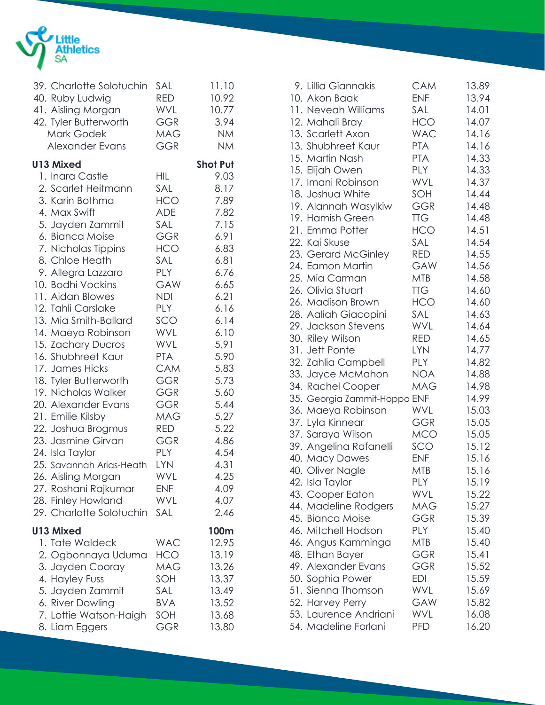

| 39. Charlotte Solotuchin<br>40. Ruby Ludwig<br>41. Aisling Morgan<br>42. Tyler Butterworth<br><b>Mark Godek</b><br><b>Alexander Evans</b>                                                                                                                                                                                                                                                                                                                                                                                                                                                                                                                               | SAL<br><b>RED</b><br><b>WVL</b><br><b>GGR</b><br><b>MAG</b><br><b>GGR</b>                                                                                                                                                                                                                                                                     | 11.10<br>10.92<br>10.77<br>3.94<br><b>NM</b><br><b>NM</b>                                                                                                                                                                                               |
|-------------------------------------------------------------------------------------------------------------------------------------------------------------------------------------------------------------------------------------------------------------------------------------------------------------------------------------------------------------------------------------------------------------------------------------------------------------------------------------------------------------------------------------------------------------------------------------------------------------------------------------------------------------------------|-----------------------------------------------------------------------------------------------------------------------------------------------------------------------------------------------------------------------------------------------------------------------------------------------------------------------------------------------|---------------------------------------------------------------------------------------------------------------------------------------------------------------------------------------------------------------------------------------------------------|
| <b>U13 Mixed</b><br>1. Inara Castle<br>2. Scarlet Heitmann<br>3. Karin Bothma<br>4. Max Swift<br>5. Jayden Zammit<br>6. Bianca Moise<br>7. Nicholas Tippins<br>8. Chloe Heath<br>9. Allegra Lazzaro<br>10. Bodhi Vockins<br>11. Aidan Blowes<br>12. Tahli Carslake<br>13. Mia Smith-Ballard<br>14. Maeya Robinson<br>15. Zachary Ducros<br>16. Shubhreet Kaur<br>17. James Hicks<br>18. Tyler Butterworth<br>19. Nicholas Walker<br>20. Alexander Evans<br>21. Emilie Kilsby<br>22. Joshua Brogmus<br>23. Jasmine Girvan<br>24. Isla Taylor<br>25. Savannah Arias-Heath<br>26. Aisling Morgan<br>27. Roshani Rajkumar<br>28. Finley Howland<br>29. Charlotte Solotuchin | HIL.<br>SAL<br><b>HCO</b><br><b>ADE</b><br>SAL<br><b>GGR</b><br>HCO<br>SAL<br><b>PLY</b><br>GAW<br><b>NDI</b><br><b>PLY</b><br>SCO<br><b>WVL</b><br><b>WVL</b><br><b>PTA</b><br><b>CAM</b><br><b>GGR</b><br><b>GGR</b><br><b>GGR</b><br><b>MAG</b><br><b>RED</b><br><b>GGR</b><br><b>PLY</b><br><b>LYN</b><br>WVI<br><b>ENF</b><br>WVL<br>SAL | <b>Shot Put</b><br>9.03<br>8.17<br>7.89<br>7.82<br>7.15<br>6.91<br>6.83<br>6.81<br>6.76<br>6.65<br>6.21<br>6.16<br>6.14<br>6.10<br>5.91<br>5.90<br>5.83<br>5.73<br>5.60<br>5.44<br>5.27<br>5.22<br>4.86<br>4.54<br>4.31<br>4.25<br>4.09<br>4.07<br>2.46 |
| <b>U13 Mixed</b><br>1. Tate Waldeck<br>2. Ogbonnaya Uduma<br>3. Jayden Cooray<br>4. Hayley Fuss<br>5. Jayden Zammit<br>6. River Dowling<br>7. Lottie Watson-Haigh<br>8. Liam Eggers                                                                                                                                                                                                                                                                                                                                                                                                                                                                                     | <b>WAC</b><br>HCO<br><b>MAG</b><br>SOH<br>SAL<br><b>BVA</b><br>SOH<br>GGR                                                                                                                                                                                                                                                                     | 100m<br>12.95<br>13.19<br>13.26<br>13.37<br>13.49<br>13.52<br>13.68<br>13.80                                                                                                                                                                            |

| 9. Lillia Giannakis          | <b>CAM</b> | 13.89 |
|------------------------------|------------|-------|
| 10. Akon Baak                | <b>ENF</b> | 13.94 |
| 11. Neveah Williams          | SAL        | 14.01 |
| 12. Mahali Bray              | HCO        | 14.07 |
| 13. Scarlett Axon            | <b>WAC</b> | 14.16 |
| 13. Shubhreet Kaur           | <b>PTA</b> | 14.16 |
| 15. Martin Nash              | <b>PTA</b> | 14.33 |
| 15. Elijah Owen              | <b>PLY</b> | 14.33 |
| 17. Imani Robinson           | WVL        | 14.37 |
| 18. Joshua White             | SOH        | 14.44 |
| 19. Alannah Wasylkiw         | GGR        | 14.48 |
| 19. Hamish Green             | <b>TTG</b> | 14.48 |
| 21. Emma Potter              | <b>HCO</b> | 14.51 |
| 22. Kai Skuse                | SAL        | 14.54 |
| 23. Gerard McGinley          | <b>RED</b> | 14.55 |
| 24. Eamon Martin             | GAW        | 14.56 |
| 25. Mia Carman               | <b>MTB</b> | 14.58 |
| 26. Olivia Stuart            | <b>TTG</b> | 14.60 |
| 26. Madison Brown            | <b>HCO</b> | 14.60 |
| 28. Aaliah Giacopini         | SAL        | 14.63 |
| 29. Jackson Stevens          | WVL        | 14.64 |
| 30. Riley Wilson             | <b>RED</b> | 14.65 |
| 31. Jett Ponte               | LYN        | 14.77 |
| 32. Zahlia Campbell          | PLY        | 14.82 |
| 33. Jayce McMahon            | NOA.       | 14.88 |
| 34. Rachel Cooper            | <b>MAG</b> | 14.98 |
| 35. Georgia Zammit-Hoppo ENF |            | 14.99 |
| 36. Maeya Robinson           | <b>WVL</b> | 15.03 |
| 37. Lyla Kinnear             | <b>GGR</b> | 15.05 |
| 37. Saraya Wilson            | <b>MCO</b> | 15.05 |
| 39. Angelina Rafanelli       | SCO        | 15.12 |
| 40. Macy Dawes               | <b>ENF</b> | 15.16 |
| 40. Oliver Nagle             | <b>MTB</b> | 15.16 |
| 42. Isla Taylor              | PLY        | 15.19 |
| 43. Cooper Eaton             | WVL        | 15.22 |
| 44. Madeline Rodgers         | <b>MAG</b> | 15.27 |
| 45. Bianca Moise             | GGR        | 15.39 |
| 46. Mitchell Hodson          | <b>PLY</b> | 15.40 |
| 46. Angus Kamminga           | MTB        | 15.40 |
| 48. Ethan Bayer              | GGR        | 15.41 |
| 49. Alexander Evans          | GGR        | 15.52 |
| 50. Sophia Power             | <b>EDI</b> | 15.59 |
| 51. Sienna Thomson           | WVL        | 15.69 |
| 52. Harvey Perry             | GAW        | 15.82 |
| 53. Laurence Andriani        | WVL        | 16.08 |
| 54. Madeline Forlani         | <b>PFD</b> | 16.20 |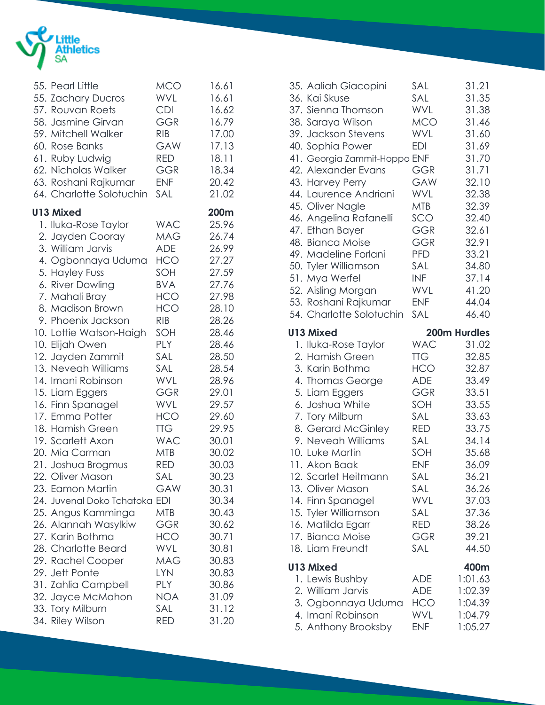

| 55. Pearl Little<br>55. Zachary Ducros<br>57. Rouvan Roets<br>58. Jasmine Girvan<br>59. Mitchell Walker<br>60. Rose Banks<br>61. Ruby Ludwig<br>62. Nicholas Walker<br>63. Roshani Rajkumar<br>64. Charlotte Solotuchin                                                                                                                                                                                                                                                                                                                                                                                                                                                                                                                        | <b>MCO</b><br><b>WVL</b><br><b>CDI</b><br><b>GGR</b><br><b>RIB</b><br><b>GAW</b><br><b>RED</b><br><b>GGR</b><br><b>ENF</b><br>SAL                                                                                                                                                                                                                                               | 16.61<br>16.61<br>16.62<br>16.79<br>17.00<br>17.13<br>18.11<br>18.34<br>20.42<br>21.02                                                                                                                                                                                                                        |
|------------------------------------------------------------------------------------------------------------------------------------------------------------------------------------------------------------------------------------------------------------------------------------------------------------------------------------------------------------------------------------------------------------------------------------------------------------------------------------------------------------------------------------------------------------------------------------------------------------------------------------------------------------------------------------------------------------------------------------------------|---------------------------------------------------------------------------------------------------------------------------------------------------------------------------------------------------------------------------------------------------------------------------------------------------------------------------------------------------------------------------------|---------------------------------------------------------------------------------------------------------------------------------------------------------------------------------------------------------------------------------------------------------------------------------------------------------------|
| <b>U13 Mixed</b><br>1. Iluka-Rose Taylor<br>2. Jayden Cooray<br>3. William Jarvis<br>4. Ogbonnaya Uduma<br>5. Hayley Fuss<br>6. River Dowling<br>7. Mahali Bray<br>8. Madison Brown<br>9. Phoenix Jackson<br>10. Lottie Watson-Haigh<br>10. Elijah Owen<br>12. Jayden Zammit<br>13. Neveah Williams<br>14. Imani Robinson<br>15. Liam Eggers<br>16. Finn Spanagel<br>17. Emma Potter<br>18. Hamish Green<br>19. Scarlett Axon<br>20. Mia Carman<br>21. Joshua Brogmus<br>22. Oliver Mason<br>23. Eamon Martin<br>24. Juvenal Doko Tchatoka EDI<br>25. Angus Kamminga<br>26. Alannah Wasylkiw<br>27. Karin Bothma<br>28. Charlotte Beard<br>29. Rachel Cooper<br>29. Jett Ponte<br>31. Zahlia Campbell<br>32. Jayce McMahon<br>33. Tory Milburn | <b>WAC</b><br><b>MAG</b><br><b>ADE</b><br>HCO<br>SOH<br><b>BVA</b><br>HCO<br><b>HCO</b><br><b>RIB</b><br>SOH<br><b>PLY</b><br>SAL<br>SAL<br>WVL<br><b>GGR</b><br><b>WVL</b><br><b>HCO</b><br><b>TTG</b><br><b>WAC</b><br><b>MTB</b><br><b>RED</b><br>SAL<br>GAW<br><b>MTB</b><br><b>GGR</b><br><b>HCO</b><br>WVL<br><b>MAG</b><br><b>LYN</b><br><b>PLY</b><br><b>NOA</b><br>SAL | 200m<br>25.96<br>26.74<br>26.99<br>27.27<br>27.59<br>27.76<br>27.98<br>28.10<br>28.26<br>28.46<br>28.46<br>28.50<br>28.54<br>28.96<br>29.01<br>29.57<br>29.60<br>29.95<br>30.01<br>30.02<br>30.03<br>30.23<br>30.31<br>30.34<br>30.43<br>30.62<br>30.71<br>30.81<br>30.83<br>30.83<br>30.86<br>31.09<br>31.12 |
| 34. Riley Wilson                                                                                                                                                                                                                                                                                                                                                                                                                                                                                                                                                                                                                                                                                                                               | <b>RED</b>                                                                                                                                                                                                                                                                                                                                                                      | 31.20                                                                                                                                                                                                                                                                                                         |

| 35. Aaliah Giacopini<br>36. Kai Skuse<br>37. Sienna Thomson<br>38. Saraya Wilson<br>39. Jackson Stevens<br>40. Sophia Power<br>41. Georgia Zammit-Hoppo ENF<br>42. Alexander Evans<br>43. Harvey Perry<br>44. Laurence Andriani<br>45. Oliver Nagle<br>46. Angelina Rafanelli<br>47. Ethan Bayer<br>48. Bianca Moise                                                                             | SAL<br>SAL<br>WVL<br><b>MCO</b><br><b>WVL</b><br><b>EDI</b><br><b>GGR</b><br><b>GAW</b><br><b>WVL</b><br>MTB<br>SCO<br>GGR<br><b>GGR</b>                                    | 31.21<br>31.35<br>31.38<br>31.46<br>31.60<br>31.69<br>31.70<br>31.71<br>32.10<br>32.38<br>32.39<br>32.40<br>32.61<br>32.91                                                     |
|--------------------------------------------------------------------------------------------------------------------------------------------------------------------------------------------------------------------------------------------------------------------------------------------------------------------------------------------------------------------------------------------------|-----------------------------------------------------------------------------------------------------------------------------------------------------------------------------|--------------------------------------------------------------------------------------------------------------------------------------------------------------------------------|
| 49. Madeline Forlani<br>50. Tyler Williamson<br>51. Mya Werfel<br>52. Aisling Morgan<br>53. Roshani Rajkumar<br>54. Charlotte Solotuchin                                                                                                                                                                                                                                                         | <b>PFD</b><br>SAL<br><b>INF</b><br><b>WVL</b><br><b>ENF</b><br>SAL                                                                                                          | 33.21<br>34.80<br>37.14<br>41.20<br>44.04<br>46.40                                                                                                                             |
| <b>U13 Mixed</b><br>1. Iluka-Rose Taylor<br>2. Hamish Green<br>3. Karin Bothma<br>4. Thomas George<br>5. Liam Eggers<br>6. Joshua White<br>7. Tory Milburn<br>8. Gerard McGinley<br>9. Neveah Williams<br>10. Luke Martin<br>11. Akon Baak<br>12. Scarlet Heitmann<br>13. Oliver Mason<br>14. Finn Spanagel<br>15. Tyler Williamson<br>16. Matilda Egarr<br>17. Bianca Moise<br>18. Liam Freundt | <b>WAC</b><br>TTG<br><b>HCO</b><br>ADE<br><b>GGR</b><br>SOH<br>SAL<br><b>RED</b><br>SAL<br>SOH<br><b>ENF</b><br>SAL<br>SAL<br>WVL<br>SAL<br><b>RED</b><br><b>GGR</b><br>SAL | 200m Hurdles<br>31.02<br>32.85<br>32.87<br>33.49<br>33.51<br>33.55<br>33.63<br>33.75<br>34.14<br>35.68<br>36.09<br>36.21<br>36.26<br>37.03<br>37.36<br>38.26<br>39.21<br>44.50 |
| <b>U13 Mixed</b><br>1. Lewis Bushby<br>2. William Jarvis<br>3. Ogbonnaya Uduma<br>4. Imani Robinson<br>5. Anthony Brooksby                                                                                                                                                                                                                                                                       | ADE<br><b>ADE</b><br><b>HCO</b><br><b>WVL</b><br><b>ENF</b>                                                                                                                 | 400m<br>1:01.63<br>1:02.39<br>1:04.39<br>1:04.79<br>1:05.27                                                                                                                    |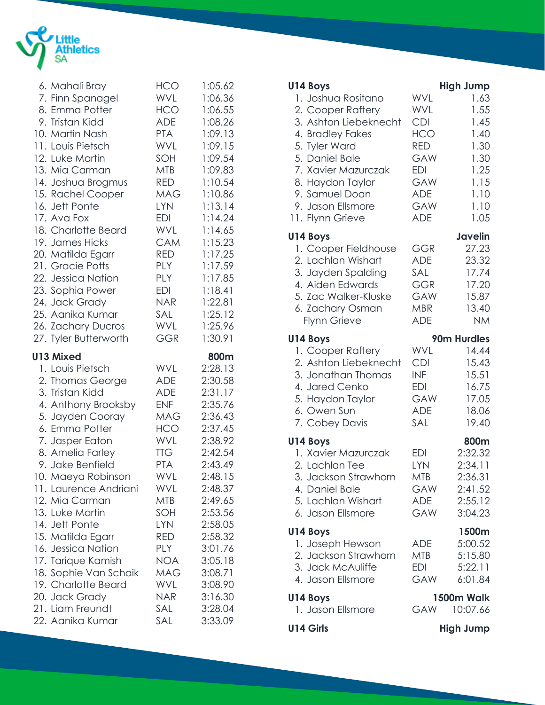

| 6. Mahali Bray        | <b>HCO</b> | 1:05.62 |
|-----------------------|------------|---------|
| 7. Finn Spanagel      | <b>WVL</b> | 1:06.36 |
| 8. Emma Potter        | HCO        | 1:06.55 |
| 9. Tristan Kidd       | ADE        | 1:08.26 |
| 10. Martin Nash       | <b>PTA</b> | 1:09.13 |
| 11. Louis Pietsch     | <b>WVL</b> | 1:09.15 |
| 12. Luke Martin       | SOH        | 1:09.54 |
| 13. Mia Carman        | <b>MTB</b> | 1:09.83 |
| 14. Joshua Brogmus    | <b>RED</b> | 1:10.54 |
| 15. Rachel Cooper     | <b>MAG</b> | 1:10.86 |
| 16. Jett Ponte        | <b>LYN</b> | 1:13.14 |
| 17. Ava Fox           | EDI        | 1:14.24 |
| 18. Charlotte Beard   | <b>WVL</b> | 1:14.65 |
| 19. James Hicks       | CAM        | 1:15.23 |
| 20. Matilda Egarr     | <b>RED</b> | 1:17.25 |
| 21. Gracie Potts      | PLY        | 1:17.59 |
| 22. Jessica Nation    | <b>PLY</b> | 1:17.85 |
| 23. Sophia Power      | EDI        | 1:18.41 |
| 24. Jack Grady        | <b>NAR</b> | 1:22.81 |
| 25. Aanika Kumar      | SAL        | 1:25.12 |
| 26. Zachary Ducros    | <b>WVL</b> | 1:25.96 |
| 27. Tyler Butterworth | <b>GGR</b> | 1:30.91 |
| <b>U13 Mixed</b>      |            | 800m    |
| 1. Louis Pietsch      | WVL        | 2:28.13 |
| 2. Thomas George      | <b>ADE</b> | 2:30.58 |
| 3. Tristan Kidd       | <b>ADE</b> | 2:31.17 |
| 4. Anthony Brooksby   | <b>ENF</b> | 2:35.76 |
| 5. Jayden Cooray      | <b>MAG</b> | 2:36.43 |
| 6. Emma Potter        | <b>HCO</b> | 2:37.45 |
| 7. Jasper Eaton       | <b>WVL</b> | 2:38.92 |
| 8. Amelia Farley      | <b>TTG</b> | 2:42.54 |
| 9. Jake Benfield      | <b>PTA</b> | 2:43.49 |
| 10. Maeya Robinson    | <b>WVL</b> | 2:48.15 |
| 11. Laurence Andriani | WVL        | 2:48.37 |
| 12. Mia Carman        | <b>MTB</b> | 2:49.65 |
| 13. Luke Martin       | SOH        | 2:53.56 |
| 14. Jett Ponte        | <b>LYN</b> | 2:58.05 |
| 15. Matilda Egarr     | <b>RED</b> | 2:58.32 |
| 16. Jessica Nation    | <b>PLY</b> | 3:01.76 |
| 17. Tarique Kamish    | <b>NOA</b> | 3:05.18 |
| 18. Sophie Van Schaik | <b>MAG</b> | 3:08.71 |
| 19. Charlotte Beard   | <b>WVL</b> | 3:08.90 |
| 20. Jack Grady        | <b>NAR</b> | 3:16.30 |
| 21. Liam Freundt      | SAL        | 3:28.04 |
| 22. Aanika Kumar      | SAL        | 3:33.09 |

| U14 Boys<br>1. Joshua Rositano<br>2. Cooper Raftery<br>3. Ashton Liebeknecht<br>4. Bradley Fakes<br>5. Tyler Ward<br>5. Daniel Bale<br>7. Xavier Mazurczak<br>8. Haydon Taylor<br>9. Samuel Doan<br>9. Jason Ellsmore<br>11. Flynn Grieve | WVL<br>WVL<br><b>CDI</b><br><b>HCO</b><br><b>RED</b><br>GAW<br><b>EDI</b><br>GAW<br><b>ADE</b><br>GAW<br><b>ADE</b> | <b>High Jump</b><br>1.63<br>1.55<br>1.45<br>1.40<br>1.30<br>1.30<br>1.25<br>1.15<br>1.10<br>1.10<br>1.05 |
|-------------------------------------------------------------------------------------------------------------------------------------------------------------------------------------------------------------------------------------------|---------------------------------------------------------------------------------------------------------------------|----------------------------------------------------------------------------------------------------------|
| U14 Boys<br>1. Cooper Fieldhouse<br>2. Lachlan Wishart<br>3. Jayden Spalding<br>4. Aiden Edwards<br>5. Zac Walker-Kluske<br>6. Zachary Osman<br><b>Flynn Grieve</b>                                                                       | <b>GGR</b><br><b>ADE</b><br>SAL<br><b>GGR</b><br>GAW<br><b>MBR</b><br><b>ADE</b>                                    | <b>Javelin</b><br>27.23<br>23.32<br>17.74<br>17.20<br>15.87<br>13.40<br><b>NM</b>                        |
| U14 Boys<br>1. Cooper Raftery<br>2. Ashton Liebeknecht<br>3. Jonathan Thomas<br>4. Jared Cenko<br>5. Haydon Taylor<br>6. Owen Sun<br>7. Cobey Davis                                                                                       | WVL<br><b>CDI</b><br><b>INF</b><br>EDI<br>GAW<br><b>ADE</b><br>SAL                                                  | 90m Hurdles<br>14.44<br>15.43<br>15.51<br>16.75<br>17.05<br>18.06<br>19.40                               |
| U14 Boys<br>1. Xavier Mazurczak<br>2. Lachlan Tee<br>3. Jackson Strawhorn<br>4. Daniel Bale<br>5. Lachlan Wishart<br>6. Jason Ellsmore                                                                                                    | EDI<br>LYN<br><b>MTB</b><br>GAW<br><b>ADE</b><br><b>GAW</b>                                                         | 800m<br>2:32.32<br>2:34.11<br>2:36.31<br>2:41.52<br>2:55.12<br>3:04.23                                   |
| U14 Boys<br>1. Joseph Hewson<br>2. Jackson Strawhorn<br>3. Jack McAuliffe<br>4. Jason Ellsmore                                                                                                                                            | <b>ADE</b><br><b>MTB</b><br>EDI<br>GAW                                                                              | 1500m<br>5:00.52<br>5:15.80<br>5:22.11<br>6:01.84<br>1500m Walk                                          |
| U14 Boys<br>1. Jason Ellsmore<br>U14 Girls                                                                                                                                                                                                | GAW                                                                                                                 | 10:07.66<br><b>High Jump</b>                                                                             |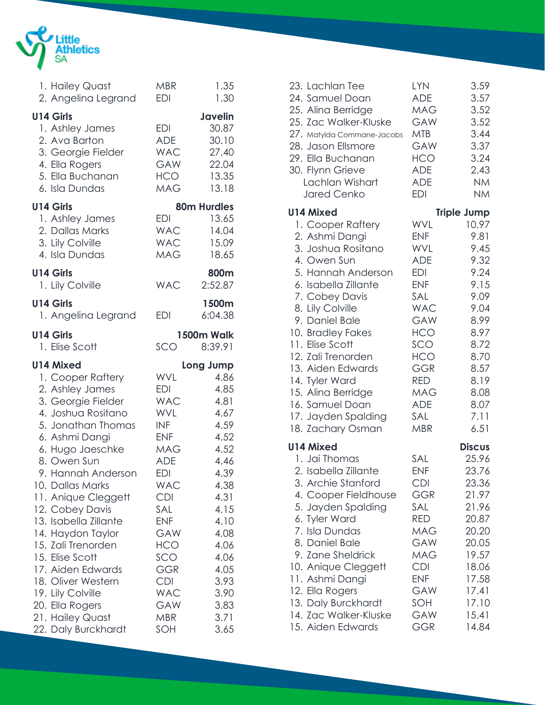

| 1. Hailey Quast<br>2. Angelina Legrand                                                                                                                                                                                                                                                                                                                                                                                                                                                   | <b>MBR</b><br><b>EDI</b>                                                                                                                                                                                                                                 | 1.35<br>1.30                                                                                                                                                                              |
|------------------------------------------------------------------------------------------------------------------------------------------------------------------------------------------------------------------------------------------------------------------------------------------------------------------------------------------------------------------------------------------------------------------------------------------------------------------------------------------|----------------------------------------------------------------------------------------------------------------------------------------------------------------------------------------------------------------------------------------------------------|-------------------------------------------------------------------------------------------------------------------------------------------------------------------------------------------|
| <b>U14 Girls</b><br>1. Ashley James<br>2. Ava Barton<br>3. Georgie Fielder<br>4. Ella Rogers<br>5. Ella Buchanan<br>6. Isla Dundas                                                                                                                                                                                                                                                                                                                                                       | EDI<br><b>ADE</b><br><b>WAC</b><br>GAW<br><b>HCO</b><br><b>MAG</b>                                                                                                                                                                                       | <b>Javelin</b><br>30.87<br>30.10<br>27.40<br>22.04<br>13.35<br>13.18                                                                                                                      |
| <b>U14 Girls</b><br>1. Ashley James<br>2. Dallas Marks<br>3. Lily Colville<br>4. Isla Dundas<br><b>U14 Girls</b>                                                                                                                                                                                                                                                                                                                                                                         | <b>EDI</b><br>WAC<br><b>WAC</b><br><b>MAG</b>                                                                                                                                                                                                            | <b>80m Hurdles</b><br>13.65<br>14.04<br>15.09<br>18.65<br>800m                                                                                                                            |
| 1. Lily Colville                                                                                                                                                                                                                                                                                                                                                                                                                                                                         | <b>WAC</b>                                                                                                                                                                                                                                               | 2:52.87                                                                                                                                                                                   |
| <b>U14 Girls</b><br>1. Angelina Legrand                                                                                                                                                                                                                                                                                                                                                                                                                                                  | <b>EDI</b>                                                                                                                                                                                                                                               | 1500m<br>6:04.38                                                                                                                                                                          |
| <b>U14 Girls</b><br>1. Elise Scott                                                                                                                                                                                                                                                                                                                                                                                                                                                       | SCO                                                                                                                                                                                                                                                      | 1500m Walk<br>8:39.91                                                                                                                                                                     |
| <b>U14 Mixed</b><br>1. Cooper Raftery<br>2. Ashley James<br>3. Georgie Fielder<br>4. Joshua Rositano<br>5. Jonathan Thomas<br>6. Ashmi Dangi<br>6. Hugo Jaeschke<br>8. Owen Sun<br>9. Hannah Anderson<br>10. Dallas Marks<br>11. Anique Cleggett<br>12. Cobey Davis<br>13. Isabella Zillante<br>14. Haydon Taylor<br>15. Zali Trenorden<br>15. Elise Scott<br>17. Aiden Edwards<br>18. Oliver Western<br>19. Lily Colville<br>20. Ella Rogers<br>21. Hailey Quast<br>22. Daly Burckhardt | WVL<br><b>EDI</b><br><b>WAC</b><br><b>WVL</b><br><b>INF</b><br><b>ENF</b><br><b>MAG</b><br><b>ADE</b><br><b>EDI</b><br><b>WAC</b><br><b>CDI</b><br>SAL<br><b>ENF</b><br>GAW<br>HCO<br>SCO<br>GGR<br><b>CDI</b><br><b>WAC</b><br>GAW<br><b>MBR</b><br>SOH | Long Jump<br>4.86<br>4.85<br>4.81<br>4.67<br>4.59<br>4.52<br>4.52<br>4.46<br>4.39<br>4.38<br>4.31<br>4.15<br>4.10<br>4.08<br>4.06<br>4.06<br>4.05<br>3.93<br>3.90<br>3.83<br>3.71<br>3.65 |

| 23. Lachlan Tee<br>24. Samuel Doan<br>25. Alina Berridge<br>25. Zac Walker-Kluske<br>27. Matylda Commane-Jacobs<br>28. Jason Ellsmore<br>29. Ella Buchanan<br>30. Flynn Grieve<br>Lachlan Wishart<br><b>Jared Cenko</b>                                                                                                                                                                      | <b>LYN</b><br><b>ADE</b><br>MAG<br>GAW<br><b>MTB</b><br>GAW<br>HCO<br><b>ADE</b><br><b>ADE</b><br><b>EDI</b>                                                                                                                 | 3.59<br>3.57<br>3.52<br>3.52<br>3.44<br>3.37<br>3.24<br>2.43<br><b>NM</b><br><b>NM</b>                                                                              |
|----------------------------------------------------------------------------------------------------------------------------------------------------------------------------------------------------------------------------------------------------------------------------------------------------------------------------------------------------------------------------------------------|------------------------------------------------------------------------------------------------------------------------------------------------------------------------------------------------------------------------------|---------------------------------------------------------------------------------------------------------------------------------------------------------------------|
| <b>U14 Mixed</b><br>1. Cooper Raftery<br>2. Ashmi Dangi<br>3. Joshua Rositano<br>4. Owen Sun<br>5. Hannah Anderson<br>6. Isabella Zillante<br>7. Cobey Davis<br>8. Lily Colville<br>9. Daniel Bale<br>10. Bradley Fakes<br>11. Elise Scott<br>12. Zali Trenorden<br>13. Aiden Edwards<br>14. Tyler Ward<br>15. Alina Berridge<br>16. Samuel Doan<br>17. Jayden Spalding<br>18. Zachary Osman | <b>WVL</b><br><b>ENF</b><br>WVL<br><b>ADE</b><br><b>EDI</b><br><b>ENF</b><br>SAL<br><b>WAC</b><br><b>GAW</b><br><b>HCO</b><br>SCO<br><b>HCO</b><br><b>GGR</b><br><b>RED</b><br><b>MAG</b><br><b>ADE</b><br>SAL<br><b>MBR</b> | <b>Triple Jump</b><br>10.97<br>9.81<br>9.45<br>9.32<br>9.24<br>9.15<br>9.09<br>9.04<br>8.99<br>8.97<br>8.72<br>8.70<br>8.57<br>8.19<br>8.08<br>8.07<br>7.11<br>6.51 |
| <b>U14 Mixed</b><br>1. Jai Thomas<br>2. Isabella Zillante<br>3. Archie Stanford<br>4. Cooper Fieldhouse<br>5. Jayden Spalding<br>6. Tyler Ward<br>7. Isla Dundas<br>8. Daniel Bale<br>9. Zane Sheldrick<br>10. Anique Cleggett<br>11. Ashmi Dangi<br>12. Ella Rogers<br>13. Daly Burckhardt<br>14. Zac Walker-Kluske<br>15. Aiden Edwards                                                    | SAL<br><b>ENF</b><br><b>CDI</b><br>GGR<br>SAL<br><b>RED</b><br>MAG<br><b>GAW</b><br>MAG<br><b>CDI</b><br><b>ENF</b><br>GAW<br>SOH<br>GAW<br>GGR                                                                              | <b>Discus</b><br>25.96<br>23.76<br>23.36<br>21.97<br>21.96<br>20.87<br>20.20<br>20.05<br>19.57<br>18.06<br>17.58<br>17.41<br>17.10<br>15.41<br>14.84                |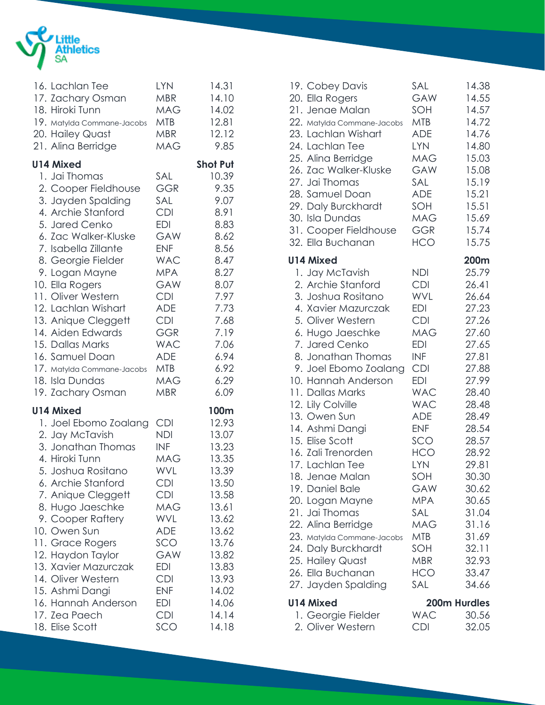

| 16. Lachlan Tee<br>17. Zachary Osman<br>18. Hiroki Tunn<br>19. Matylda Commane-Jacobs<br>20. Hailey Quast<br>21. Alina Berridge                                                                                                                                                                                                                                                                                                          | <b>LYN</b><br><b>MBR</b><br><b>MAG</b><br><b>MTB</b><br><b>MBR</b><br><b>MAG</b>                                                                                                                                                                         | 14.31<br>14.10<br>14.02<br>12.81<br>12.12<br>9.85                                                                                                                        |
|------------------------------------------------------------------------------------------------------------------------------------------------------------------------------------------------------------------------------------------------------------------------------------------------------------------------------------------------------------------------------------------------------------------------------------------|----------------------------------------------------------------------------------------------------------------------------------------------------------------------------------------------------------------------------------------------------------|--------------------------------------------------------------------------------------------------------------------------------------------------------------------------|
| <b>U14 Mixed</b><br>1. Jai Thomas<br>2. Cooper Fieldhouse<br>3. Jayden Spalding<br>4. Archie Stanford<br>5. Jared Cenko<br>6. Zac Walker-Kluske<br>7. Isabella Zillante<br>8. Georgie Fielder<br>9. Logan Mayne<br>10. Ella Rogers<br>11. Oliver Western<br>12. Lachlan Wishart<br>13. Anique Cleggett<br>14. Aiden Edwards<br>15. Dallas Marks<br>16. Samuel Doan<br>17. Matylda Commane-Jacobs<br>18. Isla Dundas<br>19. Zachary Osman | SAL<br><b>GGR</b><br>SAL<br><b>CDI</b><br><b>EDI</b><br><b>GAW</b><br><b>ENF</b><br><b>WAC</b><br><b>MPA</b><br><b>GAW</b><br><b>CDI</b><br><b>ADE</b><br><b>CDI</b><br><b>GGR</b><br><b>WAC</b><br><b>ADE</b><br><b>MTB</b><br><b>MAG</b><br><b>MBR</b> | <b>Shot Put</b><br>10.39<br>9.35<br>9.07<br>8.91<br>8.83<br>8.62<br>8.56<br>8.47<br>8.27<br>8.07<br>7.97<br>7.73<br>7.68<br>7.19<br>7.06<br>6.94<br>6.92<br>6.29<br>6.09 |
| <b>U14 Mixed</b><br>1. Joel Ebomo Zoalang<br>2. Jay McTavish<br>3. Jonathan Thomas<br>4. Hiroki Tunn<br>5. Joshua Rositano<br>6. Archie Stanford<br>7. Anique Cleggett<br>8. Hugo Jaeschke<br>9. Cooper Raftery<br>10. Owen Sun<br>11. Grace Rogers<br>12. Haydon Taylor<br>13. Xavier Mazurczak<br>14. Oliver Western<br>15. Ashmi Dangi<br>16. Hannah Anderson<br>17. Zea Paech<br>18. Elise Scott                                     | <b>CDI</b><br><b>NDI</b><br><b>INF</b><br><b>MAG</b><br>WVL<br><b>CDI</b><br><b>CDI</b><br><b>MAG</b><br>WVL<br>ADE<br>SCO<br>GAW<br>EDI<br><b>CDI</b><br><b>ENF</b><br>EDI<br><b>CDI</b><br>SCO                                                         | 100m<br>12.93<br>13.07<br>13.23<br>13.35<br>13.39<br>13.50<br>13.58<br>13.61<br>13.62<br>13.62<br>13.76<br>13.82<br>13.83<br>13.93<br>14.02<br>14.06<br>14.14<br>14.18   |

| 19. Cobey Davis<br>20. Ella Rogers<br>21. Jenae Malan<br>22. Matylda Commane-Jacobs<br>23. Lachlan Wishart<br>24. Lachlan Tee<br>25. Alina Berridge<br>26. Zac Walker-Kluske<br>27. Jai Thomas<br>28. Samuel Doan<br>29. Daly Burckhardt<br>30. Isla Dundas<br>31. Cooper Fieldhouse<br>32. Ella Buchanan                                                                                                                                                                                                                                                  | SAL<br>GAW<br>SOH<br>MTB<br>ADE<br>LYN<br><b>MAG</b><br><b>GAW</b><br>SAL<br>ADE<br>SOH<br><b>MAG</b><br><b>GGR</b><br><b>HCO</b>                                                                                                                                             | 14.38<br>14.55<br>14.57<br>14.72<br>14.76<br>14.80<br>15.03<br>15.08<br>15.19<br>15.21<br>15.51<br>15.69<br>15.74<br>15.75                                                                                                             |
|------------------------------------------------------------------------------------------------------------------------------------------------------------------------------------------------------------------------------------------------------------------------------------------------------------------------------------------------------------------------------------------------------------------------------------------------------------------------------------------------------------------------------------------------------------|-------------------------------------------------------------------------------------------------------------------------------------------------------------------------------------------------------------------------------------------------------------------------------|----------------------------------------------------------------------------------------------------------------------------------------------------------------------------------------------------------------------------------------|
| <b>U14 Mixed</b>                                                                                                                                                                                                                                                                                                                                                                                                                                                                                                                                           |                                                                                                                                                                                                                                                                               | 200m                                                                                                                                                                                                                                   |
| 1. Jay McTavish<br>2. Archie Stanford<br>3. Joshua Rositano<br>4. Xavier Mazurczak<br>5. Oliver Western<br>6. Hugo Jaeschke<br>7. Jared Cenko<br>8. Jonathan Thomas<br>9. Joel Ebomo Zoalang<br>10. Hannah Anderson<br>11. Dallas Marks<br>12. Lily Colville<br>13. Owen Sun<br>14. Ashmi Dangi<br>15. Elise Scott<br>16. Zali Trenorden<br>17. Lachlan Tee<br>18. Jenae Malan<br>19. Daniel Bale<br>20. Logan Mayne<br>21. Jai Thomas<br>22. Alina Berridge<br>23. Matylda Commane-Jacobs<br>24. Daly Burckhardt<br>25. Hailey Quast<br>26. Ella Buchanan | NDI<br>CDI<br><b>WVL</b><br><b>EDI</b><br>CDI<br><b>MAG</b><br>EDI<br>INF<br>CDI<br><b>EDI</b><br><b>WAC</b><br><b>WAC</b><br><b>ADE</b><br><b>ENF</b><br>SCO<br><b>HCO</b><br><b>LYN</b><br>SOH<br>GAW<br><b>MPA</b><br>SAL<br>MAG<br><b>MTB</b><br>SOH<br>MBR<br><b>HCO</b> | 25.79<br>26.41<br>26.64<br>27.23<br>27.26<br>27.60<br>27.65<br>27.81<br>27.88<br>27.99<br>28.40<br>28.48<br>28.49<br>28.54<br>28.57<br>28.92<br>29.81<br>30.30<br>30.62<br>30.65<br>31.04<br>31.16<br>31.69<br>32.11<br>32.93<br>33.47 |
| 27. Jayden Spalding                                                                                                                                                                                                                                                                                                                                                                                                                                                                                                                                        | SAL                                                                                                                                                                                                                                                                           | 34.66                                                                                                                                                                                                                                  |
| <b>U14 Mixed</b><br>1. Georgie Fielder                                                                                                                                                                                                                                                                                                                                                                                                                                                                                                                     | 200m Hurdles<br><b>WAC</b>                                                                                                                                                                                                                                                    | 30.56                                                                                                                                                                                                                                  |
| 2. Oliver Western                                                                                                                                                                                                                                                                                                                                                                                                                                                                                                                                          | <b>CDI</b>                                                                                                                                                                                                                                                                    | 32.05                                                                                                                                                                                                                                  |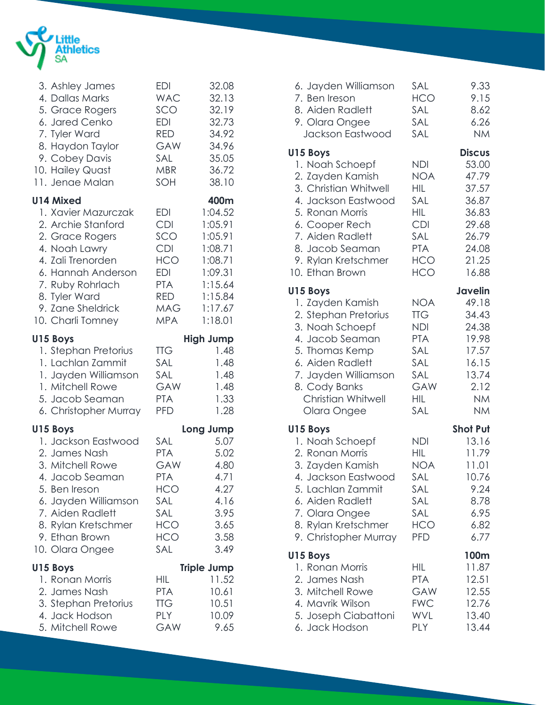

| 3. Ashley James<br>4. Dallas Marks<br>5. Grace Rogers<br>6. Jared Cenko<br>7. Tyler Ward<br>8. Haydon Taylor<br>9. Cobey Davis<br>10. Hailey Quast<br>11. Jenae Malan                                                       | <b>EDI</b><br><b>WAC</b><br>SCO<br>EDI<br><b>RED</b><br><b>GAW</b><br>SAL<br><b>MBR</b><br>SOH                      | 32.08<br>32.13<br>32.19<br>32.73<br>34.92<br>34.96<br>35.05<br>36.72<br>38.10                                      |
|-----------------------------------------------------------------------------------------------------------------------------------------------------------------------------------------------------------------------------|---------------------------------------------------------------------------------------------------------------------|--------------------------------------------------------------------------------------------------------------------|
| <b>U14 Mixed</b><br>1. Xavier Mazurczak<br>2. Archie Stanford<br>2. Grace Rogers<br>4. Noah Lawry<br>4. Zali Trenorden<br>6. Hannah Anderson<br>7. Ruby Rohrlach<br>8. Tyler Ward<br>9. Zane Sheldrick<br>10. Charli Tomney | EDI<br><b>CDI</b><br>SCO<br><b>CDI</b><br><b>HCO</b><br>EDI<br><b>PTA</b><br><b>RED</b><br><b>MAG</b><br><b>MPA</b> | 400m<br>1:04.52<br>1:05.91<br>1:05.91<br>1:08.71<br>1:08.71<br>1:09.31<br>1:15.64<br>1:15.84<br>1:17.67<br>1:18.01 |
| U15 Boys<br>1. Stephan Pretorius<br>1. Lachlan Zammit<br>1. Jayden Williamson<br>1. Mitchell Rowe<br>5. Jacob Seaman<br>6. Christopher Murray                                                                               | <b>TTG</b><br>SAL<br>SAL<br><b>GAW</b><br><b>PTA</b><br>PFD                                                         | <b>High Jump</b><br>1.48<br>1.48<br>1.48<br>1.48<br>1.33<br>1.28                                                   |
| U15 Boys<br>1. Jackson Eastwood<br>2. James Nash<br>3. Mitchell Rowe<br>4. Jacob Seaman<br>5. Ben Ireson<br>6. Jayden Williamson<br>7. Aiden Radlett<br>8. Rylan Kretschmer<br>9. Ethan Brown<br>10. Olara Ongee            | SAL<br><b>PTA</b><br>GAW<br><b>PTA</b><br><b>HCO</b><br>SAL<br>SAL<br><b>HCO</b><br><b>HCO</b><br>SAL               | Long Jump<br>5.07<br>5.02<br>4.80<br>4.71<br>4.27<br>4.16<br>3.95<br>3.65<br>3.58<br>3.49                          |
| U15 Boys<br>1. Ronan Morris<br>2. James Nash<br>3. Stephan Pretorius<br>4. Jack Hodson<br>5. Mitchell Rowe                                                                                                                  | НIL<br><b>PTA</b><br><b>TTG</b><br><b>PLY</b><br>GAW                                                                | <b>Triple Jump</b><br>11.52<br>10.61<br>10.51<br>10.09<br>9.65                                                     |

| 6. Jayden Williamson<br>7. Ben Ireson<br>8. Aiden Radlett<br>9. Olara Ongee<br>Jackson Eastwood                                                                                                                       | SAL<br><b>HCO</b><br>SAL<br>SAL<br>SAL                                                                              | 9.33<br>9.15<br>8.62<br>6.26<br><b>NM</b>                                                                       |
|-----------------------------------------------------------------------------------------------------------------------------------------------------------------------------------------------------------------------|---------------------------------------------------------------------------------------------------------------------|-----------------------------------------------------------------------------------------------------------------|
| U15 Boys<br>1. Noah Schoepf<br>2. Zayden Kamish<br>3. Christian Whitwell<br>4. Jackson Eastwood<br>5. Ronan Morris<br>6. Cooper Rech<br>7. Aiden Radlett<br>8. Jacob Seaman<br>9. Rylan Kretschmer<br>10. Ethan Brown | <b>NDI</b><br><b>NOA</b><br>HIL<br>SAL<br><b>HIL</b><br><b>CDI</b><br>SAL<br><b>PTA</b><br><b>HCO</b><br><b>HCO</b> | <b>Discus</b><br>53.00<br>47.79<br>37.57<br>36.87<br>36.83<br>29.68<br>26.79<br>24.08<br>21.25<br>16.88         |
| U15 Boys<br>1. Zayden Kamish<br>2. Stephan Pretorius<br>3. Noah Schoepf<br>4. Jacob Seaman<br>5. Thomas Kemp<br>6. Aiden Radlett<br>7. Jayden Williamson<br>8. Cody Banks<br>Christian Whitwell<br>Olara Ongee        | <b>NOA</b><br><b>TTG</b><br><b>NDI</b><br><b>PTA</b><br>SAL<br>SAL<br>SAL<br>GAW<br>HIL<br>SAL                      | <b>Javelin</b><br>49.18<br>34.43<br>24.38<br>19.98<br>17.57<br>16.15<br>13.74<br>2.12<br><b>NM</b><br><b>NM</b> |
| U15 Boys<br>1. Noah Schoepf<br>2. Ronan Morris<br>3. Zayden Kamish<br>4. Jackson Eastwood<br>5. Lachlan Zammit<br>6. Aiden Radlett<br>7. Olara Ongee<br>8. Rylan Kretschmer<br>9. Christopher Murray                  | <b>NDI</b><br><b>HIL</b><br><b>NOA</b><br>SAL<br>SAL<br>SAL<br>SAL<br><b>HCO</b><br><b>PFD</b>                      | <b>Shot Put</b><br>13.16<br>11.79<br>11.01<br>10.76<br>9.24<br>8.78<br>6.95<br>6.82<br>6.77                     |
| U15 Boys<br>1. Ronan Morris<br>2. James Nash<br>3. Mitchell Rowe<br>4. Mavrik Wilson<br>5. Joseph Ciabattoni<br>6. Jack Hodson                                                                                        | HIL<br><b>PTA</b><br>GAW<br><b>FWC</b><br><b>WVL</b><br><b>PLY</b>                                                  | 100m<br>11.87<br>12.51<br>12.55<br>12.76<br>13.40<br>13.44                                                      |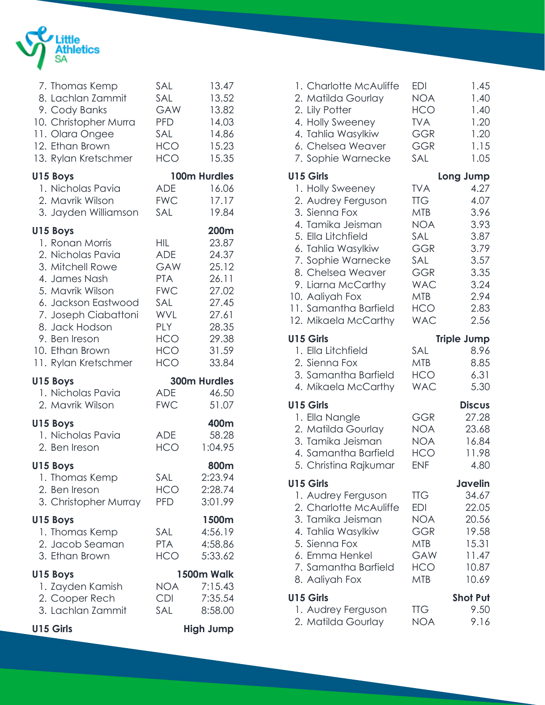

| <b>U15 Girls</b>                                                                                                                                                                                                                       |                                                                                                                                   | <b>High Jump</b>                                                                                        |
|----------------------------------------------------------------------------------------------------------------------------------------------------------------------------------------------------------------------------------------|-----------------------------------------------------------------------------------------------------------------------------------|---------------------------------------------------------------------------------------------------------|
| U15 Boys<br>1. Zayden Kamish<br>2. Cooper Rech<br>3. Lachlan Zammit                                                                                                                                                                    | <b>NOA</b><br><b>CDI</b><br>SAL                                                                                                   | 1500m Walk<br>7:15.43<br>7:35.54<br>8:58.00                                                             |
| U15 Boys<br>1. Thomas Kemp<br>2. Jacob Seaman<br>3. Ethan Brown                                                                                                                                                                        | SAL<br><b>PTA</b><br><b>HCO</b>                                                                                                   | 1500m<br>4:56.19<br>4:58.86<br>5:33.62                                                                  |
| U15 Boys<br>1. Thomas Kemp<br>2. Ben Ireson<br>3. Christopher Murray                                                                                                                                                                   | SAL<br>HCO<br><b>PFD</b>                                                                                                          | 800m<br>2:23.94<br>2:28.74<br>3:01.99                                                                   |
| U15 Boys<br>1. Nicholas Pavia<br>2. Ben Ireson                                                                                                                                                                                         | <b>ADE</b><br><b>HCO</b>                                                                                                          | 400m<br>58.28<br>1:04.95                                                                                |
| U15 Boys<br>1. Nicholas Pavia<br>2. Mavrik Wilson                                                                                                                                                                                      | ADE<br><b>FWC</b>                                                                                                                 | <b>300m Hurdles</b><br>46.50<br>51.07                                                                   |
| U15 Boys<br>1. Ronan Morris<br>2. Nicholas Pavia<br>3. Mitchell Rowe<br>4. James Nash<br>5. Mavrik Wilson<br>6. Jackson Eastwood<br>7. Joseph Ciabattoni<br>8. Jack Hodson<br>9. Ben Ireson<br>10. Ethan Brown<br>11. Rylan Kretschmer | HIL<br>ADE<br><b>GAW</b><br><b>PTA</b><br><b>FWC</b><br>SAL<br><b>WVL</b><br><b>PLY</b><br><b>HCO</b><br><b>HCO</b><br><b>HCO</b> | 200m<br>23.87<br>24.37<br>25.12<br>26.11<br>27.02<br>27.45<br>27.61<br>28.35<br>29.38<br>31.59<br>33.84 |
| U15 Boys<br>1. Nicholas Pavia<br>2. Mavrik Wilson<br>3. Jayden Williamson                                                                                                                                                              | <b>ADE</b><br><b>FWC</b><br>SAL                                                                                                   | 100m Hurdles<br>16.06<br>17.17<br>19.84                                                                 |
| 7. Thomas Kemp<br>8. Lachlan Zammit<br>9. Cody Banks<br>10. Christopher Murra<br>11. Olara Ongee<br>12. Ethan Brown<br>13. Rylan Kretschmer                                                                                            | SAL<br>SAL<br>GAW<br><b>PFD</b><br>SAL<br><b>HCO</b><br><b>HCO</b>                                                                | 13.47<br>13.52<br>13.82<br>14.03<br>14.86<br>15.23<br>15.35                                             |

| 1. Charlotte McAuliffe<br>2. Matilda Gourlay<br>2. Lily Potter<br>4. Holly Sweeney<br>4. Tahlia Wasylkiw<br>6. Chelsea Weaver<br>7. Sophie Warnecke | EDI<br><b>NOA</b><br><b>HCO</b><br><b>TVA</b><br>GGR<br>GGR<br>SAL | 1.45<br>1.40<br>1.40<br>1.20<br>1.20<br>1.15<br>1.05 |
|-----------------------------------------------------------------------------------------------------------------------------------------------------|--------------------------------------------------------------------|------------------------------------------------------|
| <b>U15 Girls</b><br>1. Holly Sweeney                                                                                                                | <b>TVA</b>                                                         | Long Jump<br>4.27                                    |
| 2. Audrey Ferguson                                                                                                                                  | <b>TTG</b>                                                         | 4.07                                                 |
| 3. Sienna Fox<br>4. Tamika Jeisman                                                                                                                  | <b>MTB</b><br><b>NOA</b>                                           | 3.96<br>3.93                                         |
| 5. Ella Litchfield                                                                                                                                  | SAL                                                                | 3.87                                                 |
| 6. Tahlia Wasylkiw                                                                                                                                  | GGR                                                                | 3.79                                                 |
| 7. Sophie Warnecke                                                                                                                                  | SAL                                                                | 3.57                                                 |
| 8. Chelsea Weaver                                                                                                                                   | <b>GGR</b><br><b>WAC</b>                                           | 3.35<br>3.24                                         |
| 9. Liarna McCarthy<br>10. Aaliyah Fox                                                                                                               | <b>MTB</b>                                                         | 2.94                                                 |
| 11. Samantha Barfield                                                                                                                               | <b>HCO</b>                                                         | 2.83                                                 |
| 12. Mikaela McCarthy                                                                                                                                | <b>WAC</b>                                                         | 2.56                                                 |
| <b>U15 Girls</b>                                                                                                                                    |                                                                    | <b>Triple Jump</b>                                   |
| 1. Ella Litchfield                                                                                                                                  | SAL                                                                | 8.96                                                 |
| 2. Sienna Fox                                                                                                                                       | <b>MTB</b>                                                         | 8.85                                                 |
| 3. Samantha Barfield<br>4. Mikaela McCarthy                                                                                                         | HCO<br><b>WAC</b>                                                  | 6.31<br>5.30                                         |
|                                                                                                                                                     |                                                                    |                                                      |
| <b>U15 Girls</b><br>1. Ella Nangle                                                                                                                  | <b>GGR</b>                                                         | <b>Discus</b><br>27.28                               |
| 2. Matilda Gourlay                                                                                                                                  | <b>NOA</b>                                                         | 23.68                                                |
| 3. Tamika Jeisman                                                                                                                                   | <b>NOA</b>                                                         | 16.84                                                |
| 4. Samantha Barfield                                                                                                                                | <b>HCO</b>                                                         | 11.98                                                |
| 5. Christina Rajkumar                                                                                                                               | <b>ENF</b>                                                         | 4.80                                                 |
| <b>U15 Girls</b>                                                                                                                                    |                                                                    | Javelin                                              |
| 1. Audrey Ferguson<br>2. Charlotte McAuliffe                                                                                                        | <b>TTG</b>                                                         | 34.67                                                |
| 3. Tamika Jeisman                                                                                                                                   | <b>EDI</b><br><b>NOA</b>                                           | 22.05<br>20.56                                       |
| 4. Tahlia Wasylkiw                                                                                                                                  | GGR                                                                | 19.58                                                |
| 5. Sienna Fox                                                                                                                                       | <b>MTB</b>                                                         | 15.31                                                |
| 6. Emma Henkel                                                                                                                                      | GAW                                                                | 11.47                                                |
| 7. Samantha Barfield                                                                                                                                | <b>HCO</b><br><b>MTB</b>                                           | 10.87<br>10.69                                       |
| 8. Aaliyah Fox                                                                                                                                      |                                                                    |                                                      |
| <b>U15 Girls</b>                                                                                                                                    | <b>TTG</b>                                                         | <b>Shot Put</b><br>9.50                              |
| 1. Audrey Ferguson<br>2. Matilda Gourlay                                                                                                            | <b>NOA</b>                                                         | 9.16                                                 |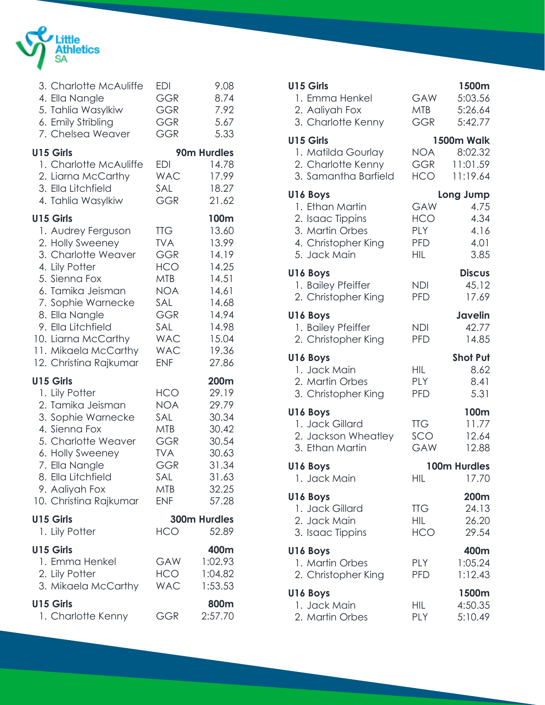

| 3. Charlotte McAuliffe<br>4. Ella Nangle<br>5. Tahlia Wasylkiw<br>6. Emily Stribling<br>7. Chelsea Weaver                                                                                                                                                                        | <b>EDI</b><br><b>GGR</b><br><b>GGR</b><br><b>GGR</b><br><b>GGR</b>                                                                              | 9.08<br>8.74<br>7.92<br>5.67<br>5.33                                                                             |
|----------------------------------------------------------------------------------------------------------------------------------------------------------------------------------------------------------------------------------------------------------------------------------|-------------------------------------------------------------------------------------------------------------------------------------------------|------------------------------------------------------------------------------------------------------------------|
| <b>U15 Girls</b><br>1. Charlotte McAuliffe<br>2. Liarna McCarthy<br>3. Ella Litchfield<br>4. Tahlia Wasylkiw                                                                                                                                                                     | <b>EDI</b><br><b>WAC</b><br>SAL<br><b>GGR</b>                                                                                                   | 90m Hurdles<br>14.78<br>17.99<br>18.27<br>21.62                                                                  |
| <b>U15 Girls</b><br>1. Audrey Ferguson<br>2. Holly Sweeney<br>3. Charlotte Weaver<br>4. Lily Potter<br>5. Sienna Fox<br>6. Tamika Jeisman<br>7. Sophie Warnecke<br>8. Ella Nangle<br>9. Ella Litchfield<br>10. Liarna McCarthy<br>11. Mikaela McCarthy<br>12. Christina Rajkumar | <b>TTG</b><br><b>TVA</b><br><b>GGR</b><br>HCO<br><b>MTB</b><br><b>NOA</b><br>SAL<br><b>GGR</b><br>SAL<br><b>WAC</b><br><b>WAC</b><br><b>ENF</b> | 100m<br>13.60<br>13.99<br>14.19<br>14.25<br>14.51<br>14.61<br>14.68<br>14.94<br>14.98<br>15.04<br>19.36<br>27.86 |
| <b>U15 Girls</b><br>1. Lily Potter<br>2. Tamika Jeisman<br>3. Sophie Warnecke<br>4. Sienna Fox<br>5. Charlotte Weaver<br>6. Holly Sweeney<br>7. Ella Nangle<br>8. Ella Litchfield<br>9. Aaliyah Fox<br>10. Christina Rajkumar<br><b>U15 Girls</b>                                | <b>HCO</b><br><b>NOA</b><br>SAL<br><b>MTB</b><br><b>GGR</b><br><b>TVA</b><br><b>GGR</b><br>SAL<br><b>MTB</b><br><b>ENF</b>                      | 200m<br>29.19<br>29.79<br>30.34<br>30.42<br>30.54<br>30.63<br>31.34<br>31.63<br>32.25<br>57.28<br>300m Hurdles   |
| 1. Lily Potter<br><b>U15 Girls</b><br>1. Emma Henkel<br>2. Lily Potter<br>3. Mikaela McCarthy                                                                                                                                                                                    | <b>HCO</b><br>GAW<br>HCO<br><b>WAC</b>                                                                                                          | 52.89<br>400m<br>1:02.93<br>1:04.82<br>1:53.53                                                                   |
| <b>U15 Girls</b><br>1. Charlotte Kenny                                                                                                                                                                                                                                           | GGR                                                                                                                                             | 800m<br>2:57.70                                                                                                  |

| U15 Girls<br>1. Emma Henkel<br>2. Aaliyah Fox<br>3. Charlotte Kenny                                       | GAW<br>MTB<br>GGR                             | 1500m<br>5:03.56<br>5:26.64<br>5:42.77            |
|-----------------------------------------------------------------------------------------------------------|-----------------------------------------------|---------------------------------------------------|
| U15 Girls<br>1. Matilda Gourlay<br>2. Charlotte Kenny<br>3. Samantha Barfield                             | NOA<br><b>HCO</b>                             | 1500m Walk<br>8:02.32<br>GGR 11:01.59<br>11:19.64 |
| U16 Boys<br>1. Ethan Martin<br>2. Isaac Tippins<br>3. Martin Orbes<br>4. Christopher King<br>5. Jack Main | GAW<br>HCO<br>PLY<br><b>PFD</b><br><b>HIL</b> | Long Jump<br>4.75<br>4.34<br>4.16<br>4.01<br>3.85 |
| U16 Boys<br>1. Bailey Pfeiffer<br>2. Christopher King                                                     | NDI<br><b>PFD</b>                             | <b>Discus</b><br>45.12<br>17.69                   |
| U16 Boys<br>1. Bailey Pfeiffer<br>2. Christopher King                                                     | NDI<br><b>PFD</b>                             | <b>Javelin</b><br>42.77<br>14.85                  |
| U16 Boys<br>1. Jack Main<br>2. Martin Orbes<br>3. Christopher King                                        | <b>HIL</b><br><b>PLY</b><br>PFD               | <b>Shot Put</b><br>8.62<br>8.41<br>5.31           |
| U16 Boys<br>1. Jack Gillard<br>2. Jackson Wheatley<br>3. Ethan Martin                                     | <b>TTG</b><br>SCO<br><b>GAW</b>               | 100m<br>11.77<br>12.64<br>12.88                   |
| U16 Boys<br>1. Jack Main                                                                                  | HIL                                           | 100m Hurdles<br>17.70                             |
| U16 Boys<br>1. Jack Gillard<br>2. Jack Main<br>3. Isaac Tippins                                           | TTG<br>HIL.<br><b>HCO</b>                     | 200m<br>24.13<br>26.20<br>29.54                   |
| U16 Boys<br>1. Martin Orbes<br>2. Christopher King                                                        | PLY<br><b>PFD</b>                             | 400m<br>1:05.24<br>1:12.43                        |
| U16 Boys<br>1. Jack Main                                                                                  | НIL                                           | 1500m<br>4:50.35                                  |

2. Martin Orbes PLY 5:10.49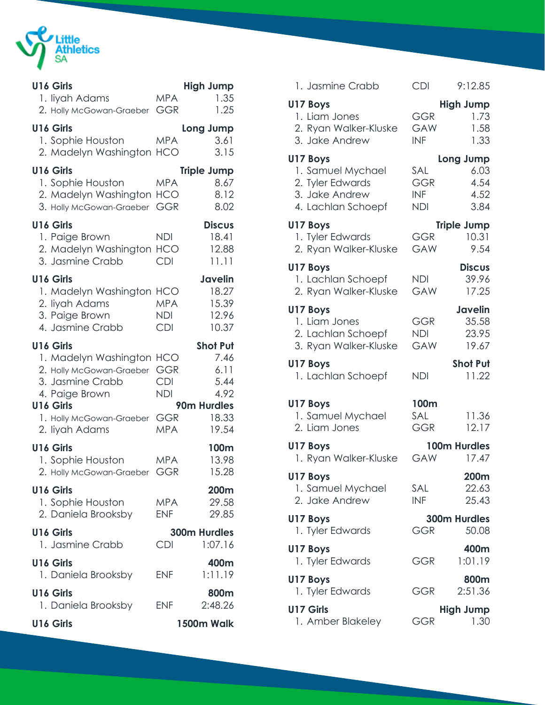

| U16 Girls<br>1. liyah Adams<br>2. Holly McGowan-Graeber GGR                                                                                                     | <b>MPA</b>                                                                | <b>High Jump</b><br>1.35<br>1.25                                                 |
|-----------------------------------------------------------------------------------------------------------------------------------------------------------------|---------------------------------------------------------------------------|----------------------------------------------------------------------------------|
| U16 Girls<br>1. Sophie Houston<br>2. Madelyn Washington HCO                                                                                                     | <b>MPA</b>                                                                | Long Jump<br>3.61<br>3.15                                                        |
| U16 Girls<br>1. Sophie Houston<br>2. Madelyn Washington HCO<br>3. Holly McGowan-Graeber                                                                         | <b>MPA</b><br>GGR                                                         | <b>Triple Jump</b><br>8.67<br>8.12<br>8.02                                       |
| U16 Girls<br>1. Paige Brown<br>2. Madelyn Washington HCO<br>3. Jasmine Crabb                                                                                    | <b>NDI</b><br><b>CDI</b>                                                  | <b>Discus</b><br>18.41<br>12.88<br>11.11                                         |
| U16 Girls<br>1. Madelyn Washington HCO<br>2. liyah Adams<br>3. Paige Brown<br>4. Jasmine Crabb                                                                  | <b>MPA</b><br><b>NDI</b><br><b>CDI</b>                                    | Javelin<br>18.27<br>15.39<br>12.96<br>10.37                                      |
| U16 Girls<br>1. Madelyn Washington<br>2. Holly McGowan-Graeber<br>3. Jasmine Crabb<br>4. Paige Brown<br>U16 Girls<br>1. Holly McGowan-Graeber<br>2. liyah Adams | <b>HCO</b><br><b>GGR</b><br><b>CDI</b><br><b>NDI</b><br>GGR<br><b>MPA</b> | <b>Shot Put</b><br>7.46<br>6.11<br>5.44<br>4.92<br>90m Hurdles<br>18.33<br>19.54 |
| U16 Girls<br>1. Sophie Houston<br>2. Holly McGowan-Graeber                                                                                                      | <b>MPA</b><br>GGR                                                         | 100m<br>13.98<br>15.28                                                           |
| U16 Girls<br>1. Sophie Houston<br>2. Daniela Brooksby                                                                                                           | <b>MPA</b><br><b>ENF</b>                                                  | 200m<br>29.58<br>29.85                                                           |
| U16 Girls<br>1. Jasmine Crabb                                                                                                                                   | <b>CDI</b>                                                                | <b>300m Hurdles</b><br>1:07.16                                                   |
| U16 Girls<br>1. Daniela Brooksby                                                                                                                                | <b>ENF</b>                                                                | 400m<br>1:11.19                                                                  |
| <b>U16 Girls</b><br>1. Daniela Brooksby                                                                                                                         | <b>ENF</b>                                                                | 800m<br>2:48.26                                                                  |
| U16 Girls                                                                                                                                                       |                                                                           | 1500m Walk                                                                       |

| 1. Jasmine Crabb                                                                          | <b>CDI</b>                                    | 9:12.85                                   |
|-------------------------------------------------------------------------------------------|-----------------------------------------------|-------------------------------------------|
| U17 Boys<br>1. Liam Jones<br>2. Ryan Walker-Kluske<br>3. Jake Andrew                      | GGR<br>GAW<br><b>INF</b>                      | <b>High Jump</b><br>1.73<br>1.58<br>1.33  |
| U17 Boys<br>1. Samuel Mychael<br>2. Tyler Edwards<br>3. Jake Andrew<br>4. Lachlan Schoepf | SAL<br><b>GGR</b><br><b>INF</b><br><b>NDI</b> | Long Jump<br>6.03<br>4.54<br>4.52<br>3.84 |
| U17 Boys<br>1. Tyler Edwards<br>2. Ryan Walker-Kluske                                     | GGR<br>GAW                                    | <b>Triple Jump</b><br>10.31<br>9.54       |
| U17 Boys<br>1. Lachlan Schoepf<br>2. Ryan Walker-Kluske                                   | NDI<br>GAW                                    | <b>Discus</b><br>39.96<br>17.25           |
| U17 Boys<br>1. Liam Jones<br>2. Lachlan Schoepf<br>3. Ryan Walker-Kluske                  | <b>GGR</b><br><b>NDI</b><br>GAW               | <b>Javelin</b><br>35.58<br>23.95<br>19.67 |
|                                                                                           |                                               |                                           |
| U17 Boys<br>1. Lachlan Schoepf                                                            | NDI                                           | <b>Shot Put</b><br>11.22                  |
| U17 Boys<br>1. Samuel Mychael<br>2. Liam Jones                                            | 100m<br>SAL<br><b>GGR</b>                     | 11.36<br>12.17                            |
| U17 Boys<br>1. Ryan Walker-Kluske                                                         | GAW                                           | 100m Hurdles<br>17.47                     |
| U17 Boys<br>1. Samuel Mychael<br>2. Jake Andrew                                           | SAL<br><b>INF</b>                             | <b>200m</b><br>22.63<br>25.43             |
| U17 Boys<br>1. Tyler Edwards                                                              | GGR                                           | <b>300m Hurdles</b><br>50.08              |
| U17 Boys<br>1. Tyler Edwards                                                              | GGR                                           | 400m<br>1:01.19                           |
| U17 Boys<br>1. Tyler Edwards                                                              | GGR                                           | 800m<br>2:51.36                           |